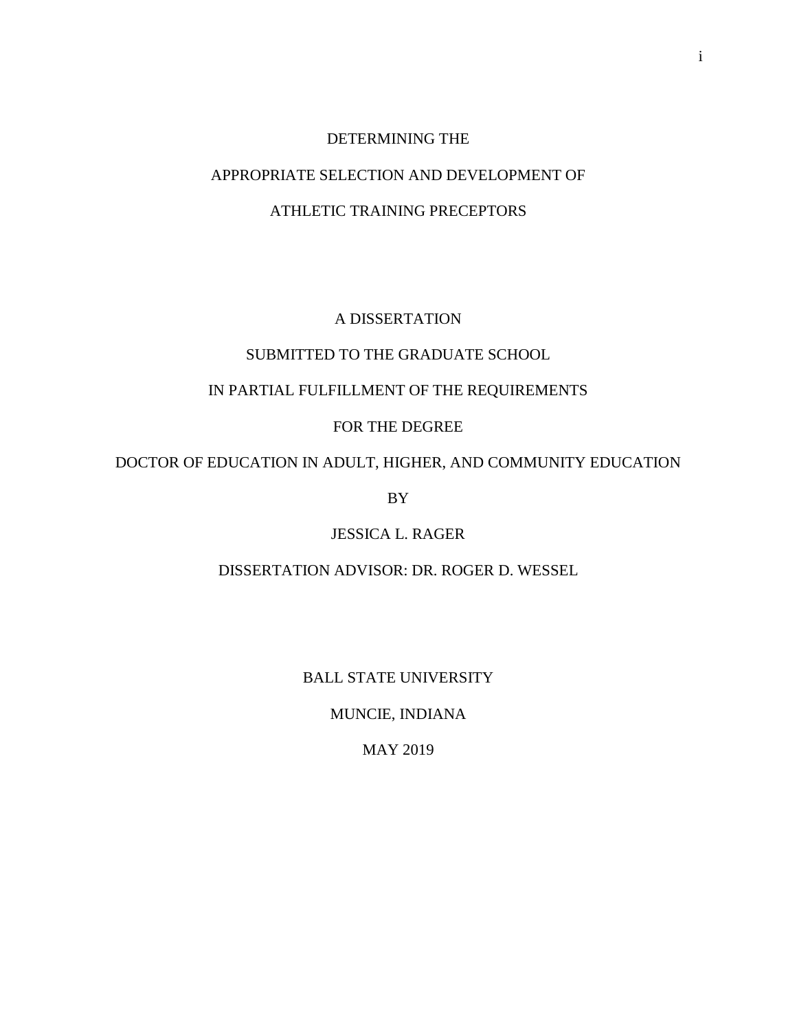## DETERMINING THE

## APPROPRIATE SELECTION AND DEVELOPMENT OF

## ATHLETIC TRAINING PRECEPTORS

## A DISSERTATION

## SUBMITTED TO THE GRADUATE SCHOOL

## IN PARTIAL FULFILLMENT OF THE REQUIREMENTS

## FOR THE DEGREE

## DOCTOR OF EDUCATION IN ADULT, HIGHER, AND COMMUNITY EDUCATION

BY

## JESSICA L. RAGER

## DISSERTATION ADVISOR: DR. ROGER D. WESSEL

## BALL STATE UNIVERSITY

## MUNCIE, INDIANA

## MAY 2019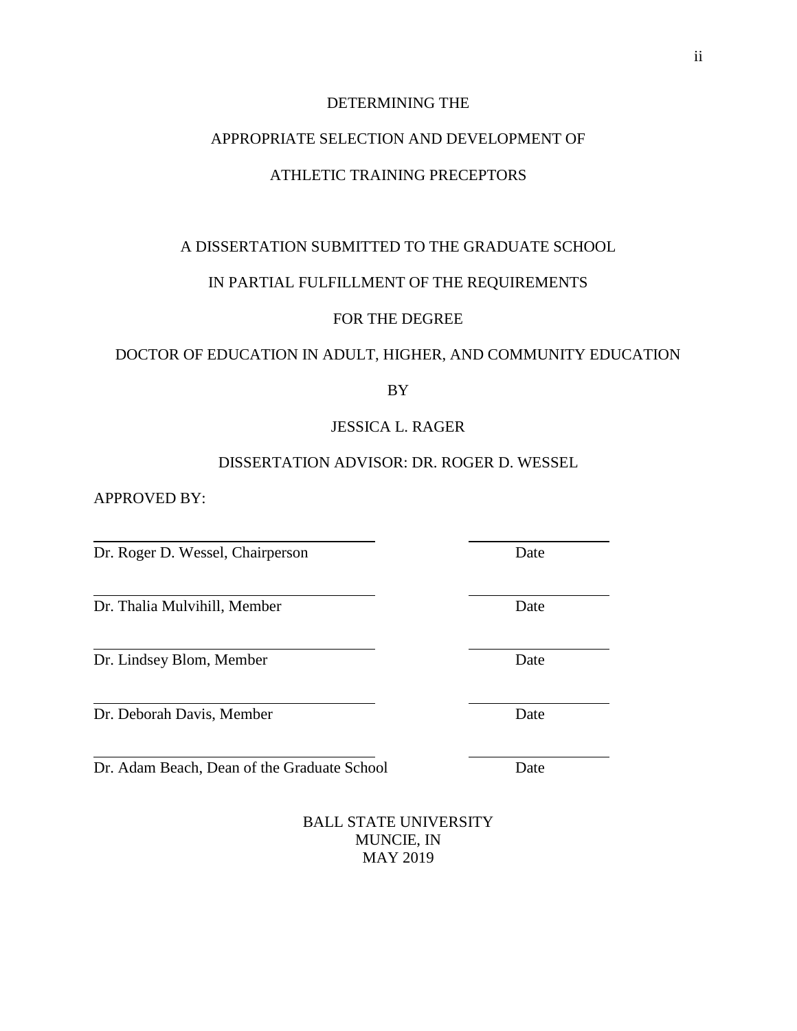## DETERMINING THE

## APPROPRIATE SELECTION AND DEVELOPMENT OF

## ATHLETIC TRAINING PRECEPTORS

## A DISSERTATION SUBMITTED TO THE GRADUATE SCHOOL

### IN PARTIAL FULFILLMENT OF THE REQUIREMENTS

## FOR THE DEGREE

## DOCTOR OF EDUCATION IN ADULT, HIGHER, AND COMMUNITY EDUCATION

BY

## JESSICA L. RAGER

## DISSERTATION ADVISOR: DR. ROGER D. WESSEL

APPROVED BY:

Dr. Roger D. Wessel, Chairperson Date

Dr. Thalia Mulvihill, Member Date

Dr. Lindsey Blom, Member Date

Dr. Deborah Davis, Member Date

Dr. Adam Beach, Dean of the Graduate School Date

BALL STATE UNIVERSITY MUNCIE, IN MAY 2019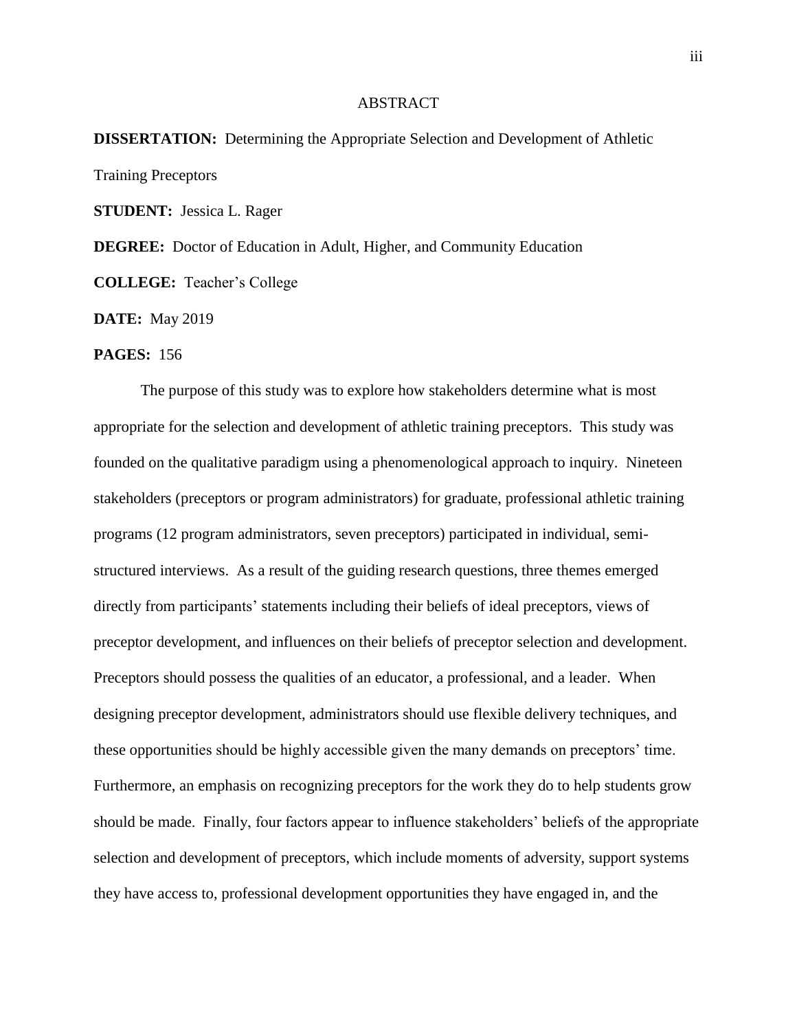#### ABSTRACT

# **DISSERTATION:** Determining the Appropriate Selection and Development of Athletic Training Preceptors

**STUDENT:** Jessica L. Rager

**DEGREE:** Doctor of Education in Adult, Higher, and Community Education

**COLLEGE:** Teacher's College

**DATE:** May 2019

#### **PAGES:** 156

The purpose of this study was to explore how stakeholders determine what is most appropriate for the selection and development of athletic training preceptors. This study was founded on the qualitative paradigm using a phenomenological approach to inquiry. Nineteen stakeholders (preceptors or program administrators) for graduate, professional athletic training programs (12 program administrators, seven preceptors) participated in individual, semistructured interviews. As a result of the guiding research questions, three themes emerged directly from participants' statements including their beliefs of ideal preceptors, views of preceptor development, and influences on their beliefs of preceptor selection and development. Preceptors should possess the qualities of an educator, a professional, and a leader. When designing preceptor development, administrators should use flexible delivery techniques, and these opportunities should be highly accessible given the many demands on preceptors' time. Furthermore, an emphasis on recognizing preceptors for the work they do to help students grow should be made. Finally, four factors appear to influence stakeholders' beliefs of the appropriate selection and development of preceptors, which include moments of adversity, support systems they have access to, professional development opportunities they have engaged in, and the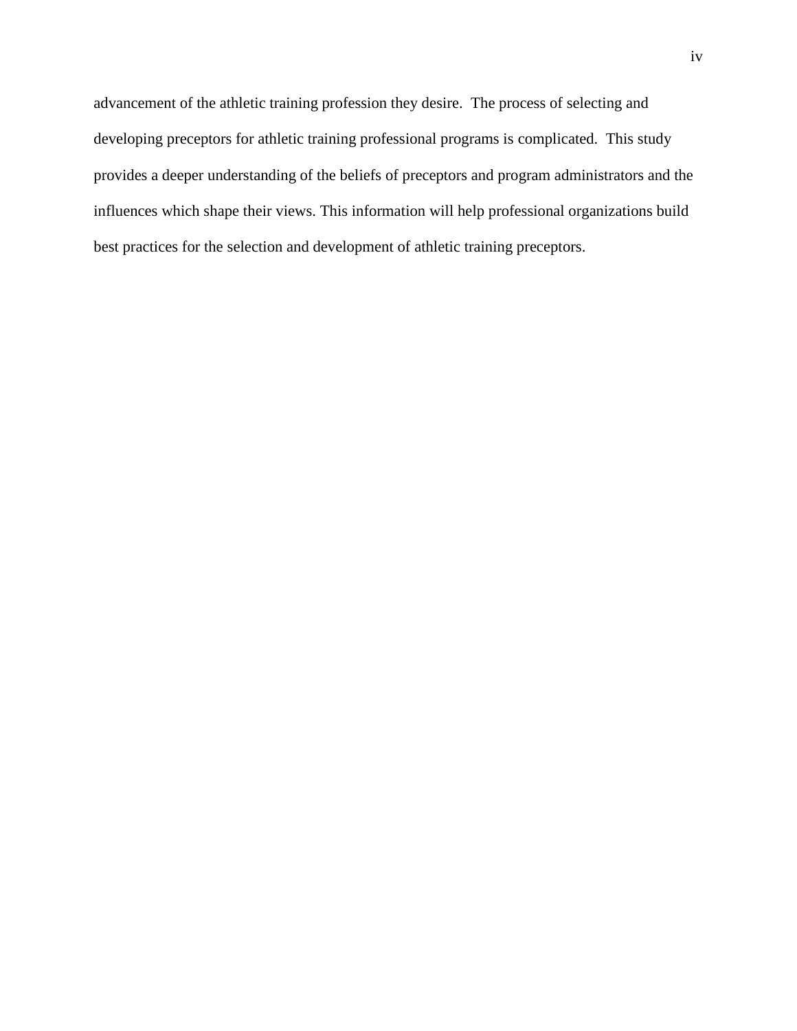advancement of the athletic training profession they desire. The process of selecting and developing preceptors for athletic training professional programs is complicated. This study provides a deeper understanding of the beliefs of preceptors and program administrators and the influences which shape their views. This information will help professional organizations build best practices for the selection and development of athletic training preceptors.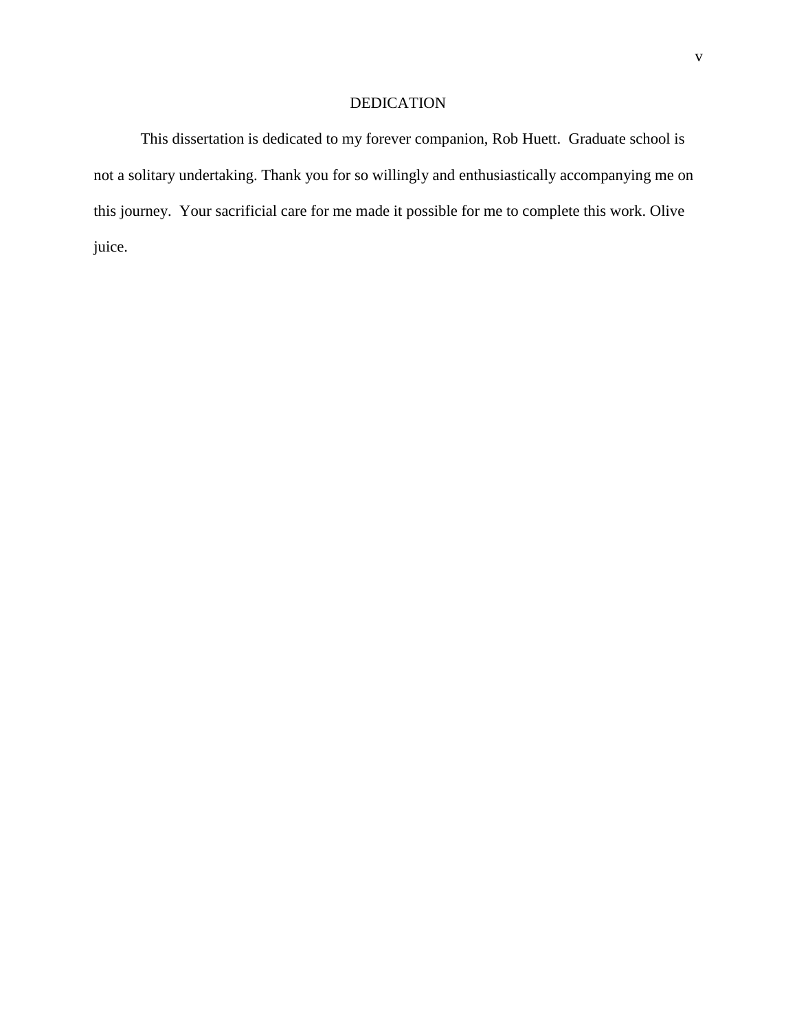## DEDICATION

This dissertation is dedicated to my forever companion, Rob Huett. Graduate school is not a solitary undertaking. Thank you for so willingly and enthusiastically accompanying me on this journey. Your sacrificial care for me made it possible for me to complete this work. Olive juice.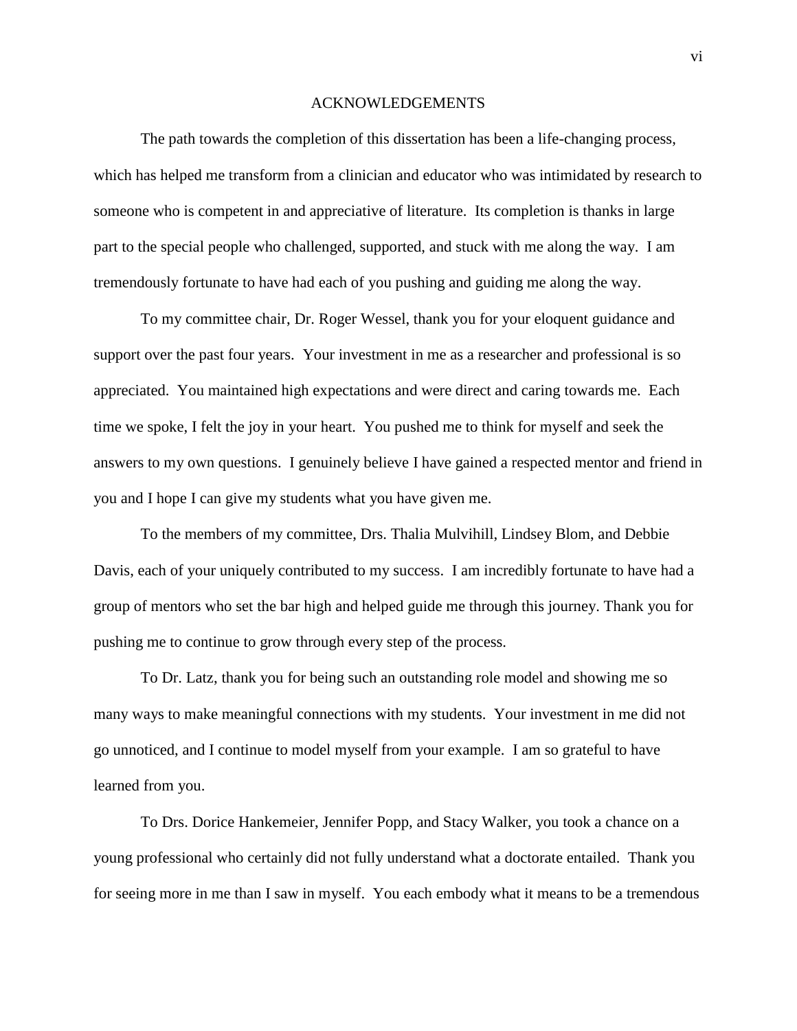#### ACKNOWLEDGEMENTS

The path towards the completion of this dissertation has been a life-changing process, which has helped me transform from a clinician and educator who was intimidated by research to someone who is competent in and appreciative of literature. Its completion is thanks in large part to the special people who challenged, supported, and stuck with me along the way. I am tremendously fortunate to have had each of you pushing and guiding me along the way.

To my committee chair, Dr. Roger Wessel, thank you for your eloquent guidance and support over the past four years. Your investment in me as a researcher and professional is so appreciated. You maintained high expectations and were direct and caring towards me. Each time we spoke, I felt the joy in your heart. You pushed me to think for myself and seek the answers to my own questions. I genuinely believe I have gained a respected mentor and friend in you and I hope I can give my students what you have given me.

To the members of my committee, Drs. Thalia Mulvihill, Lindsey Blom, and Debbie Davis, each of your uniquely contributed to my success. I am incredibly fortunate to have had a group of mentors who set the bar high and helped guide me through this journey. Thank you for pushing me to continue to grow through every step of the process.

To Dr. Latz, thank you for being such an outstanding role model and showing me so many ways to make meaningful connections with my students. Your investment in me did not go unnoticed, and I continue to model myself from your example. I am so grateful to have learned from you.

To Drs. Dorice Hankemeier, Jennifer Popp, and Stacy Walker, you took a chance on a young professional who certainly did not fully understand what a doctorate entailed. Thank you for seeing more in me than I saw in myself. You each embody what it means to be a tremendous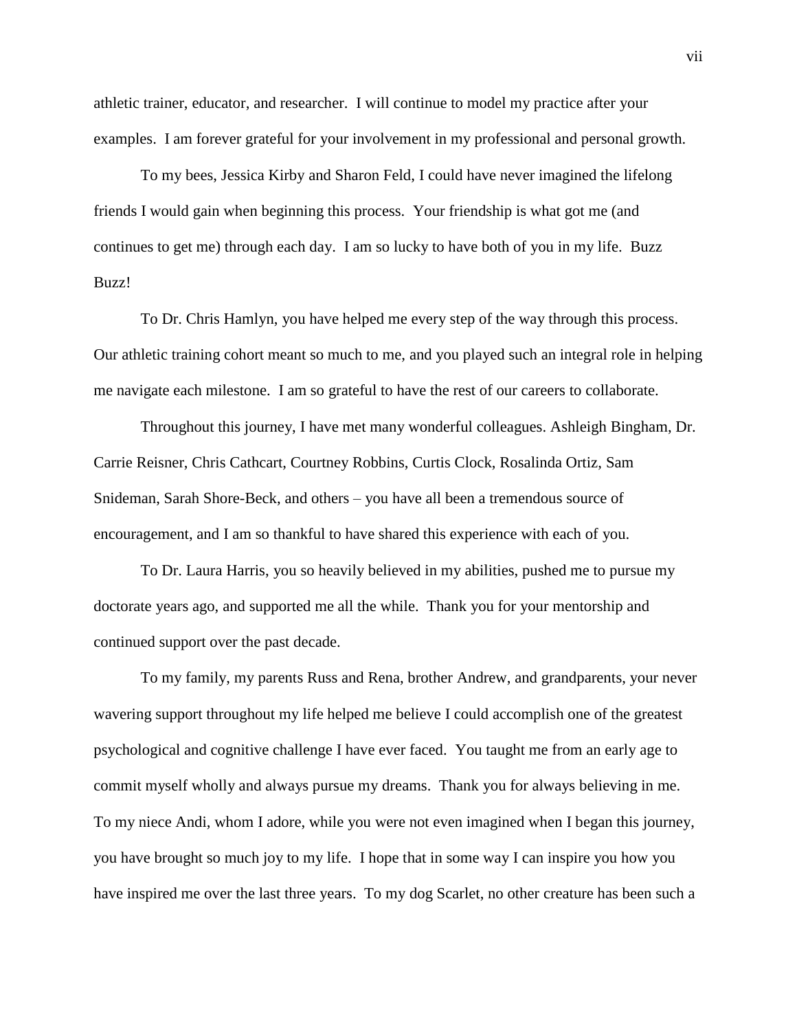athletic trainer, educator, and researcher. I will continue to model my practice after your examples. I am forever grateful for your involvement in my professional and personal growth.

To my bees, Jessica Kirby and Sharon Feld, I could have never imagined the lifelong friends I would gain when beginning this process. Your friendship is what got me (and continues to get me) through each day. I am so lucky to have both of you in my life. Buzz Buzz!

To Dr. Chris Hamlyn, you have helped me every step of the way through this process. Our athletic training cohort meant so much to me, and you played such an integral role in helping me navigate each milestone. I am so grateful to have the rest of our careers to collaborate.

Throughout this journey, I have met many wonderful colleagues. Ashleigh Bingham, Dr. Carrie Reisner, Chris Cathcart, Courtney Robbins, Curtis Clock, Rosalinda Ortiz, Sam Snideman, Sarah Shore-Beck, and others – you have all been a tremendous source of encouragement, and I am so thankful to have shared this experience with each of you.

To Dr. Laura Harris, you so heavily believed in my abilities, pushed me to pursue my doctorate years ago, and supported me all the while. Thank you for your mentorship and continued support over the past decade.

To my family, my parents Russ and Rena, brother Andrew, and grandparents, your never wavering support throughout my life helped me believe I could accomplish one of the greatest psychological and cognitive challenge I have ever faced. You taught me from an early age to commit myself wholly and always pursue my dreams. Thank you for always believing in me. To my niece Andi, whom I adore, while you were not even imagined when I began this journey, you have brought so much joy to my life. I hope that in some way I can inspire you how you have inspired me over the last three years. To my dog Scarlet, no other creature has been such a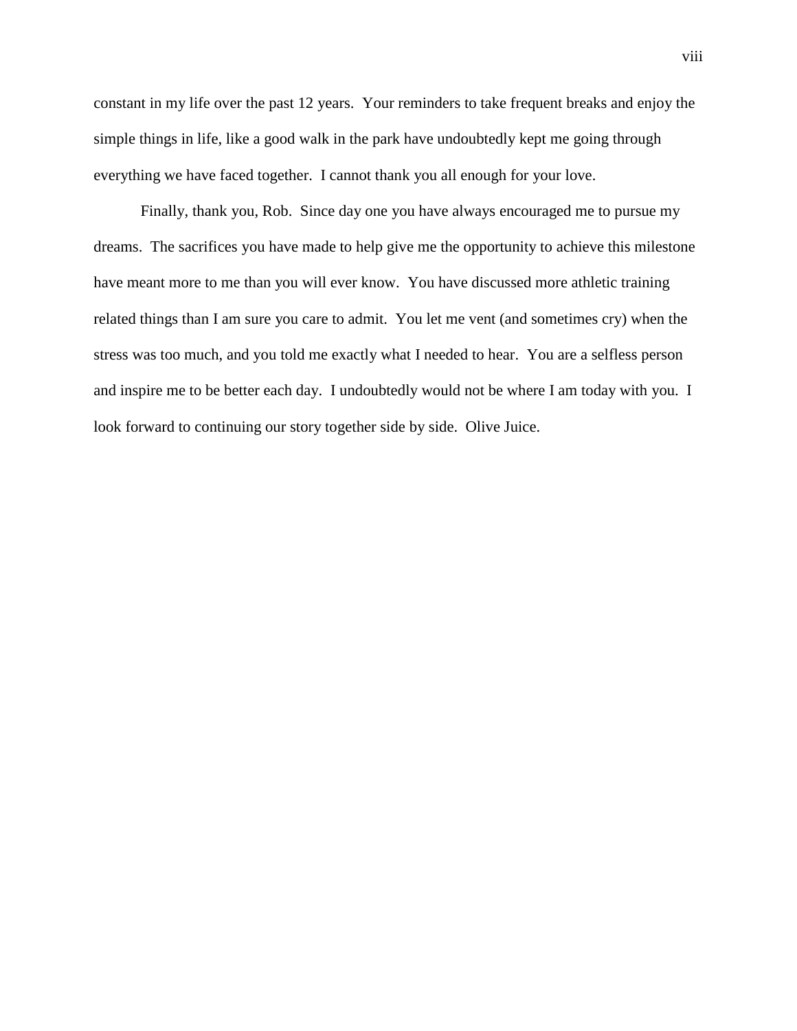constant in my life over the past 12 years. Your reminders to take frequent breaks and enjoy the simple things in life, like a good walk in the park have undoubtedly kept me going through everything we have faced together. I cannot thank you all enough for your love.

Finally, thank you, Rob. Since day one you have always encouraged me to pursue my dreams. The sacrifices you have made to help give me the opportunity to achieve this milestone have meant more to me than you will ever know. You have discussed more athletic training related things than I am sure you care to admit. You let me vent (and sometimes cry) when the stress was too much, and you told me exactly what I needed to hear. You are a selfless person and inspire me to be better each day. I undoubtedly would not be where I am today with you. I look forward to continuing our story together side by side. Olive Juice.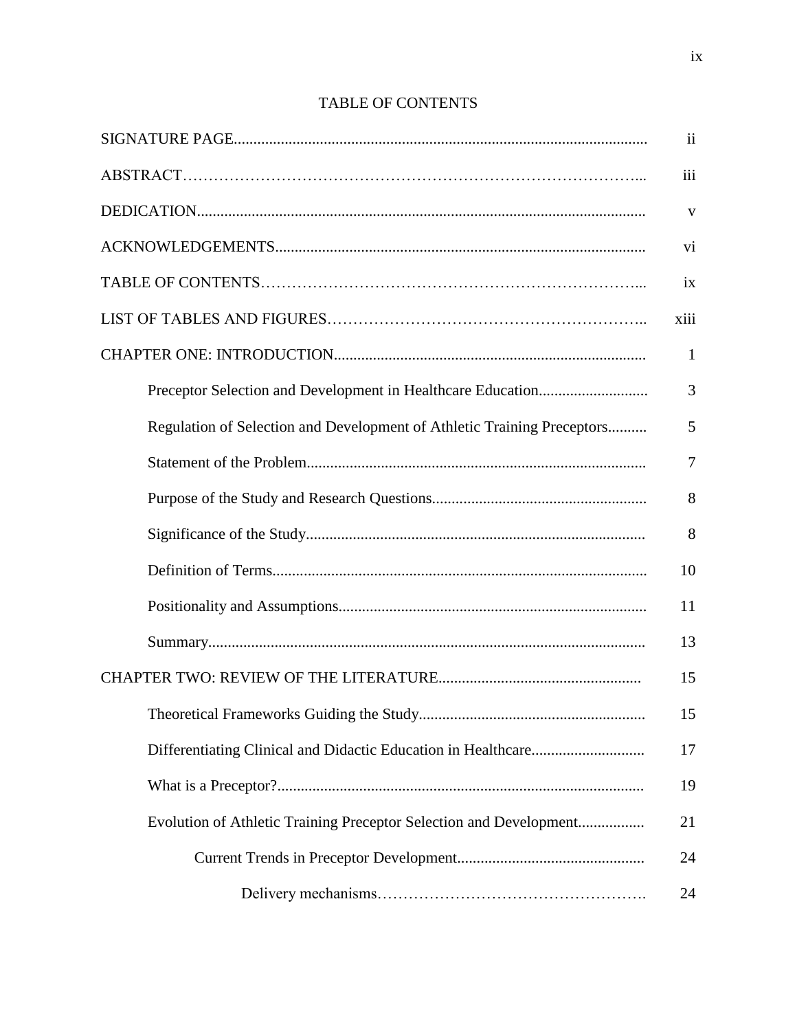|                                                                         | $\mathbf{ii}$  |
|-------------------------------------------------------------------------|----------------|
|                                                                         | iii            |
|                                                                         | V              |
|                                                                         | vi             |
|                                                                         | ix             |
|                                                                         | xiii           |
|                                                                         | $\mathbf{1}$   |
|                                                                         | 3              |
| Regulation of Selection and Development of Athletic Training Preceptors | 5              |
|                                                                         | $\overline{7}$ |
|                                                                         | 8              |
|                                                                         | 8              |
|                                                                         | 10             |
|                                                                         | 11             |
|                                                                         | 13             |
|                                                                         | 15             |
|                                                                         | 15             |
|                                                                         | 17             |
|                                                                         | 19             |
| Evolution of Athletic Training Preceptor Selection and Development      | 21             |
|                                                                         | 24             |
|                                                                         | 24             |

# TABLE OF CONTENTS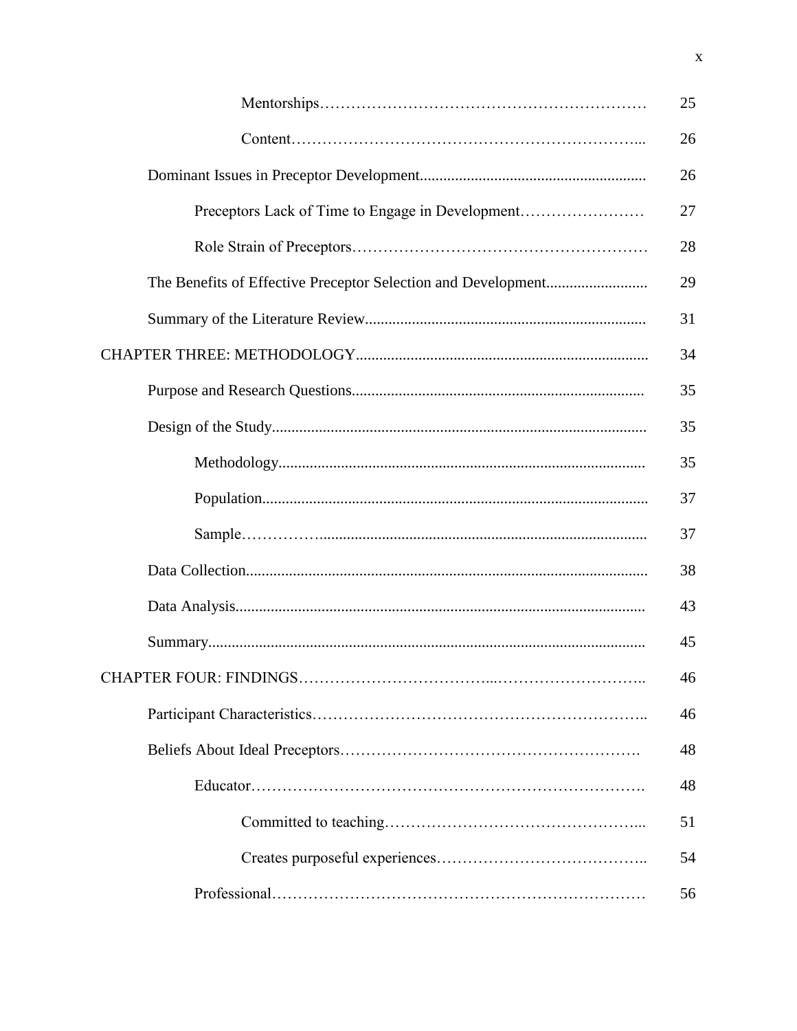|                                                  | 25 |
|--------------------------------------------------|----|
|                                                  | 26 |
|                                                  | 26 |
| Preceptors Lack of Time to Engage in Development | 27 |
|                                                  | 28 |
|                                                  | 29 |
|                                                  | 31 |
|                                                  | 34 |
|                                                  | 35 |
|                                                  | 35 |
|                                                  | 35 |
|                                                  | 37 |
|                                                  | 37 |
|                                                  | 38 |
|                                                  | 43 |
|                                                  | 45 |
|                                                  | 46 |
|                                                  | 46 |
|                                                  | 48 |
|                                                  | 48 |
|                                                  | 51 |
|                                                  | 54 |
|                                                  | 56 |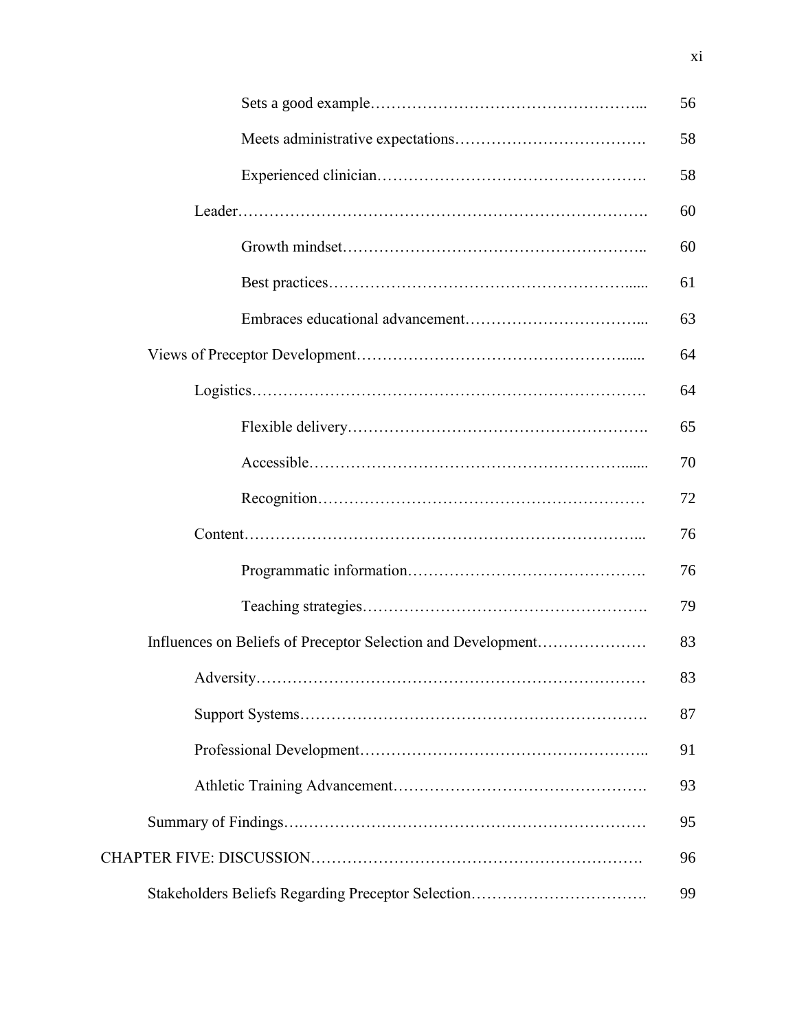|                                                              | 56 |
|--------------------------------------------------------------|----|
|                                                              | 58 |
|                                                              | 58 |
|                                                              | 60 |
|                                                              | 60 |
|                                                              | 61 |
|                                                              | 63 |
|                                                              | 64 |
|                                                              | 64 |
|                                                              | 65 |
|                                                              | 70 |
|                                                              | 72 |
|                                                              | 76 |
|                                                              | 76 |
|                                                              | 79 |
| Influences on Beliefs of Preceptor Selection and Development | 83 |
|                                                              | 83 |
|                                                              | 87 |
|                                                              | 91 |
|                                                              | 93 |
|                                                              | 95 |
|                                                              | 96 |
| Stakeholders Beliefs Regarding Preceptor Selection           | 99 |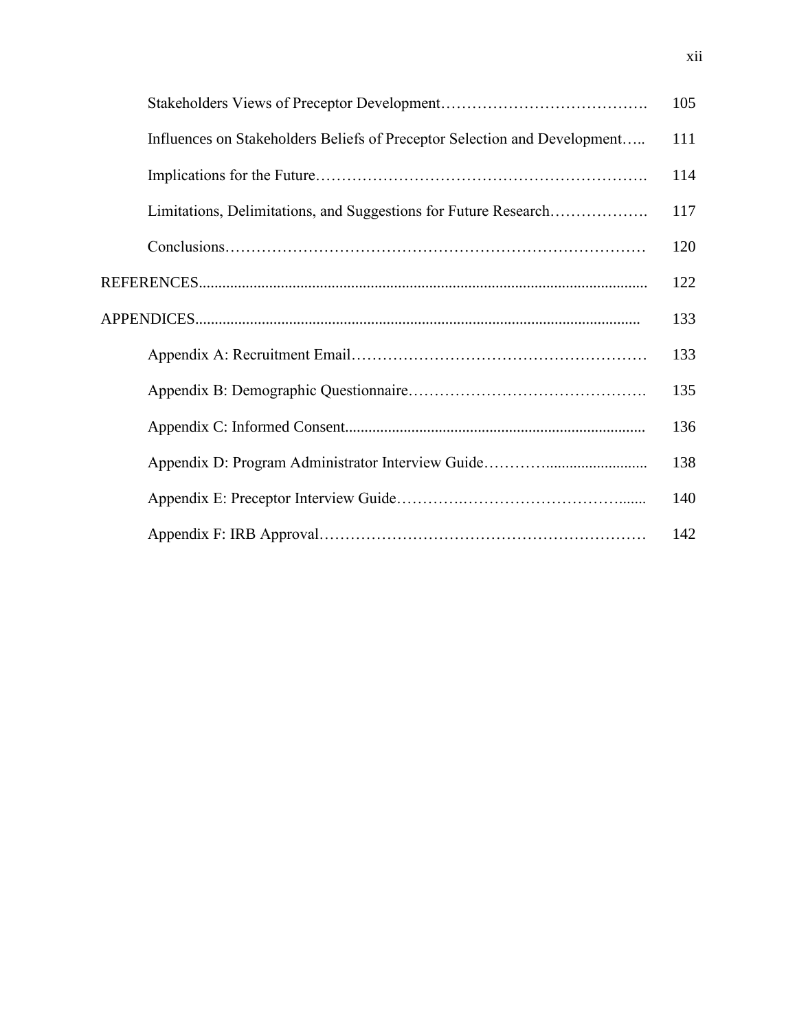|                                                                           | 105 |
|---------------------------------------------------------------------------|-----|
| Influences on Stakeholders Beliefs of Preceptor Selection and Development | 111 |
|                                                                           | 114 |
| Limitations, Delimitations, and Suggestions for Future Research           | 117 |
|                                                                           | 120 |
|                                                                           | 122 |
|                                                                           | 133 |
|                                                                           | 133 |
|                                                                           | 135 |
|                                                                           | 136 |
|                                                                           | 138 |
|                                                                           | 140 |
|                                                                           | 142 |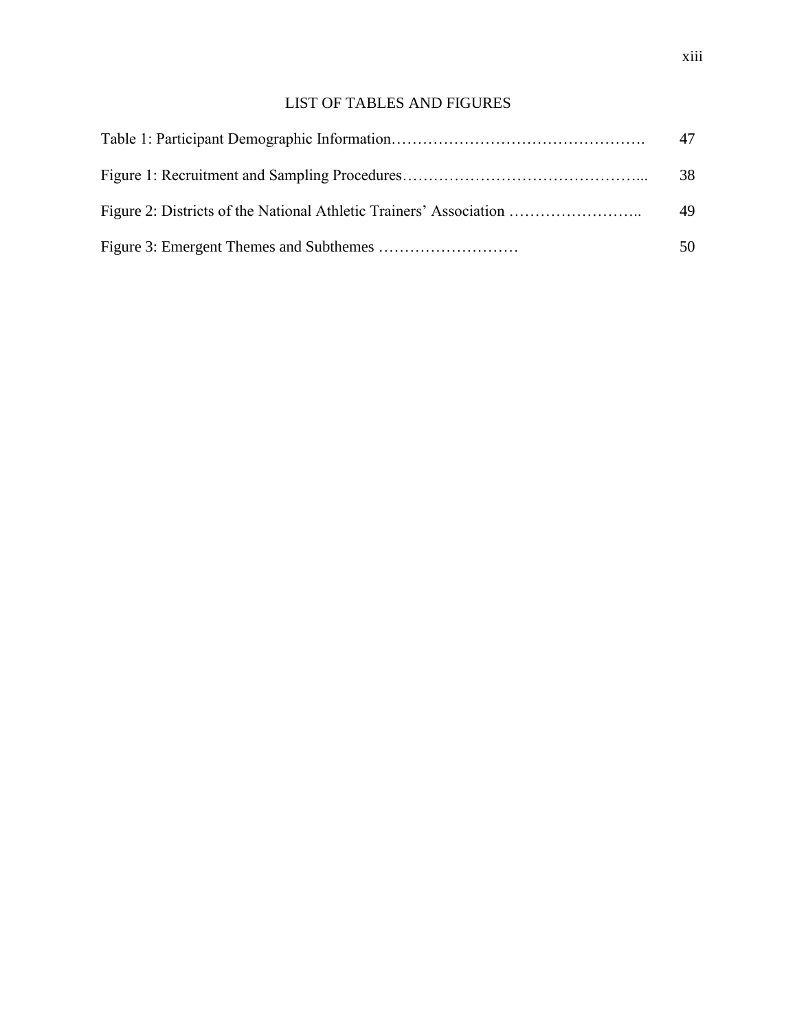# LIST OF TABLES AND FIGURES

| 47 |
|----|
| 38 |
| 49 |
| 50 |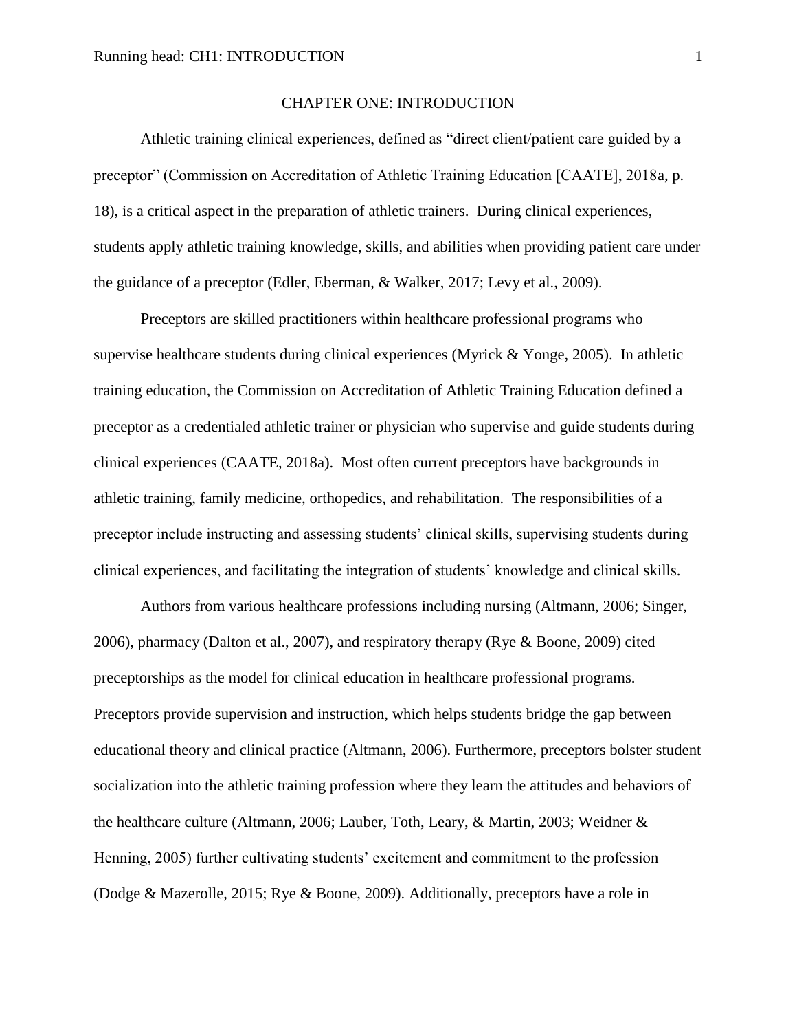#### CHAPTER ONE: INTRODUCTION

Athletic training clinical experiences, defined as "direct client/patient care guided by a preceptor" (Commission on Accreditation of Athletic Training Education [CAATE], 2018a, p. 18), is a critical aspect in the preparation of athletic trainers. During clinical experiences, students apply athletic training knowledge, skills, and abilities when providing patient care under the guidance of a preceptor (Edler, Eberman, & Walker, 2017; Levy et al., 2009).

Preceptors are skilled practitioners within healthcare professional programs who supervise healthcare students during clinical experiences (Myrick & Yonge, 2005). In athletic training education, the Commission on Accreditation of Athletic Training Education defined a preceptor as a credentialed athletic trainer or physician who supervise and guide students during clinical experiences (CAATE, 2018a). Most often current preceptors have backgrounds in athletic training, family medicine, orthopedics, and rehabilitation. The responsibilities of a preceptor include instructing and assessing students' clinical skills, supervising students during clinical experiences, and facilitating the integration of students' knowledge and clinical skills.

Authors from various healthcare professions including nursing (Altmann, 2006; Singer, 2006), pharmacy (Dalton et al., 2007), and respiratory therapy (Rye & Boone, 2009) cited preceptorships as the model for clinical education in healthcare professional programs. Preceptors provide supervision and instruction, which helps students bridge the gap between educational theory and clinical practice (Altmann, 2006). Furthermore, preceptors bolster student socialization into the athletic training profession where they learn the attitudes and behaviors of the healthcare culture (Altmann, 2006; Lauber, Toth, Leary, & Martin, 2003; Weidner & Henning, 2005) further cultivating students' excitement and commitment to the profession (Dodge & Mazerolle, 2015; Rye & Boone, 2009). Additionally, preceptors have a role in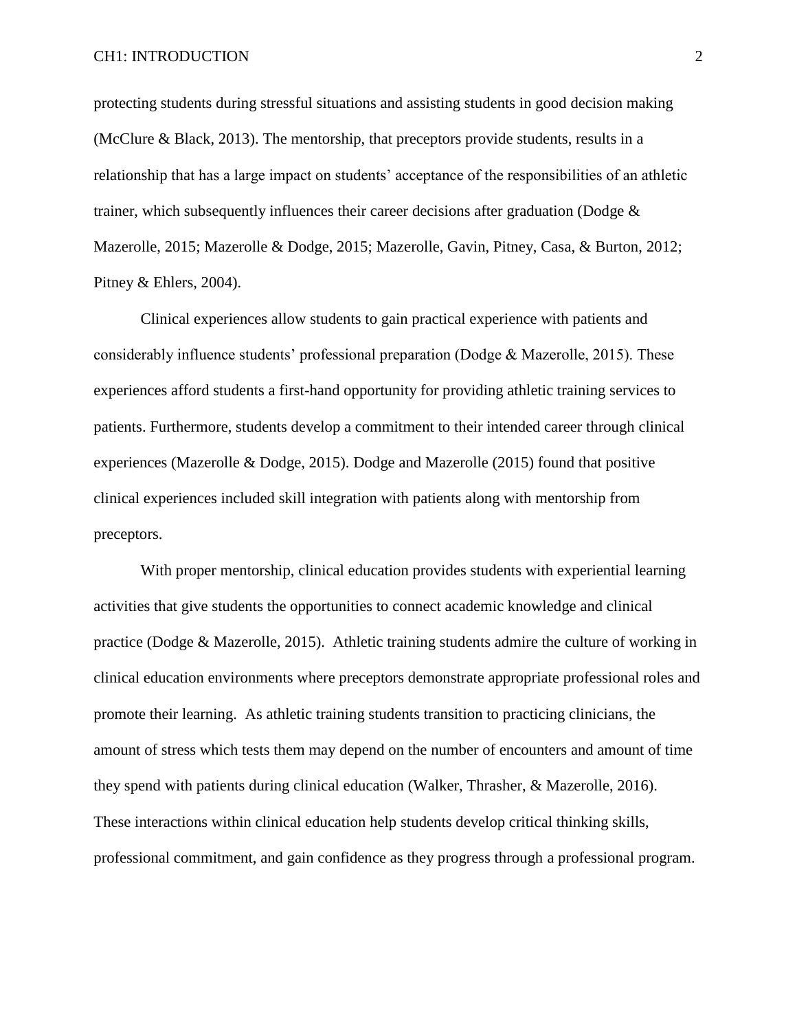protecting students during stressful situations and assisting students in good decision making (McClure & Black, 2013). The mentorship, that preceptors provide students, results in a relationship that has a large impact on students' acceptance of the responsibilities of an athletic trainer, which subsequently influences their career decisions after graduation (Dodge & Mazerolle, 2015; Mazerolle & Dodge, 2015; Mazerolle, Gavin, Pitney, Casa, & Burton, 2012; Pitney & Ehlers, 2004).

Clinical experiences allow students to gain practical experience with patients and considerably influence students' professional preparation (Dodge  $\&$  Mazerolle, 2015). These experiences afford students a first-hand opportunity for providing athletic training services to patients. Furthermore, students develop a commitment to their intended career through clinical experiences (Mazerolle & Dodge, 2015). Dodge and Mazerolle (2015) found that positive clinical experiences included skill integration with patients along with mentorship from preceptors.

With proper mentorship, clinical education provides students with experiential learning activities that give students the opportunities to connect academic knowledge and clinical practice (Dodge & Mazerolle, 2015). Athletic training students admire the culture of working in clinical education environments where preceptors demonstrate appropriate professional roles and promote their learning. As athletic training students transition to practicing clinicians, the amount of stress which tests them may depend on the number of encounters and amount of time they spend with patients during clinical education (Walker, Thrasher, & Mazerolle, 2016). These interactions within clinical education help students develop critical thinking skills, professional commitment, and gain confidence as they progress through a professional program.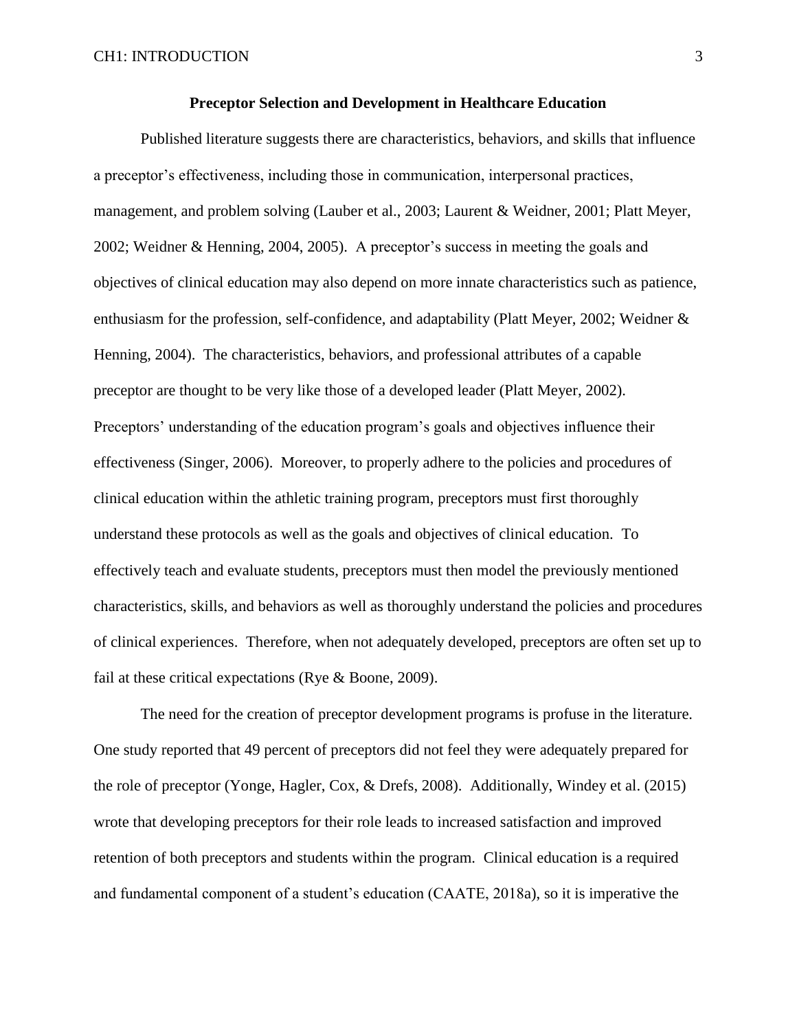Published literature suggests there are characteristics, behaviors, and skills that influence a preceptor's effectiveness, including those in communication, interpersonal practices, management, and problem solving (Lauber et al., 2003; Laurent & Weidner, 2001; Platt Meyer, 2002; Weidner & Henning, 2004, 2005). A preceptor's success in meeting the goals and objectives of clinical education may also depend on more innate characteristics such as patience, enthusiasm for the profession, self-confidence, and adaptability (Platt Meyer, 2002; Weidner & Henning, 2004). The characteristics, behaviors, and professional attributes of a capable preceptor are thought to be very like those of a developed leader (Platt Meyer, 2002). Preceptors' understanding of the education program's goals and objectives influence their effectiveness (Singer, 2006). Moreover, to properly adhere to the policies and procedures of clinical education within the athletic training program, preceptors must first thoroughly understand these protocols as well as the goals and objectives of clinical education. To effectively teach and evaluate students, preceptors must then model the previously mentioned characteristics, skills, and behaviors as well as thoroughly understand the policies and procedures of clinical experiences. Therefore, when not adequately developed, preceptors are often set up to fail at these critical expectations (Rye & Boone, 2009).

The need for the creation of preceptor development programs is profuse in the literature. One study reported that 49 percent of preceptors did not feel they were adequately prepared for the role of preceptor (Yonge, Hagler, Cox, & Drefs, 2008). Additionally, Windey et al. (2015) wrote that developing preceptors for their role leads to increased satisfaction and improved retention of both preceptors and students within the program. Clinical education is a required and fundamental component of a student's education (CAATE, 2018a), so it is imperative the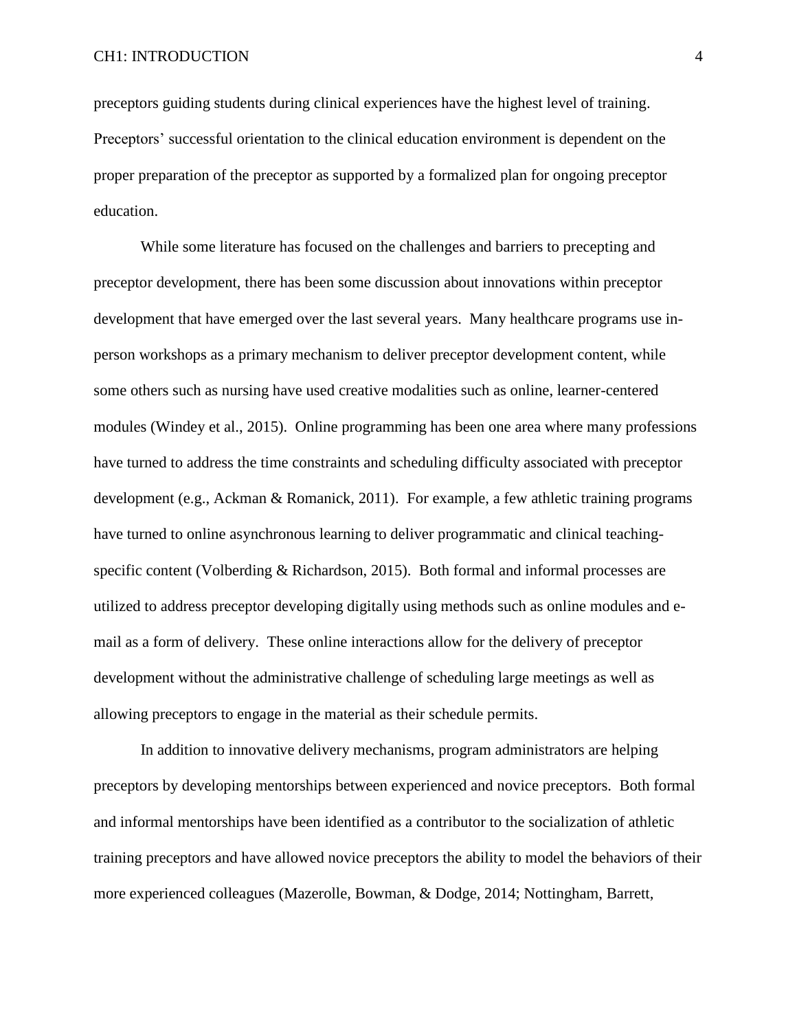preceptors guiding students during clinical experiences have the highest level of training. Preceptors' successful orientation to the clinical education environment is dependent on the proper preparation of the preceptor as supported by a formalized plan for ongoing preceptor education.

While some literature has focused on the challenges and barriers to precepting and preceptor development, there has been some discussion about innovations within preceptor development that have emerged over the last several years. Many healthcare programs use inperson workshops as a primary mechanism to deliver preceptor development content, while some others such as nursing have used creative modalities such as online, learner-centered modules (Windey et al., 2015). Online programming has been one area where many professions have turned to address the time constraints and scheduling difficulty associated with preceptor development (e.g., Ackman & Romanick, 2011). For example, a few athletic training programs have turned to online asynchronous learning to deliver programmatic and clinical teachingspecific content (Volberding & Richardson, 2015). Both formal and informal processes are utilized to address preceptor developing digitally using methods such as online modules and email as a form of delivery. These online interactions allow for the delivery of preceptor development without the administrative challenge of scheduling large meetings as well as allowing preceptors to engage in the material as their schedule permits.

In addition to innovative delivery mechanisms, program administrators are helping preceptors by developing mentorships between experienced and novice preceptors. Both formal and informal mentorships have been identified as a contributor to the socialization of athletic training preceptors and have allowed novice preceptors the ability to model the behaviors of their more experienced colleagues (Mazerolle, Bowman, & Dodge, 2014; Nottingham, Barrett,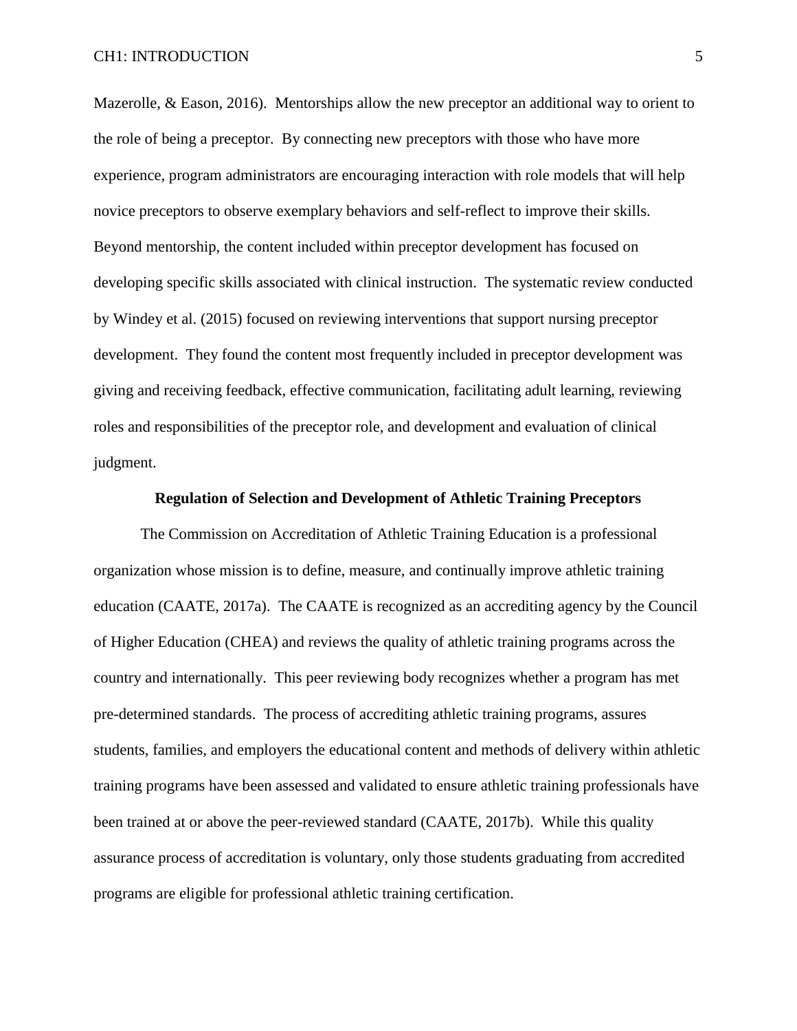Mazerolle, & Eason, 2016). Mentorships allow the new preceptor an additional way to orient to the role of being a preceptor. By connecting new preceptors with those who have more experience, program administrators are encouraging interaction with role models that will help novice preceptors to observe exemplary behaviors and self-reflect to improve their skills. Beyond mentorship, the content included within preceptor development has focused on developing specific skills associated with clinical instruction. The systematic review conducted by Windey et al. (2015) focused on reviewing interventions that support nursing preceptor development. They found the content most frequently included in preceptor development was giving and receiving feedback, effective communication, facilitating adult learning, reviewing roles and responsibilities of the preceptor role, and development and evaluation of clinical judgment.

#### **Regulation of Selection and Development of Athletic Training Preceptors**

The Commission on Accreditation of Athletic Training Education is a professional organization whose mission is to define, measure, and continually improve athletic training education (CAATE, 2017a). The CAATE is recognized as an accrediting agency by the Council of Higher Education (CHEA) and reviews the quality of athletic training programs across the country and internationally. This peer reviewing body recognizes whether a program has met pre-determined standards. The process of accrediting athletic training programs, assures students, families, and employers the educational content and methods of delivery within athletic training programs have been assessed and validated to ensure athletic training professionals have been trained at or above the peer-reviewed standard (CAATE, 2017b). While this quality assurance process of accreditation is voluntary, only those students graduating from accredited programs are eligible for professional athletic training certification.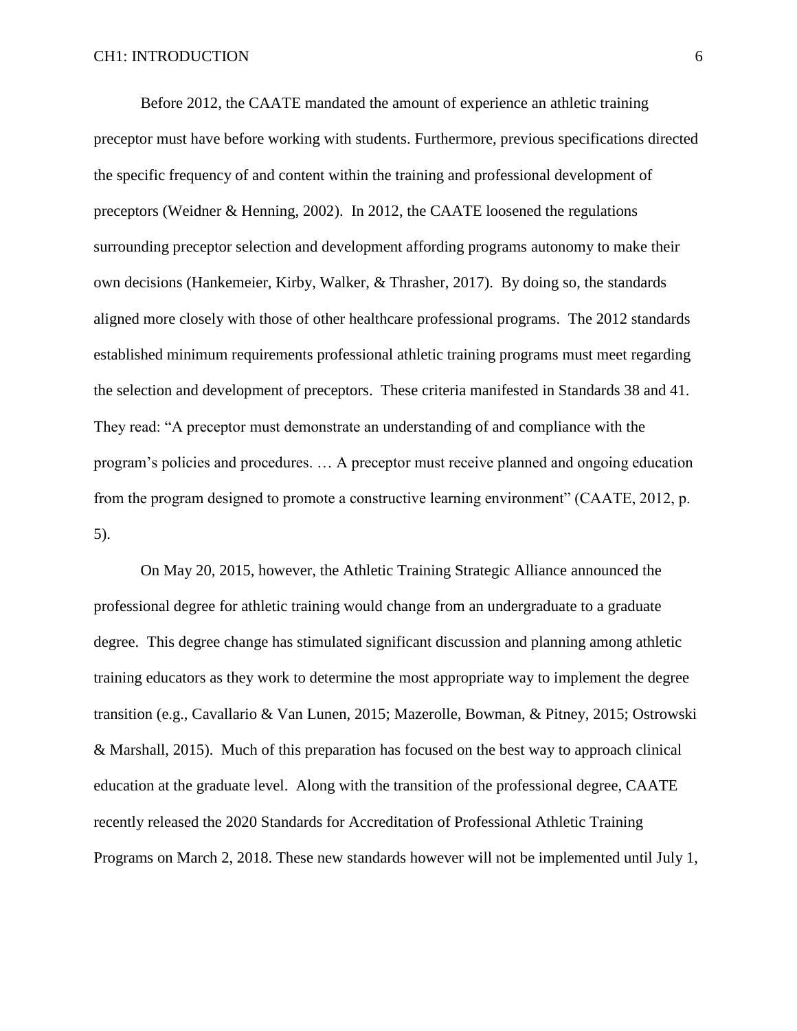Before 2012, the CAATE mandated the amount of experience an athletic training preceptor must have before working with students. Furthermore, previous specifications directed the specific frequency of and content within the training and professional development of preceptors (Weidner & Henning, 2002). In 2012, the CAATE loosened the regulations surrounding preceptor selection and development affording programs autonomy to make their own decisions (Hankemeier, Kirby, Walker, & Thrasher, 2017). By doing so, the standards aligned more closely with those of other healthcare professional programs. The 2012 standards established minimum requirements professional athletic training programs must meet regarding the selection and development of preceptors. These criteria manifested in Standards 38 and 41. They read: "A preceptor must demonstrate an understanding of and compliance with the program's policies and procedures. … A preceptor must receive planned and ongoing education from the program designed to promote a constructive learning environment" (CAATE, 2012, p. 5).

On May 20, 2015, however, the Athletic Training Strategic Alliance announced the professional degree for athletic training would change from an undergraduate to a graduate degree. This degree change has stimulated significant discussion and planning among athletic training educators as they work to determine the most appropriate way to implement the degree transition (e.g., Cavallario & Van Lunen, 2015; Mazerolle, Bowman, & Pitney, 2015; Ostrowski & Marshall, 2015). Much of this preparation has focused on the best way to approach clinical education at the graduate level. Along with the transition of the professional degree, CAATE recently released the 2020 Standards for Accreditation of Professional Athletic Training Programs on March 2, 2018. These new standards however will not be implemented until July 1,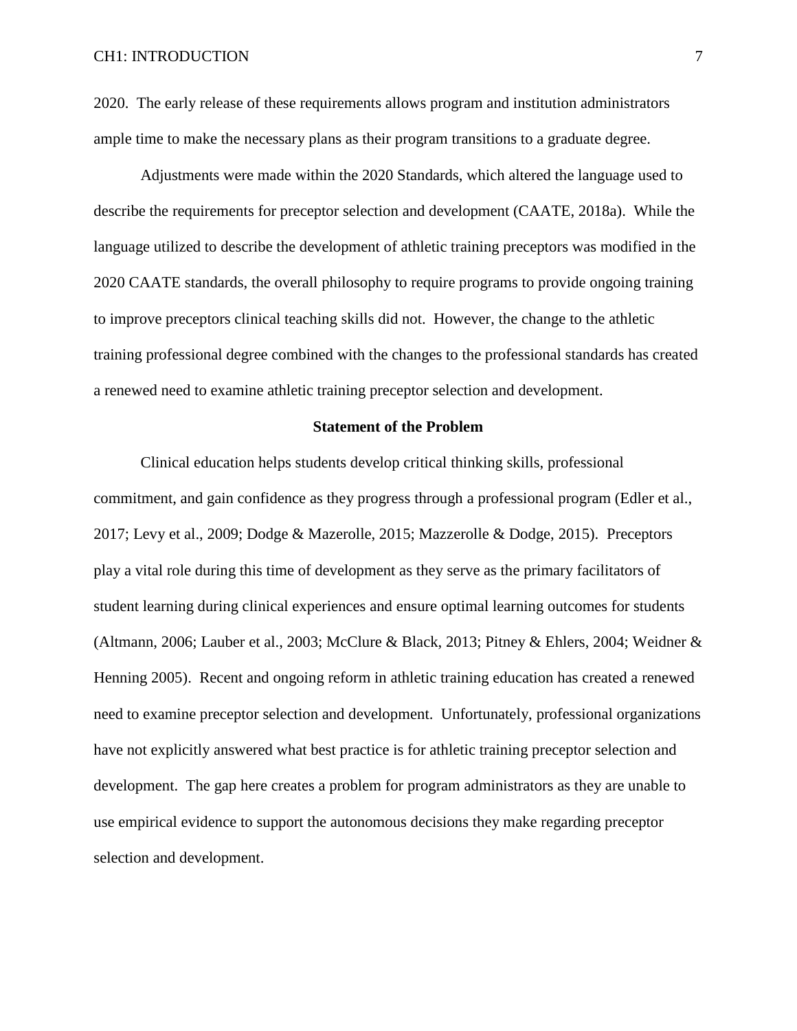#### CH1: INTRODUCTION 7

2020. The early release of these requirements allows program and institution administrators ample time to make the necessary plans as their program transitions to a graduate degree.

Adjustments were made within the 2020 Standards, which altered the language used to describe the requirements for preceptor selection and development (CAATE, 2018a). While the language utilized to describe the development of athletic training preceptors was modified in the 2020 CAATE standards, the overall philosophy to require programs to provide ongoing training to improve preceptors clinical teaching skills did not. However, the change to the athletic training professional degree combined with the changes to the professional standards has created a renewed need to examine athletic training preceptor selection and development.

#### **Statement of the Problem**

Clinical education helps students develop critical thinking skills, professional commitment, and gain confidence as they progress through a professional program (Edler et al., 2017; Levy et al., 2009; Dodge & Mazerolle, 2015; Mazzerolle & Dodge, 2015). Preceptors play a vital role during this time of development as they serve as the primary facilitators of student learning during clinical experiences and ensure optimal learning outcomes for students (Altmann, 2006; Lauber et al., 2003; McClure & Black, 2013; Pitney & Ehlers, 2004; Weidner & Henning 2005). Recent and ongoing reform in athletic training education has created a renewed need to examine preceptor selection and development. Unfortunately, professional organizations have not explicitly answered what best practice is for athletic training preceptor selection and development. The gap here creates a problem for program administrators as they are unable to use empirical evidence to support the autonomous decisions they make regarding preceptor selection and development.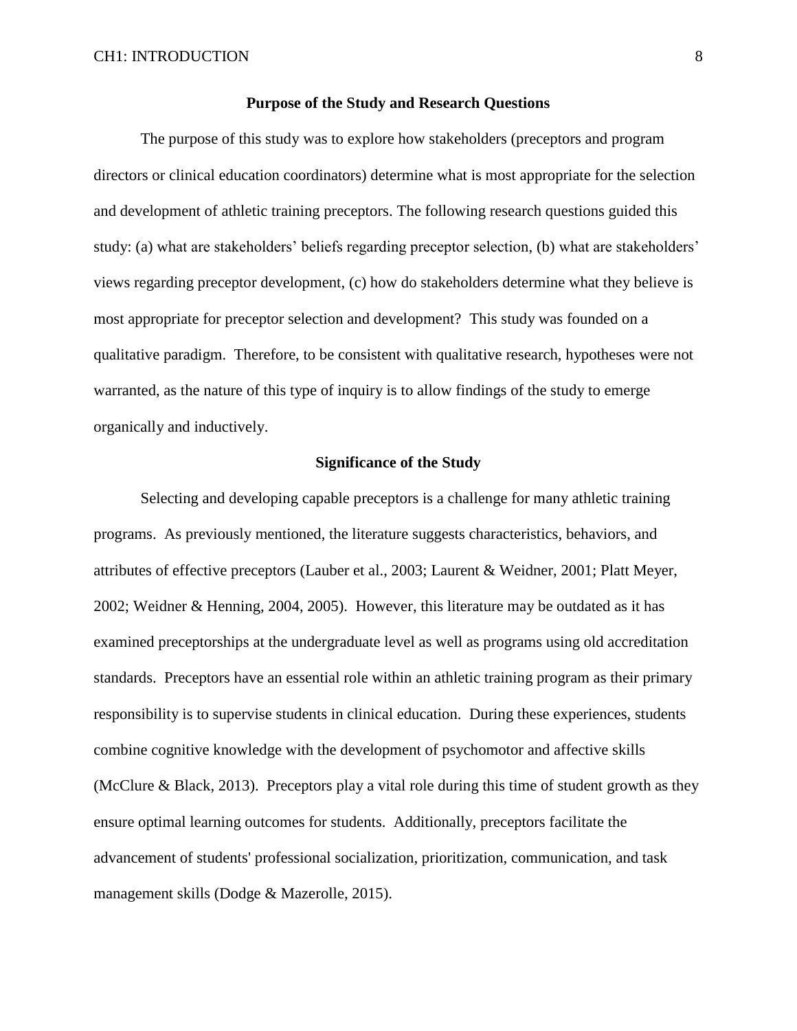#### **Purpose of the Study and Research Questions**

The purpose of this study was to explore how stakeholders (preceptors and program directors or clinical education coordinators) determine what is most appropriate for the selection and development of athletic training preceptors. The following research questions guided this study: (a) what are stakeholders' beliefs regarding preceptor selection, (b) what are stakeholders' views regarding preceptor development, (c) how do stakeholders determine what they believe is most appropriate for preceptor selection and development? This study was founded on a qualitative paradigm. Therefore, to be consistent with qualitative research, hypotheses were not warranted, as the nature of this type of inquiry is to allow findings of the study to emerge organically and inductively.

#### **Significance of the Study**

Selecting and developing capable preceptors is a challenge for many athletic training programs. As previously mentioned, the literature suggests characteristics, behaviors, and attributes of effective preceptors (Lauber et al., 2003; Laurent & Weidner, 2001; Platt Meyer, 2002; Weidner & Henning, 2004, 2005). However, this literature may be outdated as it has examined preceptorships at the undergraduate level as well as programs using old accreditation standards. Preceptors have an essential role within an athletic training program as their primary responsibility is to supervise students in clinical education. During these experiences, students combine cognitive knowledge with the development of psychomotor and affective skills (McClure & Black, 2013). Preceptors play a vital role during this time of student growth as they ensure optimal learning outcomes for students. Additionally, preceptors facilitate the advancement of students' professional socialization, prioritization, communication, and task management skills (Dodge & Mazerolle, 2015).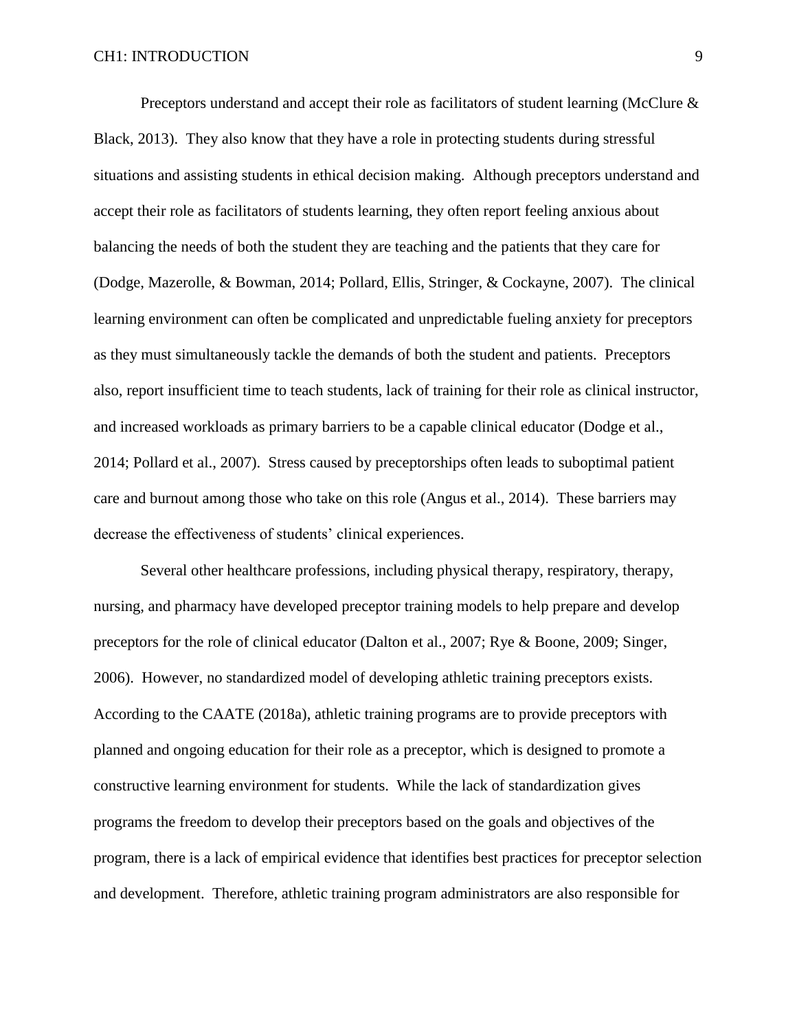Preceptors understand and accept their role as facilitators of student learning (McClure & Black, 2013). They also know that they have a role in protecting students during stressful situations and assisting students in ethical decision making. Although preceptors understand and accept their role as facilitators of students learning, they often report feeling anxious about balancing the needs of both the student they are teaching and the patients that they care for (Dodge, Mazerolle, & Bowman, 2014; Pollard, Ellis, Stringer, & Cockayne, 2007). The clinical learning environment can often be complicated and unpredictable fueling anxiety for preceptors as they must simultaneously tackle the demands of both the student and patients. Preceptors also, report insufficient time to teach students, lack of training for their role as clinical instructor, and increased workloads as primary barriers to be a capable clinical educator (Dodge et al., 2014; Pollard et al., 2007). Stress caused by preceptorships often leads to suboptimal patient care and burnout among those who take on this role (Angus et al., 2014). These barriers may decrease the effectiveness of students' clinical experiences.

Several other healthcare professions, including physical therapy, respiratory, therapy, nursing, and pharmacy have developed preceptor training models to help prepare and develop preceptors for the role of clinical educator (Dalton et al., 2007; Rye & Boone, 2009; Singer, 2006). However, no standardized model of developing athletic training preceptors exists. According to the CAATE (2018a), athletic training programs are to provide preceptors with planned and ongoing education for their role as a preceptor, which is designed to promote a constructive learning environment for students. While the lack of standardization gives programs the freedom to develop their preceptors based on the goals and objectives of the program, there is a lack of empirical evidence that identifies best practices for preceptor selection and development. Therefore, athletic training program administrators are also responsible for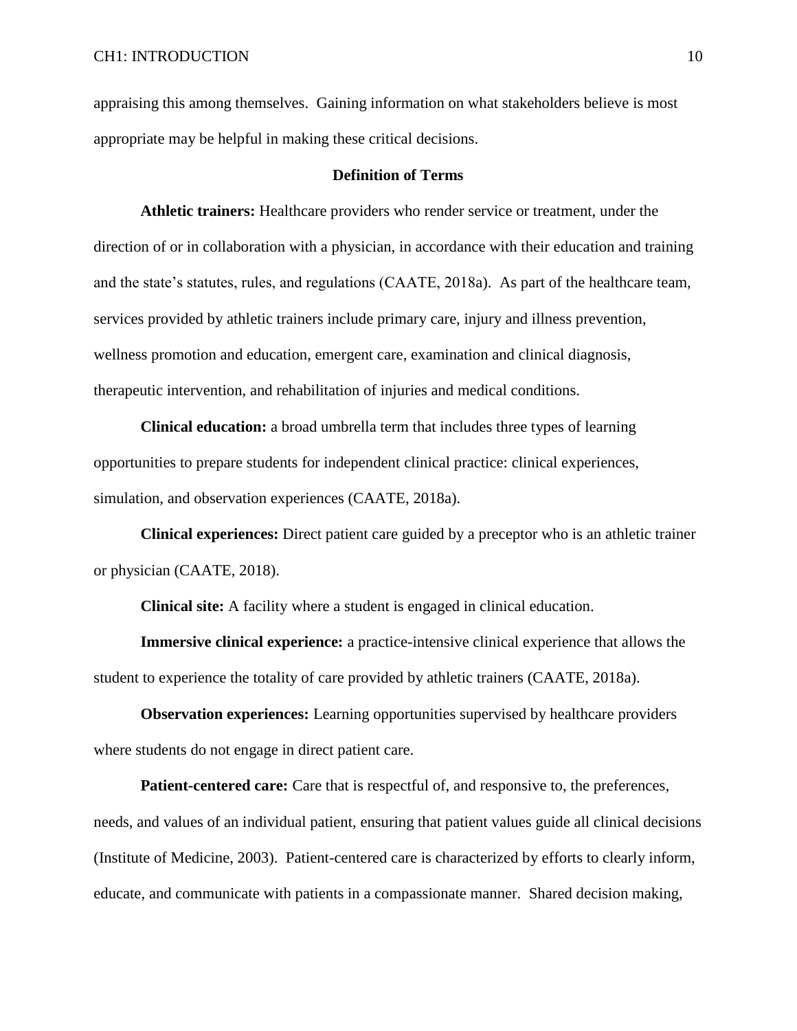appraising this among themselves. Gaining information on what stakeholders believe is most appropriate may be helpful in making these critical decisions.

#### **Definition of Terms**

**Athletic trainers:** Healthcare providers who render service or treatment, under the direction of or in collaboration with a physician, in accordance with their education and training and the state's statutes, rules, and regulations (CAATE, 2018a). As part of the healthcare team, services provided by athletic trainers include primary care, injury and illness prevention, wellness promotion and education, emergent care, examination and clinical diagnosis, therapeutic intervention, and rehabilitation of injuries and medical conditions.

**Clinical education:** a broad umbrella term that includes three types of learning opportunities to prepare students for independent clinical practice: clinical experiences, simulation, and observation experiences (CAATE, 2018a).

**Clinical experiences:** Direct patient care guided by a preceptor who is an athletic trainer or physician (CAATE, 2018).

**Clinical site:** A facility where a student is engaged in clinical education.

**Immersive clinical experience:** a practice-intensive clinical experience that allows the student to experience the totality of care provided by athletic trainers (CAATE, 2018a).

**Observation experiences:** Learning opportunities supervised by healthcare providers where students do not engage in direct patient care.

**Patient-centered care:** Care that is respectful of, and responsive to, the preferences, needs, and values of an individual patient, ensuring that patient values guide all clinical decisions (Institute of Medicine, 2003). Patient-centered care is characterized by efforts to clearly inform, educate, and communicate with patients in a compassionate manner. Shared decision making,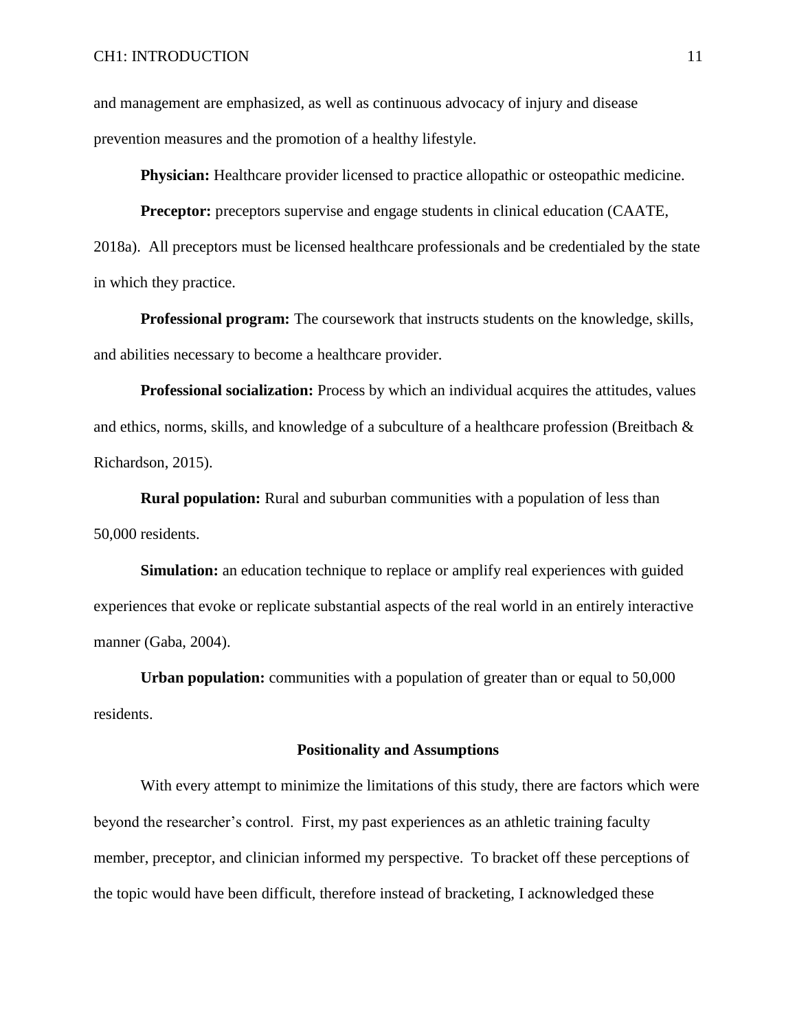and management are emphasized, as well as continuous advocacy of injury and disease prevention measures and the promotion of a healthy lifestyle.

**Physician:** Healthcare provider licensed to practice allopathic or osteopathic medicine.

**Preceptor:** preceptors supervise and engage students in clinical education (CAATE, 2018a). All preceptors must be licensed healthcare professionals and be credentialed by the state in which they practice.

**Professional program:** The coursework that instructs students on the knowledge, skills, and abilities necessary to become a healthcare provider.

**Professional socialization:** Process by which an individual acquires the attitudes, values and ethics, norms, skills, and knowledge of a subculture of a healthcare profession (Breitbach  $\&$ Richardson, 2015).

**Rural population:** Rural and suburban communities with a population of less than 50,000 residents.

**Simulation:** an education technique to replace or amplify real experiences with guided experiences that evoke or replicate substantial aspects of the real world in an entirely interactive manner (Gaba, 2004).

**Urban population:** communities with a population of greater than or equal to 50,000 residents.

#### **Positionality and Assumptions**

With every attempt to minimize the limitations of this study, there are factors which were beyond the researcher's control. First, my past experiences as an athletic training faculty member, preceptor, and clinician informed my perspective. To bracket off these perceptions of the topic would have been difficult, therefore instead of bracketing, I acknowledged these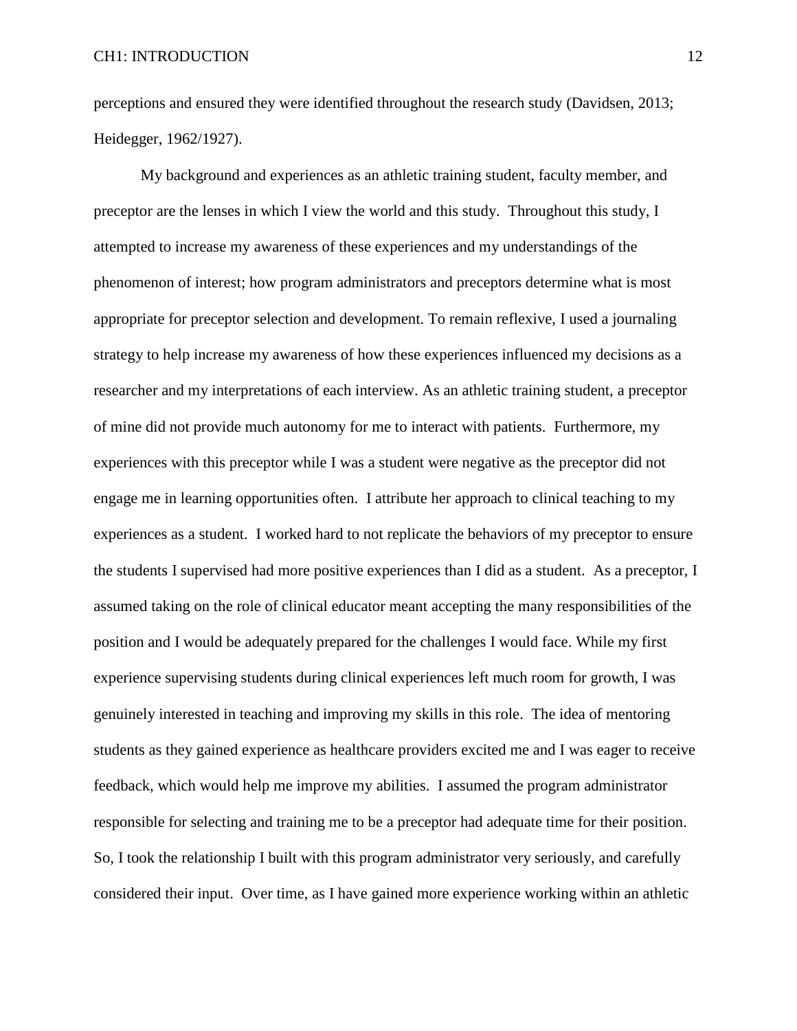perceptions and ensured they were identified throughout the research study (Davidsen, 2013; Heidegger, 1962/1927).

My background and experiences as an athletic training student, faculty member, and preceptor are the lenses in which I view the world and this study. Throughout this study, I attempted to increase my awareness of these experiences and my understandings of the phenomenon of interest; how program administrators and preceptors determine what is most appropriate for preceptor selection and development. To remain reflexive, I used a journaling strategy to help increase my awareness of how these experiences influenced my decisions as a researcher and my interpretations of each interview. As an athletic training student, a preceptor of mine did not provide much autonomy for me to interact with patients. Furthermore, my experiences with this preceptor while I was a student were negative as the preceptor did not engage me in learning opportunities often. I attribute her approach to clinical teaching to my experiences as a student. I worked hard to not replicate the behaviors of my preceptor to ensure the students I supervised had more positive experiences than I did as a student. As a preceptor, I assumed taking on the role of clinical educator meant accepting the many responsibilities of the position and I would be adequately prepared for the challenges I would face. While my first experience supervising students during clinical experiences left much room for growth, I was genuinely interested in teaching and improving my skills in this role. The idea of mentoring students as they gained experience as healthcare providers excited me and I was eager to receive feedback, which would help me improve my abilities. I assumed the program administrator responsible for selecting and training me to be a preceptor had adequate time for their position. So, I took the relationship I built with this program administrator very seriously, and carefully considered their input. Over time, as I have gained more experience working within an athletic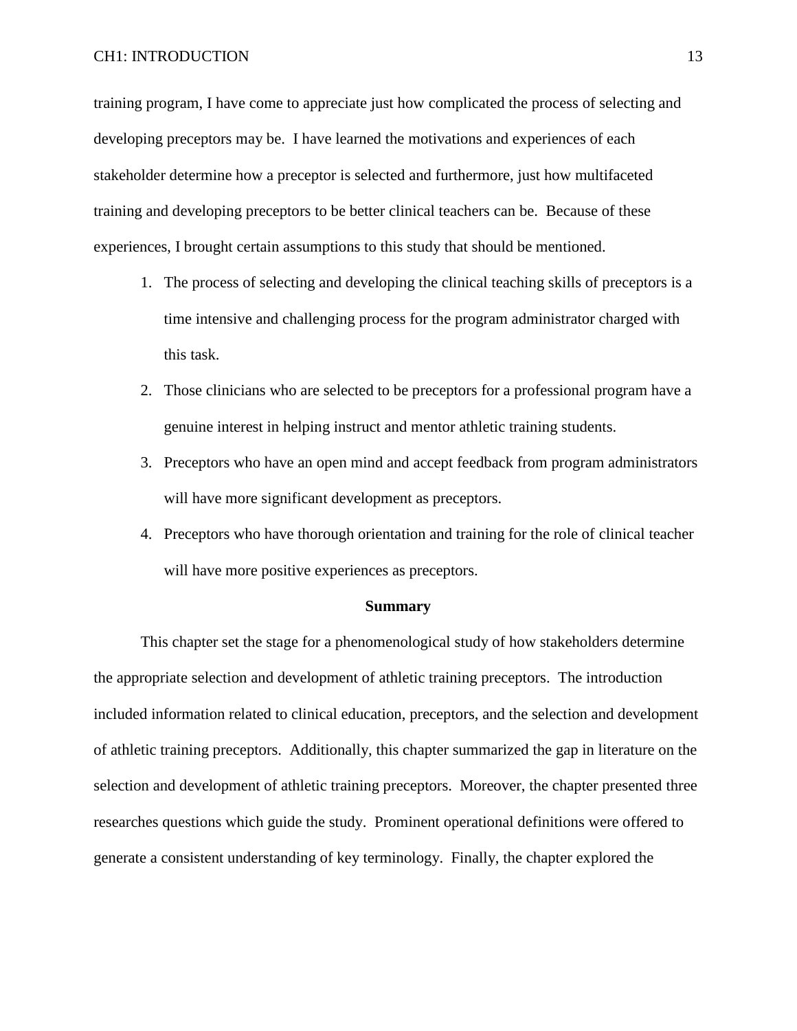#### CH1: INTRODUCTION 13

training program, I have come to appreciate just how complicated the process of selecting and developing preceptors may be. I have learned the motivations and experiences of each stakeholder determine how a preceptor is selected and furthermore, just how multifaceted training and developing preceptors to be better clinical teachers can be. Because of these experiences, I brought certain assumptions to this study that should be mentioned.

- 1. The process of selecting and developing the clinical teaching skills of preceptors is a time intensive and challenging process for the program administrator charged with this task.
- 2. Those clinicians who are selected to be preceptors for a professional program have a genuine interest in helping instruct and mentor athletic training students.
- 3. Preceptors who have an open mind and accept feedback from program administrators will have more significant development as preceptors.
- 4. Preceptors who have thorough orientation and training for the role of clinical teacher will have more positive experiences as preceptors.

#### **Summary**

This chapter set the stage for a phenomenological study of how stakeholders determine the appropriate selection and development of athletic training preceptors. The introduction included information related to clinical education, preceptors, and the selection and development of athletic training preceptors. Additionally, this chapter summarized the gap in literature on the selection and development of athletic training preceptors. Moreover, the chapter presented three researches questions which guide the study. Prominent operational definitions were offered to generate a consistent understanding of key terminology. Finally, the chapter explored the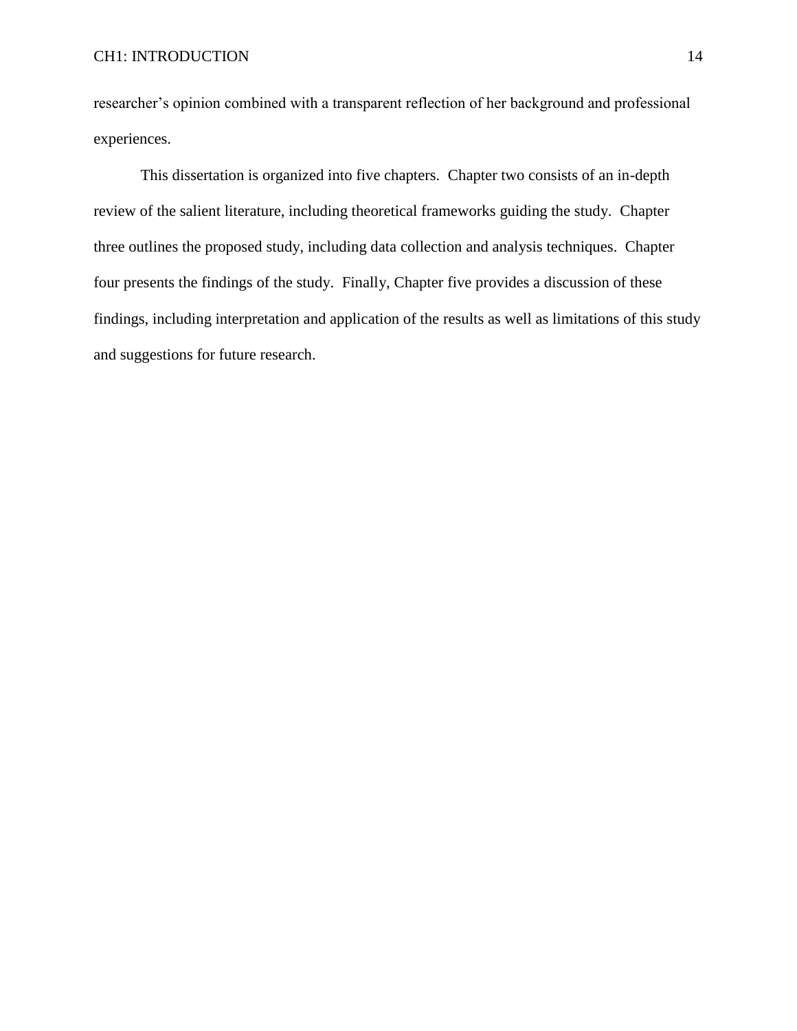researcher's opinion combined with a transparent reflection of her background and professional experiences.

This dissertation is organized into five chapters. Chapter two consists of an in-depth review of the salient literature, including theoretical frameworks guiding the study. Chapter three outlines the proposed study, including data collection and analysis techniques. Chapter four presents the findings of the study. Finally, Chapter five provides a discussion of these findings, including interpretation and application of the results as well as limitations of this study and suggestions for future research.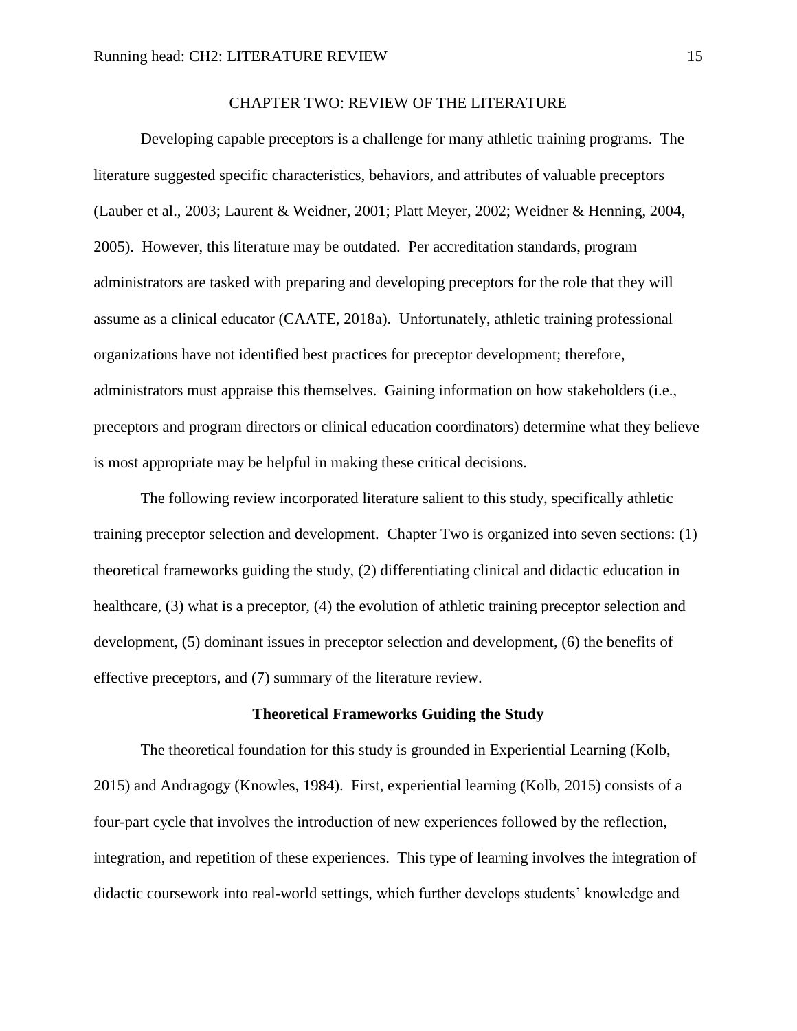## CHAPTER TWO: REVIEW OF THE LITERATURE

Developing capable preceptors is a challenge for many athletic training programs. The literature suggested specific characteristics, behaviors, and attributes of valuable preceptors (Lauber et al., 2003; Laurent & Weidner, 2001; Platt Meyer, 2002; Weidner & Henning, 2004, 2005). However, this literature may be outdated. Per accreditation standards, program administrators are tasked with preparing and developing preceptors for the role that they will assume as a clinical educator (CAATE, 2018a). Unfortunately, athletic training professional organizations have not identified best practices for preceptor development; therefore, administrators must appraise this themselves. Gaining information on how stakeholders (i.e., preceptors and program directors or clinical education coordinators) determine what they believe is most appropriate may be helpful in making these critical decisions.

The following review incorporated literature salient to this study, specifically athletic training preceptor selection and development. Chapter Two is organized into seven sections: (1) theoretical frameworks guiding the study, (2) differentiating clinical and didactic education in healthcare, (3) what is a preceptor, (4) the evolution of athletic training preceptor selection and development, (5) dominant issues in preceptor selection and development, (6) the benefits of effective preceptors, and (7) summary of the literature review.

#### **Theoretical Frameworks Guiding the Study**

The theoretical foundation for this study is grounded in Experiential Learning (Kolb, 2015) and Andragogy (Knowles, 1984). First, experiential learning (Kolb, 2015) consists of a four-part cycle that involves the introduction of new experiences followed by the reflection, integration, and repetition of these experiences. This type of learning involves the integration of didactic coursework into real-world settings, which further develops students' knowledge and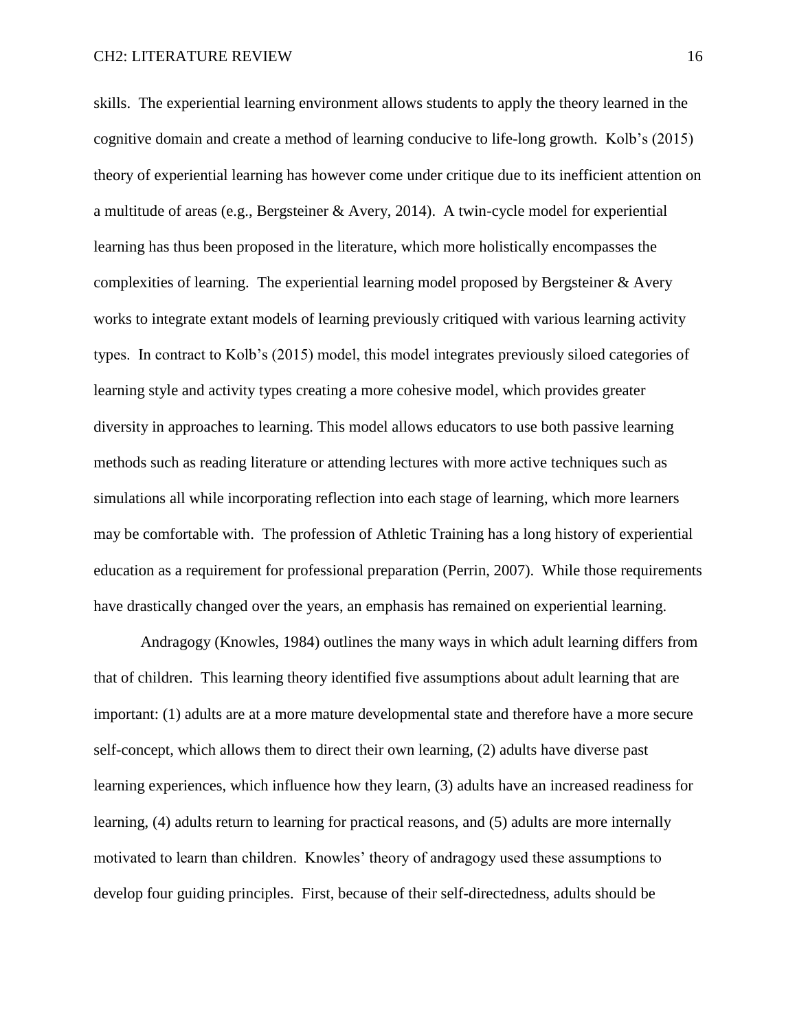skills. The experiential learning environment allows students to apply the theory learned in the cognitive domain and create a method of learning conducive to life-long growth. Kolb's (2015) theory of experiential learning has however come under critique due to its inefficient attention on a multitude of areas (e.g., Bergsteiner & Avery, 2014). A twin-cycle model for experiential learning has thus been proposed in the literature, which more holistically encompasses the complexities of learning. The experiential learning model proposed by Bergsteiner & Avery works to integrate extant models of learning previously critiqued with various learning activity types. In contract to Kolb's (2015) model, this model integrates previously siloed categories of learning style and activity types creating a more cohesive model, which provides greater diversity in approaches to learning. This model allows educators to use both passive learning methods such as reading literature or attending lectures with more active techniques such as simulations all while incorporating reflection into each stage of learning, which more learners may be comfortable with. The profession of Athletic Training has a long history of experiential education as a requirement for professional preparation (Perrin, 2007). While those requirements have drastically changed over the years, an emphasis has remained on experiential learning.

Andragogy (Knowles, 1984) outlines the many ways in which adult learning differs from that of children. This learning theory identified five assumptions about adult learning that are important: (1) adults are at a more mature developmental state and therefore have a more secure self-concept, which allows them to direct their own learning, (2) adults have diverse past learning experiences, which influence how they learn, (3) adults have an increased readiness for learning, (4) adults return to learning for practical reasons, and (5) adults are more internally motivated to learn than children. Knowles' theory of andragogy used these assumptions to develop four guiding principles. First, because of their self-directedness, adults should be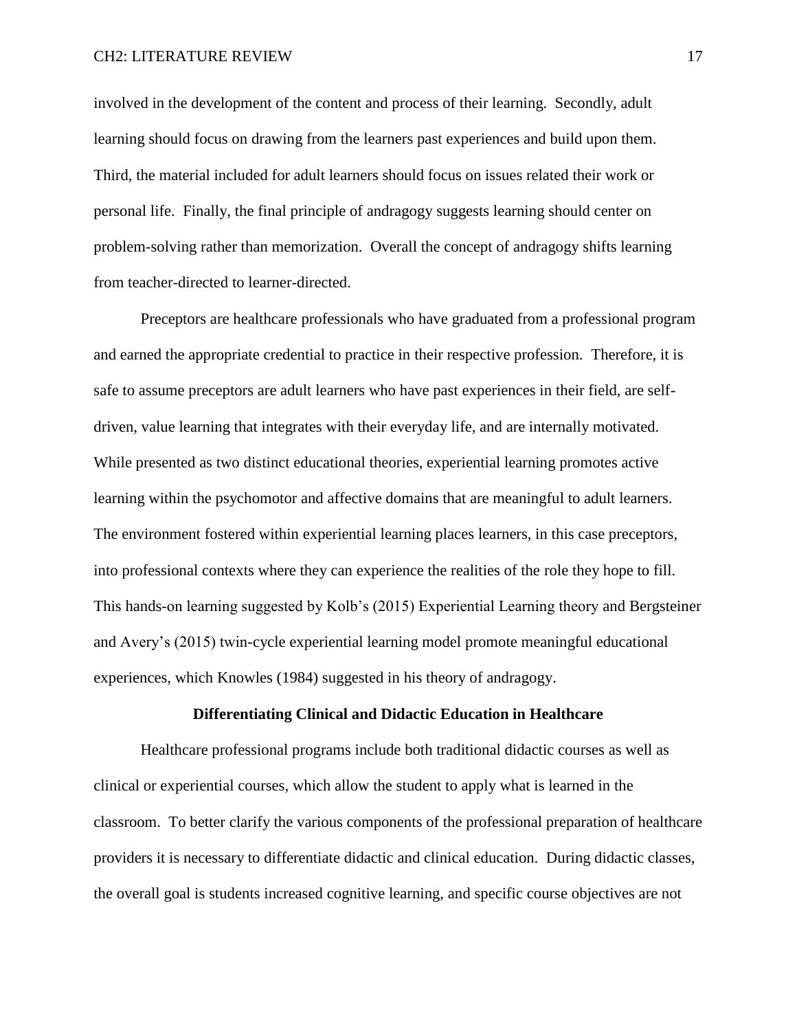involved in the development of the content and process of their learning. Secondly, adult learning should focus on drawing from the learners past experiences and build upon them. Third, the material included for adult learners should focus on issues related their work or personal life. Finally, the final principle of andragogy suggests learning should center on problem-solving rather than memorization. Overall the concept of andragogy shifts learning from teacher-directed to learner-directed.

Preceptors are healthcare professionals who have graduated from a professional program and earned the appropriate credential to practice in their respective profession. Therefore, it is safe to assume preceptors are adult learners who have past experiences in their field, are selfdriven, value learning that integrates with their everyday life, and are internally motivated. While presented as two distinct educational theories, experiential learning promotes active learning within the psychomotor and affective domains that are meaningful to adult learners. The environment fostered within experiential learning places learners, in this case preceptors, into professional contexts where they can experience the realities of the role they hope to fill. This hands-on learning suggested by Kolb's (2015) Experiential Learning theory and Bergsteiner and Avery's (2015) twin-cycle experiential learning model promote meaningful educational experiences, which Knowles (1984) suggested in his theory of andragogy.

#### **Differentiating Clinical and Didactic Education in Healthcare**

Healthcare professional programs include both traditional didactic courses as well as clinical or experiential courses, which allow the student to apply what is learned in the classroom. To better clarify the various components of the professional preparation of healthcare providers it is necessary to differentiate didactic and clinical education. During didactic classes, the overall goal is students increased cognitive learning, and specific course objectives are not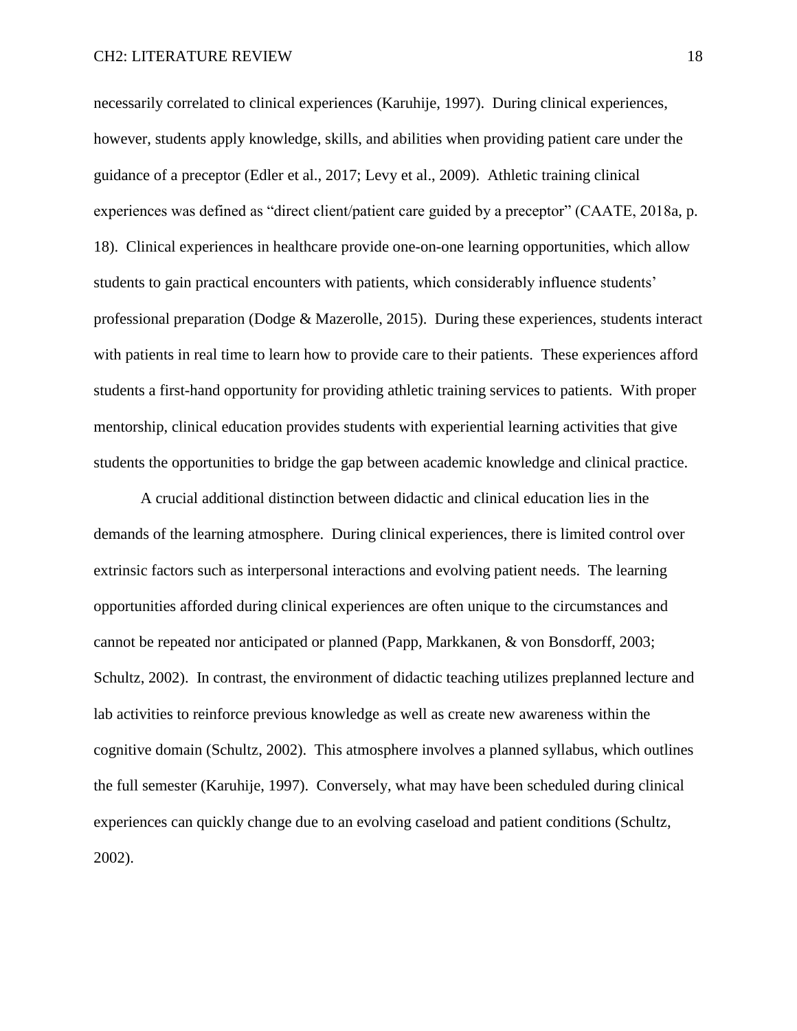necessarily correlated to clinical experiences (Karuhije, 1997). During clinical experiences, however, students apply knowledge, skills, and abilities when providing patient care under the guidance of a preceptor (Edler et al., 2017; Levy et al., 2009). Athletic training clinical experiences was defined as "direct client/patient care guided by a preceptor" (CAATE, 2018a, p. 18). Clinical experiences in healthcare provide one-on-one learning opportunities, which allow students to gain practical encounters with patients, which considerably influence students' professional preparation (Dodge & Mazerolle, 2015). During these experiences, students interact with patients in real time to learn how to provide care to their patients. These experiences afford students a first-hand opportunity for providing athletic training services to patients. With proper mentorship, clinical education provides students with experiential learning activities that give students the opportunities to bridge the gap between academic knowledge and clinical practice.

A crucial additional distinction between didactic and clinical education lies in the demands of the learning atmosphere. During clinical experiences, there is limited control over extrinsic factors such as interpersonal interactions and evolving patient needs. The learning opportunities afforded during clinical experiences are often unique to the circumstances and cannot be repeated nor anticipated or planned (Papp, Markkanen, & von Bonsdorff, 2003; Schultz, 2002). In contrast, the environment of didactic teaching utilizes preplanned lecture and lab activities to reinforce previous knowledge as well as create new awareness within the cognitive domain (Schultz, 2002). This atmosphere involves a planned syllabus, which outlines the full semester (Karuhije, 1997). Conversely, what may have been scheduled during clinical experiences can quickly change due to an evolving caseload and patient conditions (Schultz, 2002).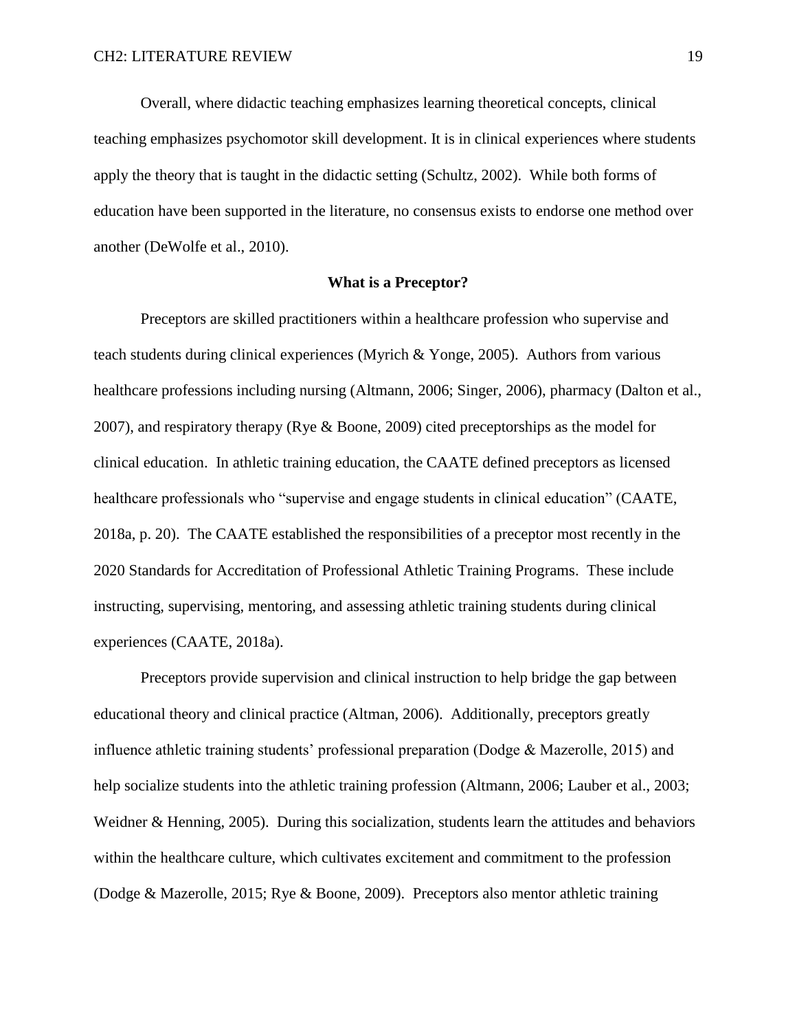Overall, where didactic teaching emphasizes learning theoretical concepts, clinical teaching emphasizes psychomotor skill development. It is in clinical experiences where students apply the theory that is taught in the didactic setting (Schultz, 2002). While both forms of education have been supported in the literature, no consensus exists to endorse one method over another (DeWolfe et al., 2010).

#### **What is a Preceptor?**

Preceptors are skilled practitioners within a healthcare profession who supervise and teach students during clinical experiences (Myrich & Yonge, 2005). Authors from various healthcare professions including nursing (Altmann, 2006; Singer, 2006), pharmacy (Dalton et al., 2007), and respiratory therapy (Rye & Boone, 2009) cited preceptorships as the model for clinical education. In athletic training education, the CAATE defined preceptors as licensed healthcare professionals who "supervise and engage students in clinical education" (CAATE, 2018a, p. 20). The CAATE established the responsibilities of a preceptor most recently in the 2020 Standards for Accreditation of Professional Athletic Training Programs. These include instructing, supervising, mentoring, and assessing athletic training students during clinical experiences (CAATE, 2018a).

Preceptors provide supervision and clinical instruction to help bridge the gap between educational theory and clinical practice (Altman, 2006). Additionally, preceptors greatly influence athletic training students' professional preparation (Dodge & Mazerolle, 2015) and help socialize students into the athletic training profession (Altmann, 2006; Lauber et al., 2003; Weidner & Henning, 2005). During this socialization, students learn the attitudes and behaviors within the healthcare culture, which cultivates excitement and commitment to the profession (Dodge & Mazerolle, 2015; Rye & Boone, 2009). Preceptors also mentor athletic training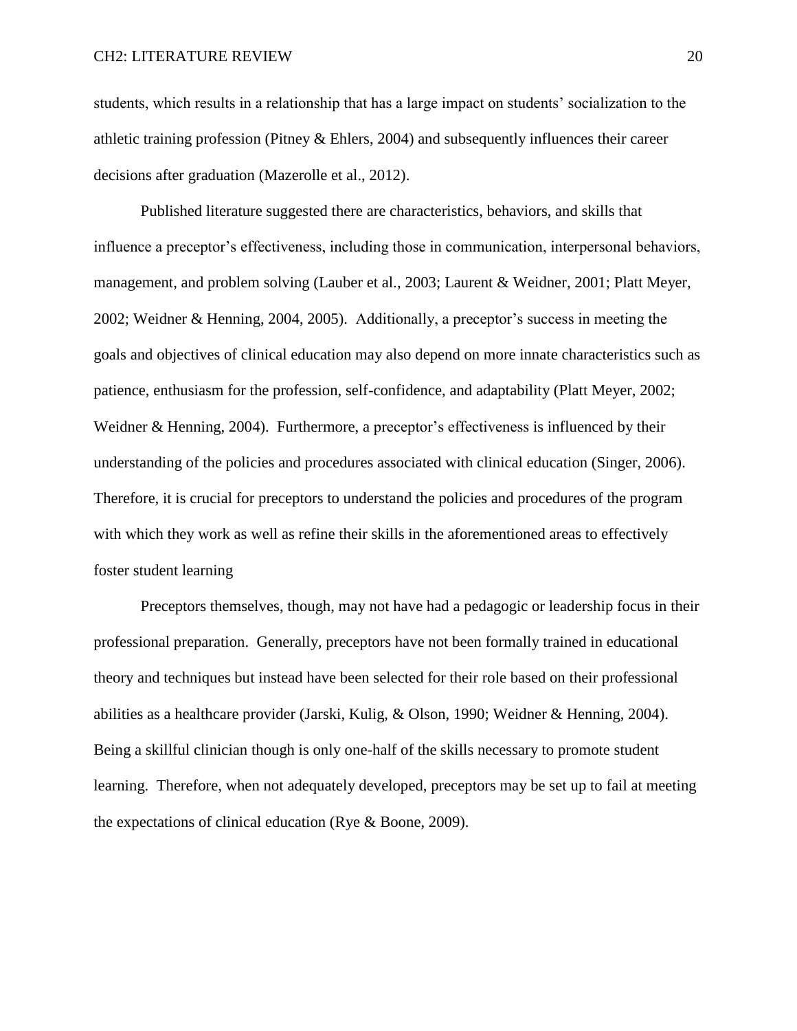students, which results in a relationship that has a large impact on students' socialization to the athletic training profession (Pitney & Ehlers, 2004) and subsequently influences their career decisions after graduation (Mazerolle et al., 2012).

Published literature suggested there are characteristics, behaviors, and skills that influence a preceptor's effectiveness, including those in communication, interpersonal behaviors, management, and problem solving (Lauber et al., 2003; Laurent & Weidner, 2001; Platt Meyer, 2002; Weidner & Henning, 2004, 2005). Additionally, a preceptor's success in meeting the goals and objectives of clinical education may also depend on more innate characteristics such as patience, enthusiasm for the profession, self-confidence, and adaptability (Platt Meyer, 2002; Weidner & Henning, 2004). Furthermore, a preceptor's effectiveness is influenced by their understanding of the policies and procedures associated with clinical education (Singer, 2006). Therefore, it is crucial for preceptors to understand the policies and procedures of the program with which they work as well as refine their skills in the aforementioned areas to effectively foster student learning

Preceptors themselves, though, may not have had a pedagogic or leadership focus in their professional preparation. Generally, preceptors have not been formally trained in educational theory and techniques but instead have been selected for their role based on their professional abilities as a healthcare provider (Jarski, Kulig, & Olson, 1990; Weidner & Henning, 2004). Being a skillful clinician though is only one-half of the skills necessary to promote student learning. Therefore, when not adequately developed, preceptors may be set up to fail at meeting the expectations of clinical education (Rye & Boone, 2009).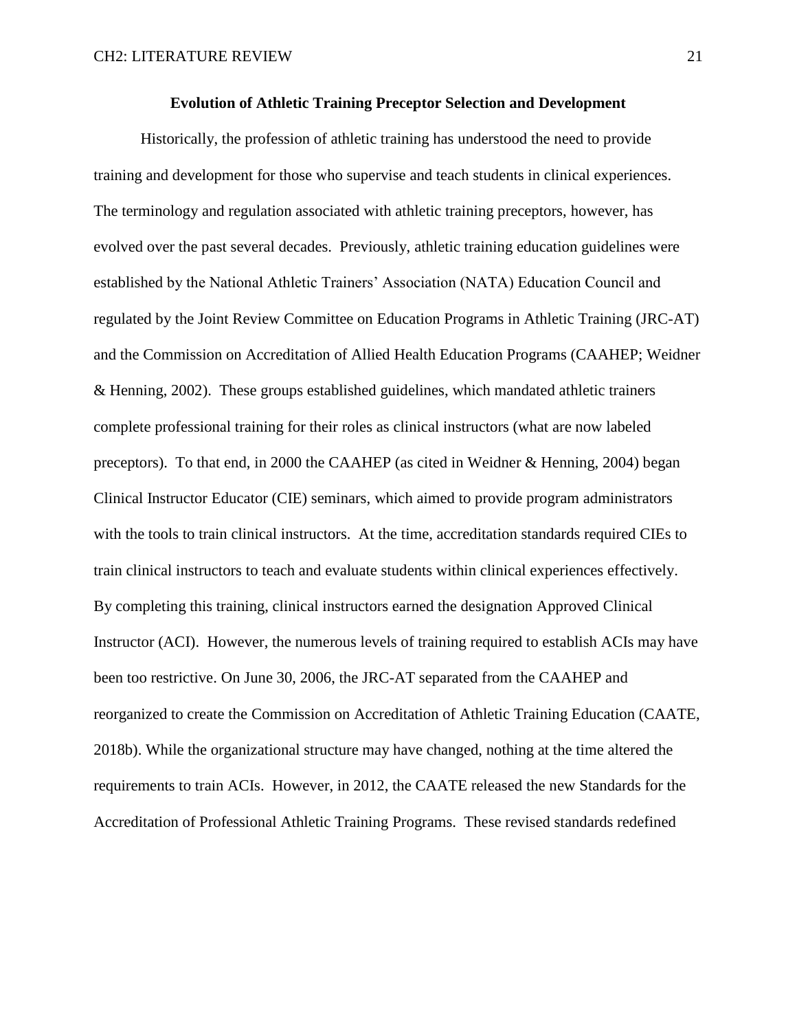#### **Evolution of Athletic Training Preceptor Selection and Development**

Historically, the profession of athletic training has understood the need to provide training and development for those who supervise and teach students in clinical experiences. The terminology and regulation associated with athletic training preceptors, however, has evolved over the past several decades. Previously, athletic training education guidelines were established by the National Athletic Trainers' Association (NATA) Education Council and regulated by the Joint Review Committee on Education Programs in Athletic Training (JRC-AT) and the Commission on Accreditation of Allied Health Education Programs (CAAHEP; Weidner & Henning, 2002). These groups established guidelines, which mandated athletic trainers complete professional training for their roles as clinical instructors (what are now labeled preceptors). To that end, in 2000 the CAAHEP (as cited in Weidner & Henning, 2004) began Clinical Instructor Educator (CIE) seminars, which aimed to provide program administrators with the tools to train clinical instructors. At the time, accreditation standards required CIEs to train clinical instructors to teach and evaluate students within clinical experiences effectively. By completing this training, clinical instructors earned the designation Approved Clinical Instructor (ACI). However, the numerous levels of training required to establish ACIs may have been too restrictive. On June 30, 2006, the JRC-AT separated from the CAAHEP and reorganized to create the Commission on Accreditation of Athletic Training Education (CAATE, 2018b). While the organizational structure may have changed, nothing at the time altered the requirements to train ACIs. However, in 2012, the CAATE released the new Standards for the Accreditation of Professional Athletic Training Programs. These revised standards redefined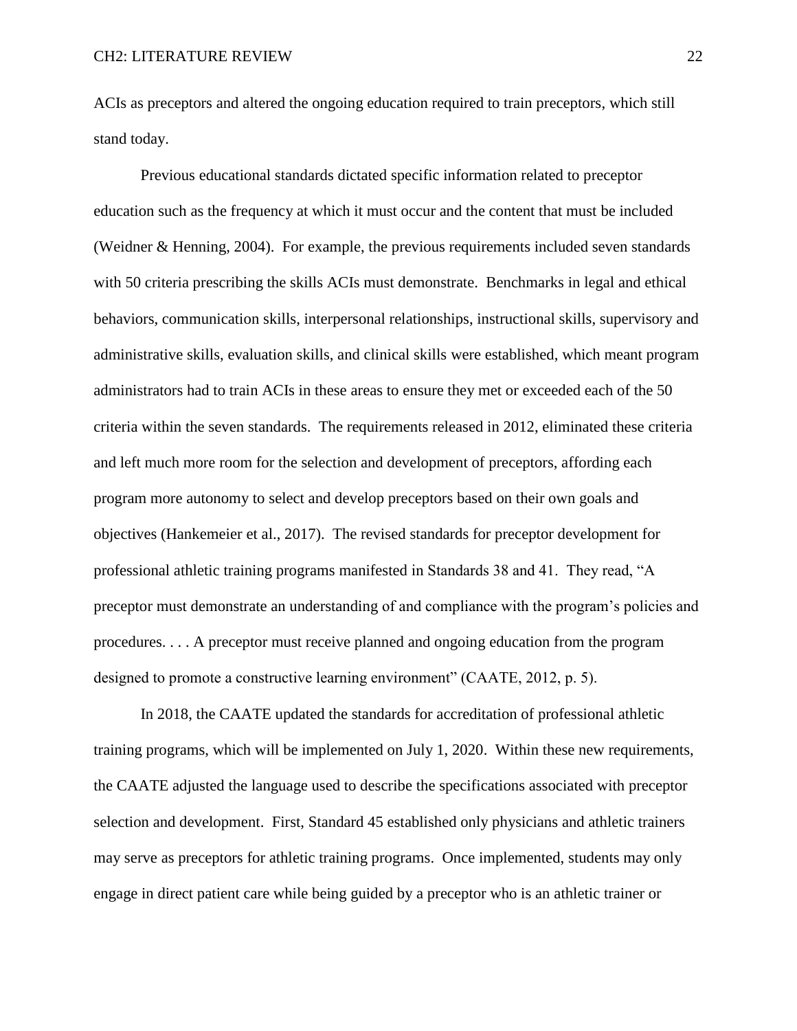ACIs as preceptors and altered the ongoing education required to train preceptors, which still stand today.

Previous educational standards dictated specific information related to preceptor education such as the frequency at which it must occur and the content that must be included (Weidner & Henning, 2004). For example, the previous requirements included seven standards with 50 criteria prescribing the skills ACIs must demonstrate. Benchmarks in legal and ethical behaviors, communication skills, interpersonal relationships, instructional skills, supervisory and administrative skills, evaluation skills, and clinical skills were established, which meant program administrators had to train ACIs in these areas to ensure they met or exceeded each of the 50 criteria within the seven standards. The requirements released in 2012, eliminated these criteria and left much more room for the selection and development of preceptors, affording each program more autonomy to select and develop preceptors based on their own goals and objectives (Hankemeier et al., 2017). The revised standards for preceptor development for professional athletic training programs manifested in Standards 38 and 41. They read, "A preceptor must demonstrate an understanding of and compliance with the program's policies and procedures. . . . A preceptor must receive planned and ongoing education from the program designed to promote a constructive learning environment" (CAATE, 2012, p. 5).

In 2018, the CAATE updated the standards for accreditation of professional athletic training programs, which will be implemented on July 1, 2020. Within these new requirements, the CAATE adjusted the language used to describe the specifications associated with preceptor selection and development. First, Standard 45 established only physicians and athletic trainers may serve as preceptors for athletic training programs. Once implemented, students may only engage in direct patient care while being guided by a preceptor who is an athletic trainer or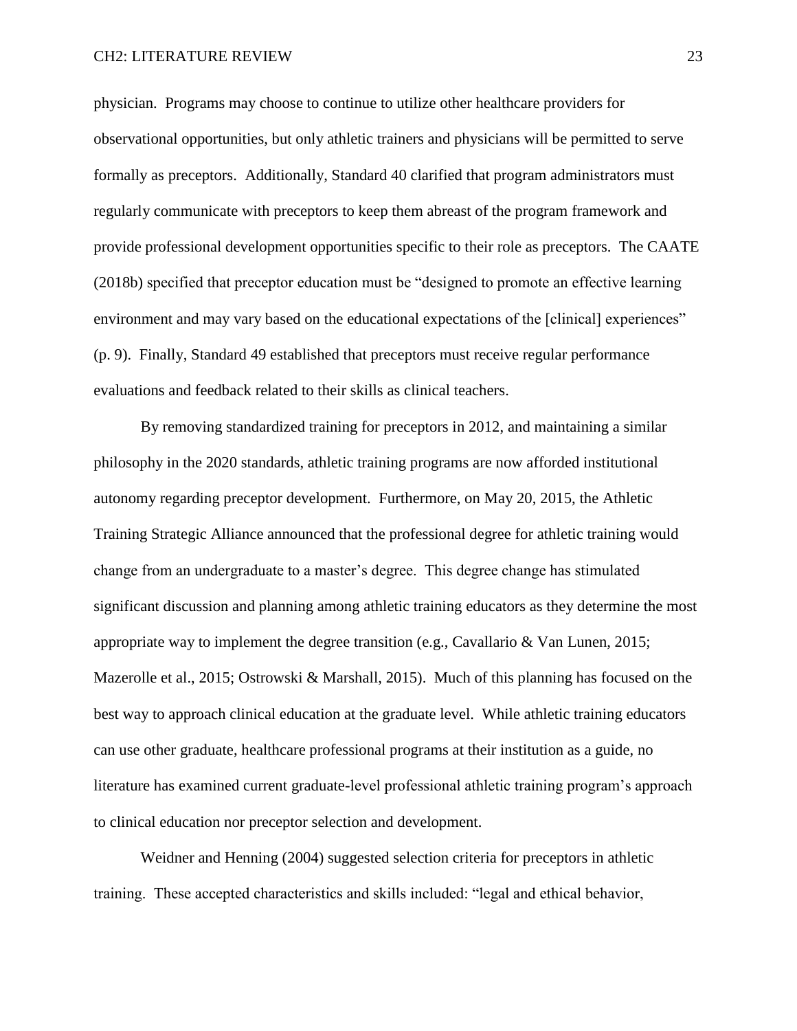physician. Programs may choose to continue to utilize other healthcare providers for observational opportunities, but only athletic trainers and physicians will be permitted to serve formally as preceptors. Additionally, Standard 40 clarified that program administrators must regularly communicate with preceptors to keep them abreast of the program framework and provide professional development opportunities specific to their role as preceptors. The CAATE (2018b) specified that preceptor education must be "designed to promote an effective learning environment and may vary based on the educational expectations of the [clinical] experiences" (p. 9). Finally, Standard 49 established that preceptors must receive regular performance evaluations and feedback related to their skills as clinical teachers.

By removing standardized training for preceptors in 2012, and maintaining a similar philosophy in the 2020 standards, athletic training programs are now afforded institutional autonomy regarding preceptor development. Furthermore, on May 20, 2015, the Athletic Training Strategic Alliance announced that the professional degree for athletic training would change from an undergraduate to a master's degree. This degree change has stimulated significant discussion and planning among athletic training educators as they determine the most appropriate way to implement the degree transition (e.g., Cavallario & Van Lunen, 2015; Mazerolle et al., 2015; Ostrowski & Marshall, 2015). Much of this planning has focused on the best way to approach clinical education at the graduate level. While athletic training educators can use other graduate, healthcare professional programs at their institution as a guide, no literature has examined current graduate-level professional athletic training program's approach to clinical education nor preceptor selection and development.

Weidner and Henning (2004) suggested selection criteria for preceptors in athletic training. These accepted characteristics and skills included: "legal and ethical behavior,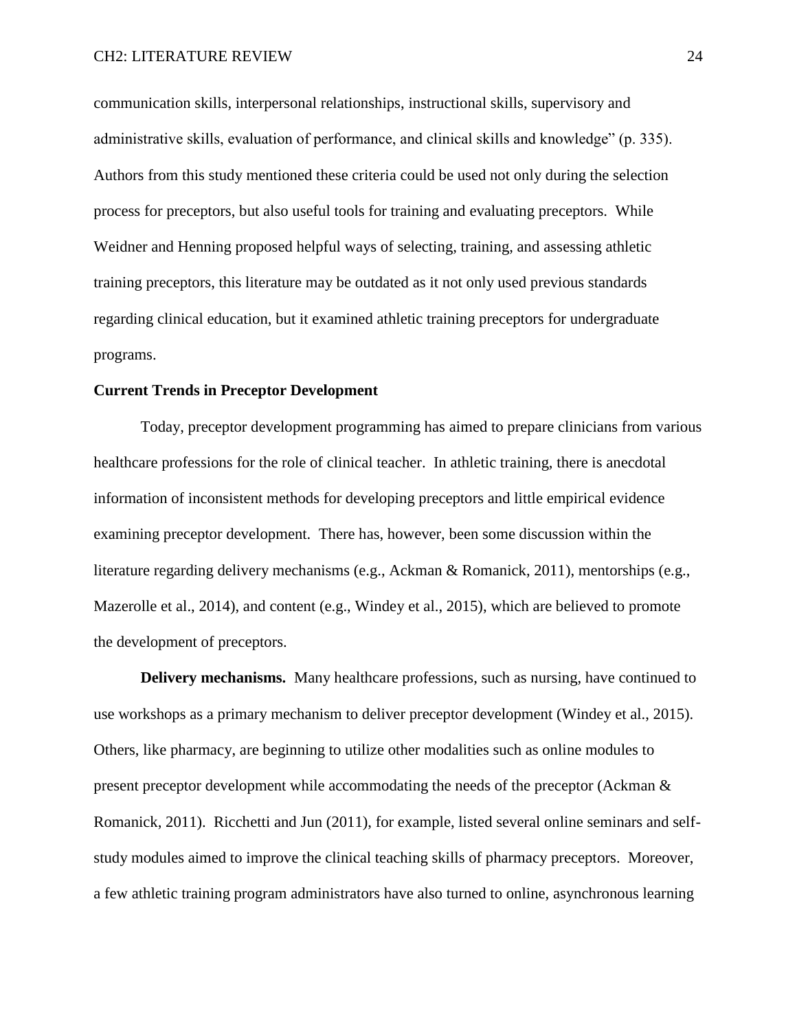### CH2: LITERATURE REVIEW 24

communication skills, interpersonal relationships, instructional skills, supervisory and administrative skills, evaluation of performance, and clinical skills and knowledge" (p. 335). Authors from this study mentioned these criteria could be used not only during the selection process for preceptors, but also useful tools for training and evaluating preceptors. While Weidner and Henning proposed helpful ways of selecting, training, and assessing athletic training preceptors, this literature may be outdated as it not only used previous standards regarding clinical education, but it examined athletic training preceptors for undergraduate programs.

### **Current Trends in Preceptor Development**

Today, preceptor development programming has aimed to prepare clinicians from various healthcare professions for the role of clinical teacher. In athletic training, there is anecdotal information of inconsistent methods for developing preceptors and little empirical evidence examining preceptor development. There has, however, been some discussion within the literature regarding delivery mechanisms (e.g., Ackman & Romanick, 2011), mentorships (e.g., Mazerolle et al., 2014), and content (e.g., Windey et al., 2015), which are believed to promote the development of preceptors.

**Delivery mechanisms.** Many healthcare professions, such as nursing, have continued to use workshops as a primary mechanism to deliver preceptor development (Windey et al., 2015). Others, like pharmacy, are beginning to utilize other modalities such as online modules to present preceptor development while accommodating the needs of the preceptor (Ackman & Romanick, 2011). Ricchetti and Jun (2011), for example, listed several online seminars and selfstudy modules aimed to improve the clinical teaching skills of pharmacy preceptors. Moreover, a few athletic training program administrators have also turned to online, asynchronous learning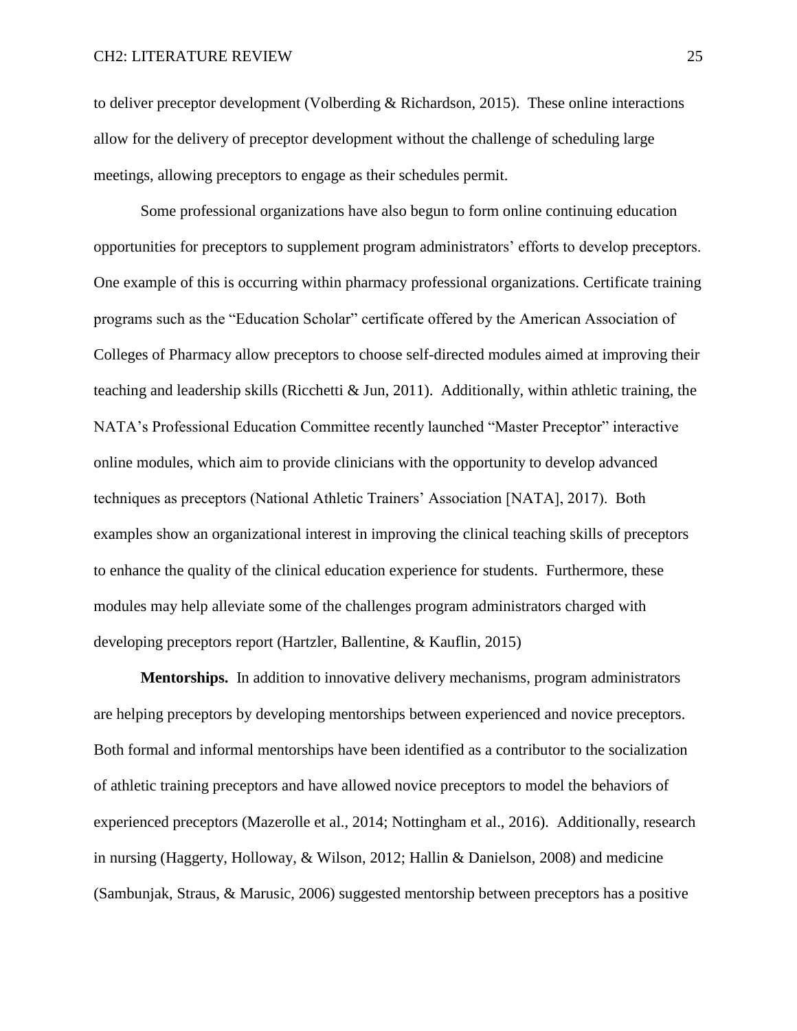to deliver preceptor development (Volberding & Richardson, 2015). These online interactions allow for the delivery of preceptor development without the challenge of scheduling large meetings, allowing preceptors to engage as their schedules permit.

Some professional organizations have also begun to form online continuing education opportunities for preceptors to supplement program administrators' efforts to develop preceptors. One example of this is occurring within pharmacy professional organizations. Certificate training programs such as the "Education Scholar" certificate offered by the American Association of Colleges of Pharmacy allow preceptors to choose self-directed modules aimed at improving their teaching and leadership skills (Ricchetti & Jun, 2011). Additionally, within athletic training, the NATA's Professional Education Committee recently launched "Master Preceptor" interactive online modules, which aim to provide clinicians with the opportunity to develop advanced techniques as preceptors (National Athletic Trainers' Association [NATA], 2017). Both examples show an organizational interest in improving the clinical teaching skills of preceptors to enhance the quality of the clinical education experience for students. Furthermore, these modules may help alleviate some of the challenges program administrators charged with developing preceptors report (Hartzler, Ballentine, & Kauflin, 2015)

**Mentorships.** In addition to innovative delivery mechanisms, program administrators are helping preceptors by developing mentorships between experienced and novice preceptors. Both formal and informal mentorships have been identified as a contributor to the socialization of athletic training preceptors and have allowed novice preceptors to model the behaviors of experienced preceptors (Mazerolle et al., 2014; Nottingham et al., 2016). Additionally, research in nursing (Haggerty, Holloway, & Wilson, 2012; Hallin & Danielson, 2008) and medicine (Sambunjak, Straus, & Marusic, 2006) suggested mentorship between preceptors has a positive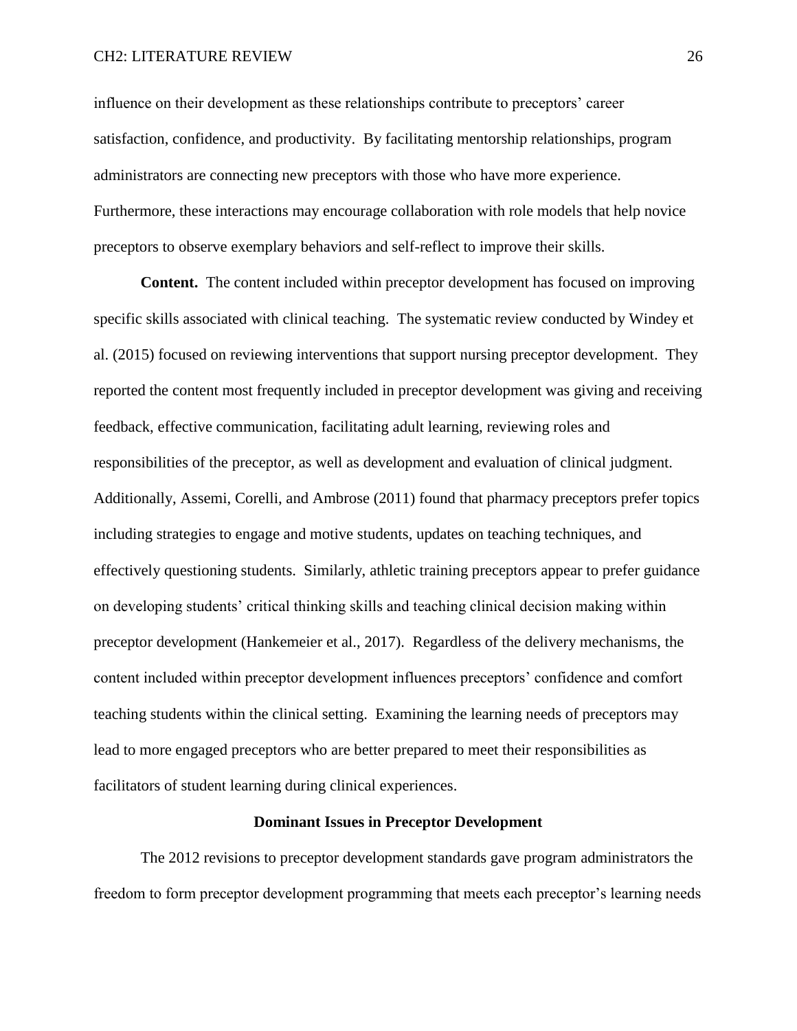### CH2: LITERATURE REVIEW 26

influence on their development as these relationships contribute to preceptors' career satisfaction, confidence, and productivity. By facilitating mentorship relationships, program administrators are connecting new preceptors with those who have more experience. Furthermore, these interactions may encourage collaboration with role models that help novice preceptors to observe exemplary behaviors and self-reflect to improve their skills.

**Content.** The content included within preceptor development has focused on improving specific skills associated with clinical teaching. The systematic review conducted by Windey et al. (2015) focused on reviewing interventions that support nursing preceptor development. They reported the content most frequently included in preceptor development was giving and receiving feedback, effective communication, facilitating adult learning, reviewing roles and responsibilities of the preceptor, as well as development and evaluation of clinical judgment. Additionally, Assemi, Corelli, and Ambrose (2011) found that pharmacy preceptors prefer topics including strategies to engage and motive students, updates on teaching techniques, and effectively questioning students. Similarly, athletic training preceptors appear to prefer guidance on developing students' critical thinking skills and teaching clinical decision making within preceptor development (Hankemeier et al., 2017). Regardless of the delivery mechanisms, the content included within preceptor development influences preceptors' confidence and comfort teaching students within the clinical setting. Examining the learning needs of preceptors may lead to more engaged preceptors who are better prepared to meet their responsibilities as facilitators of student learning during clinical experiences.

#### **Dominant Issues in Preceptor Development**

The 2012 revisions to preceptor development standards gave program administrators the freedom to form preceptor development programming that meets each preceptor's learning needs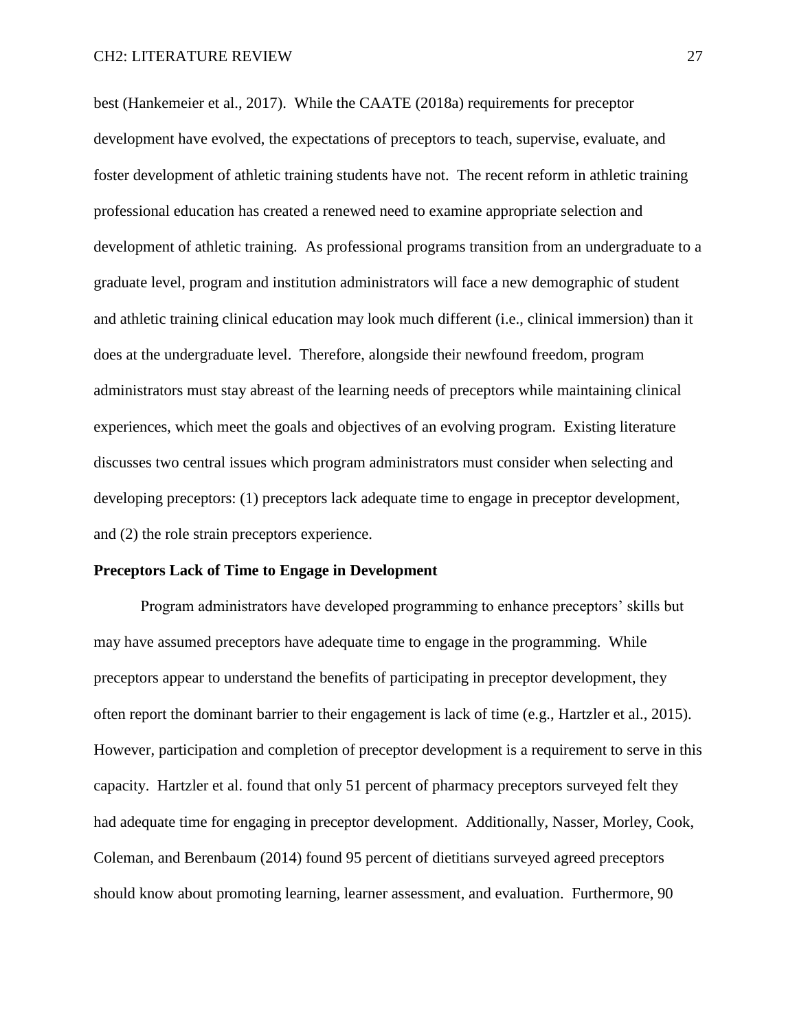best (Hankemeier et al., 2017). While the CAATE (2018a) requirements for preceptor development have evolved, the expectations of preceptors to teach, supervise, evaluate, and foster development of athletic training students have not. The recent reform in athletic training professional education has created a renewed need to examine appropriate selection and development of athletic training. As professional programs transition from an undergraduate to a graduate level, program and institution administrators will face a new demographic of student and athletic training clinical education may look much different (i.e., clinical immersion) than it does at the undergraduate level. Therefore, alongside their newfound freedom, program administrators must stay abreast of the learning needs of preceptors while maintaining clinical experiences, which meet the goals and objectives of an evolving program. Existing literature discusses two central issues which program administrators must consider when selecting and developing preceptors: (1) preceptors lack adequate time to engage in preceptor development, and (2) the role strain preceptors experience.

### **Preceptors Lack of Time to Engage in Development**

Program administrators have developed programming to enhance preceptors' skills but may have assumed preceptors have adequate time to engage in the programming. While preceptors appear to understand the benefits of participating in preceptor development, they often report the dominant barrier to their engagement is lack of time (e.g., Hartzler et al., 2015). However, participation and completion of preceptor development is a requirement to serve in this capacity. Hartzler et al. found that only 51 percent of pharmacy preceptors surveyed felt they had adequate time for engaging in preceptor development. Additionally, Nasser, Morley, Cook, Coleman, and Berenbaum (2014) found 95 percent of dietitians surveyed agreed preceptors should know about promoting learning, learner assessment, and evaluation. Furthermore, 90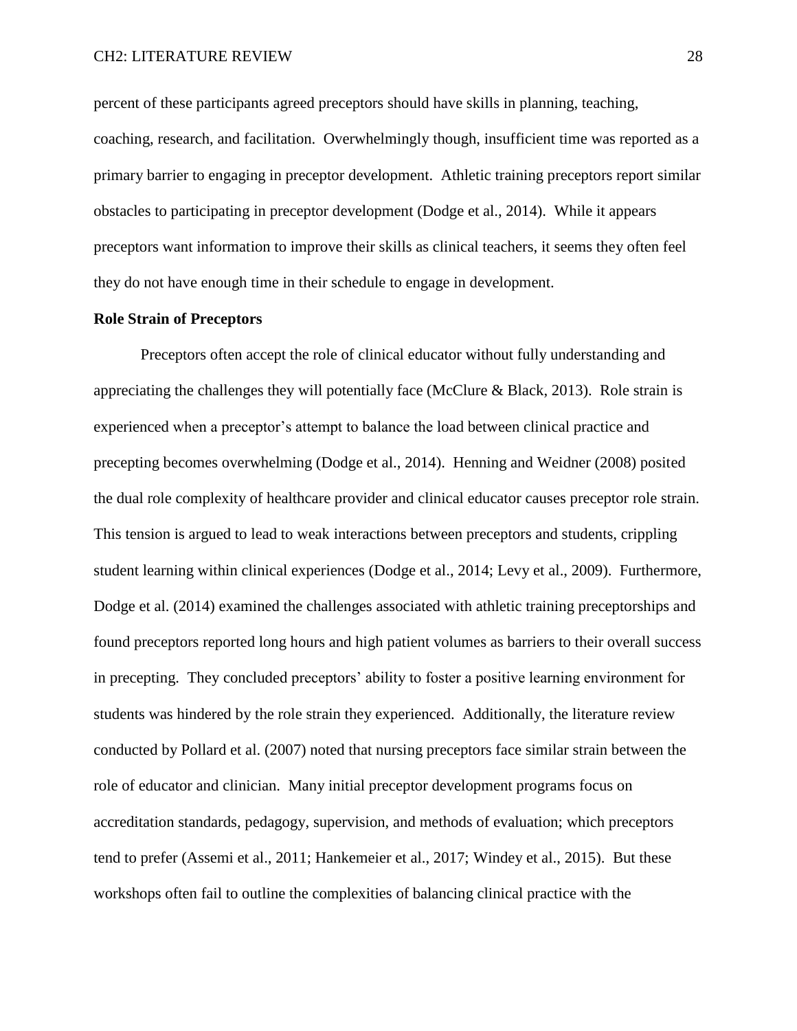CH2: LITERATURE REVIEW 28

percent of these participants agreed preceptors should have skills in planning, teaching, coaching, research, and facilitation. Overwhelmingly though, insufficient time was reported as a primary barrier to engaging in preceptor development. Athletic training preceptors report similar obstacles to participating in preceptor development (Dodge et al., 2014). While it appears preceptors want information to improve their skills as clinical teachers, it seems they often feel they do not have enough time in their schedule to engage in development.

# **Role Strain of Preceptors**

Preceptors often accept the role of clinical educator without fully understanding and appreciating the challenges they will potentially face (McClure  $\&$  Black, 2013). Role strain is experienced when a preceptor's attempt to balance the load between clinical practice and precepting becomes overwhelming (Dodge et al., 2014). Henning and Weidner (2008) posited the dual role complexity of healthcare provider and clinical educator causes preceptor role strain. This tension is argued to lead to weak interactions between preceptors and students, crippling student learning within clinical experiences (Dodge et al., 2014; Levy et al., 2009). Furthermore, Dodge et al. (2014) examined the challenges associated with athletic training preceptorships and found preceptors reported long hours and high patient volumes as barriers to their overall success in precepting. They concluded preceptors' ability to foster a positive learning environment for students was hindered by the role strain they experienced. Additionally, the literature review conducted by Pollard et al. (2007) noted that nursing preceptors face similar strain between the role of educator and clinician. Many initial preceptor development programs focus on accreditation standards, pedagogy, supervision, and methods of evaluation; which preceptors tend to prefer (Assemi et al., 2011; Hankemeier et al., 2017; Windey et al., 2015). But these workshops often fail to outline the complexities of balancing clinical practice with the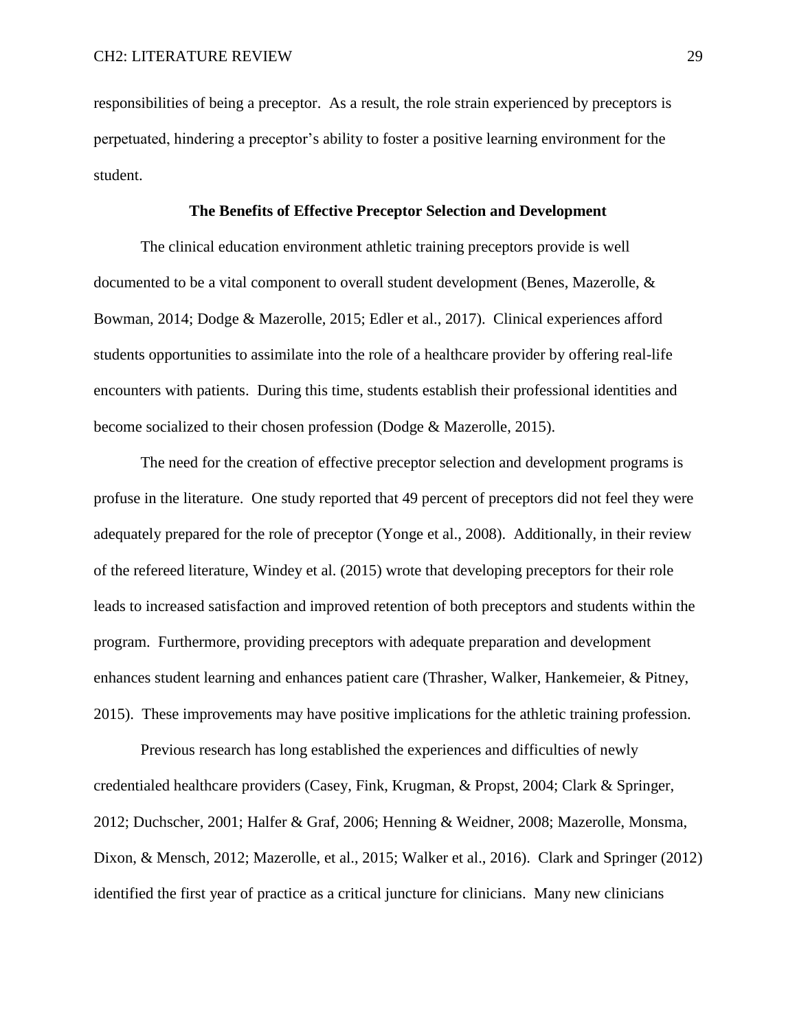responsibilities of being a preceptor. As a result, the role strain experienced by preceptors is perpetuated, hindering a preceptor's ability to foster a positive learning environment for the student.

### **The Benefits of Effective Preceptor Selection and Development**

The clinical education environment athletic training preceptors provide is well documented to be a vital component to overall student development (Benes, Mazerolle, & Bowman, 2014; Dodge & Mazerolle, 2015; Edler et al., 2017). Clinical experiences afford students opportunities to assimilate into the role of a healthcare provider by offering real-life encounters with patients. During this time, students establish their professional identities and become socialized to their chosen profession (Dodge & Mazerolle, 2015).

The need for the creation of effective preceptor selection and development programs is profuse in the literature. One study reported that 49 percent of preceptors did not feel they were adequately prepared for the role of preceptor (Yonge et al., 2008). Additionally, in their review of the refereed literature, Windey et al. (2015) wrote that developing preceptors for their role leads to increased satisfaction and improved retention of both preceptors and students within the program. Furthermore, providing preceptors with adequate preparation and development enhances student learning and enhances patient care (Thrasher, Walker, Hankemeier, & Pitney, 2015). These improvements may have positive implications for the athletic training profession.

Previous research has long established the experiences and difficulties of newly credentialed healthcare providers (Casey, Fink, Krugman, & Propst, 2004; Clark & Springer, 2012; Duchscher, 2001; Halfer & Graf, 2006; Henning & Weidner, 2008; Mazerolle, Monsma, Dixon, & Mensch, 2012; Mazerolle, et al., 2015; Walker et al., 2016). Clark and Springer (2012) identified the first year of practice as a critical juncture for clinicians. Many new clinicians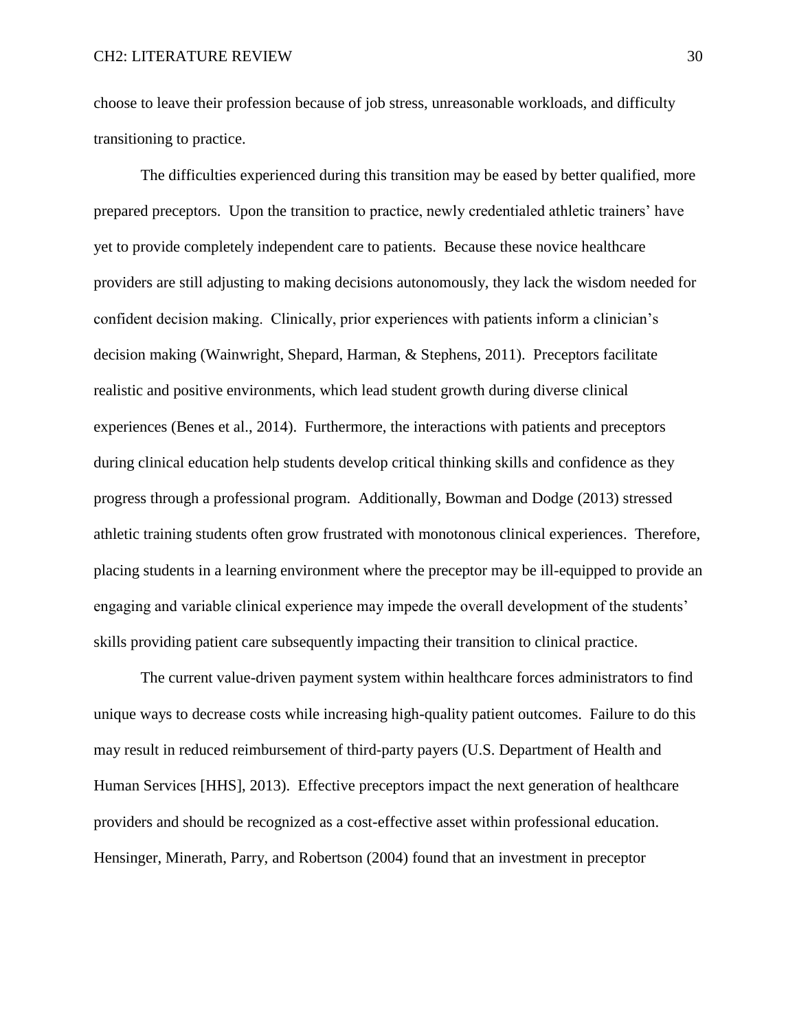choose to leave their profession because of job stress, unreasonable workloads, and difficulty transitioning to practice.

The difficulties experienced during this transition may be eased by better qualified, more prepared preceptors. Upon the transition to practice, newly credentialed athletic trainers' have yet to provide completely independent care to patients. Because these novice healthcare providers are still adjusting to making decisions autonomously, they lack the wisdom needed for confident decision making. Clinically, prior experiences with patients inform a clinician's decision making (Wainwright, Shepard, Harman, & Stephens, 2011). Preceptors facilitate realistic and positive environments, which lead student growth during diverse clinical experiences (Benes et al., 2014). Furthermore, the interactions with patients and preceptors during clinical education help students develop critical thinking skills and confidence as they progress through a professional program. Additionally, Bowman and Dodge (2013) stressed athletic training students often grow frustrated with monotonous clinical experiences. Therefore, placing students in a learning environment where the preceptor may be ill-equipped to provide an engaging and variable clinical experience may impede the overall development of the students' skills providing patient care subsequently impacting their transition to clinical practice.

The current value-driven payment system within healthcare forces administrators to find unique ways to decrease costs while increasing high-quality patient outcomes. Failure to do this may result in reduced reimbursement of third-party payers (U.S. Department of Health and Human Services [HHS], 2013). Effective preceptors impact the next generation of healthcare providers and should be recognized as a cost-effective asset within professional education. Hensinger, Minerath, Parry, and Robertson (2004) found that an investment in preceptor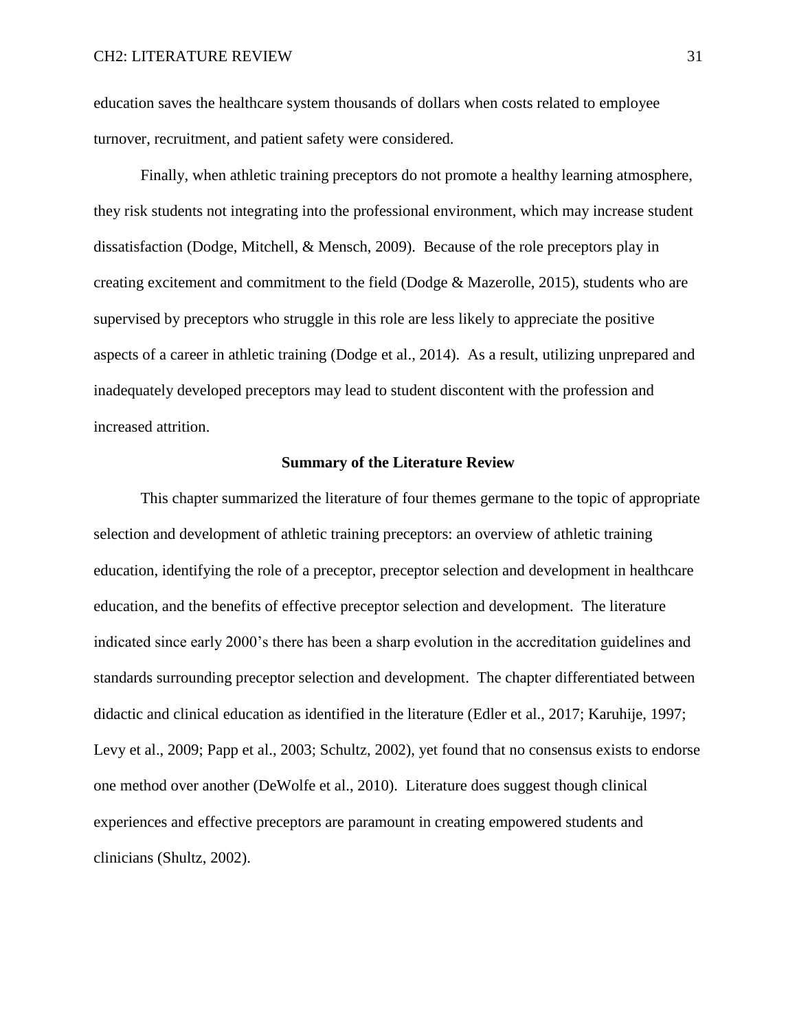education saves the healthcare system thousands of dollars when costs related to employee turnover, recruitment, and patient safety were considered.

Finally, when athletic training preceptors do not promote a healthy learning atmosphere, they risk students not integrating into the professional environment, which may increase student dissatisfaction (Dodge, Mitchell, & Mensch, 2009). Because of the role preceptors play in creating excitement and commitment to the field (Dodge  $\&$  Mazerolle, 2015), students who are supervised by preceptors who struggle in this role are less likely to appreciate the positive aspects of a career in athletic training (Dodge et al., 2014). As a result, utilizing unprepared and inadequately developed preceptors may lead to student discontent with the profession and increased attrition.

### **Summary of the Literature Review**

This chapter summarized the literature of four themes germane to the topic of appropriate selection and development of athletic training preceptors: an overview of athletic training education, identifying the role of a preceptor, preceptor selection and development in healthcare education, and the benefits of effective preceptor selection and development. The literature indicated since early 2000's there has been a sharp evolution in the accreditation guidelines and standards surrounding preceptor selection and development. The chapter differentiated between didactic and clinical education as identified in the literature (Edler et al., 2017; Karuhije, 1997; Levy et al., 2009; Papp et al., 2003; Schultz, 2002), yet found that no consensus exists to endorse one method over another (DeWolfe et al., 2010). Literature does suggest though clinical experiences and effective preceptors are paramount in creating empowered students and clinicians (Shultz, 2002).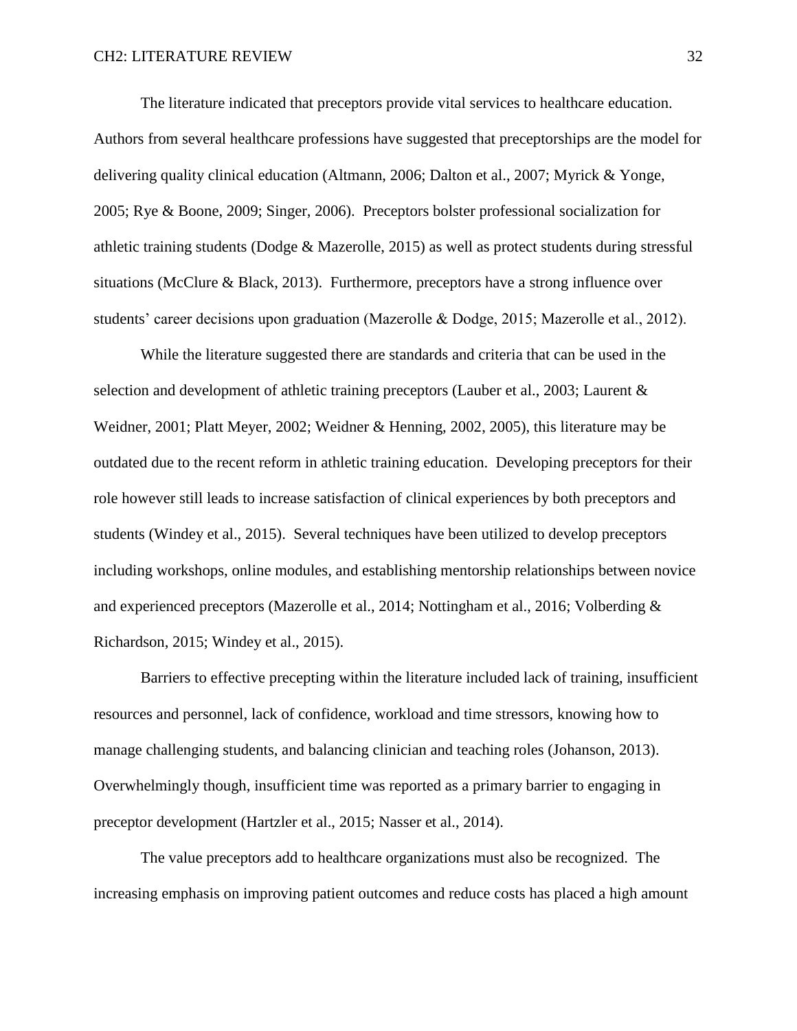The literature indicated that preceptors provide vital services to healthcare education. Authors from several healthcare professions have suggested that preceptorships are the model for delivering quality clinical education (Altmann, 2006; Dalton et al., 2007; Myrick & Yonge, 2005; Rye & Boone, 2009; Singer, 2006). Preceptors bolster professional socialization for athletic training students (Dodge & Mazerolle, 2015) as well as protect students during stressful situations (McClure & Black, 2013). Furthermore, preceptors have a strong influence over students' career decisions upon graduation (Mazerolle & Dodge, 2015; Mazerolle et al., 2012).

While the literature suggested there are standards and criteria that can be used in the selection and development of athletic training preceptors (Lauber et al., 2003; Laurent & Weidner, 2001; Platt Meyer, 2002; Weidner & Henning, 2002, 2005), this literature may be outdated due to the recent reform in athletic training education. Developing preceptors for their role however still leads to increase satisfaction of clinical experiences by both preceptors and students (Windey et al., 2015). Several techniques have been utilized to develop preceptors including workshops, online modules, and establishing mentorship relationships between novice and experienced preceptors (Mazerolle et al., 2014; Nottingham et al., 2016; Volberding & Richardson, 2015; Windey et al., 2015).

Barriers to effective precepting within the literature included lack of training, insufficient resources and personnel, lack of confidence, workload and time stressors, knowing how to manage challenging students, and balancing clinician and teaching roles (Johanson, 2013). Overwhelmingly though, insufficient time was reported as a primary barrier to engaging in preceptor development (Hartzler et al., 2015; Nasser et al., 2014).

The value preceptors add to healthcare organizations must also be recognized. The increasing emphasis on improving patient outcomes and reduce costs has placed a high amount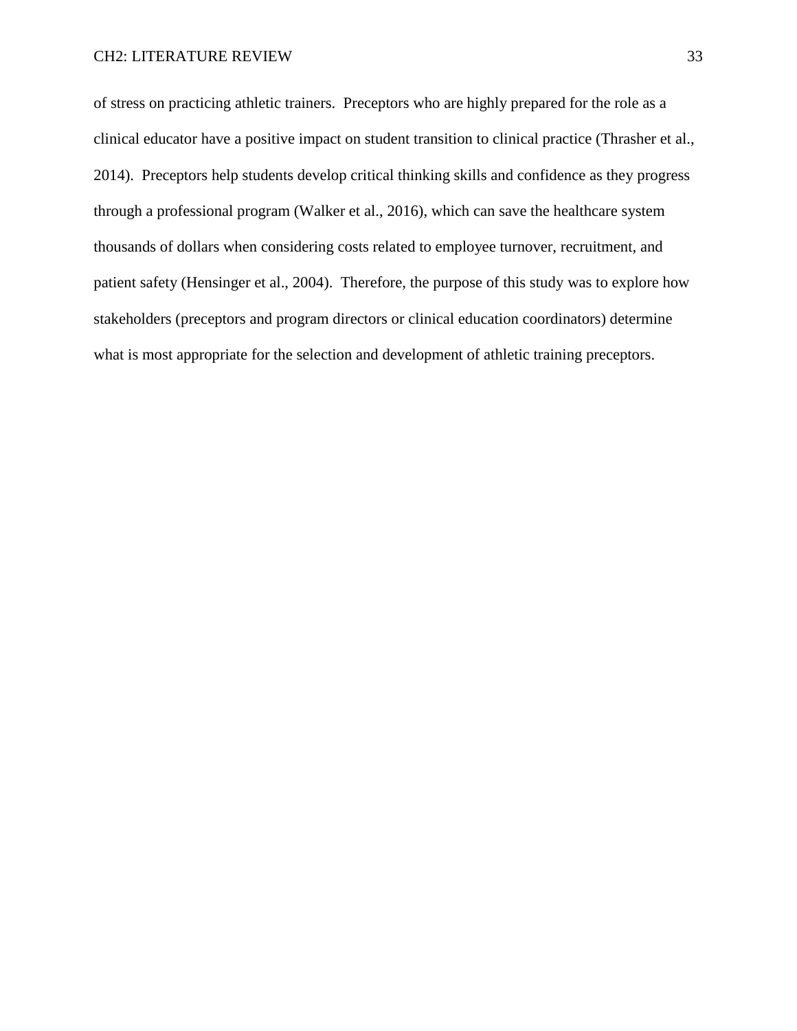of stress on practicing athletic trainers. Preceptors who are highly prepared for the role as a clinical educator have a positive impact on student transition to clinical practice (Thrasher et al., 2014). Preceptors help students develop critical thinking skills and confidence as they progress through a professional program (Walker et al., 2016), which can save the healthcare system thousands of dollars when considering costs related to employee turnover, recruitment, and patient safety (Hensinger et al., 2004). Therefore, the purpose of this study was to explore how stakeholders (preceptors and program directors or clinical education coordinators) determine what is most appropriate for the selection and development of athletic training preceptors.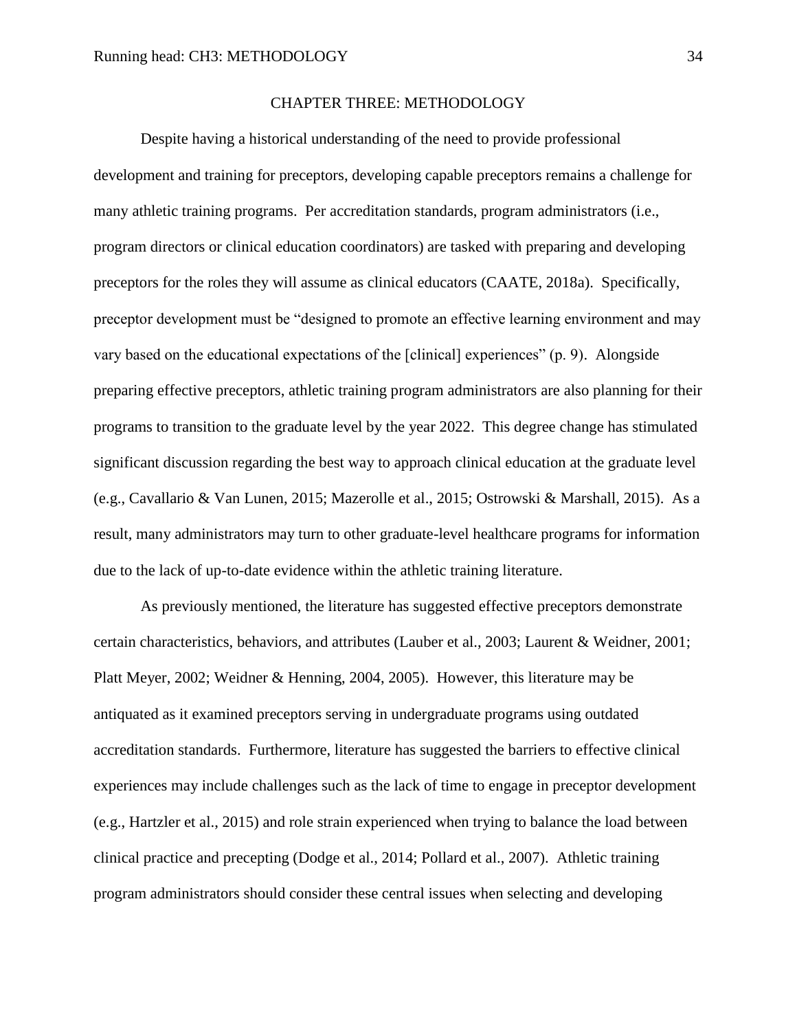### CHAPTER THREE: METHODOLOGY

Despite having a historical understanding of the need to provide professional development and training for preceptors, developing capable preceptors remains a challenge for many athletic training programs. Per accreditation standards, program administrators (i.e., program directors or clinical education coordinators) are tasked with preparing and developing preceptors for the roles they will assume as clinical educators (CAATE, 2018a). Specifically, preceptor development must be "designed to promote an effective learning environment and may vary based on the educational expectations of the [clinical] experiences" (p. 9). Alongside preparing effective preceptors, athletic training program administrators are also planning for their programs to transition to the graduate level by the year 2022. This degree change has stimulated significant discussion regarding the best way to approach clinical education at the graduate level (e.g., Cavallario & Van Lunen, 2015; Mazerolle et al., 2015; Ostrowski & Marshall, 2015). As a result, many administrators may turn to other graduate-level healthcare programs for information due to the lack of up-to-date evidence within the athletic training literature.

As previously mentioned, the literature has suggested effective preceptors demonstrate certain characteristics, behaviors, and attributes (Lauber et al., 2003; Laurent & Weidner, 2001; Platt Meyer, 2002; Weidner & Henning, 2004, 2005). However, this literature may be antiquated as it examined preceptors serving in undergraduate programs using outdated accreditation standards. Furthermore, literature has suggested the barriers to effective clinical experiences may include challenges such as the lack of time to engage in preceptor development (e.g., Hartzler et al., 2015) and role strain experienced when trying to balance the load between clinical practice and precepting (Dodge et al., 2014; Pollard et al., 2007). Athletic training program administrators should consider these central issues when selecting and developing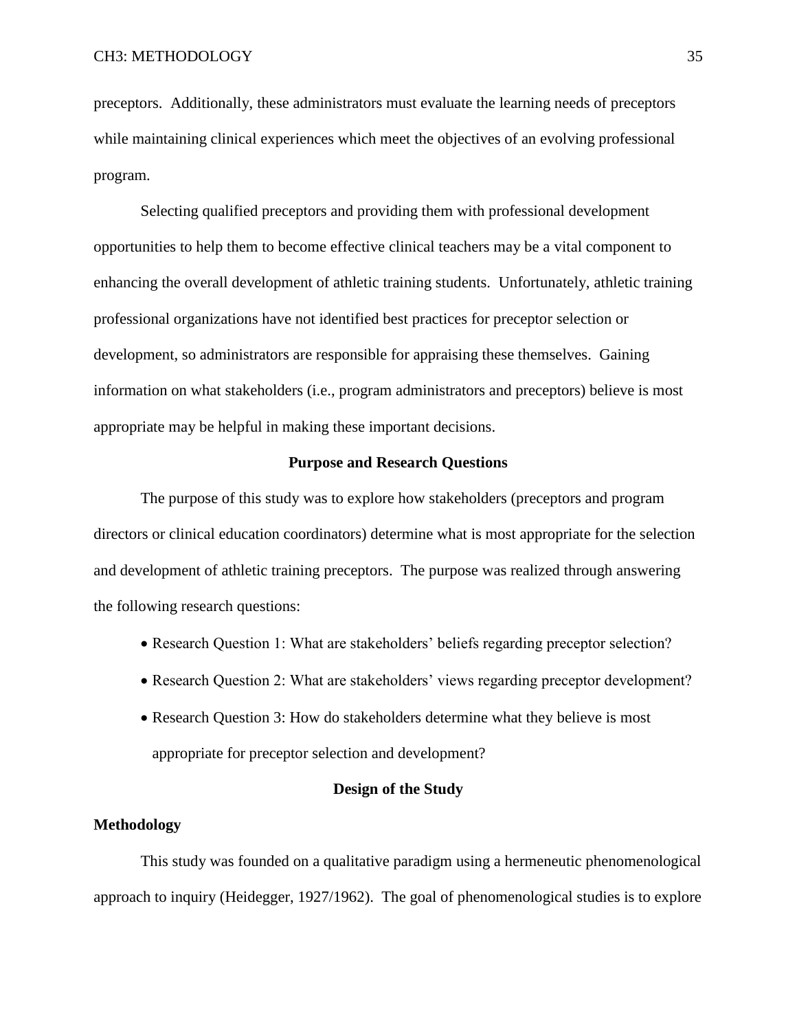preceptors. Additionally, these administrators must evaluate the learning needs of preceptors while maintaining clinical experiences which meet the objectives of an evolving professional program.

Selecting qualified preceptors and providing them with professional development opportunities to help them to become effective clinical teachers may be a vital component to enhancing the overall development of athletic training students. Unfortunately, athletic training professional organizations have not identified best practices for preceptor selection or development, so administrators are responsible for appraising these themselves. Gaining information on what stakeholders (i.e., program administrators and preceptors) believe is most appropriate may be helpful in making these important decisions.

### **Purpose and Research Questions**

The purpose of this study was to explore how stakeholders (preceptors and program directors or clinical education coordinators) determine what is most appropriate for the selection and development of athletic training preceptors. The purpose was realized through answering the following research questions:

- Research Question 1: What are stakeholders' beliefs regarding preceptor selection?
- Research Question 2: What are stakeholders' views regarding preceptor development?
- Research Question 3: How do stakeholders determine what they believe is most appropriate for preceptor selection and development?

# **Design of the Study**

### **Methodology**

This study was founded on a qualitative paradigm using a hermeneutic phenomenological approach to inquiry (Heidegger, 1927/1962). The goal of phenomenological studies is to explore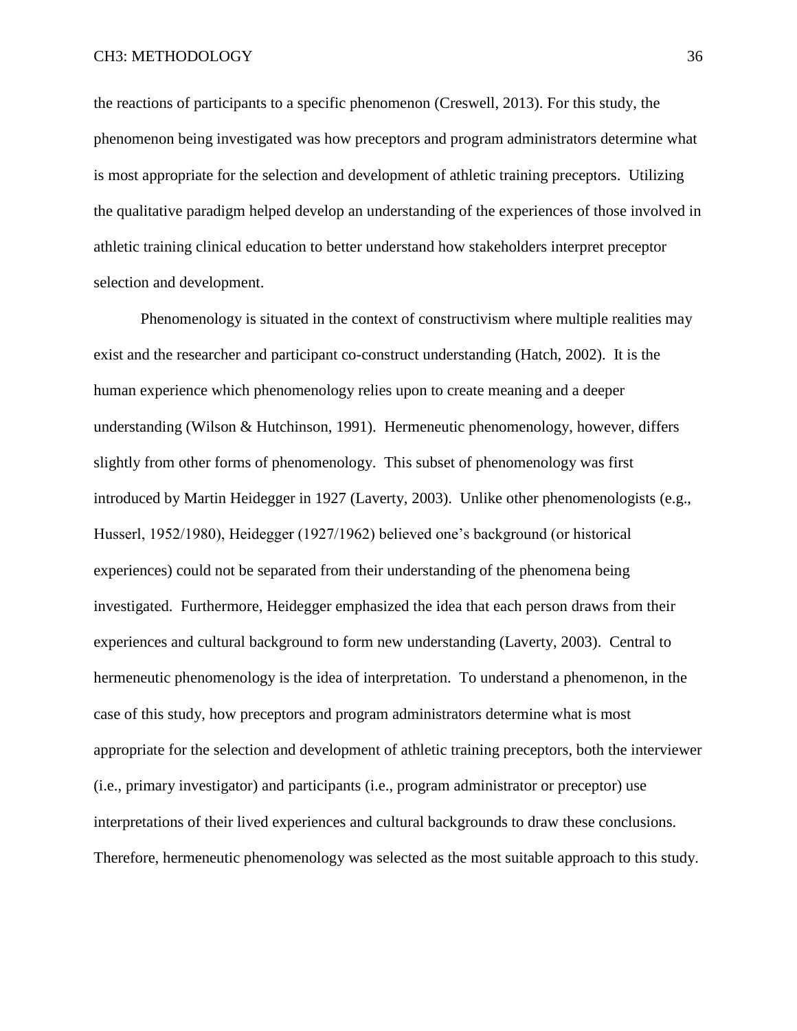the reactions of participants to a specific phenomenon (Creswell, 2013). For this study, the phenomenon being investigated was how preceptors and program administrators determine what is most appropriate for the selection and development of athletic training preceptors. Utilizing the qualitative paradigm helped develop an understanding of the experiences of those involved in athletic training clinical education to better understand how stakeholders interpret preceptor selection and development.

Phenomenology is situated in the context of constructivism where multiple realities may exist and the researcher and participant co-construct understanding (Hatch, 2002). It is the human experience which phenomenology relies upon to create meaning and a deeper understanding (Wilson & Hutchinson, 1991). Hermeneutic phenomenology, however, differs slightly from other forms of phenomenology. This subset of phenomenology was first introduced by Martin Heidegger in 1927 (Laverty, 2003). Unlike other phenomenologists (e.g., Husserl, 1952/1980), Heidegger (1927/1962) believed one's background (or historical experiences) could not be separated from their understanding of the phenomena being investigated. Furthermore, Heidegger emphasized the idea that each person draws from their experiences and cultural background to form new understanding (Laverty, 2003). Central to hermeneutic phenomenology is the idea of interpretation. To understand a phenomenon, in the case of this study, how preceptors and program administrators determine what is most appropriate for the selection and development of athletic training preceptors, both the interviewer (i.e., primary investigator) and participants (i.e., program administrator or preceptor) use interpretations of their lived experiences and cultural backgrounds to draw these conclusions. Therefore, hermeneutic phenomenology was selected as the most suitable approach to this study.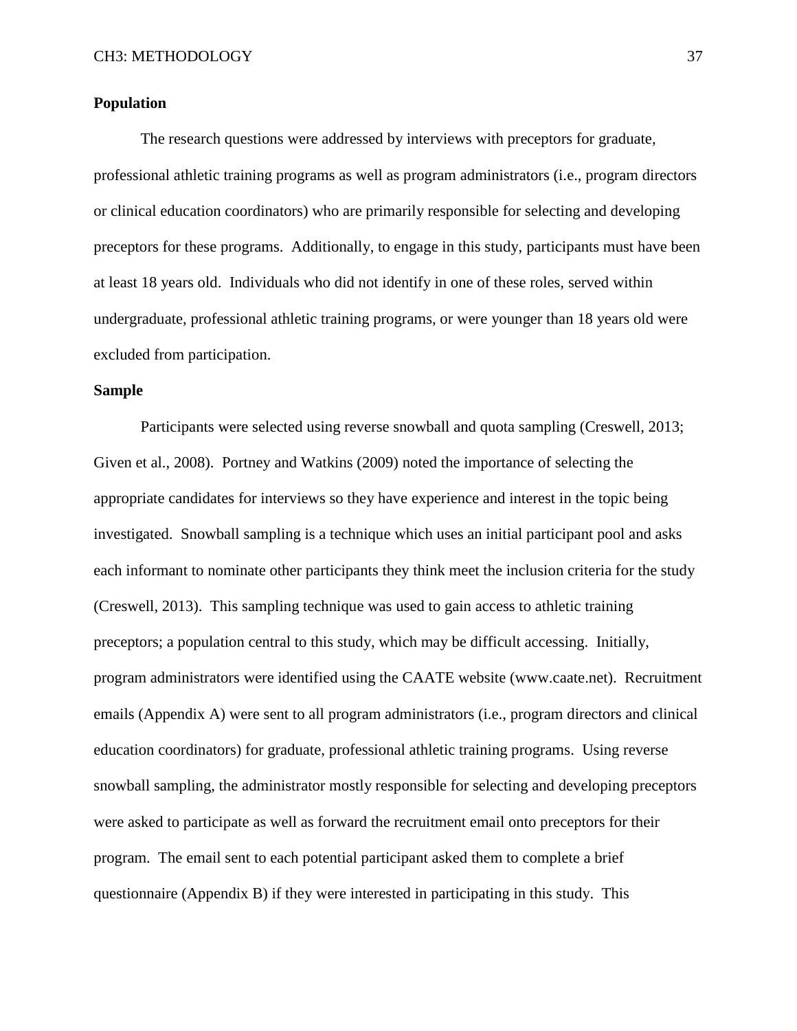### **Population**

The research questions were addressed by interviews with preceptors for graduate, professional athletic training programs as well as program administrators (i.e., program directors or clinical education coordinators) who are primarily responsible for selecting and developing preceptors for these programs. Additionally, to engage in this study, participants must have been at least 18 years old. Individuals who did not identify in one of these roles, served within undergraduate, professional athletic training programs, or were younger than 18 years old were excluded from participation.

# **Sample**

Participants were selected using reverse snowball and quota sampling (Creswell, 2013; Given et al., 2008). Portney and Watkins (2009) noted the importance of selecting the appropriate candidates for interviews so they have experience and interest in the topic being investigated. Snowball sampling is a technique which uses an initial participant pool and asks each informant to nominate other participants they think meet the inclusion criteria for the study (Creswell, 2013). This sampling technique was used to gain access to athletic training preceptors; a population central to this study, which may be difficult accessing. Initially, program administrators were identified using the CAATE website (www.caate.net). Recruitment emails (Appendix A) were sent to all program administrators (i.e., program directors and clinical education coordinators) for graduate, professional athletic training programs. Using reverse snowball sampling, the administrator mostly responsible for selecting and developing preceptors were asked to participate as well as forward the recruitment email onto preceptors for their program. The email sent to each potential participant asked them to complete a brief questionnaire (Appendix B) if they were interested in participating in this study. This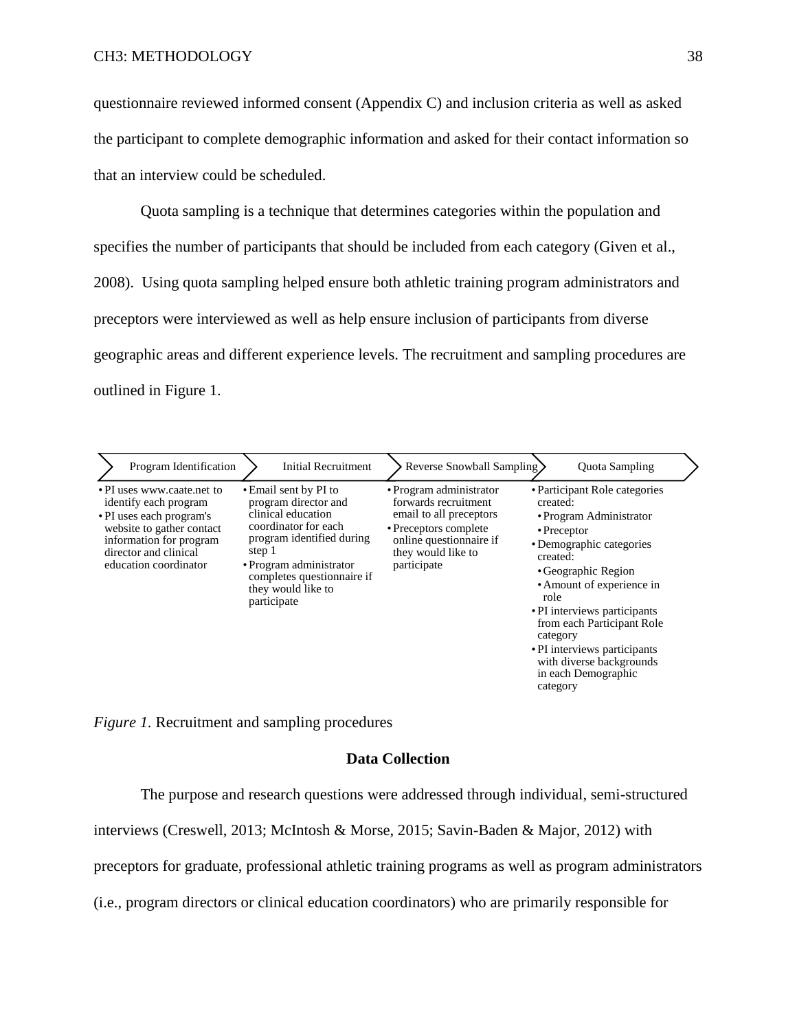questionnaire reviewed informed consent (Appendix C) and inclusion criteria as well as asked the participant to complete demographic information and asked for their contact information so that an interview could be scheduled.

Quota sampling is a technique that determines categories within the population and specifies the number of participants that should be included from each category (Given et al., 2008). Using quota sampling helped ensure both athletic training program administrators and preceptors were interviewed as well as help ensure inclusion of participants from diverse geographic areas and different experience levels. The recruitment and sampling procedures are outlined in Figure 1.

| Program Identification                                                                                                                                                                    | Initial Recruitment                                                                                                                                                                                                              | Reverse Snowball Sampling                                                                                                                                           | <b>Ouota Sampling</b>                                                                                                                                                                                                                                                                                                                                                  |
|-------------------------------------------------------------------------------------------------------------------------------------------------------------------------------------------|----------------------------------------------------------------------------------------------------------------------------------------------------------------------------------------------------------------------------------|---------------------------------------------------------------------------------------------------------------------------------------------------------------------|------------------------------------------------------------------------------------------------------------------------------------------------------------------------------------------------------------------------------------------------------------------------------------------------------------------------------------------------------------------------|
| • PI uses www.caate.net to<br>identify each program<br>• PI uses each program's<br>website to gather contact<br>information for program<br>director and clinical<br>education coordinator | • Email sent by PI to<br>program director and<br>clinical education<br>coordinator for each<br>program identified during<br>step 1<br>• Program administrator<br>completes questionnaire if<br>they would like to<br>participate | • Program administrator<br>forwards recruitment<br>email to all preceptors<br>• Preceptors complete<br>online questionnaire if<br>they would like to<br>participate | • Participant Role categories<br>created:<br>• Program Administrator<br>$\cdot$ Preceptor<br>• Demographic categories<br>created:<br>• Geographic Region<br>• Amount of experience in<br>role<br>• PI interviews participants<br>from each Participant Role<br>category<br>• PI interviews participants<br>with diverse backgrounds<br>in each Demographic<br>category |

*Figure 1.* Recruitment and sampling procedures

# **Data Collection**

The purpose and research questions were addressed through individual, semi-structured

interviews (Creswell, 2013; McIntosh & Morse, 2015; Savin-Baden & Major, 2012) with

preceptors for graduate, professional athletic training programs as well as program administrators

(i.e., program directors or clinical education coordinators) who are primarily responsible for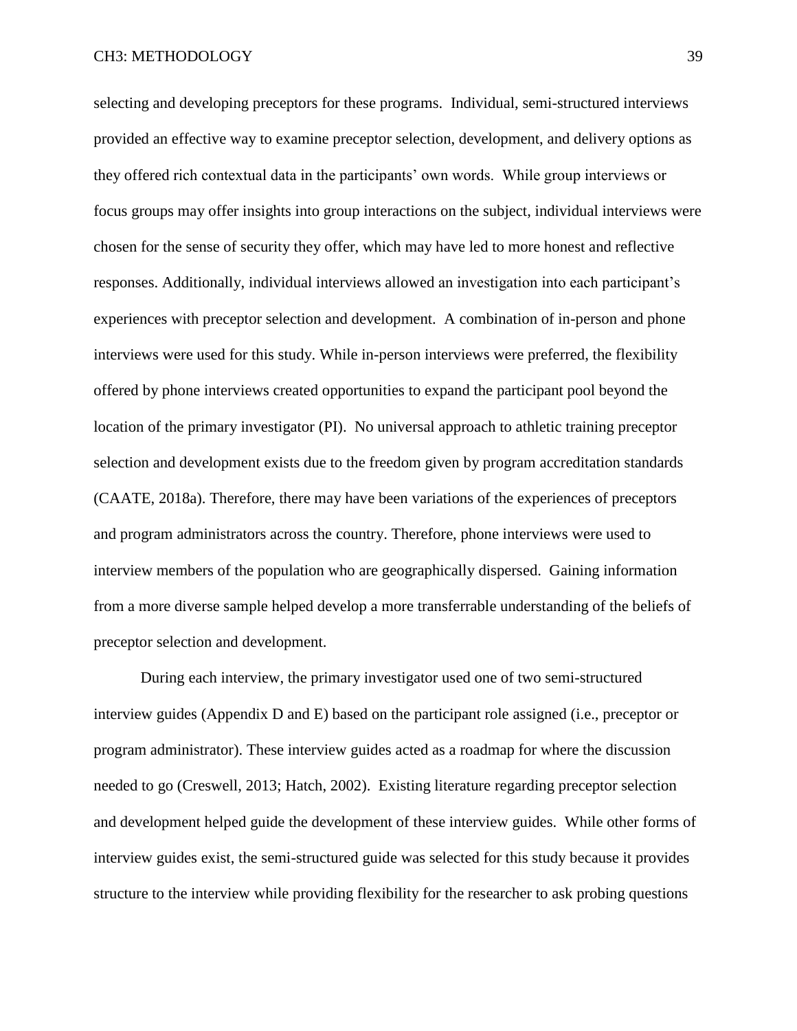### CH3: METHODOLOGY 39

selecting and developing preceptors for these programs. Individual, semi-structured interviews provided an effective way to examine preceptor selection, development, and delivery options as they offered rich contextual data in the participants' own words. While group interviews or focus groups may offer insights into group interactions on the subject, individual interviews were chosen for the sense of security they offer, which may have led to more honest and reflective responses. Additionally, individual interviews allowed an investigation into each participant's experiences with preceptor selection and development. A combination of in-person and phone interviews were used for this study. While in-person interviews were preferred, the flexibility offered by phone interviews created opportunities to expand the participant pool beyond the location of the primary investigator (PI). No universal approach to athletic training preceptor selection and development exists due to the freedom given by program accreditation standards (CAATE, 2018a). Therefore, there may have been variations of the experiences of preceptors and program administrators across the country. Therefore, phone interviews were used to interview members of the population who are geographically dispersed. Gaining information from a more diverse sample helped develop a more transferrable understanding of the beliefs of preceptor selection and development.

During each interview, the primary investigator used one of two semi-structured interview guides (Appendix D and E) based on the participant role assigned (i.e., preceptor or program administrator). These interview guides acted as a roadmap for where the discussion needed to go (Creswell, 2013; Hatch, 2002). Existing literature regarding preceptor selection and development helped guide the development of these interview guides. While other forms of interview guides exist, the semi-structured guide was selected for this study because it provides structure to the interview while providing flexibility for the researcher to ask probing questions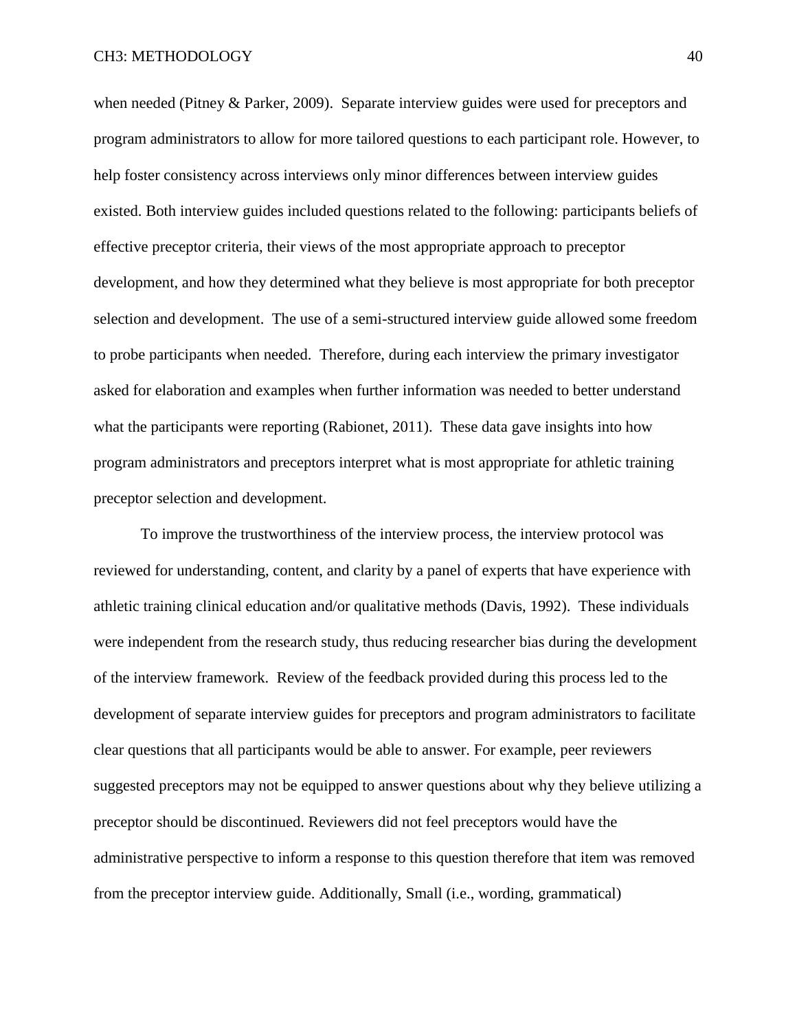when needed (Pitney & Parker, 2009). Separate interview guides were used for preceptors and program administrators to allow for more tailored questions to each participant role. However, to help foster consistency across interviews only minor differences between interview guides existed. Both interview guides included questions related to the following: participants beliefs of effective preceptor criteria, their views of the most appropriate approach to preceptor development, and how they determined what they believe is most appropriate for both preceptor selection and development. The use of a semi-structured interview guide allowed some freedom to probe participants when needed. Therefore, during each interview the primary investigator asked for elaboration and examples when further information was needed to better understand what the participants were reporting (Rabionet, 2011). These data gave insights into how program administrators and preceptors interpret what is most appropriate for athletic training preceptor selection and development.

To improve the trustworthiness of the interview process, the interview protocol was reviewed for understanding, content, and clarity by a panel of experts that have experience with athletic training clinical education and/or qualitative methods (Davis, 1992). These individuals were independent from the research study, thus reducing researcher bias during the development of the interview framework. Review of the feedback provided during this process led to the development of separate interview guides for preceptors and program administrators to facilitate clear questions that all participants would be able to answer. For example, peer reviewers suggested preceptors may not be equipped to answer questions about why they believe utilizing a preceptor should be discontinued. Reviewers did not feel preceptors would have the administrative perspective to inform a response to this question therefore that item was removed from the preceptor interview guide. Additionally, Small (i.e., wording, grammatical)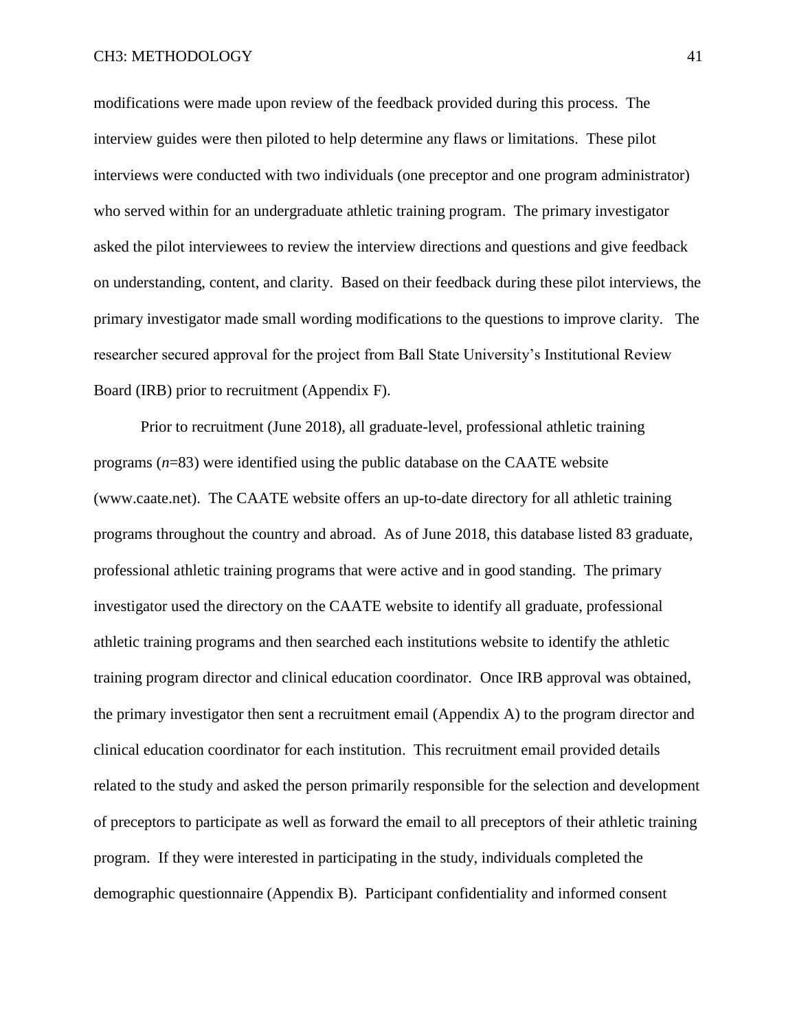modifications were made upon review of the feedback provided during this process. The interview guides were then piloted to help determine any flaws or limitations. These pilot interviews were conducted with two individuals (one preceptor and one program administrator) who served within for an undergraduate athletic training program. The primary investigator asked the pilot interviewees to review the interview directions and questions and give feedback on understanding, content, and clarity. Based on their feedback during these pilot interviews, the primary investigator made small wording modifications to the questions to improve clarity. The researcher secured approval for the project from Ball State University's Institutional Review Board (IRB) prior to recruitment (Appendix F).

Prior to recruitment (June 2018), all graduate-level, professional athletic training programs (*n*=83) were identified using the public database on the CAATE website (www.caate.net). The CAATE website offers an up-to-date directory for all athletic training programs throughout the country and abroad. As of June 2018, this database listed 83 graduate, professional athletic training programs that were active and in good standing. The primary investigator used the directory on the CAATE website to identify all graduate, professional athletic training programs and then searched each institutions website to identify the athletic training program director and clinical education coordinator. Once IRB approval was obtained, the primary investigator then sent a recruitment email (Appendix A) to the program director and clinical education coordinator for each institution. This recruitment email provided details related to the study and asked the person primarily responsible for the selection and development of preceptors to participate as well as forward the email to all preceptors of their athletic training program. If they were interested in participating in the study, individuals completed the demographic questionnaire (Appendix B). Participant confidentiality and informed consent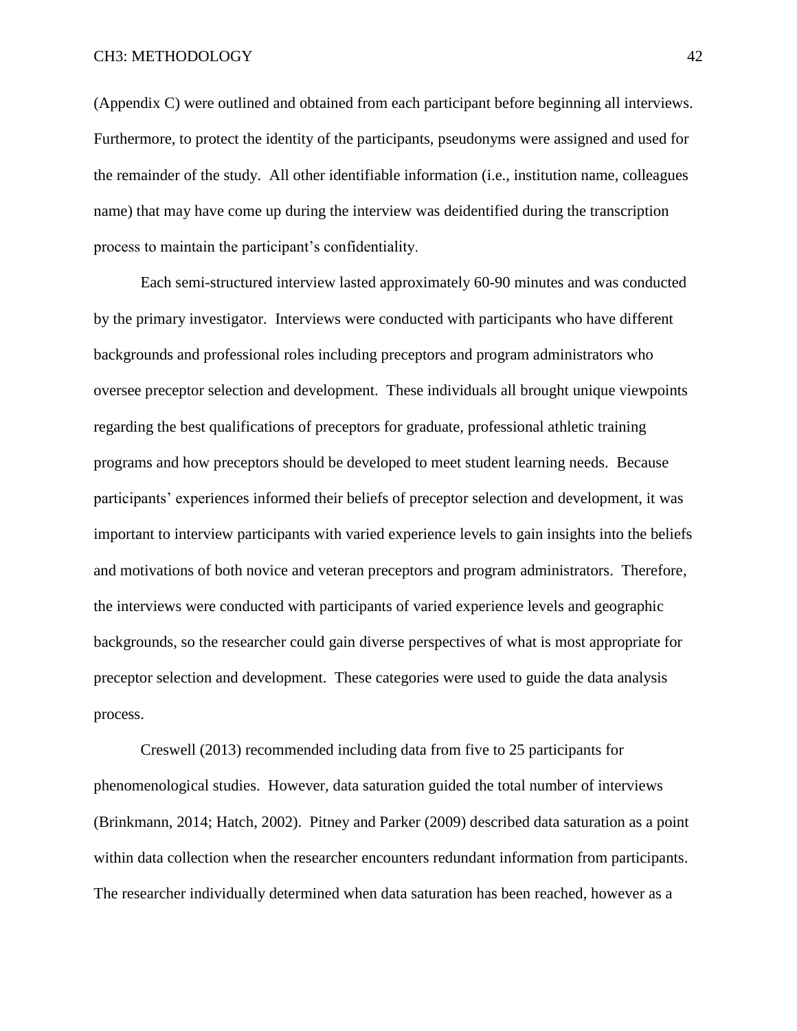### CH3: METHODOLOGY 42

(Appendix C) were outlined and obtained from each participant before beginning all interviews. Furthermore, to protect the identity of the participants, pseudonyms were assigned and used for the remainder of the study. All other identifiable information (i.e., institution name, colleagues name) that may have come up during the interview was deidentified during the transcription process to maintain the participant's confidentiality.

Each semi-structured interview lasted approximately 60-90 minutes and was conducted by the primary investigator. Interviews were conducted with participants who have different backgrounds and professional roles including preceptors and program administrators who oversee preceptor selection and development. These individuals all brought unique viewpoints regarding the best qualifications of preceptors for graduate, professional athletic training programs and how preceptors should be developed to meet student learning needs. Because participants' experiences informed their beliefs of preceptor selection and development, it was important to interview participants with varied experience levels to gain insights into the beliefs and motivations of both novice and veteran preceptors and program administrators. Therefore, the interviews were conducted with participants of varied experience levels and geographic backgrounds, so the researcher could gain diverse perspectives of what is most appropriate for preceptor selection and development. These categories were used to guide the data analysis process.

Creswell (2013) recommended including data from five to 25 participants for phenomenological studies. However, data saturation guided the total number of interviews (Brinkmann, 2014; Hatch, 2002). Pitney and Parker (2009) described data saturation as a point within data collection when the researcher encounters redundant information from participants. The researcher individually determined when data saturation has been reached, however as a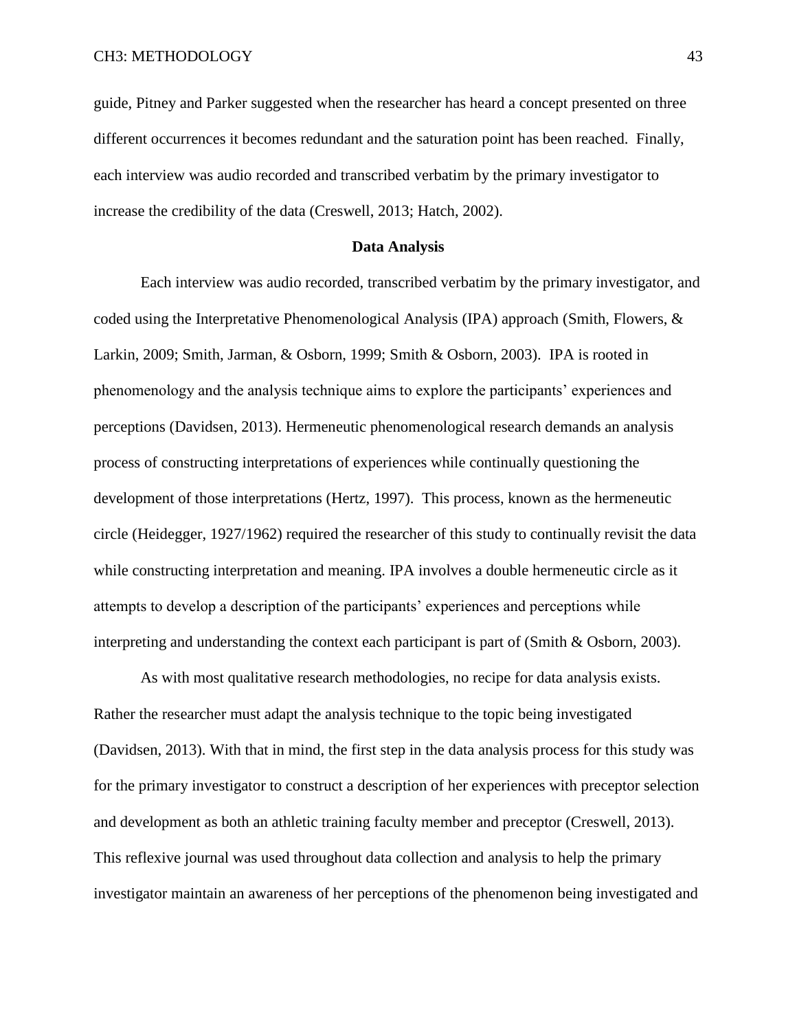guide, Pitney and Parker suggested when the researcher has heard a concept presented on three different occurrences it becomes redundant and the saturation point has been reached. Finally, each interview was audio recorded and transcribed verbatim by the primary investigator to increase the credibility of the data (Creswell, 2013; Hatch, 2002).

#### **Data Analysis**

Each interview was audio recorded, transcribed verbatim by the primary investigator, and coded using the Interpretative Phenomenological Analysis (IPA) approach (Smith, Flowers, & Larkin, 2009; Smith, Jarman, & Osborn, 1999; Smith & Osborn, 2003). IPA is rooted in phenomenology and the analysis technique aims to explore the participants' experiences and perceptions (Davidsen, 2013). Hermeneutic phenomenological research demands an analysis process of constructing interpretations of experiences while continually questioning the development of those interpretations (Hertz, 1997). This process, known as the hermeneutic circle (Heidegger, 1927/1962) required the researcher of this study to continually revisit the data while constructing interpretation and meaning. IPA involves a double hermeneutic circle as it attempts to develop a description of the participants' experiences and perceptions while interpreting and understanding the context each participant is part of (Smith & Osborn, 2003).

As with most qualitative research methodologies, no recipe for data analysis exists. Rather the researcher must adapt the analysis technique to the topic being investigated (Davidsen, 2013). With that in mind, the first step in the data analysis process for this study was for the primary investigator to construct a description of her experiences with preceptor selection and development as both an athletic training faculty member and preceptor (Creswell, 2013). This reflexive journal was used throughout data collection and analysis to help the primary investigator maintain an awareness of her perceptions of the phenomenon being investigated and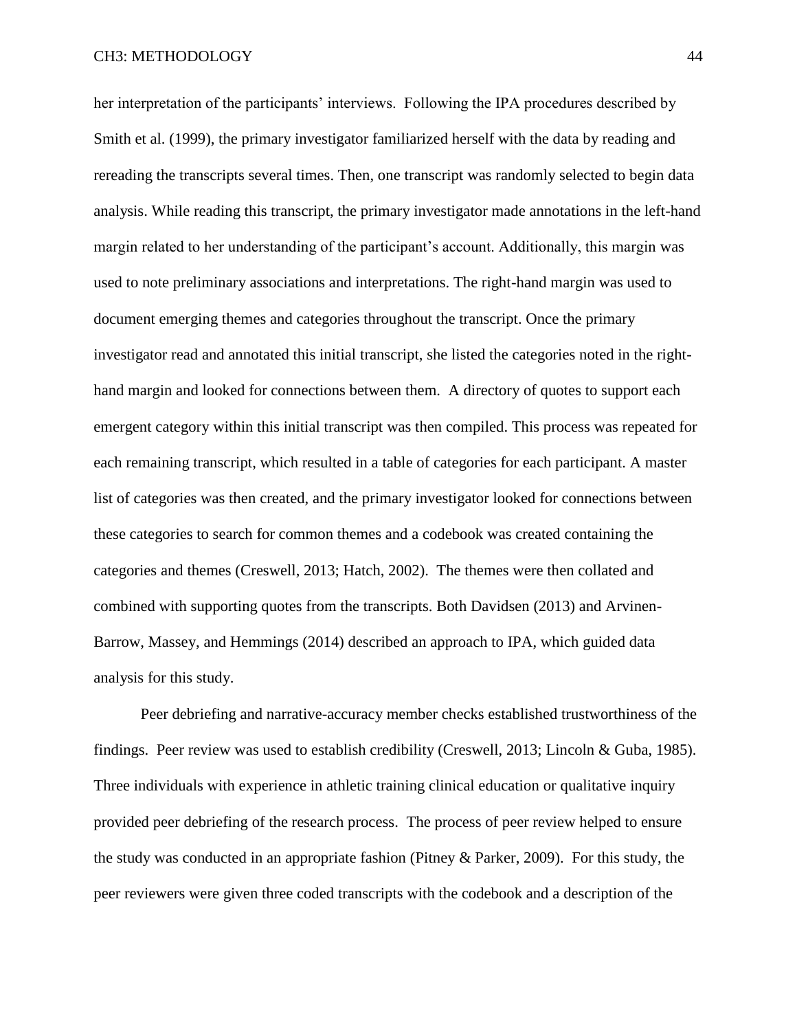her interpretation of the participants' interviews. Following the IPA procedures described by Smith et al. (1999), the primary investigator familiarized herself with the data by reading and rereading the transcripts several times. Then, one transcript was randomly selected to begin data analysis. While reading this transcript, the primary investigator made annotations in the left-hand margin related to her understanding of the participant's account. Additionally, this margin was used to note preliminary associations and interpretations. The right-hand margin was used to document emerging themes and categories throughout the transcript. Once the primary investigator read and annotated this initial transcript, she listed the categories noted in the righthand margin and looked for connections between them. A directory of quotes to support each emergent category within this initial transcript was then compiled. This process was repeated for each remaining transcript, which resulted in a table of categories for each participant. A master list of categories was then created, and the primary investigator looked for connections between these categories to search for common themes and a codebook was created containing the categories and themes (Creswell, 2013; Hatch, 2002). The themes were then collated and combined with supporting quotes from the transcripts. Both Davidsen (2013) and Arvinen-Barrow, Massey, and Hemmings (2014) described an approach to IPA, which guided data analysis for this study.

Peer debriefing and narrative-accuracy member checks established trustworthiness of the findings. Peer review was used to establish credibility (Creswell, 2013; Lincoln & Guba, 1985). Three individuals with experience in athletic training clinical education or qualitative inquiry provided peer debriefing of the research process. The process of peer review helped to ensure the study was conducted in an appropriate fashion (Pitney & Parker, 2009). For this study, the peer reviewers were given three coded transcripts with the codebook and a description of the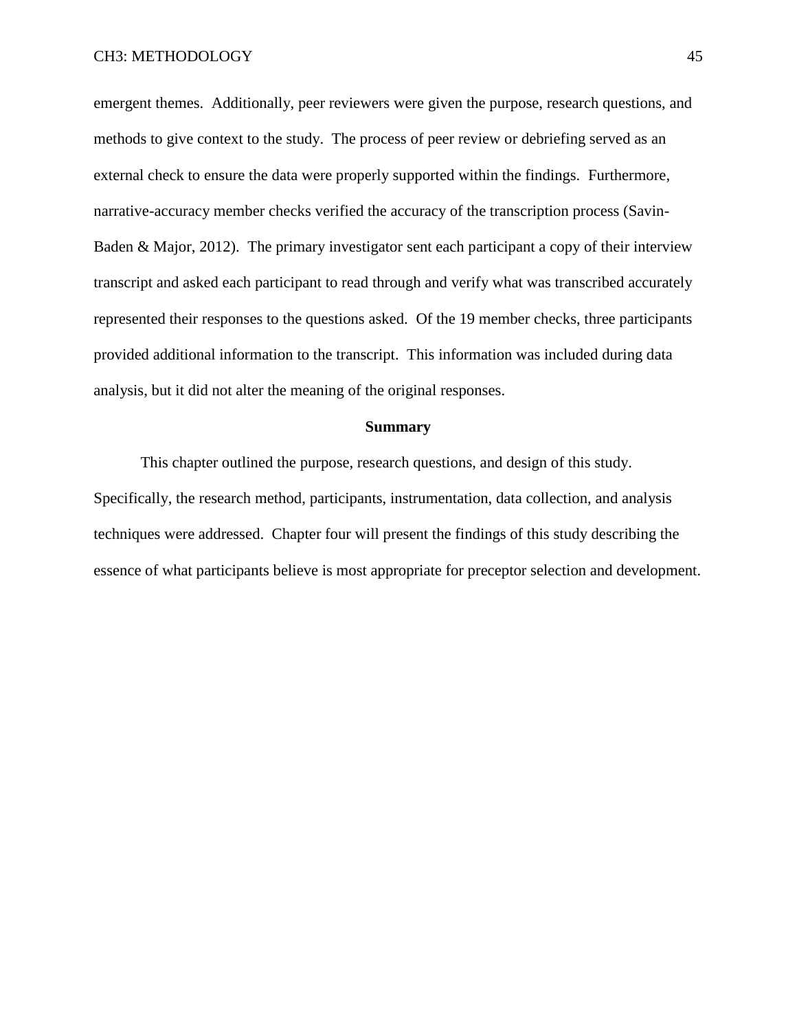emergent themes. Additionally, peer reviewers were given the purpose, research questions, and methods to give context to the study. The process of peer review or debriefing served as an external check to ensure the data were properly supported within the findings. Furthermore, narrative-accuracy member checks verified the accuracy of the transcription process (Savin-Baden & Major, 2012). The primary investigator sent each participant a copy of their interview transcript and asked each participant to read through and verify what was transcribed accurately represented their responses to the questions asked. Of the 19 member checks, three participants provided additional information to the transcript. This information was included during data analysis, but it did not alter the meaning of the original responses.

### **Summary**

This chapter outlined the purpose, research questions, and design of this study. Specifically, the research method, participants, instrumentation, data collection, and analysis techniques were addressed. Chapter four will present the findings of this study describing the essence of what participants believe is most appropriate for preceptor selection and development.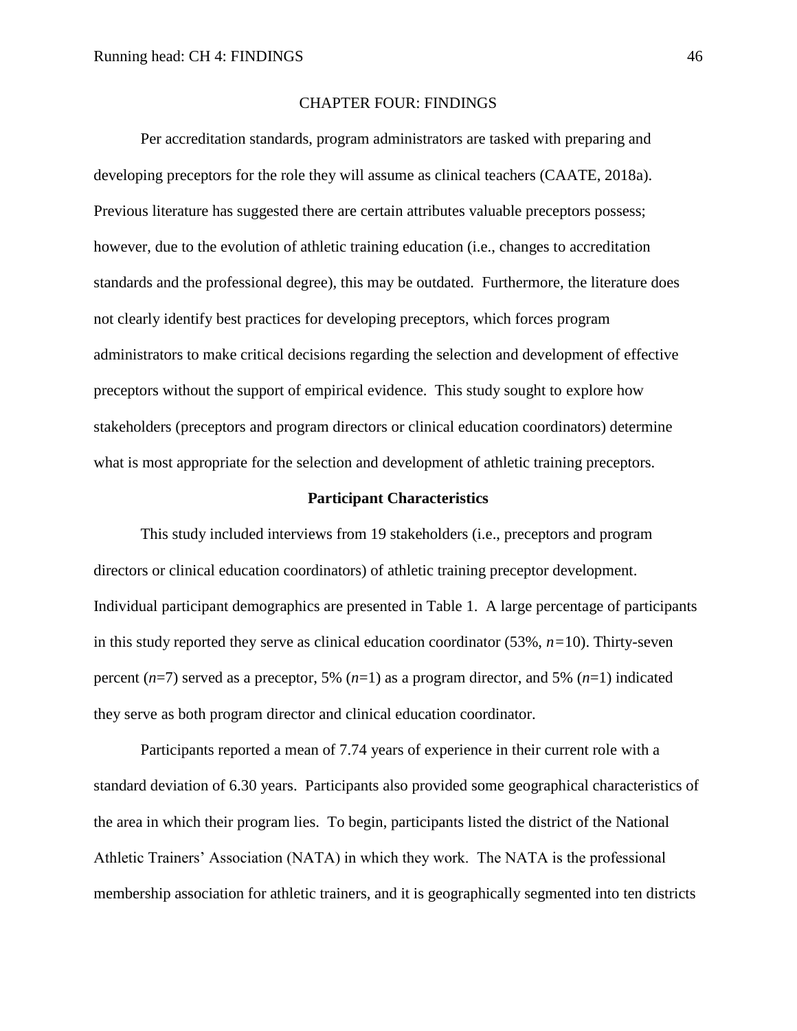### CHAPTER FOUR: FINDINGS

Per accreditation standards, program administrators are tasked with preparing and developing preceptors for the role they will assume as clinical teachers (CAATE, 2018a). Previous literature has suggested there are certain attributes valuable preceptors possess; however, due to the evolution of athletic training education (i.e., changes to accreditation standards and the professional degree), this may be outdated. Furthermore, the literature does not clearly identify best practices for developing preceptors, which forces program administrators to make critical decisions regarding the selection and development of effective preceptors without the support of empirical evidence. This study sought to explore how stakeholders (preceptors and program directors or clinical education coordinators) determine what is most appropriate for the selection and development of athletic training preceptors.

### **Participant Characteristics**

This study included interviews from 19 stakeholders (i.e., preceptors and program directors or clinical education coordinators) of athletic training preceptor development. Individual participant demographics are presented in Table 1. A large percentage of participants in this study reported they serve as clinical education coordinator (53%, *n=*10). Thirty-seven percent (*n*=7) served as a preceptor, 5% (*n*=1) as a program director, and 5% (*n*=1) indicated they serve as both program director and clinical education coordinator.

Participants reported a mean of 7.74 years of experience in their current role with a standard deviation of 6.30 years. Participants also provided some geographical characteristics of the area in which their program lies. To begin, participants listed the district of the National Athletic Trainers' Association (NATA) in which they work. The NATA is the professional membership association for athletic trainers, and it is geographically segmented into ten districts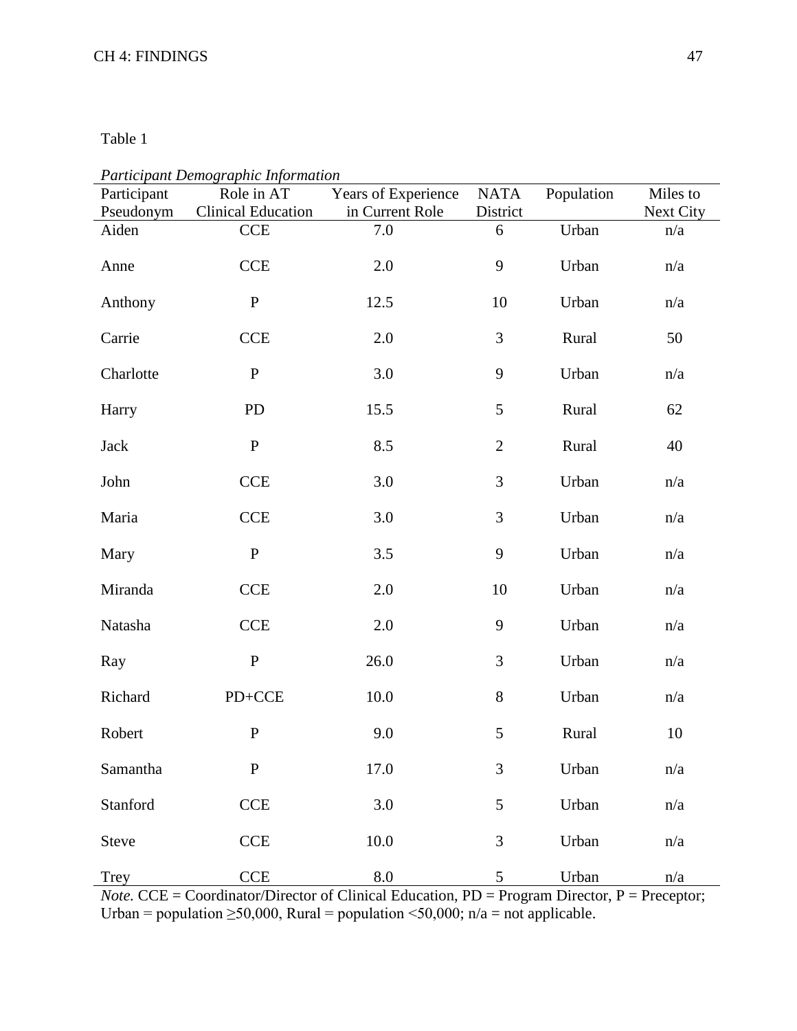Table 1

| Participant        | т аниеранг Бетодгарна туотпанон<br>Role in AT | Years of Experience    | <b>NATA</b>    | Population | Miles to         |
|--------------------|-----------------------------------------------|------------------------|----------------|------------|------------------|
| Pseudonym<br>Aiden | <b>Clinical Education</b><br>CCE              | in Current Role<br>7.0 | District<br>6  | Urban      | Next City<br>n/a |
| Anne               | <b>CCE</b>                                    | 2.0                    | 9              | Urban      | n/a              |
| Anthony            | ${\bf P}$                                     | 12.5                   | 10             | Urban      | n/a              |
| Carrie             | <b>CCE</b>                                    | 2.0                    | $\mathfrak{Z}$ | Rural      | 50               |
| Charlotte          | $\mathbf P$                                   | 3.0                    | 9              | Urban      | n/a              |
| Harry              | PD                                            | 15.5                   | 5              | Rural      | 62               |
| Jack               | ${\bf P}$                                     | 8.5                    | $\sqrt{2}$     | Rural      | 40               |
| John               | <b>CCE</b>                                    | 3.0                    | 3              | Urban      | n/a              |
| Maria              | <b>CCE</b>                                    | 3.0                    | $\mathfrak{Z}$ | Urban      | n/a              |
| Mary               | $\mathbf P$                                   | 3.5                    | 9              | Urban      | n/a              |
| Miranda            | <b>CCE</b>                                    | 2.0                    | 10             | Urban      | n/a              |
| Natasha            | <b>CCE</b>                                    | 2.0                    | 9              | Urban      | n/a              |
| Ray                | ${\bf P}$                                     | 26.0                   | 3              | Urban      | n/a              |
| Richard            | $PD+CCE$                                      | 10.0                   | $8\,$          | Urban      | n/a              |
| Robert             | ${\bf P}$                                     | 9.0                    | $\mathfrak{S}$ | Rural      | 10               |
| Samantha           | ${\bf P}$                                     | 17.0                   | 3              | Urban      | n/a              |
| Stanford           | CCE                                           | 3.0                    | 5              | Urban      | n/a              |
| Steve              | CCE                                           | $10.0\,$               | $\mathfrak{Z}$ | Urban      | n/a              |
| Trey               | <b>CCE</b>                                    | $\!\!\!\!\!8.0$        | 5              | Urban      | n/a              |

*Participant Demographic Information*

*Note.* CCE = Coordinator/Director of Clinical Education, PD = Program Director, P = Preceptor; Urban = population  $\geq 50,000$ , Rural = population <50,000; n/a = not applicable.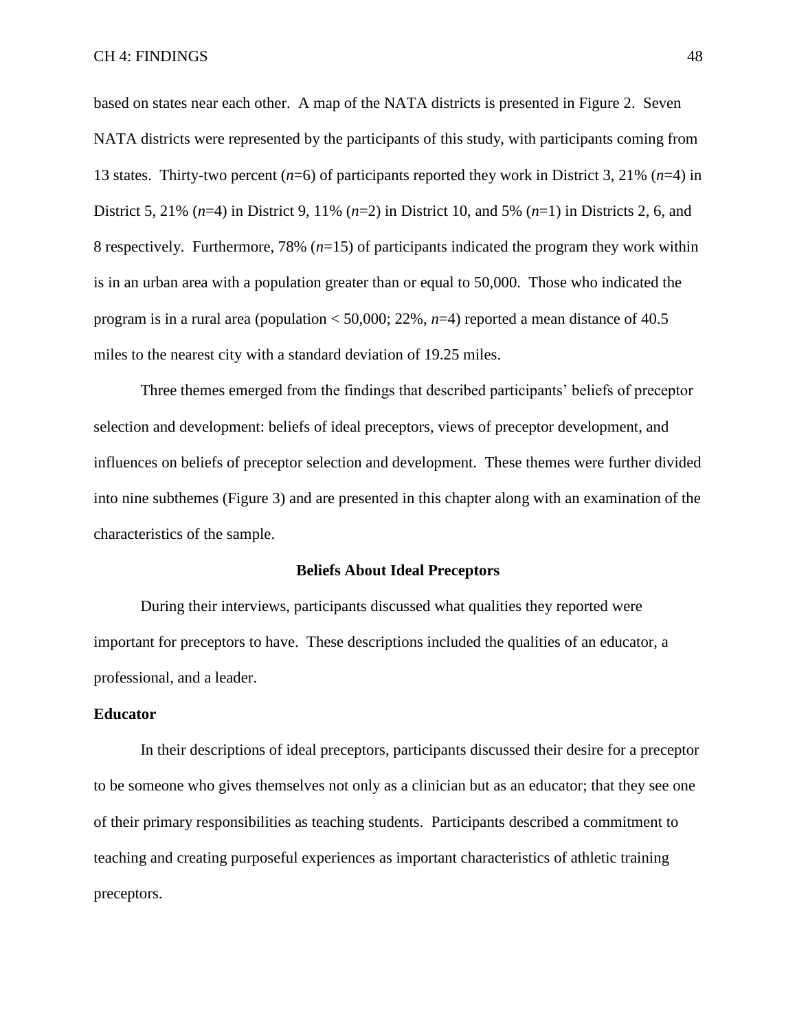based on states near each other. A map of the NATA districts is presented in Figure 2. Seven NATA districts were represented by the participants of this study, with participants coming from 13 states. Thirty-two percent (*n*=6) of participants reported they work in District 3, 21% (*n*=4) in District 5, 21% (*n*=4) in District 9, 11% (*n*=2) in District 10, and 5% (*n*=1) in Districts 2, 6, and 8 respectively. Furthermore, 78% (*n*=15) of participants indicated the program they work within is in an urban area with a population greater than or equal to 50,000. Those who indicated the program is in a rural area (population  $<$  50,000; 22%, *n*=4) reported a mean distance of 40.5 miles to the nearest city with a standard deviation of 19.25 miles.

Three themes emerged from the findings that described participants' beliefs of preceptor selection and development: beliefs of ideal preceptors, views of preceptor development, and influences on beliefs of preceptor selection and development. These themes were further divided into nine subthemes (Figure 3) and are presented in this chapter along with an examination of the characteristics of the sample.

### **Beliefs About Ideal Preceptors**

During their interviews, participants discussed what qualities they reported were important for preceptors to have. These descriptions included the qualities of an educator, a professional, and a leader.

# **Educator**

In their descriptions of ideal preceptors, participants discussed their desire for a preceptor to be someone who gives themselves not only as a clinician but as an educator; that they see one of their primary responsibilities as teaching students. Participants described a commitment to teaching and creating purposeful experiences as important characteristics of athletic training preceptors.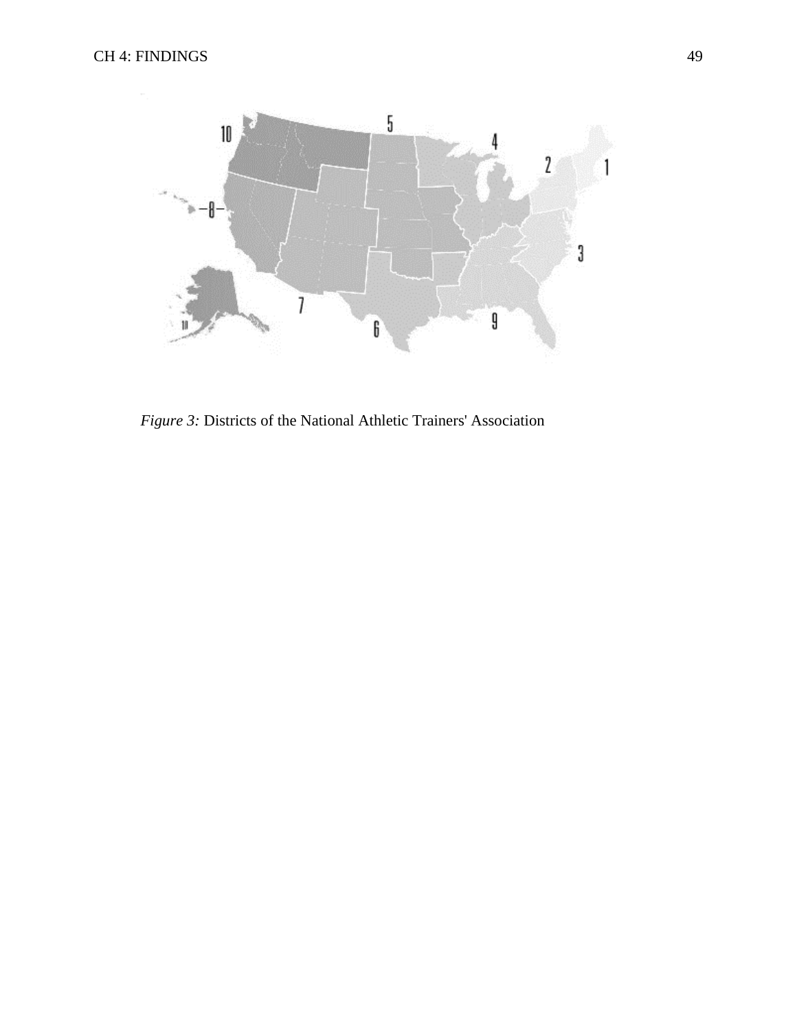

*Figure 3:* Districts of the National Athletic Trainers' Association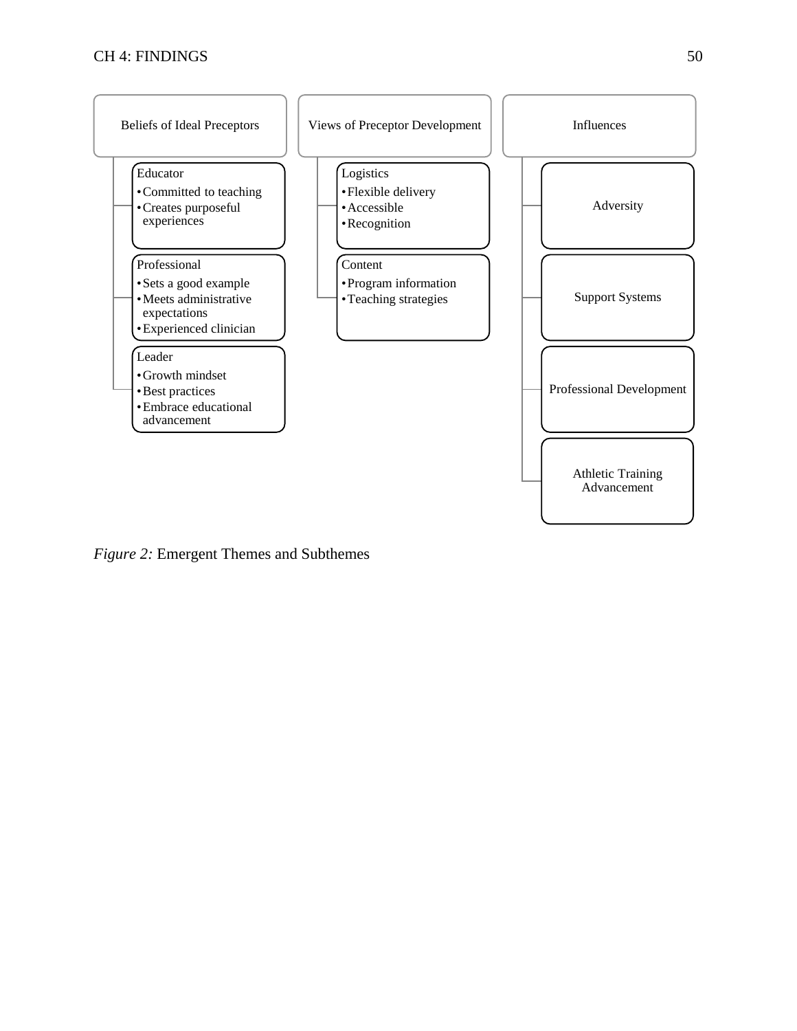

*Figure 2:* Emergent Themes and Subthemes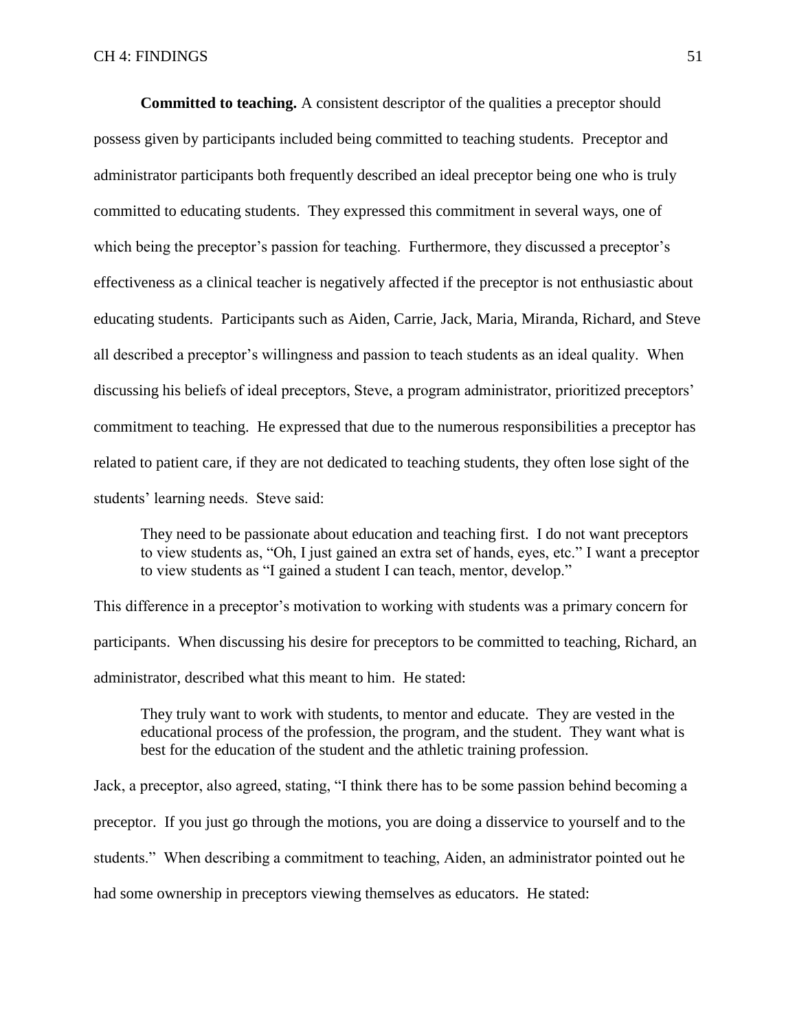**Committed to teaching.** A consistent descriptor of the qualities a preceptor should possess given by participants included being committed to teaching students. Preceptor and administrator participants both frequently described an ideal preceptor being one who is truly committed to educating students. They expressed this commitment in several ways, one of which being the preceptor's passion for teaching. Furthermore, they discussed a preceptor's effectiveness as a clinical teacher is negatively affected if the preceptor is not enthusiastic about educating students. Participants such as Aiden, Carrie, Jack, Maria, Miranda, Richard, and Steve all described a preceptor's willingness and passion to teach students as an ideal quality. When discussing his beliefs of ideal preceptors, Steve, a program administrator, prioritized preceptors' commitment to teaching. He expressed that due to the numerous responsibilities a preceptor has related to patient care, if they are not dedicated to teaching students, they often lose sight of the students' learning needs. Steve said:

They need to be passionate about education and teaching first. I do not want preceptors to view students as, "Oh, I just gained an extra set of hands, eyes, etc." I want a preceptor to view students as "I gained a student I can teach, mentor, develop."

This difference in a preceptor's motivation to working with students was a primary concern for participants. When discussing his desire for preceptors to be committed to teaching, Richard, an administrator, described what this meant to him. He stated:

They truly want to work with students, to mentor and educate. They are vested in the educational process of the profession, the program, and the student. They want what is best for the education of the student and the athletic training profession.

Jack, a preceptor, also agreed, stating, "I think there has to be some passion behind becoming a preceptor. If you just go through the motions, you are doing a disservice to yourself and to the students." When describing a commitment to teaching, Aiden, an administrator pointed out he had some ownership in preceptors viewing themselves as educators. He stated: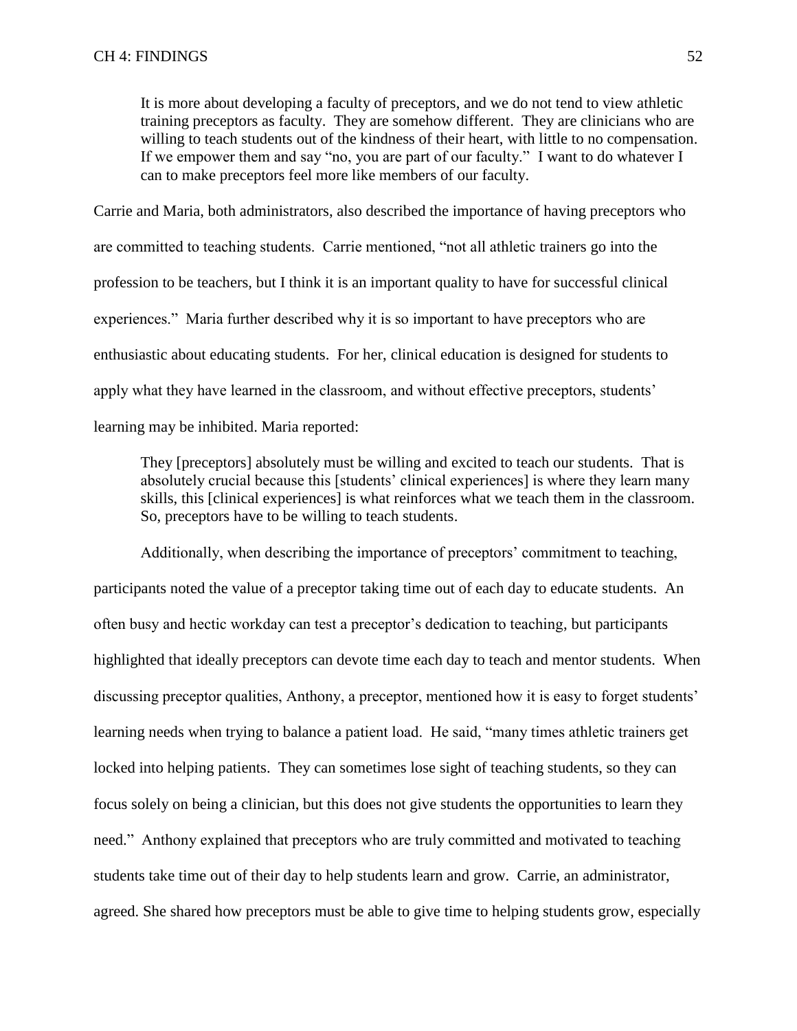It is more about developing a faculty of preceptors, and we do not tend to view athletic training preceptors as faculty. They are somehow different. They are clinicians who are willing to teach students out of the kindness of their heart, with little to no compensation. If we empower them and say "no, you are part of our faculty." I want to do whatever I can to make preceptors feel more like members of our faculty.

Carrie and Maria, both administrators, also described the importance of having preceptors who are committed to teaching students. Carrie mentioned, "not all athletic trainers go into the profession to be teachers, but I think it is an important quality to have for successful clinical experiences." Maria further described why it is so important to have preceptors who are enthusiastic about educating students. For her, clinical education is designed for students to apply what they have learned in the classroom, and without effective preceptors, students' learning may be inhibited. Maria reported:

They [preceptors] absolutely must be willing and excited to teach our students. That is absolutely crucial because this [students' clinical experiences] is where they learn many skills, this [clinical experiences] is what reinforces what we teach them in the classroom. So, preceptors have to be willing to teach students.

Additionally, when describing the importance of preceptors' commitment to teaching, participants noted the value of a preceptor taking time out of each day to educate students. An often busy and hectic workday can test a preceptor's dedication to teaching, but participants highlighted that ideally preceptors can devote time each day to teach and mentor students. When discussing preceptor qualities, Anthony, a preceptor, mentioned how it is easy to forget students' learning needs when trying to balance a patient load. He said, "many times athletic trainers get locked into helping patients. They can sometimes lose sight of teaching students, so they can focus solely on being a clinician, but this does not give students the opportunities to learn they need." Anthony explained that preceptors who are truly committed and motivated to teaching students take time out of their day to help students learn and grow. Carrie, an administrator, agreed. She shared how preceptors must be able to give time to helping students grow, especially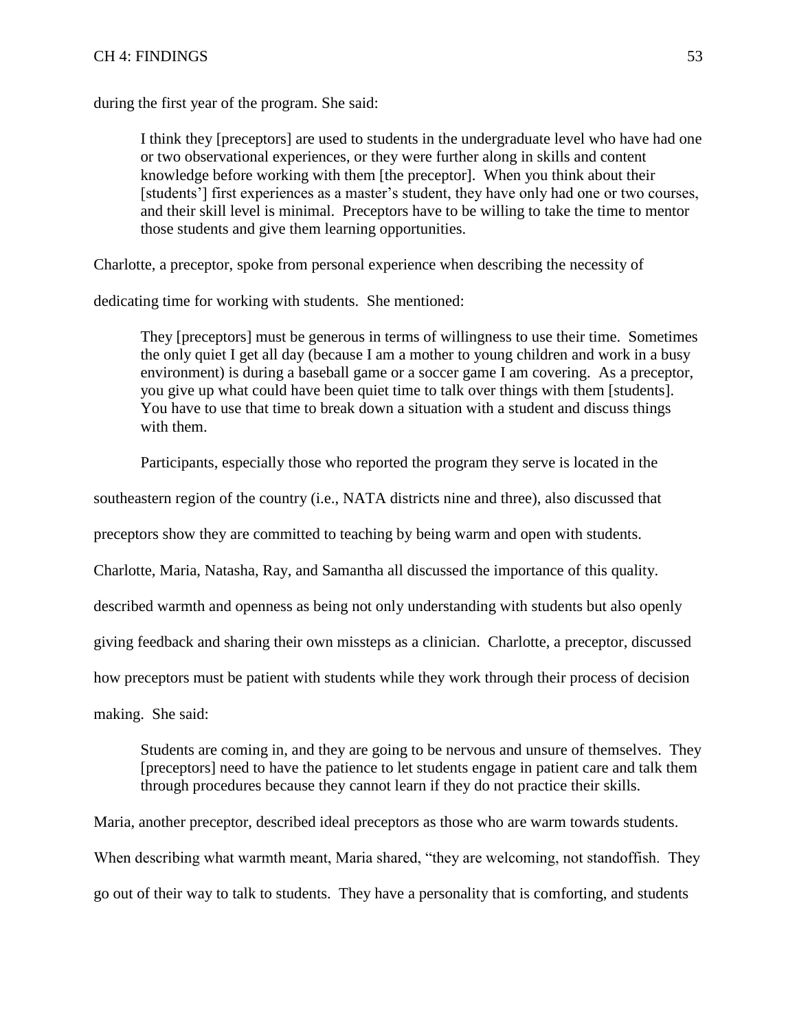## CH 4: FINDINGS 53

during the first year of the program. She said:

I think they [preceptors] are used to students in the undergraduate level who have had one or two observational experiences, or they were further along in skills and content knowledge before working with them [the preceptor]. When you think about their [students'] first experiences as a master's student, they have only had one or two courses, and their skill level is minimal. Preceptors have to be willing to take the time to mentor those students and give them learning opportunities.

Charlotte, a preceptor, spoke from personal experience when describing the necessity of

dedicating time for working with students. She mentioned:

They [preceptors] must be generous in terms of willingness to use their time. Sometimes the only quiet I get all day (because I am a mother to young children and work in a busy environment) is during a baseball game or a soccer game I am covering. As a preceptor, you give up what could have been quiet time to talk over things with them [students]. You have to use that time to break down a situation with a student and discuss things with them.

Participants, especially those who reported the program they serve is located in the

southeastern region of the country (i.e., NATA districts nine and three), also discussed that

preceptors show they are committed to teaching by being warm and open with students.

Charlotte, Maria, Natasha, Ray, and Samantha all discussed the importance of this quality.

described warmth and openness as being not only understanding with students but also openly

giving feedback and sharing their own missteps as a clinician. Charlotte, a preceptor, discussed

how preceptors must be patient with students while they work through their process of decision

making. She said:

Students are coming in, and they are going to be nervous and unsure of themselves. They [preceptors] need to have the patience to let students engage in patient care and talk them through procedures because they cannot learn if they do not practice their skills.

Maria, another preceptor, described ideal preceptors as those who are warm towards students.

When describing what warmth meant, Maria shared, "they are welcoming, not standoffish. They go out of their way to talk to students. They have a personality that is comforting, and students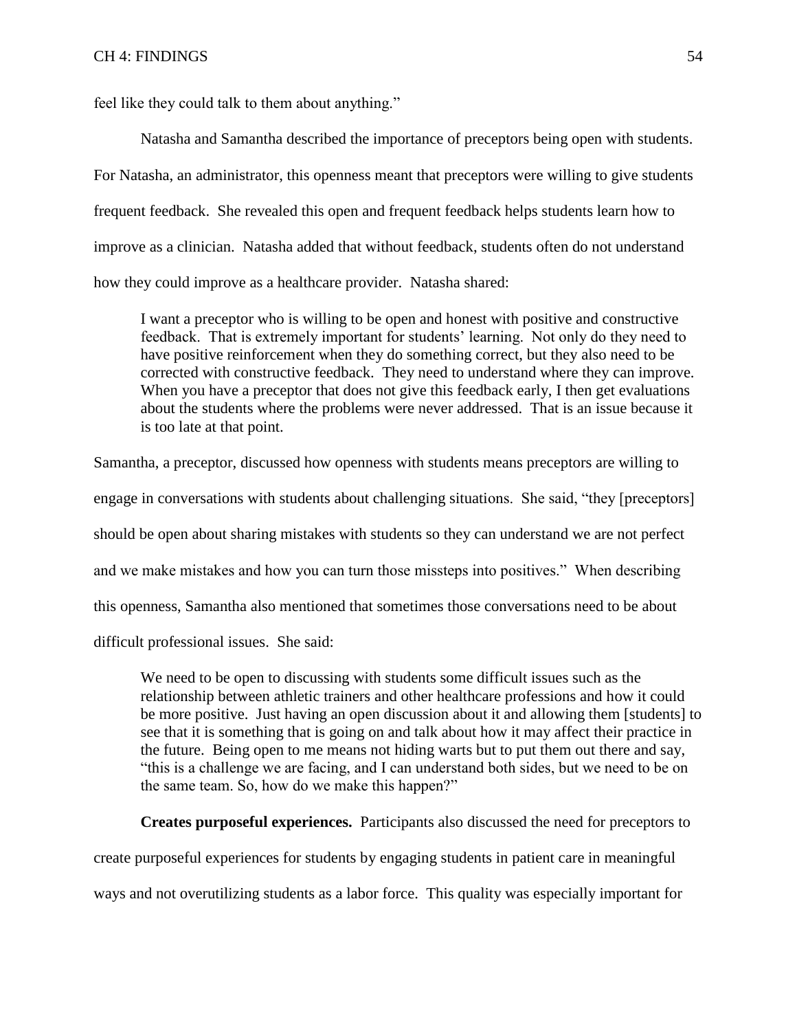feel like they could talk to them about anything."

Natasha and Samantha described the importance of preceptors being open with students. For Natasha, an administrator, this openness meant that preceptors were willing to give students frequent feedback. She revealed this open and frequent feedback helps students learn how to improve as a clinician. Natasha added that without feedback, students often do not understand how they could improve as a healthcare provider. Natasha shared:

I want a preceptor who is willing to be open and honest with positive and constructive feedback. That is extremely important for students' learning. Not only do they need to have positive reinforcement when they do something correct, but they also need to be corrected with constructive feedback. They need to understand where they can improve. When you have a preceptor that does not give this feedback early, I then get evaluations about the students where the problems were never addressed. That is an issue because it is too late at that point.

Samantha, a preceptor, discussed how openness with students means preceptors are willing to engage in conversations with students about challenging situations. She said, "they [preceptors] should be open about sharing mistakes with students so they can understand we are not perfect and we make mistakes and how you can turn those missteps into positives." When describing this openness, Samantha also mentioned that sometimes those conversations need to be about difficult professional issues. She said:

We need to be open to discussing with students some difficult issues such as the relationship between athletic trainers and other healthcare professions and how it could be more positive. Just having an open discussion about it and allowing them [students] to see that it is something that is going on and talk about how it may affect their practice in the future. Being open to me means not hiding warts but to put them out there and say, "this is a challenge we are facing, and I can understand both sides, but we need to be on the same team. So, how do we make this happen?"

**Creates purposeful experiences.** Participants also discussed the need for preceptors to

create purposeful experiences for students by engaging students in patient care in meaningful

ways and not overutilizing students as a labor force. This quality was especially important for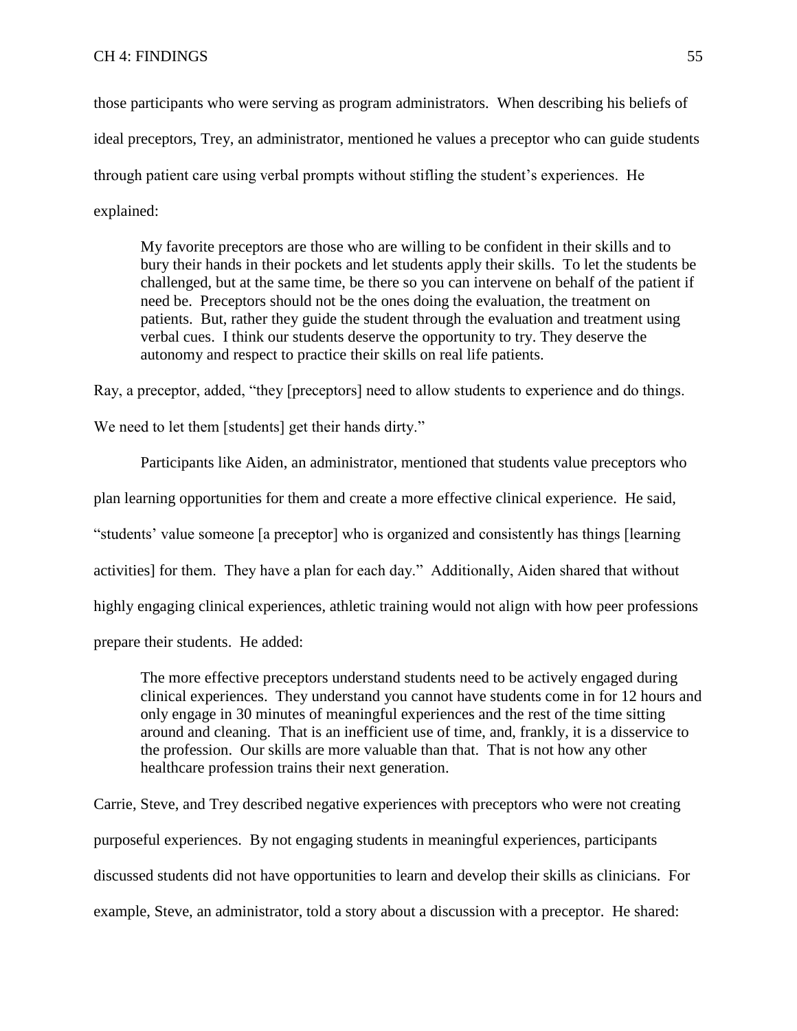## CH 4: FINDINGS 55

those participants who were serving as program administrators. When describing his beliefs of ideal preceptors, Trey, an administrator, mentioned he values a preceptor who can guide students through patient care using verbal prompts without stifling the student's experiences. He explained:

My favorite preceptors are those who are willing to be confident in their skills and to bury their hands in their pockets and let students apply their skills. To let the students be challenged, but at the same time, be there so you can intervene on behalf of the patient if need be. Preceptors should not be the ones doing the evaluation, the treatment on patients. But, rather they guide the student through the evaluation and treatment using verbal cues. I think our students deserve the opportunity to try. They deserve the autonomy and respect to practice their skills on real life patients.

Ray, a preceptor, added, "they [preceptors] need to allow students to experience and do things.

We need to let them [students] get their hands dirty."

Participants like Aiden, an administrator, mentioned that students value preceptors who plan learning opportunities for them and create a more effective clinical experience. He said, "students' value someone [a preceptor] who is organized and consistently has things [learning activities] for them. They have a plan for each day." Additionally, Aiden shared that without highly engaging clinical experiences, athletic training would not align with how peer professions prepare their students. He added:

The more effective preceptors understand students need to be actively engaged during clinical experiences. They understand you cannot have students come in for 12 hours and only engage in 30 minutes of meaningful experiences and the rest of the time sitting around and cleaning. That is an inefficient use of time, and, frankly, it is a disservice to the profession. Our skills are more valuable than that. That is not how any other healthcare profession trains their next generation.

Carrie, Steve, and Trey described negative experiences with preceptors who were not creating purposeful experiences. By not engaging students in meaningful experiences, participants discussed students did not have opportunities to learn and develop their skills as clinicians. For example, Steve, an administrator, told a story about a discussion with a preceptor. He shared: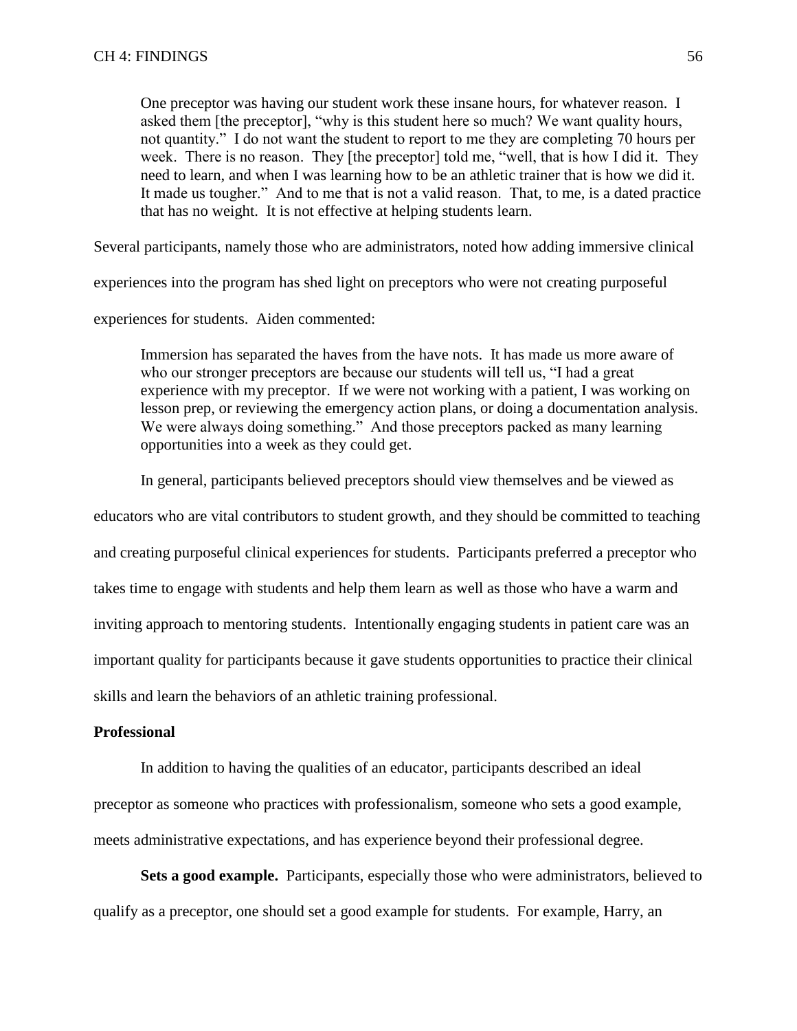One preceptor was having our student work these insane hours, for whatever reason. I asked them [the preceptor], "why is this student here so much? We want quality hours, not quantity." I do not want the student to report to me they are completing 70 hours per week. There is no reason. They [the preceptor] told me, "well, that is how I did it. They need to learn, and when I was learning how to be an athletic trainer that is how we did it. It made us tougher." And to me that is not a valid reason. That, to me, is a dated practice that has no weight. It is not effective at helping students learn.

Several participants, namely those who are administrators, noted how adding immersive clinical

experiences into the program has shed light on preceptors who were not creating purposeful

experiences for students. Aiden commented:

Immersion has separated the haves from the have nots. It has made us more aware of who our stronger preceptors are because our students will tell us, "I had a great experience with my preceptor. If we were not working with a patient, I was working on lesson prep, or reviewing the emergency action plans, or doing a documentation analysis. We were always doing something." And those preceptors packed as many learning opportunities into a week as they could get.

In general, participants believed preceptors should view themselves and be viewed as

educators who are vital contributors to student growth, and they should be committed to teaching and creating purposeful clinical experiences for students. Participants preferred a preceptor who takes time to engage with students and help them learn as well as those who have a warm and inviting approach to mentoring students. Intentionally engaging students in patient care was an important quality for participants because it gave students opportunities to practice their clinical skills and learn the behaviors of an athletic training professional.

# **Professional**

In addition to having the qualities of an educator, participants described an ideal preceptor as someone who practices with professionalism, someone who sets a good example, meets administrative expectations, and has experience beyond their professional degree.

**Sets a good example.** Participants, especially those who were administrators, believed to qualify as a preceptor, one should set a good example for students. For example, Harry, an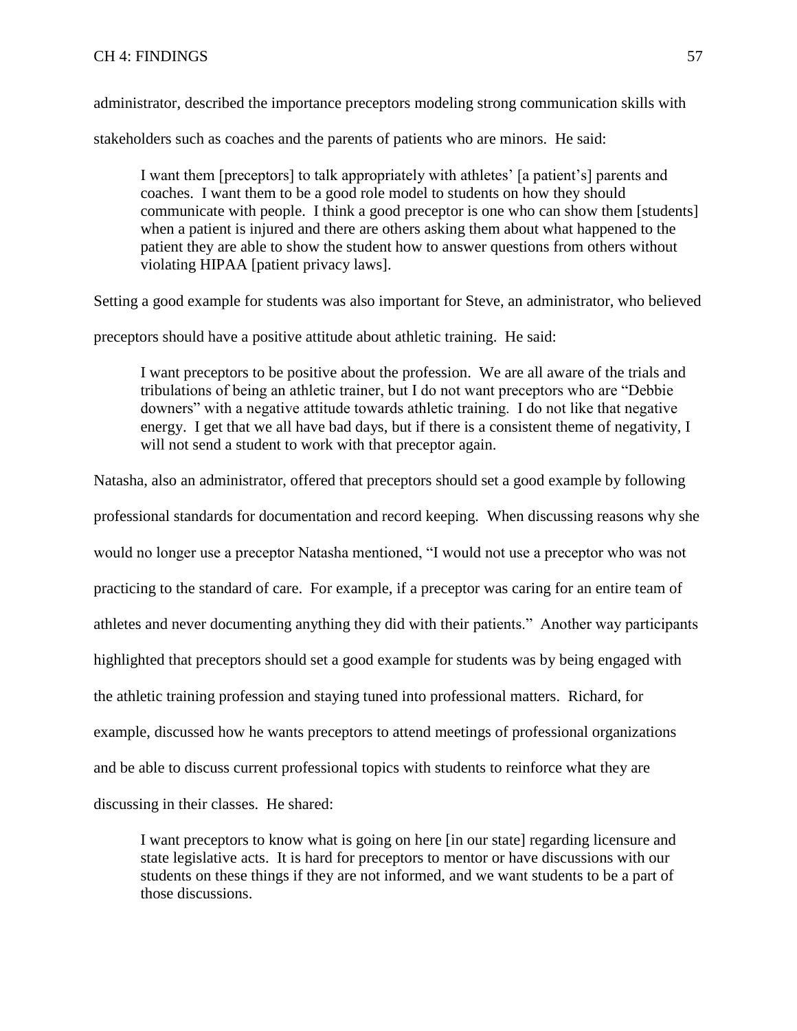# CH 4: FINDINGS 57

administrator, described the importance preceptors modeling strong communication skills with

stakeholders such as coaches and the parents of patients who are minors. He said:

I want them [preceptors] to talk appropriately with athletes' [a patient's] parents and coaches. I want them to be a good role model to students on how they should communicate with people. I think a good preceptor is one who can show them [students] when a patient is injured and there are others asking them about what happened to the patient they are able to show the student how to answer questions from others without violating HIPAA [patient privacy laws].

Setting a good example for students was also important for Steve, an administrator, who believed

preceptors should have a positive attitude about athletic training. He said:

I want preceptors to be positive about the profession. We are all aware of the trials and tribulations of being an athletic trainer, but I do not want preceptors who are "Debbie downers" with a negative attitude towards athletic training. I do not like that negative energy. I get that we all have bad days, but if there is a consistent theme of negativity, I will not send a student to work with that preceptor again.

Natasha, also an administrator, offered that preceptors should set a good example by following

professional standards for documentation and record keeping. When discussing reasons why she would no longer use a preceptor Natasha mentioned, "I would not use a preceptor who was not practicing to the standard of care. For example, if a preceptor was caring for an entire team of athletes and never documenting anything they did with their patients." Another way participants highlighted that preceptors should set a good example for students was by being engaged with the athletic training profession and staying tuned into professional matters. Richard, for example, discussed how he wants preceptors to attend meetings of professional organizations and be able to discuss current professional topics with students to reinforce what they are discussing in their classes. He shared:

I want preceptors to know what is going on here [in our state] regarding licensure and state legislative acts. It is hard for preceptors to mentor or have discussions with our students on these things if they are not informed, and we want students to be a part of those discussions.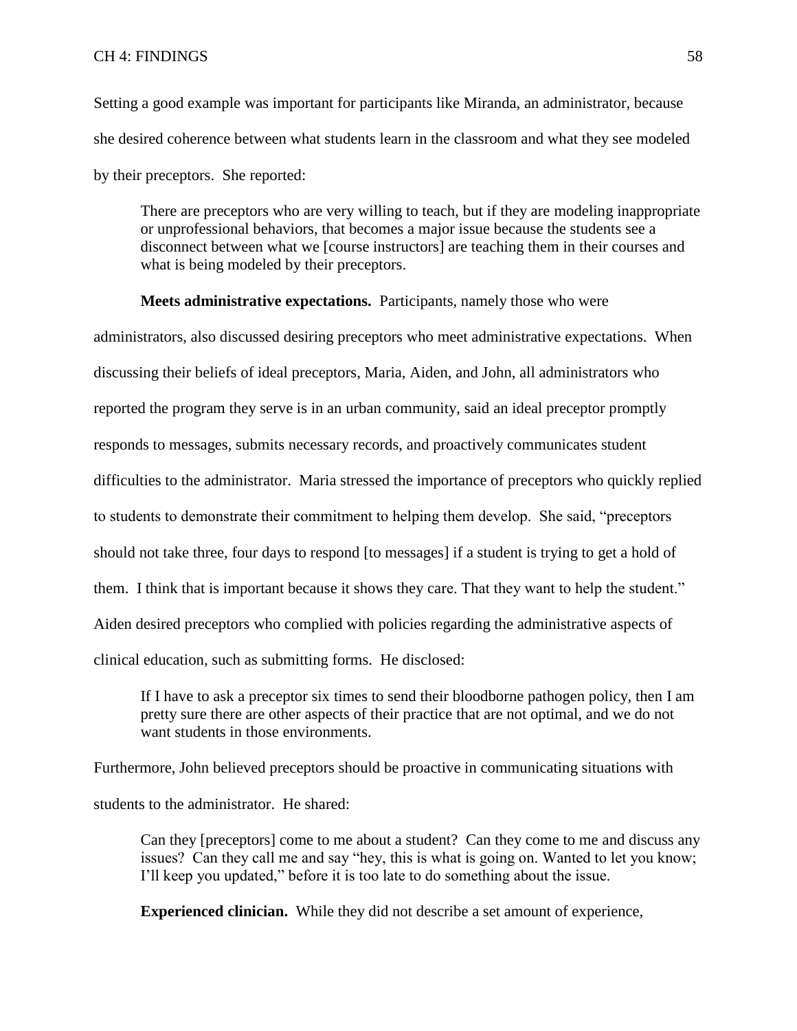Setting a good example was important for participants like Miranda, an administrator, because she desired coherence between what students learn in the classroom and what they see modeled by their preceptors. She reported:

There are preceptors who are very willing to teach, but if they are modeling inappropriate or unprofessional behaviors, that becomes a major issue because the students see a disconnect between what we [course instructors] are teaching them in their courses and what is being modeled by their preceptors.

**Meets administrative expectations.** Participants, namely those who were

administrators, also discussed desiring preceptors who meet administrative expectations. When discussing their beliefs of ideal preceptors, Maria, Aiden, and John, all administrators who reported the program they serve is in an urban community, said an ideal preceptor promptly responds to messages, submits necessary records, and proactively communicates student difficulties to the administrator. Maria stressed the importance of preceptors who quickly replied to students to demonstrate their commitment to helping them develop. She said, "preceptors should not take three, four days to respond [to messages] if a student is trying to get a hold of them. I think that is important because it shows they care. That they want to help the student." Aiden desired preceptors who complied with policies regarding the administrative aspects of clinical education, such as submitting forms. He disclosed:

If I have to ask a preceptor six times to send their bloodborne pathogen policy, then I am pretty sure there are other aspects of their practice that are not optimal, and we do not want students in those environments.

Furthermore, John believed preceptors should be proactive in communicating situations with students to the administrator. He shared:

Can they [preceptors] come to me about a student? Can they come to me and discuss any issues? Can they call me and say "hey, this is what is going on. Wanted to let you know; I'll keep you updated," before it is too late to do something about the issue.

**Experienced clinician.** While they did not describe a set amount of experience,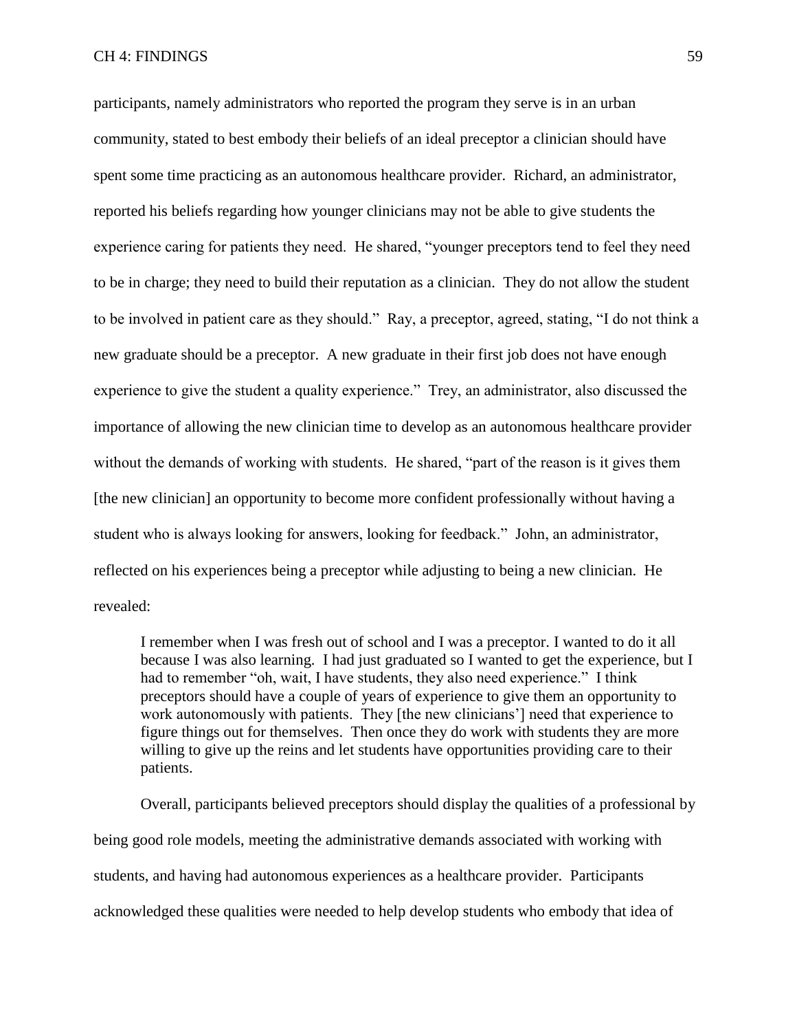participants, namely administrators who reported the program they serve is in an urban community, stated to best embody their beliefs of an ideal preceptor a clinician should have spent some time practicing as an autonomous healthcare provider. Richard, an administrator, reported his beliefs regarding how younger clinicians may not be able to give students the experience caring for patients they need. He shared, "younger preceptors tend to feel they need to be in charge; they need to build their reputation as a clinician. They do not allow the student to be involved in patient care as they should." Ray, a preceptor, agreed, stating, "I do not think a new graduate should be a preceptor. A new graduate in their first job does not have enough experience to give the student a quality experience." Trey, an administrator, also discussed the importance of allowing the new clinician time to develop as an autonomous healthcare provider without the demands of working with students. He shared, "part of the reason is it gives them [the new clinician] an opportunity to become more confident professionally without having a student who is always looking for answers, looking for feedback." John, an administrator, reflected on his experiences being a preceptor while adjusting to being a new clinician. He revealed:

I remember when I was fresh out of school and I was a preceptor. I wanted to do it all because I was also learning. I had just graduated so I wanted to get the experience, but I had to remember "oh, wait, I have students, they also need experience." I think preceptors should have a couple of years of experience to give them an opportunity to work autonomously with patients. They [the new clinicians'] need that experience to figure things out for themselves. Then once they do work with students they are more willing to give up the reins and let students have opportunities providing care to their patients.

Overall, participants believed preceptors should display the qualities of a professional by being good role models, meeting the administrative demands associated with working with students, and having had autonomous experiences as a healthcare provider. Participants acknowledged these qualities were needed to help develop students who embody that idea of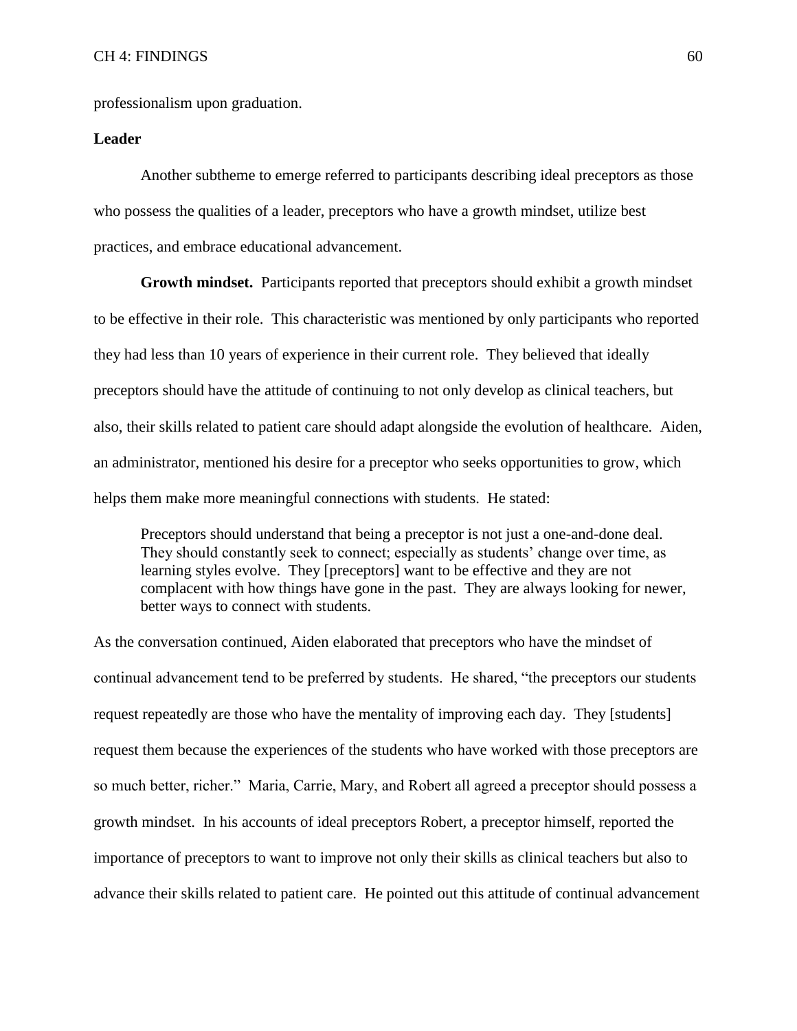professionalism upon graduation.

## **Leader**

Another subtheme to emerge referred to participants describing ideal preceptors as those who possess the qualities of a leader, preceptors who have a growth mindset, utilize best practices, and embrace educational advancement.

**Growth mindset.** Participants reported that preceptors should exhibit a growth mindset to be effective in their role. This characteristic was mentioned by only participants who reported they had less than 10 years of experience in their current role. They believed that ideally preceptors should have the attitude of continuing to not only develop as clinical teachers, but also, their skills related to patient care should adapt alongside the evolution of healthcare. Aiden, an administrator, mentioned his desire for a preceptor who seeks opportunities to grow, which helps them make more meaningful connections with students. He stated:

Preceptors should understand that being a preceptor is not just a one-and-done deal. They should constantly seek to connect; especially as students' change over time, as learning styles evolve. They [preceptors] want to be effective and they are not complacent with how things have gone in the past. They are always looking for newer, better ways to connect with students.

As the conversation continued, Aiden elaborated that preceptors who have the mindset of continual advancement tend to be preferred by students. He shared, "the preceptors our students request repeatedly are those who have the mentality of improving each day. They [students] request them because the experiences of the students who have worked with those preceptors are so much better, richer." Maria, Carrie, Mary, and Robert all agreed a preceptor should possess a growth mindset. In his accounts of ideal preceptors Robert, a preceptor himself, reported the importance of preceptors to want to improve not only their skills as clinical teachers but also to advance their skills related to patient care. He pointed out this attitude of continual advancement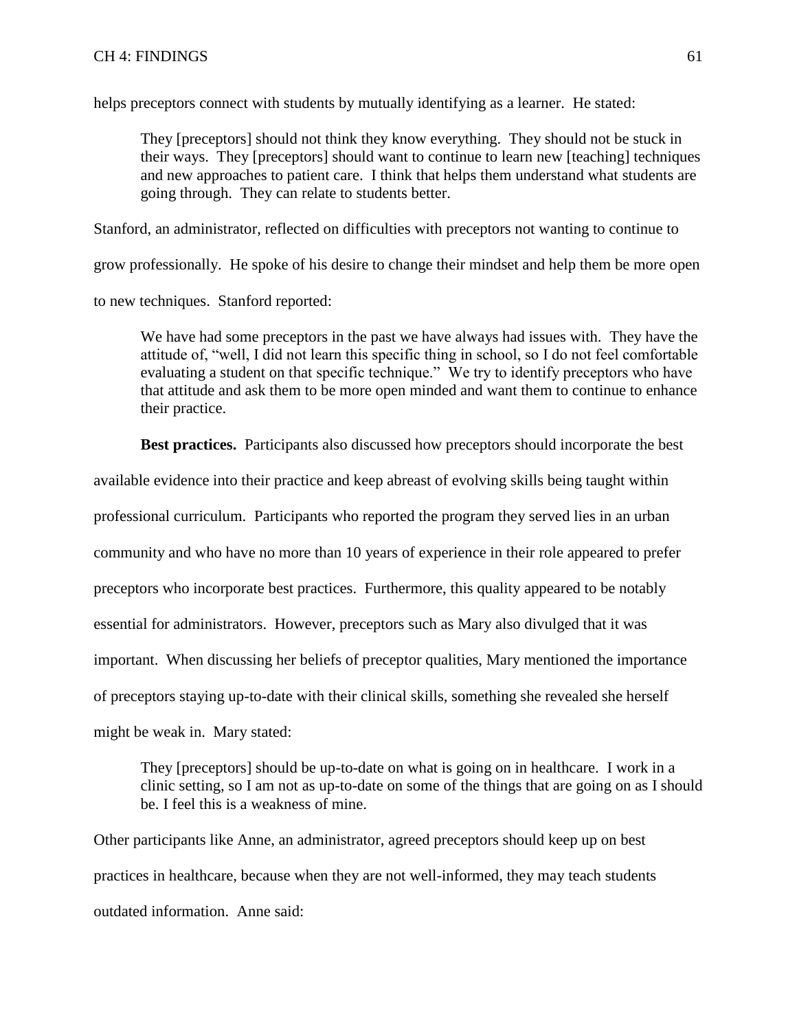helps preceptors connect with students by mutually identifying as a learner. He stated:

They [preceptors] should not think they know everything. They should not be stuck in their ways. They [preceptors] should want to continue to learn new [teaching] techniques and new approaches to patient care. I think that helps them understand what students are going through. They can relate to students better.

Stanford, an administrator, reflected on difficulties with preceptors not wanting to continue to

grow professionally. He spoke of his desire to change their mindset and help them be more open

to new techniques. Stanford reported:

We have had some preceptors in the past we have always had issues with. They have the attitude of, "well, I did not learn this specific thing in school, so I do not feel comfortable evaluating a student on that specific technique." We try to identify preceptors who have that attitude and ask them to be more open minded and want them to continue to enhance their practice.

**Best practices.** Participants also discussed how preceptors should incorporate the best

available evidence into their practice and keep abreast of evolving skills being taught within

professional curriculum. Participants who reported the program they served lies in an urban

community and who have no more than 10 years of experience in their role appeared to prefer

preceptors who incorporate best practices. Furthermore, this quality appeared to be notably

essential for administrators. However, preceptors such as Mary also divulged that it was

important. When discussing her beliefs of preceptor qualities, Mary mentioned the importance

of preceptors staying up-to-date with their clinical skills, something she revealed she herself

might be weak in. Mary stated:

They [preceptors] should be up-to-date on what is going on in healthcare. I work in a clinic setting, so I am not as up-to-date on some of the things that are going on as I should be. I feel this is a weakness of mine.

Other participants like Anne, an administrator, agreed preceptors should keep up on best practices in healthcare, because when they are not well-informed, they may teach students outdated information. Anne said: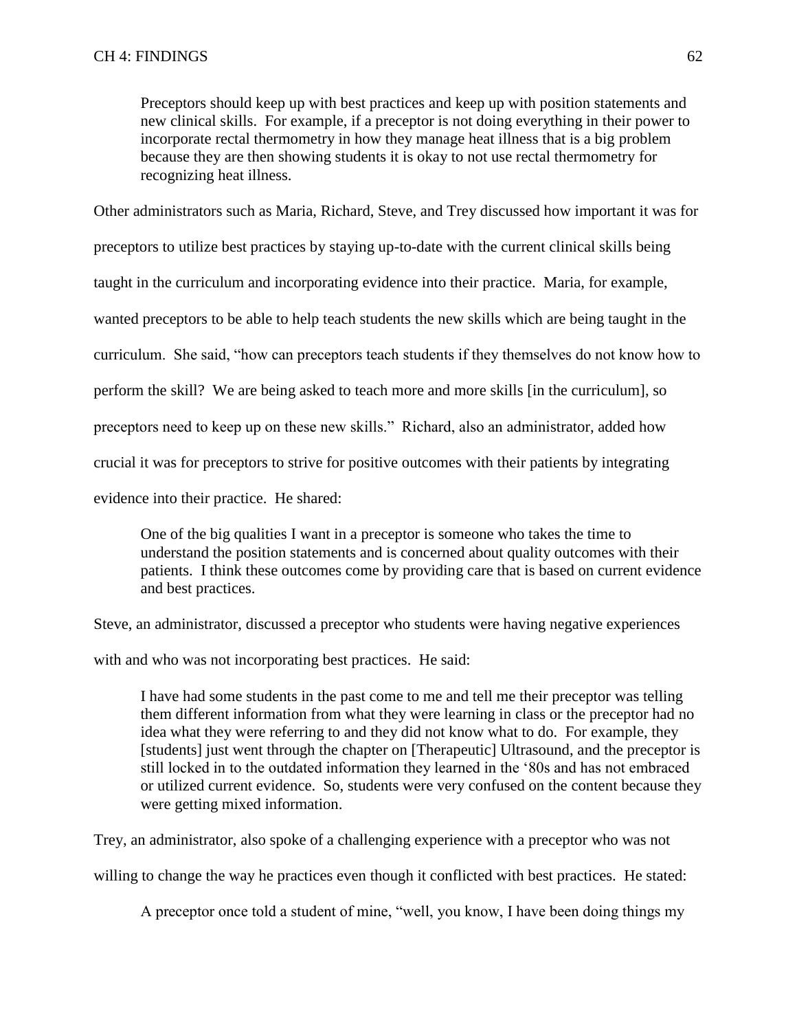Preceptors should keep up with best practices and keep up with position statements and new clinical skills. For example, if a preceptor is not doing everything in their power to incorporate rectal thermometry in how they manage heat illness that is a big problem because they are then showing students it is okay to not use rectal thermometry for recognizing heat illness.

Other administrators such as Maria, Richard, Steve, and Trey discussed how important it was for

preceptors to utilize best practices by staying up-to-date with the current clinical skills being

taught in the curriculum and incorporating evidence into their practice. Maria, for example,

wanted preceptors to be able to help teach students the new skills which are being taught in the

curriculum. She said, "how can preceptors teach students if they themselves do not know how to

perform the skill? We are being asked to teach more and more skills [in the curriculum], so

preceptors need to keep up on these new skills." Richard, also an administrator, added how

crucial it was for preceptors to strive for positive outcomes with their patients by integrating

evidence into their practice. He shared:

One of the big qualities I want in a preceptor is someone who takes the time to understand the position statements and is concerned about quality outcomes with their patients. I think these outcomes come by providing care that is based on current evidence and best practices.

Steve, an administrator, discussed a preceptor who students were having negative experiences

with and who was not incorporating best practices. He said:

I have had some students in the past come to me and tell me their preceptor was telling them different information from what they were learning in class or the preceptor had no idea what they were referring to and they did not know what to do. For example, they [students] just went through the chapter on [Therapeutic] Ultrasound, and the preceptor is still locked in to the outdated information they learned in the '80s and has not embraced or utilized current evidence. So, students were very confused on the content because they were getting mixed information.

Trey, an administrator, also spoke of a challenging experience with a preceptor who was not

willing to change the way he practices even though it conflicted with best practices. He stated:

A preceptor once told a student of mine, "well, you know, I have been doing things my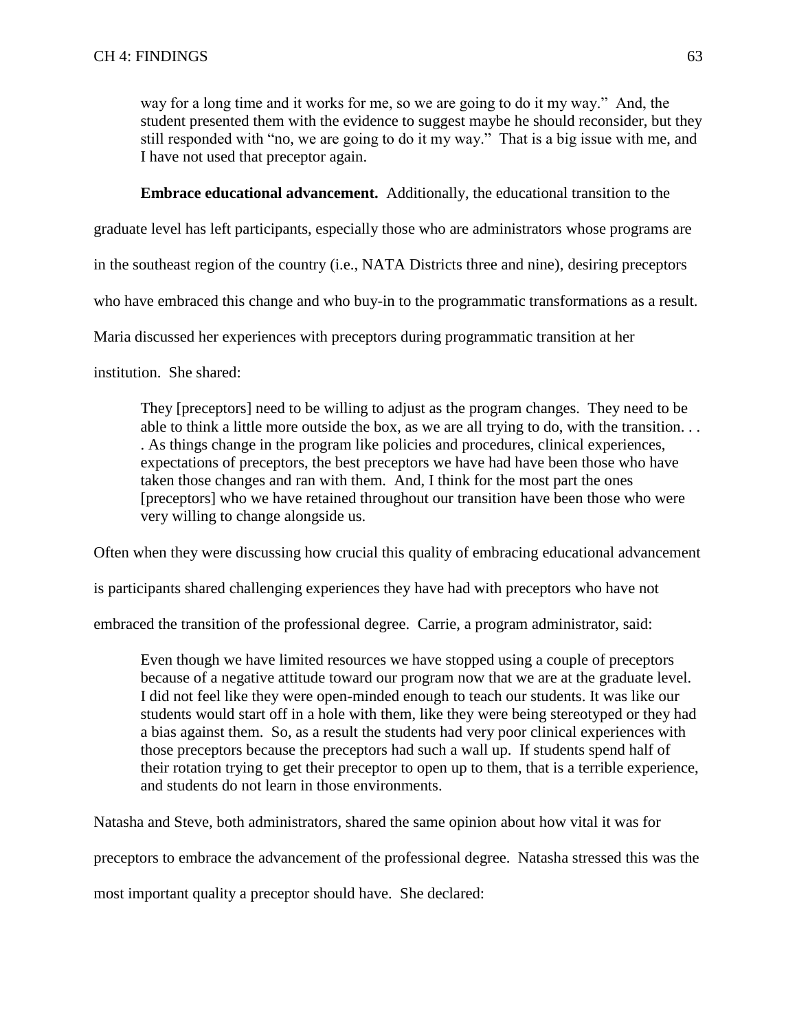way for a long time and it works for me, so we are going to do it my way." And, the student presented them with the evidence to suggest maybe he should reconsider, but they still responded with "no, we are going to do it my way." That is a big issue with me, and I have not used that preceptor again.

# **Embrace educational advancement.** Additionally, the educational transition to the

graduate level has left participants, especially those who are administrators whose programs are

in the southeast region of the country (i.e., NATA Districts three and nine), desiring preceptors

who have embraced this change and who buy-in to the programmatic transformations as a result.

Maria discussed her experiences with preceptors during programmatic transition at her

institution. She shared:

They [preceptors] need to be willing to adjust as the program changes. They need to be able to think a little more outside the box, as we are all trying to do, with the transition. . . . As things change in the program like policies and procedures, clinical experiences, expectations of preceptors, the best preceptors we have had have been those who have taken those changes and ran with them. And, I think for the most part the ones [preceptors] who we have retained throughout our transition have been those who were very willing to change alongside us.

Often when they were discussing how crucial this quality of embracing educational advancement

is participants shared challenging experiences they have had with preceptors who have not

embraced the transition of the professional degree. Carrie, a program administrator, said:

Even though we have limited resources we have stopped using a couple of preceptors because of a negative attitude toward our program now that we are at the graduate level. I did not feel like they were open-minded enough to teach our students. It was like our students would start off in a hole with them, like they were being stereotyped or they had a bias against them. So, as a result the students had very poor clinical experiences with those preceptors because the preceptors had such a wall up. If students spend half of their rotation trying to get their preceptor to open up to them, that is a terrible experience, and students do not learn in those environments.

Natasha and Steve, both administrators, shared the same opinion about how vital it was for

preceptors to embrace the advancement of the professional degree. Natasha stressed this was the

most important quality a preceptor should have. She declared: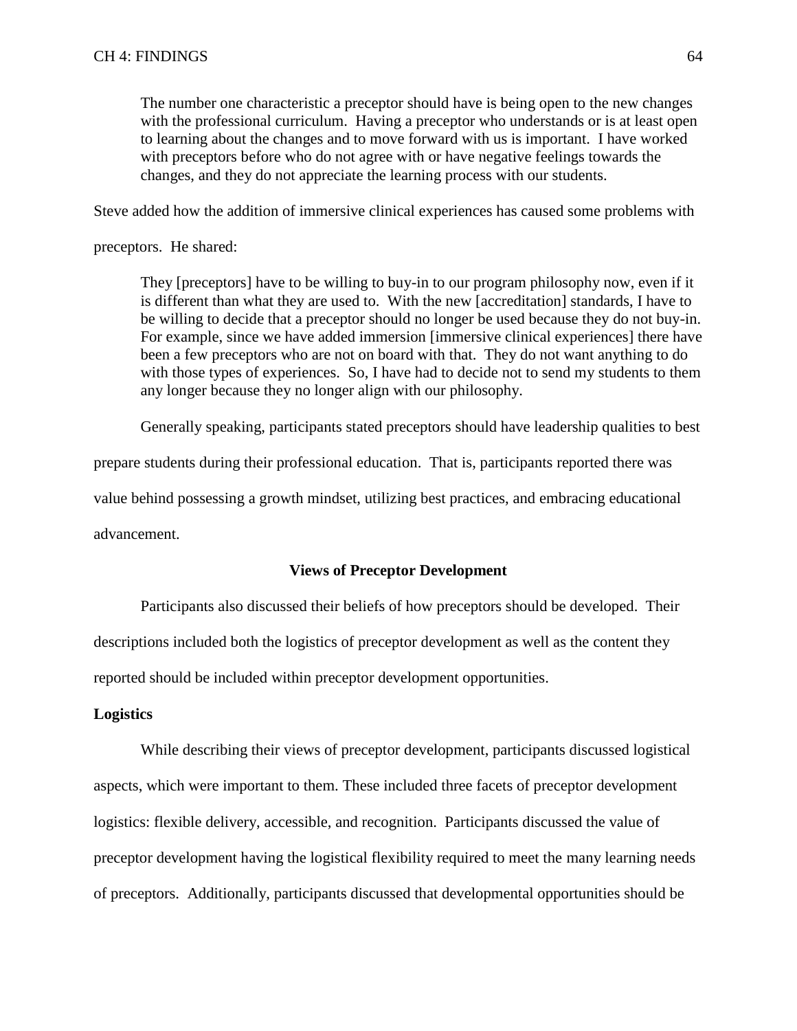The number one characteristic a preceptor should have is being open to the new changes with the professional curriculum. Having a preceptor who understands or is at least open to learning about the changes and to move forward with us is important. I have worked with preceptors before who do not agree with or have negative feelings towards the changes, and they do not appreciate the learning process with our students.

Steve added how the addition of immersive clinical experiences has caused some problems with

preceptors. He shared:

They [preceptors] have to be willing to buy-in to our program philosophy now, even if it is different than what they are used to. With the new [accreditation] standards, I have to be willing to decide that a preceptor should no longer be used because they do not buy-in. For example, since we have added immersion [immersive clinical experiences] there have been a few preceptors who are not on board with that. They do not want anything to do with those types of experiences. So, I have had to decide not to send my students to them any longer because they no longer align with our philosophy.

Generally speaking, participants stated preceptors should have leadership qualities to best

prepare students during their professional education. That is, participants reported there was

value behind possessing a growth mindset, utilizing best practices, and embracing educational

advancement.

#### **Views of Preceptor Development**

Participants also discussed their beliefs of how preceptors should be developed.Their descriptions included both the logistics of preceptor development as well as the content they reported should be included within preceptor development opportunities.

#### **Logistics**

While describing their views of preceptor development, participants discussed logistical aspects, which were important to them. These included three facets of preceptor development logistics: flexible delivery, accessible, and recognition. Participants discussed the value of preceptor development having the logistical flexibility required to meet the many learning needs of preceptors. Additionally, participants discussed that developmental opportunities should be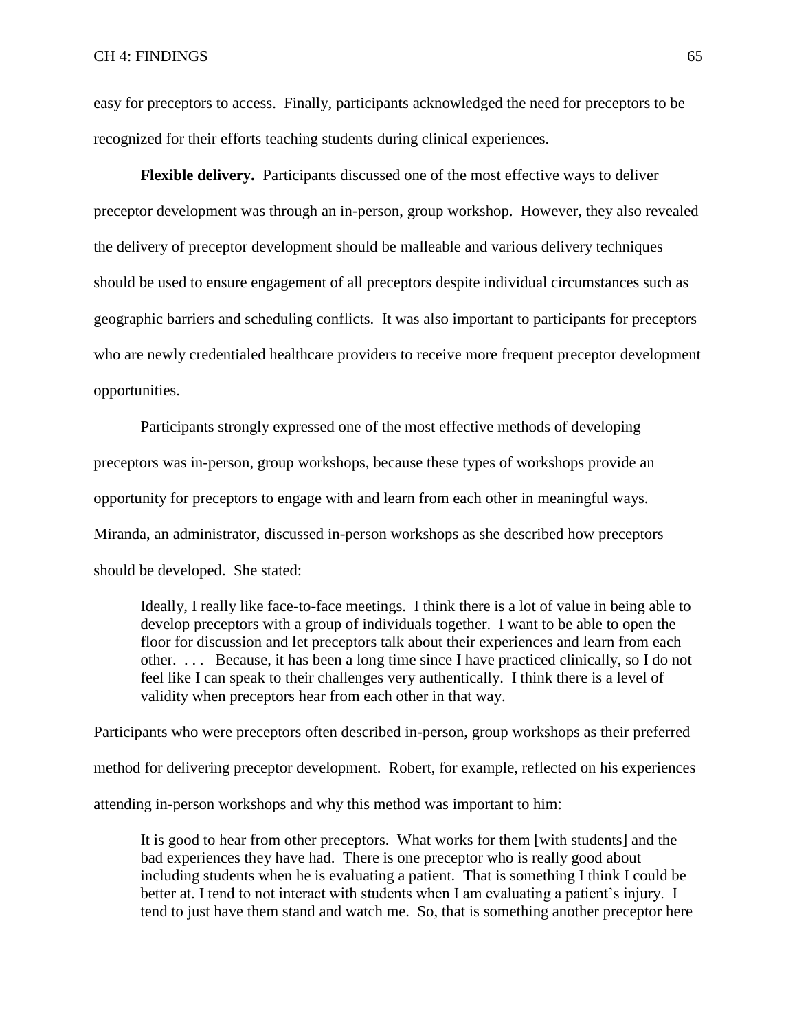easy for preceptors to access. Finally, participants acknowledged the need for preceptors to be recognized for their efforts teaching students during clinical experiences.

**Flexible delivery.** Participants discussed one of the most effective ways to deliver preceptor development was through an in-person, group workshop. However, they also revealed the delivery of preceptor development should be malleable and various delivery techniques should be used to ensure engagement of all preceptors despite individual circumstances such as geographic barriers and scheduling conflicts. It was also important to participants for preceptors who are newly credentialed healthcare providers to receive more frequent preceptor development opportunities.

Participants strongly expressed one of the most effective methods of developing preceptors was in-person, group workshops, because these types of workshops provide an opportunity for preceptors to engage with and learn from each other in meaningful ways. Miranda, an administrator, discussed in-person workshops as she described how preceptors should be developed. She stated:

Ideally, I really like face-to-face meetings. I think there is a lot of value in being able to develop preceptors with a group of individuals together. I want to be able to open the floor for discussion and let preceptors talk about their experiences and learn from each other. . . . Because, it has been a long time since I have practiced clinically, so I do not feel like I can speak to their challenges very authentically. I think there is a level of validity when preceptors hear from each other in that way.

Participants who were preceptors often described in-person, group workshops as their preferred method for delivering preceptor development. Robert, for example, reflected on his experiences attending in-person workshops and why this method was important to him:

It is good to hear from other preceptors. What works for them [with students] and the bad experiences they have had. There is one preceptor who is really good about including students when he is evaluating a patient. That is something I think I could be better at. I tend to not interact with students when I am evaluating a patient's injury. I tend to just have them stand and watch me. So, that is something another preceptor here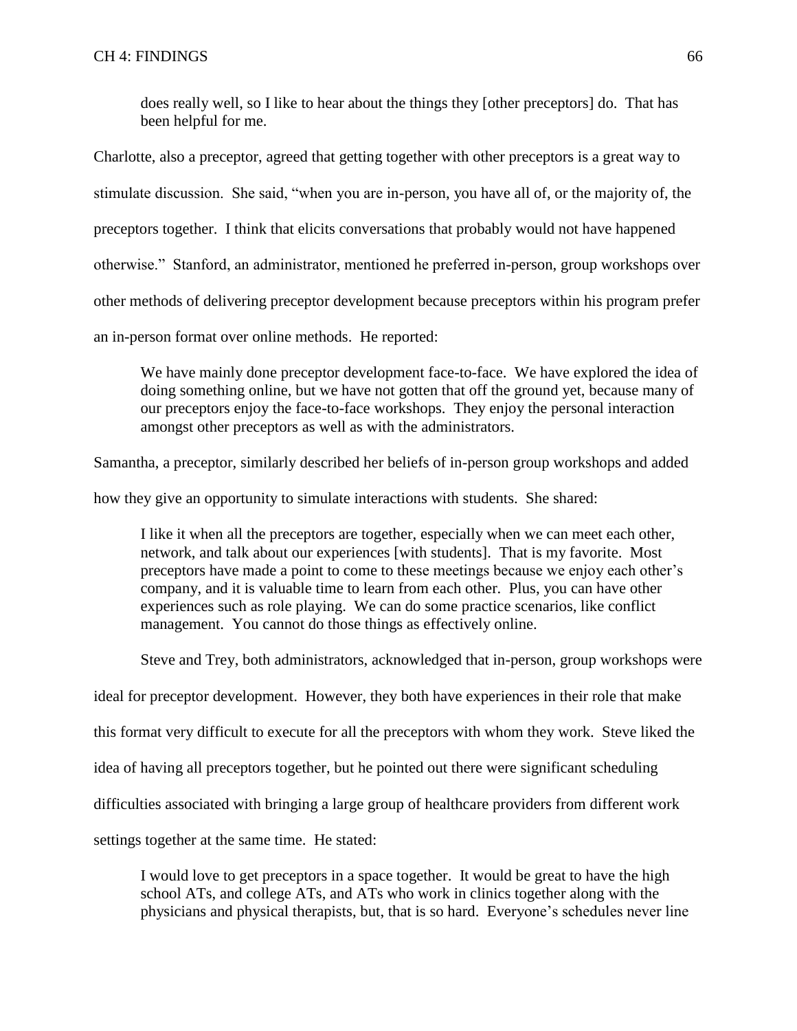does really well, so I like to hear about the things they [other preceptors] do. That has been helpful for me.

Charlotte, also a preceptor, agreed that getting together with other preceptors is a great way to stimulate discussion. She said, "when you are in-person, you have all of, or the majority of, the preceptors together. I think that elicits conversations that probably would not have happened otherwise." Stanford, an administrator, mentioned he preferred in-person, group workshops over other methods of delivering preceptor development because preceptors within his program prefer an in-person format over online methods. He reported:

We have mainly done preceptor development face-to-face. We have explored the idea of doing something online, but we have not gotten that off the ground yet, because many of our preceptors enjoy the face-to-face workshops. They enjoy the personal interaction amongst other preceptors as well as with the administrators.

Samantha, a preceptor, similarly described her beliefs of in-person group workshops and added

how they give an opportunity to simulate interactions with students. She shared:

I like it when all the preceptors are together, especially when we can meet each other, network, and talk about our experiences [with students]. That is my favorite. Most preceptors have made a point to come to these meetings because we enjoy each other's company, and it is valuable time to learn from each other. Plus, you can have other experiences such as role playing. We can do some practice scenarios, like conflict management. You cannot do those things as effectively online.

Steve and Trey, both administrators, acknowledged that in-person, group workshops were

ideal for preceptor development. However, they both have experiences in their role that make

this format very difficult to execute for all the preceptors with whom they work. Steve liked the

idea of having all preceptors together, but he pointed out there were significant scheduling

difficulties associated with bringing a large group of healthcare providers from different work

settings together at the same time. He stated:

I would love to get preceptors in a space together. It would be great to have the high school ATs, and college ATs, and ATs who work in clinics together along with the physicians and physical therapists, but, that is so hard. Everyone's schedules never line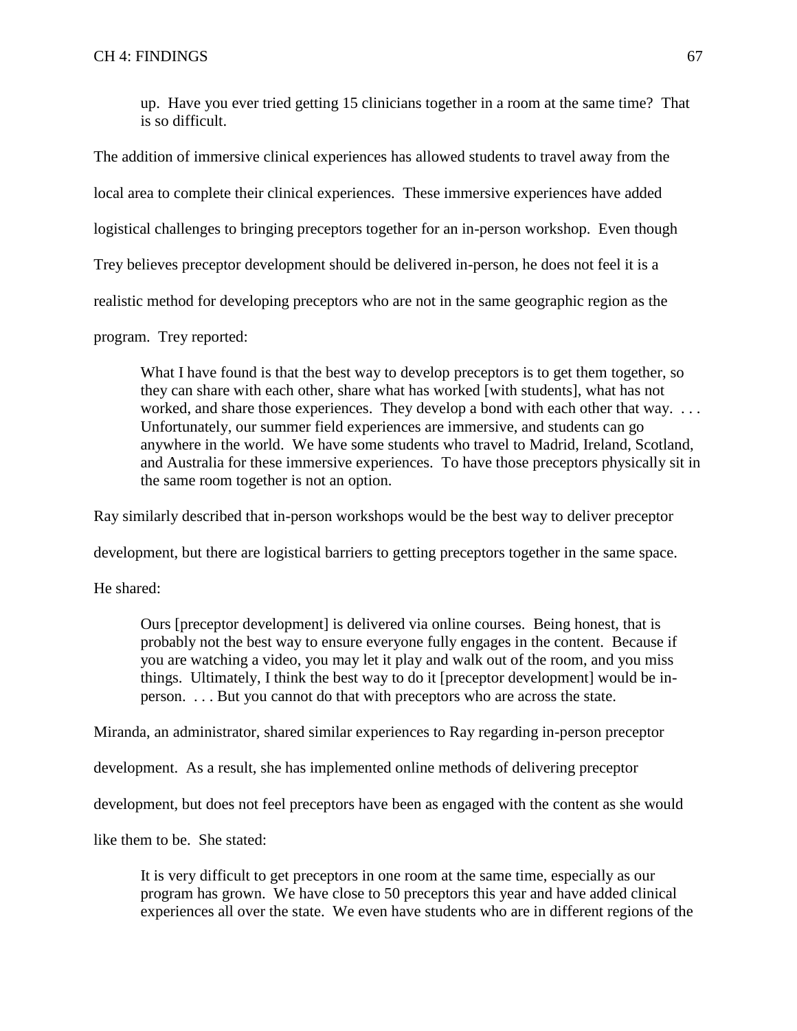up. Have you ever tried getting 15 clinicians together in a room at the same time? That is so difficult.

The addition of immersive clinical experiences has allowed students to travel away from the local area to complete their clinical experiences. These immersive experiences have added logistical challenges to bringing preceptors together for an in-person workshop. Even though Trey believes preceptor development should be delivered in-person, he does not feel it is a realistic method for developing preceptors who are not in the same geographic region as the program. Trey reported:

What I have found is that the best way to develop preceptors is to get them together, so they can share with each other, share what has worked [with students], what has not worked, and share those experiences. They develop a bond with each other that way. ... Unfortunately, our summer field experiences are immersive, and students can go anywhere in the world. We have some students who travel to Madrid, Ireland, Scotland, and Australia for these immersive experiences. To have those preceptors physically sit in the same room together is not an option.

Ray similarly described that in-person workshops would be the best way to deliver preceptor

development, but there are logistical barriers to getting preceptors together in the same space.

He shared:

Ours [preceptor development] is delivered via online courses. Being honest, that is probably not the best way to ensure everyone fully engages in the content. Because if you are watching a video, you may let it play and walk out of the room, and you miss things. Ultimately, I think the best way to do it [preceptor development] would be inperson. . . . But you cannot do that with preceptors who are across the state.

Miranda, an administrator, shared similar experiences to Ray regarding in-person preceptor

development. As a result, she has implemented online methods of delivering preceptor

development, but does not feel preceptors have been as engaged with the content as she would

like them to be. She stated:

It is very difficult to get preceptors in one room at the same time, especially as our program has grown. We have close to 50 preceptors this year and have added clinical experiences all over the state. We even have students who are in different regions of the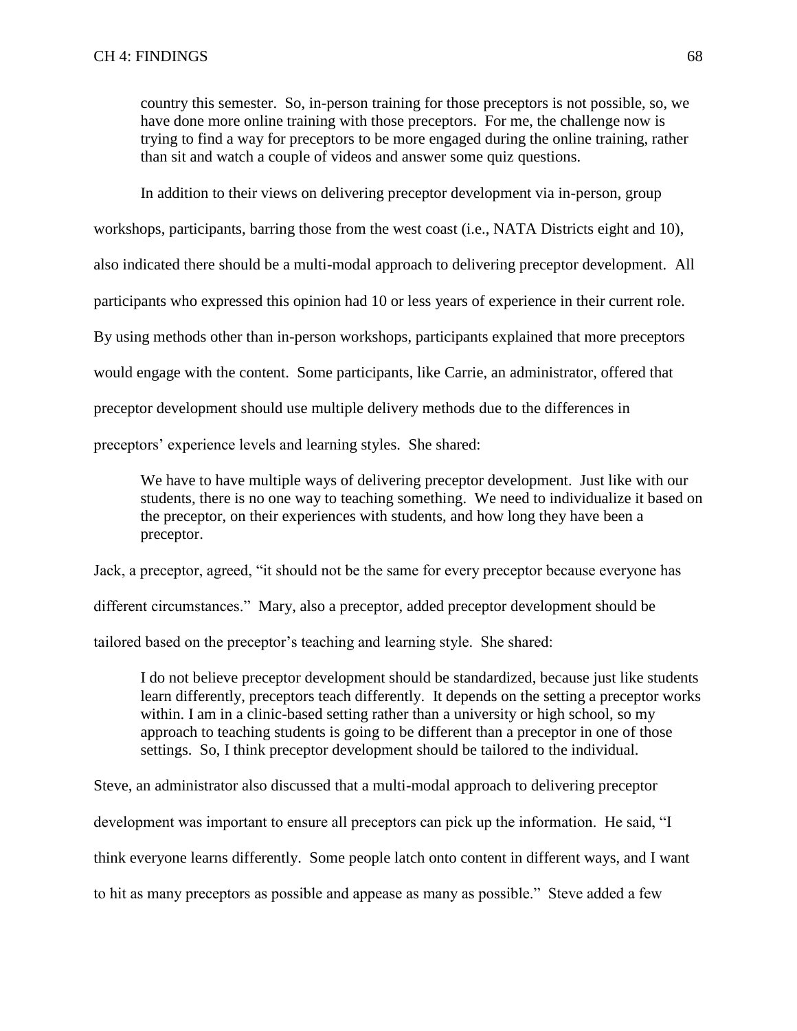country this semester. So, in-person training for those preceptors is not possible, so, we have done more online training with those preceptors. For me, the challenge now is trying to find a way for preceptors to be more engaged during the online training, rather than sit and watch a couple of videos and answer some quiz questions.

In addition to their views on delivering preceptor development via in-person, group

workshops, participants, barring those from the west coast (i.e., NATA Districts eight and 10),

also indicated there should be a multi-modal approach to delivering preceptor development. All

participants who expressed this opinion had 10 or less years of experience in their current role.

By using methods other than in-person workshops, participants explained that more preceptors

would engage with the content. Some participants, like Carrie, an administrator, offered that

preceptor development should use multiple delivery methods due to the differences in

preceptors' experience levels and learning styles. She shared:

We have to have multiple ways of delivering preceptor development. Just like with our students, there is no one way to teaching something. We need to individualize it based on the preceptor, on their experiences with students, and how long they have been a preceptor.

Jack, a preceptor, agreed, "it should not be the same for every preceptor because everyone has

different circumstances." Mary, also a preceptor, added preceptor development should be

tailored based on the preceptor's teaching and learning style. She shared:

I do not believe preceptor development should be standardized, because just like students learn differently, preceptors teach differently. It depends on the setting a preceptor works within. I am in a clinic-based setting rather than a university or high school, so my approach to teaching students is going to be different than a preceptor in one of those settings. So, I think preceptor development should be tailored to the individual.

Steve, an administrator also discussed that a multi-modal approach to delivering preceptor development was important to ensure all preceptors can pick up the information. He said, "I think everyone learns differently. Some people latch onto content in different ways, and I want to hit as many preceptors as possible and appease as many as possible." Steve added a few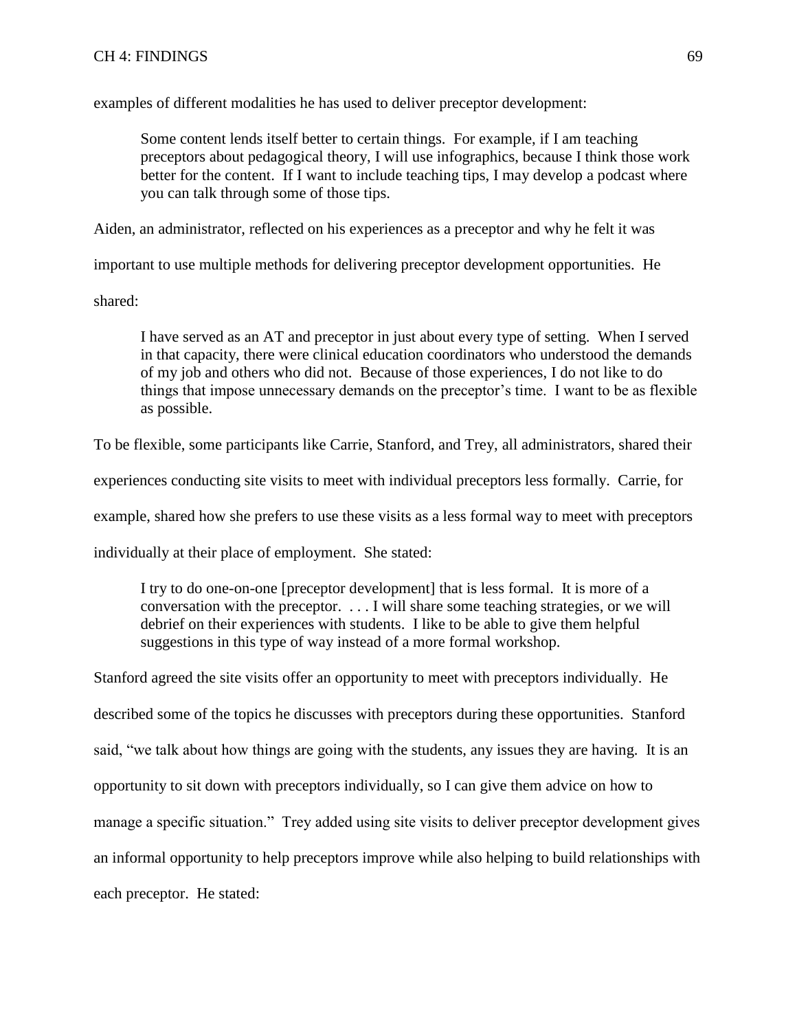examples of different modalities he has used to deliver preceptor development:

Some content lends itself better to certain things. For example, if I am teaching preceptors about pedagogical theory, I will use infographics, because I think those work better for the content. If I want to include teaching tips, I may develop a podcast where you can talk through some of those tips.

Aiden, an administrator, reflected on his experiences as a preceptor and why he felt it was

important to use multiple methods for delivering preceptor development opportunities. He

shared:

I have served as an AT and preceptor in just about every type of setting. When I served in that capacity, there were clinical education coordinators who understood the demands of my job and others who did not. Because of those experiences, I do not like to do things that impose unnecessary demands on the preceptor's time. I want to be as flexible as possible.

To be flexible, some participants like Carrie, Stanford, and Trey, all administrators, shared their

experiences conducting site visits to meet with individual preceptors less formally. Carrie, for

example, shared how she prefers to use these visits as a less formal way to meet with preceptors

individually at their place of employment. She stated:

I try to do one-on-one [preceptor development] that is less formal. It is more of a conversation with the preceptor. . . . I will share some teaching strategies, or we will debrief on their experiences with students. I like to be able to give them helpful suggestions in this type of way instead of a more formal workshop.

Stanford agreed the site visits offer an opportunity to meet with preceptors individually. He described some of the topics he discusses with preceptors during these opportunities. Stanford said, "we talk about how things are going with the students, any issues they are having. It is an opportunity to sit down with preceptors individually, so I can give them advice on how to manage a specific situation." Trey added using site visits to deliver preceptor development gives an informal opportunity to help preceptors improve while also helping to build relationships with each preceptor. He stated: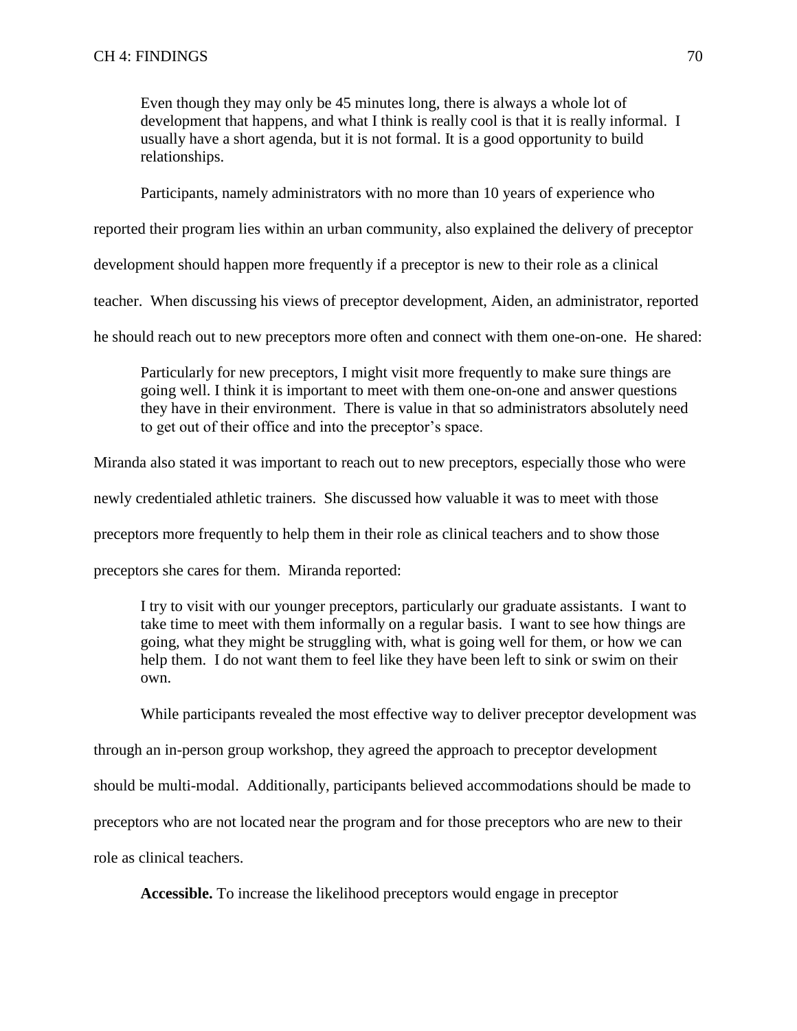Even though they may only be 45 minutes long, there is always a whole lot of development that happens, and what I think is really cool is that it is really informal. I usually have a short agenda, but it is not formal. It is a good opportunity to build relationships.

Participants, namely administrators with no more than 10 years of experience who

reported their program lies within an urban community, also explained the delivery of preceptor

development should happen more frequently if a preceptor is new to their role as a clinical

teacher. When discussing his views of preceptor development, Aiden, an administrator, reported

he should reach out to new preceptors more often and connect with them one-on-one. He shared:

Particularly for new preceptors, I might visit more frequently to make sure things are going well. I think it is important to meet with them one-on-one and answer questions they have in their environment. There is value in that so administrators absolutely need to get out of their office and into the preceptor's space.

Miranda also stated it was important to reach out to new preceptors, especially those who were

newly credentialed athletic trainers. She discussed how valuable it was to meet with those

preceptors more frequently to help them in their role as clinical teachers and to show those

preceptors she cares for them. Miranda reported:

I try to visit with our younger preceptors, particularly our graduate assistants. I want to take time to meet with them informally on a regular basis. I want to see how things are going, what they might be struggling with, what is going well for them, or how we can help them. I do not want them to feel like they have been left to sink or swim on their own.

While participants revealed the most effective way to deliver preceptor development was

through an in-person group workshop, they agreed the approach to preceptor development

should be multi-modal. Additionally, participants believed accommodations should be made to

preceptors who are not located near the program and for those preceptors who are new to their

role as clinical teachers.

**Accessible.** To increase the likelihood preceptors would engage in preceptor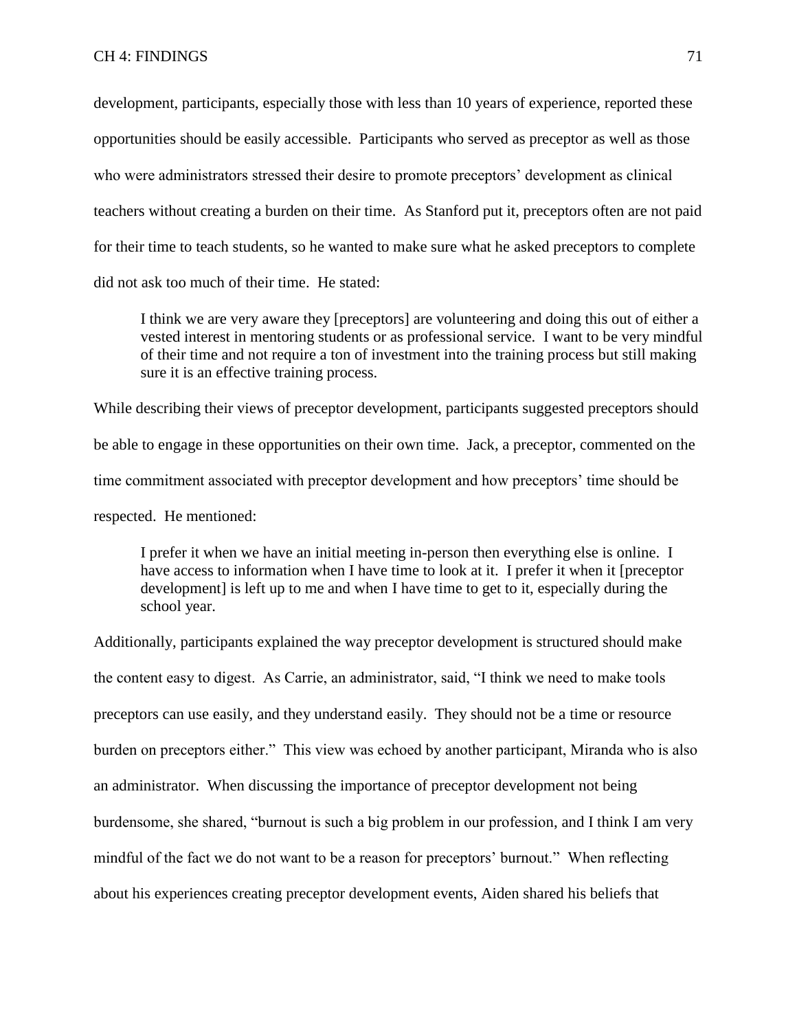development, participants, especially those with less than 10 years of experience, reported these opportunities should be easily accessible. Participants who served as preceptor as well as those who were administrators stressed their desire to promote preceptors' development as clinical teachers without creating a burden on their time. As Stanford put it, preceptors often are not paid for their time to teach students, so he wanted to make sure what he asked preceptors to complete did not ask too much of their time. He stated:

I think we are very aware they [preceptors] are volunteering and doing this out of either a vested interest in mentoring students or as professional service. I want to be very mindful of their time and not require a ton of investment into the training process but still making sure it is an effective training process.

While describing their views of preceptor development, participants suggested preceptors should be able to engage in these opportunities on their own time. Jack, a preceptor, commented on the time commitment associated with preceptor development and how preceptors' time should be respected. He mentioned:

I prefer it when we have an initial meeting in-person then everything else is online. I have access to information when I have time to look at it. I prefer it when it [preceptor development] is left up to me and when I have time to get to it, especially during the school year.

Additionally, participants explained the way preceptor development is structured should make the content easy to digest. As Carrie, an administrator, said, "I think we need to make tools preceptors can use easily, and they understand easily. They should not be a time or resource burden on preceptors either." This view was echoed by another participant, Miranda who is also an administrator. When discussing the importance of preceptor development not being burdensome, she shared, "burnout is such a big problem in our profession, and I think I am very mindful of the fact we do not want to be a reason for preceptors' burnout." When reflecting about his experiences creating preceptor development events, Aiden shared his beliefs that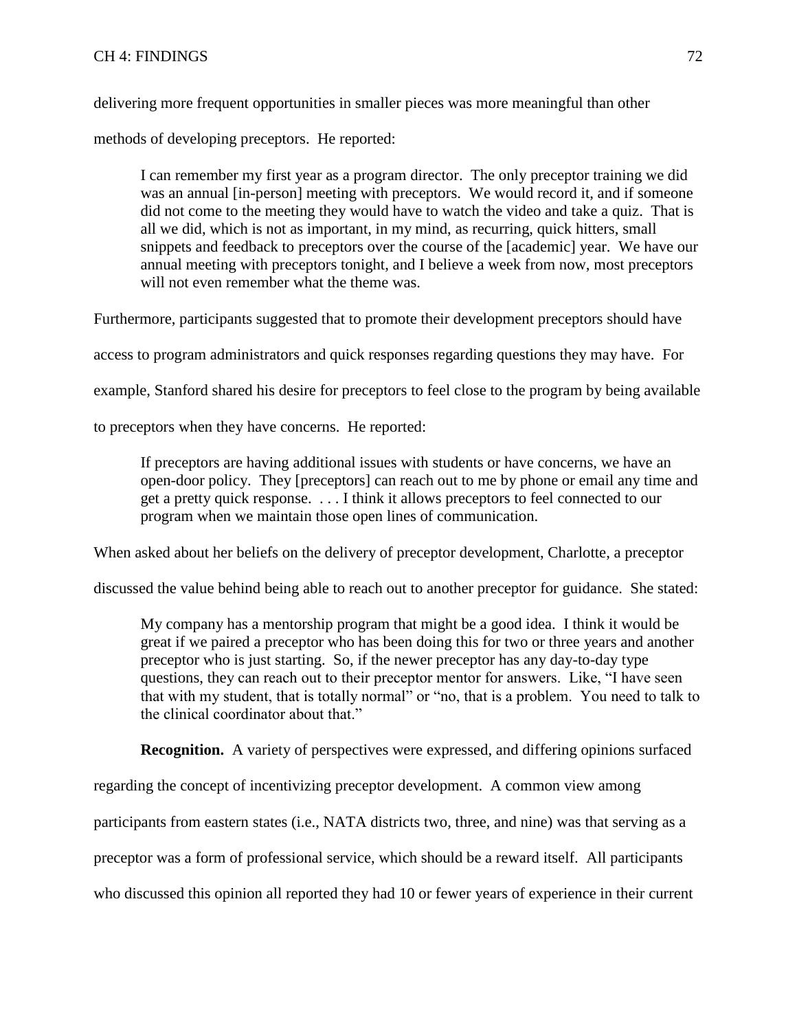# CH 4: FINDINGS 72

delivering more frequent opportunities in smaller pieces was more meaningful than other

methods of developing preceptors. He reported:

I can remember my first year as a program director. The only preceptor training we did was an annual [in-person] meeting with preceptors. We would record it, and if someone did not come to the meeting they would have to watch the video and take a quiz. That is all we did, which is not as important, in my mind, as recurring, quick hitters, small snippets and feedback to preceptors over the course of the [academic] year. We have our annual meeting with preceptors tonight, and I believe a week from now, most preceptors will not even remember what the theme was.

Furthermore, participants suggested that to promote their development preceptors should have

access to program administrators and quick responses regarding questions they may have. For

example, Stanford shared his desire for preceptors to feel close to the program by being available

to preceptors when they have concerns. He reported:

If preceptors are having additional issues with students or have concerns, we have an open-door policy. They [preceptors] can reach out to me by phone or email any time and get a pretty quick response. . . . I think it allows preceptors to feel connected to our program when we maintain those open lines of communication.

When asked about her beliefs on the delivery of preceptor development, Charlotte, a preceptor

discussed the value behind being able to reach out to another preceptor for guidance. She stated:

My company has a mentorship program that might be a good idea. I think it would be great if we paired a preceptor who has been doing this for two or three years and another preceptor who is just starting. So, if the newer preceptor has any day-to-day type questions, they can reach out to their preceptor mentor for answers. Like, "I have seen that with my student, that is totally normal" or "no, that is a problem. You need to talk to the clinical coordinator about that."

**Recognition.** A variety of perspectives were expressed, and differing opinions surfaced

regarding the concept of incentivizing preceptor development. A common view among

participants from eastern states (i.e., NATA districts two, three, and nine) was that serving as a

preceptor was a form of professional service, which should be a reward itself. All participants

who discussed this opinion all reported they had 10 or fewer years of experience in their current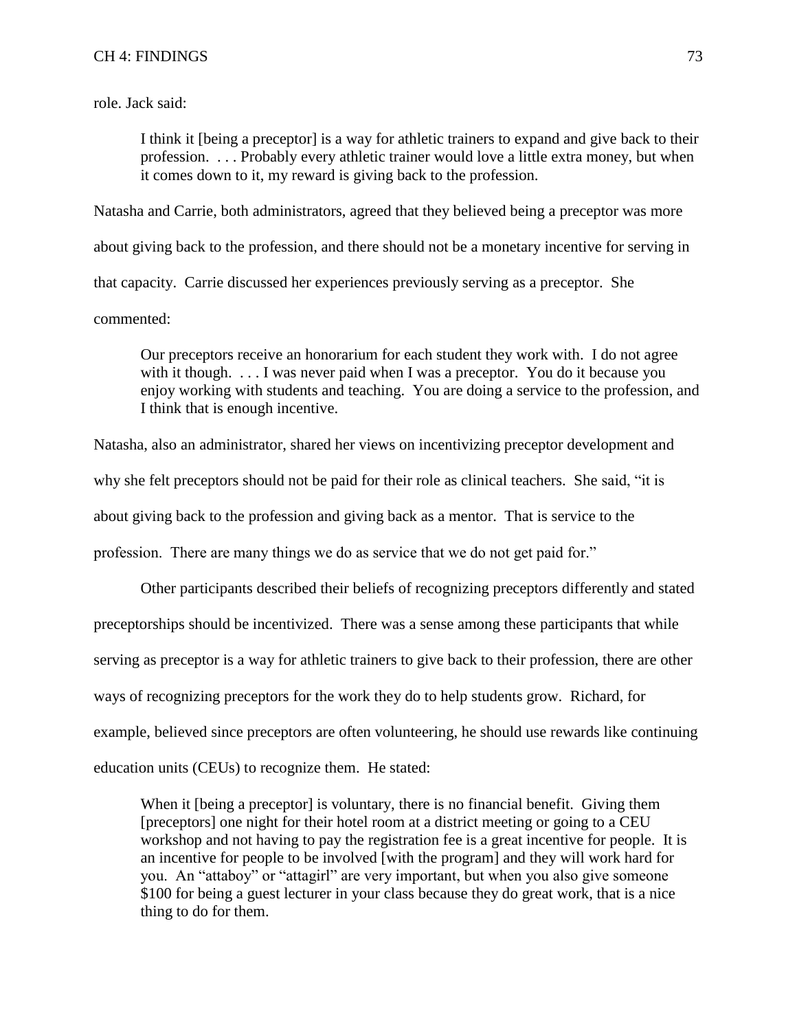role. Jack said:

I think it [being a preceptor] is a way for athletic trainers to expand and give back to their profession. . . . Probably every athletic trainer would love a little extra money, but when it comes down to it, my reward is giving back to the profession.

Natasha and Carrie, both administrators, agreed that they believed being a preceptor was more about giving back to the profession, and there should not be a monetary incentive for serving in that capacity. Carrie discussed her experiences previously serving as a preceptor. She commented:

Our preceptors receive an honorarium for each student they work with. I do not agree with it though. . . . I was never paid when I was a preceptor. You do it because you enjoy working with students and teaching. You are doing a service to the profession, and I think that is enough incentive.

Natasha, also an administrator, shared her views on incentivizing preceptor development and why she felt preceptors should not be paid for their role as clinical teachers. She said, "it is about giving back to the profession and giving back as a mentor. That is service to the profession. There are many things we do as service that we do not get paid for."

Other participants described their beliefs of recognizing preceptors differently and stated preceptorships should be incentivized. There was a sense among these participants that while serving as preceptor is a way for athletic trainers to give back to their profession, there are other ways of recognizing preceptors for the work they do to help students grow. Richard, for example, believed since preceptors are often volunteering, he should use rewards like continuing education units (CEUs) to recognize them. He stated:

When it [being a preceptor] is voluntary, there is no financial benefit. Giving them [preceptors] one night for their hotel room at a district meeting or going to a CEU workshop and not having to pay the registration fee is a great incentive for people. It is an incentive for people to be involved [with the program] and they will work hard for you. An "attaboy" or "attagirl" are very important, but when you also give someone \$100 for being a guest lecturer in your class because they do great work, that is a nice thing to do for them.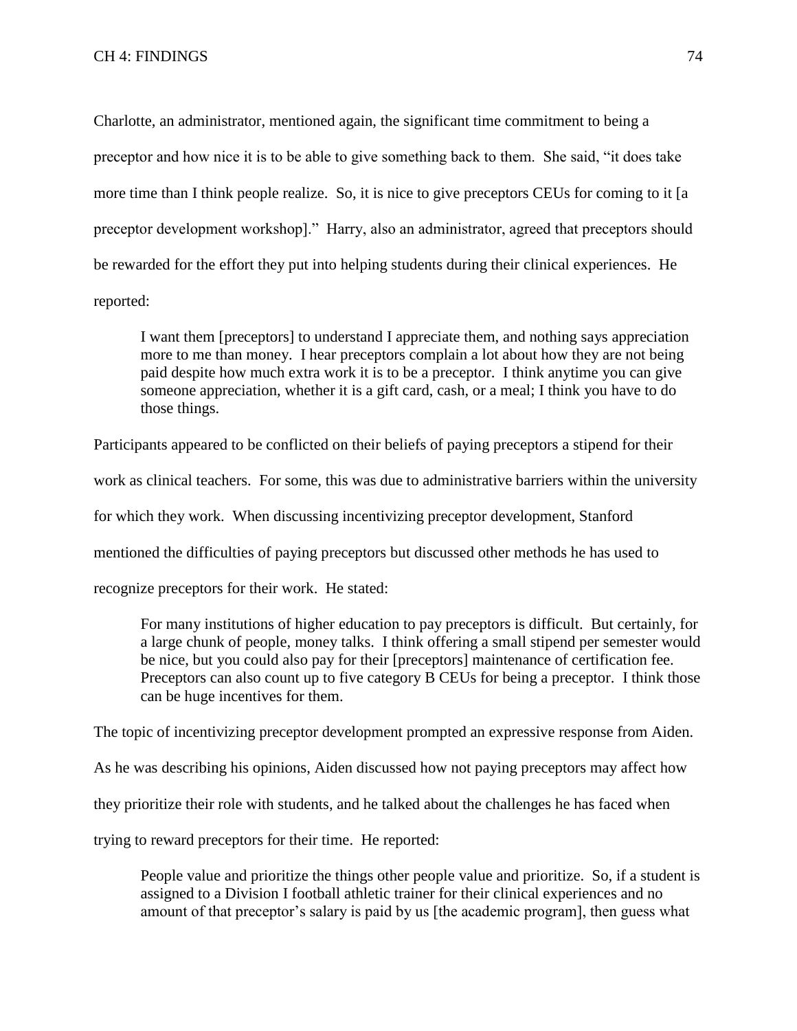Charlotte, an administrator, mentioned again, the significant time commitment to being a preceptor and how nice it is to be able to give something back to them. She said, "it does take more time than I think people realize. So, it is nice to give preceptors CEUs for coming to it [a preceptor development workshop]." Harry, also an administrator, agreed that preceptors should be rewarded for the effort they put into helping students during their clinical experiences. He reported:

I want them [preceptors] to understand I appreciate them, and nothing says appreciation more to me than money. I hear preceptors complain a lot about how they are not being paid despite how much extra work it is to be a preceptor. I think anytime you can give someone appreciation, whether it is a gift card, cash, or a meal; I think you have to do those things.

Participants appeared to be conflicted on their beliefs of paying preceptors a stipend for their work as clinical teachers. For some, this was due to administrative barriers within the university for which they work. When discussing incentivizing preceptor development, Stanford mentioned the difficulties of paying preceptors but discussed other methods he has used to recognize preceptors for their work. He stated:

For many institutions of higher education to pay preceptors is difficult. But certainly, for a large chunk of people, money talks. I think offering a small stipend per semester would be nice, but you could also pay for their [preceptors] maintenance of certification fee. Preceptors can also count up to five category B CEUs for being a preceptor. I think those can be huge incentives for them.

The topic of incentivizing preceptor development prompted an expressive response from Aiden.

As he was describing his opinions, Aiden discussed how not paying preceptors may affect how

they prioritize their role with students, and he talked about the challenges he has faced when

trying to reward preceptors for their time. He reported:

People value and prioritize the things other people value and prioritize. So, if a student is assigned to a Division I football athletic trainer for their clinical experiences and no amount of that preceptor's salary is paid by us [the academic program], then guess what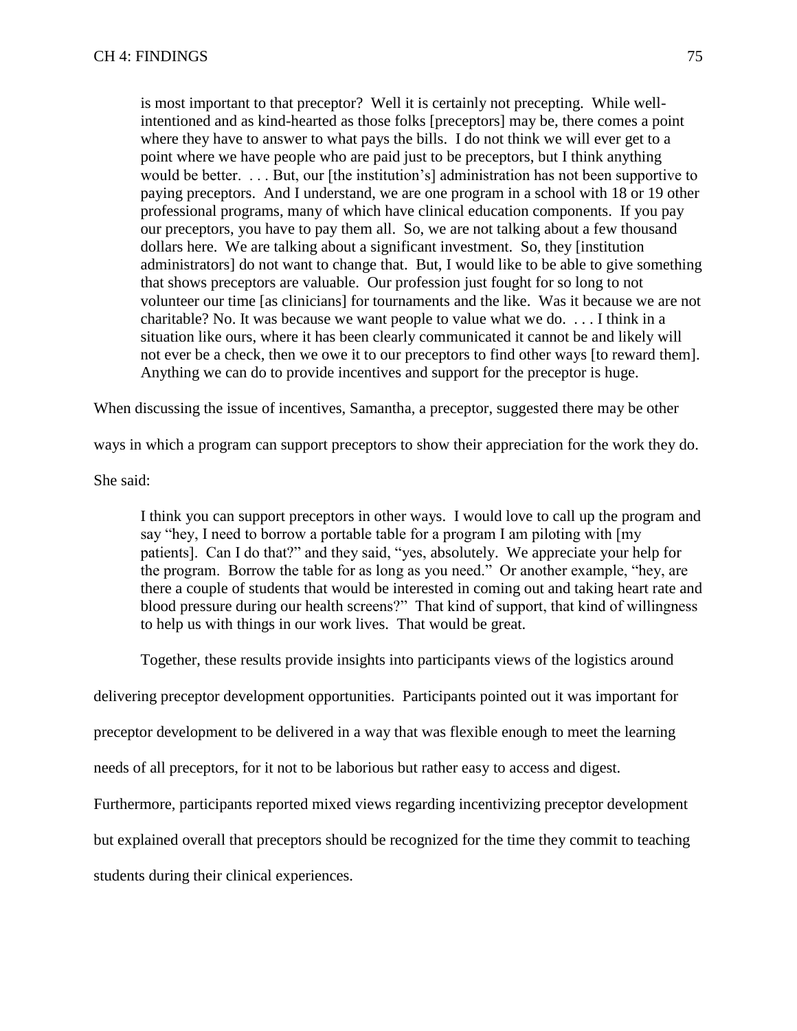is most important to that preceptor? Well it is certainly not precepting. While wellintentioned and as kind-hearted as those folks [preceptors] may be, there comes a point where they have to answer to what pays the bills. I do not think we will ever get to a point where we have people who are paid just to be preceptors, but I think anything would be better. . . . But, our [the institution's] administration has not been supportive to paying preceptors. And I understand, we are one program in a school with 18 or 19 other professional programs, many of which have clinical education components. If you pay our preceptors, you have to pay them all. So, we are not talking about a few thousand dollars here. We are talking about a significant investment. So, they [institution administrators] do not want to change that. But, I would like to be able to give something that shows preceptors are valuable. Our profession just fought for so long to not volunteer our time [as clinicians] for tournaments and the like. Was it because we are not charitable? No. It was because we want people to value what we do. . . . I think in a situation like ours, where it has been clearly communicated it cannot be and likely will not ever be a check, then we owe it to our preceptors to find other ways [to reward them]. Anything we can do to provide incentives and support for the preceptor is huge.

When discussing the issue of incentives, Samantha, a preceptor, suggested there may be other

ways in which a program can support preceptors to show their appreciation for the work they do.

She said:

I think you can support preceptors in other ways. I would love to call up the program and say "hey, I need to borrow a portable table for a program I am piloting with [my patients]. Can I do that?" and they said, "yes, absolutely. We appreciate your help for the program. Borrow the table for as long as you need." Or another example, "hey, are there a couple of students that would be interested in coming out and taking heart rate and blood pressure during our health screens?" That kind of support, that kind of willingness to help us with things in our work lives. That would be great.

Together, these results provide insights into participants views of the logistics around

delivering preceptor development opportunities. Participants pointed out it was important for

preceptor development to be delivered in a way that was flexible enough to meet the learning

needs of all preceptors, for it not to be laborious but rather easy to access and digest.

Furthermore, participants reported mixed views regarding incentivizing preceptor development

but explained overall that preceptors should be recognized for the time they commit to teaching

students during their clinical experiences.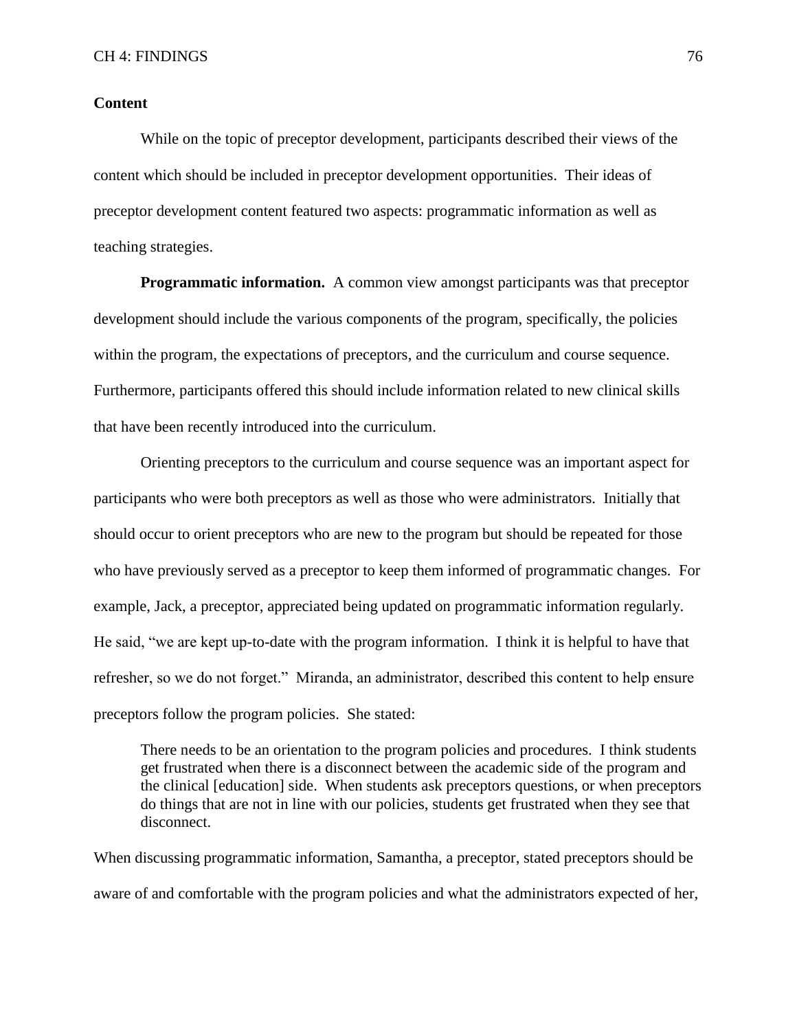# **Content**

While on the topic of preceptor development, participants described their views of the content which should be included in preceptor development opportunities. Their ideas of preceptor development content featured two aspects: programmatic information as well as teaching strategies.

**Programmatic information.** A common view amongst participants was that preceptor development should include the various components of the program, specifically, the policies within the program, the expectations of preceptors, and the curriculum and course sequence. Furthermore, participants offered this should include information related to new clinical skills that have been recently introduced into the curriculum.

Orienting preceptors to the curriculum and course sequence was an important aspect for participants who were both preceptors as well as those who were administrators. Initially that should occur to orient preceptors who are new to the program but should be repeated for those who have previously served as a preceptor to keep them informed of programmatic changes. For example, Jack, a preceptor, appreciated being updated on programmatic information regularly. He said, "we are kept up-to-date with the program information. I think it is helpful to have that refresher, so we do not forget." Miranda, an administrator, described this content to help ensure preceptors follow the program policies. She stated:

There needs to be an orientation to the program policies and procedures. I think students get frustrated when there is a disconnect between the academic side of the program and the clinical [education] side. When students ask preceptors questions, or when preceptors do things that are not in line with our policies, students get frustrated when they see that disconnect.

When discussing programmatic information, Samantha, a preceptor, stated preceptors should be aware of and comfortable with the program policies and what the administrators expected of her,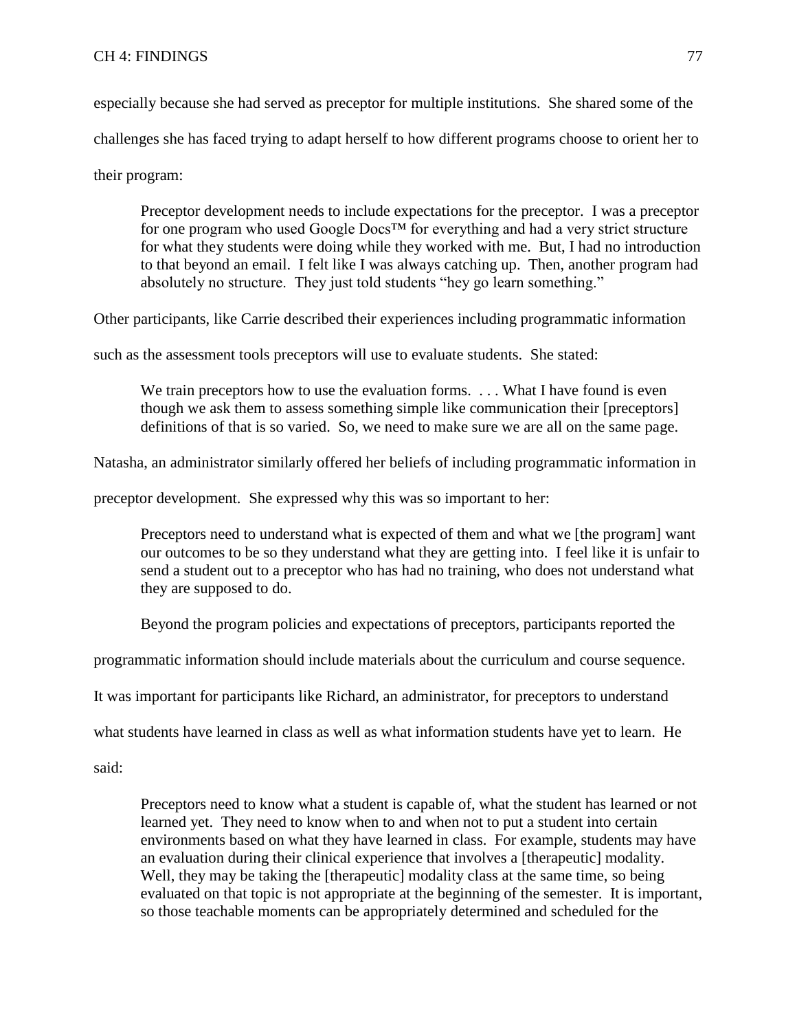especially because she had served as preceptor for multiple institutions. She shared some of the challenges she has faced trying to adapt herself to how different programs choose to orient her to

their program:

Preceptor development needs to include expectations for the preceptor. I was a preceptor for one program who used Google  $\text{Docs}^{\text{TM}}$  for everything and had a very strict structure for what they students were doing while they worked with me. But, I had no introduction to that beyond an email. I felt like I was always catching up. Then, another program had absolutely no structure. They just told students "hey go learn something."

Other participants, like Carrie described their experiences including programmatic information

such as the assessment tools preceptors will use to evaluate students. She stated:

We train preceptors how to use the evaluation forms. . . . What I have found is even though we ask them to assess something simple like communication their [preceptors] definitions of that is so varied. So, we need to make sure we are all on the same page.

Natasha, an administrator similarly offered her beliefs of including programmatic information in

preceptor development. She expressed why this was so important to her:

Preceptors need to understand what is expected of them and what we [the program] want our outcomes to be so they understand what they are getting into. I feel like it is unfair to send a student out to a preceptor who has had no training, who does not understand what they are supposed to do.

Beyond the program policies and expectations of preceptors, participants reported the

programmatic information should include materials about the curriculum and course sequence.

It was important for participants like Richard, an administrator, for preceptors to understand

what students have learned in class as well as what information students have yet to learn. He

said:

Preceptors need to know what a student is capable of, what the student has learned or not learned yet. They need to know when to and when not to put a student into certain environments based on what they have learned in class. For example, students may have an evaluation during their clinical experience that involves a [therapeutic] modality. Well, they may be taking the [therapeutic] modality class at the same time, so being evaluated on that topic is not appropriate at the beginning of the semester. It is important, so those teachable moments can be appropriately determined and scheduled for the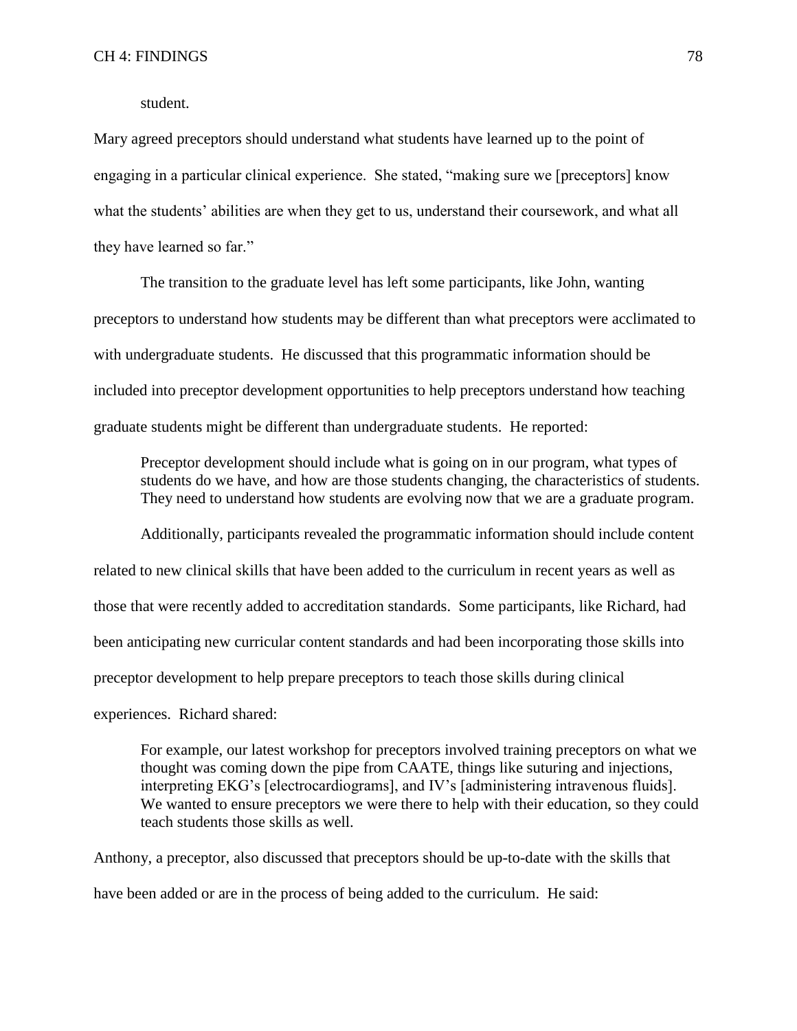student.

Mary agreed preceptors should understand what students have learned up to the point of engaging in a particular clinical experience. She stated, "making sure we [preceptors] know what the students' abilities are when they get to us, understand their coursework, and what all they have learned so far."

The transition to the graduate level has left some participants, like John, wanting preceptors to understand how students may be different than what preceptors were acclimated to with undergraduate students. He discussed that this programmatic information should be included into preceptor development opportunities to help preceptors understand how teaching graduate students might be different than undergraduate students. He reported:

Preceptor development should include what is going on in our program, what types of students do we have, and how are those students changing, the characteristics of students. They need to understand how students are evolving now that we are a graduate program.

Additionally, participants revealed the programmatic information should include content related to new clinical skills that have been added to the curriculum in recent years as well as those that were recently added to accreditation standards. Some participants, like Richard, had been anticipating new curricular content standards and had been incorporating those skills into preceptor development to help prepare preceptors to teach those skills during clinical experiences. Richard shared:

For example, our latest workshop for preceptors involved training preceptors on what we thought was coming down the pipe from CAATE, things like suturing and injections, interpreting EKG's [electrocardiograms], and IV's [administering intravenous fluids]. We wanted to ensure preceptors we were there to help with their education, so they could teach students those skills as well.

Anthony, a preceptor, also discussed that preceptors should be up-to-date with the skills that have been added or are in the process of being added to the curriculum. He said: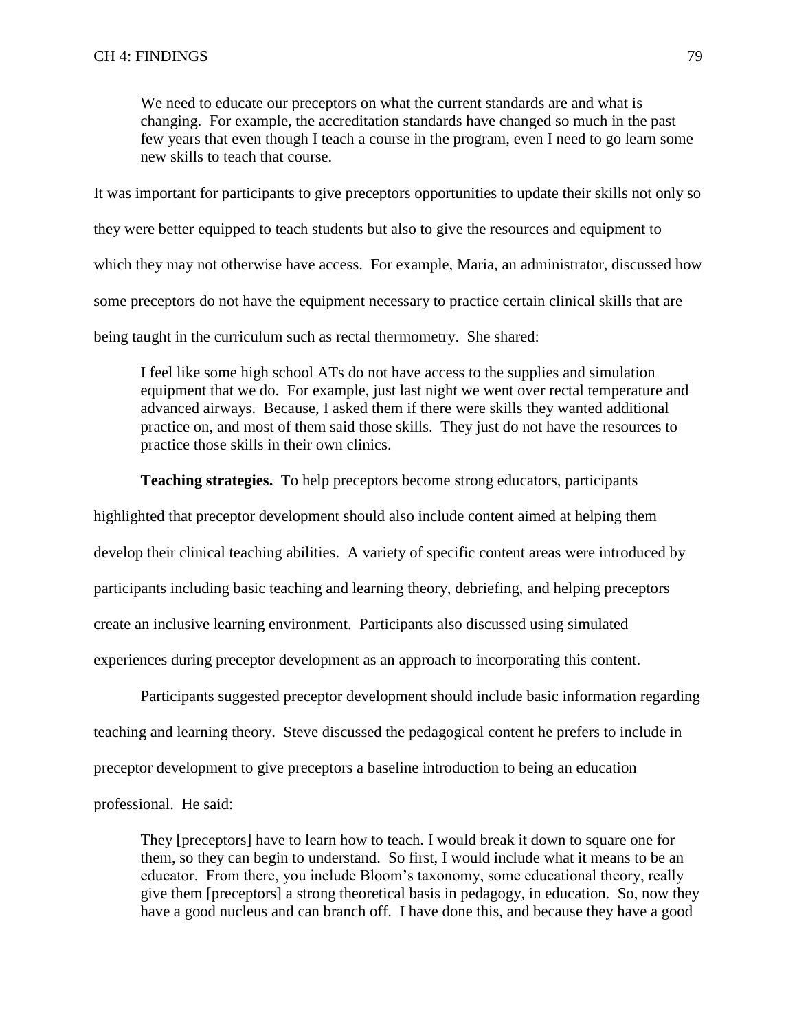We need to educate our preceptors on what the current standards are and what is changing. For example, the accreditation standards have changed so much in the past few years that even though I teach a course in the program, even I need to go learn some new skills to teach that course.

It was important for participants to give preceptors opportunities to update their skills not only so they were better equipped to teach students but also to give the resources and equipment to which they may not otherwise have access. For example, Maria, an administrator, discussed how some preceptors do not have the equipment necessary to practice certain clinical skills that are being taught in the curriculum such as rectal thermometry. She shared:

I feel like some high school ATs do not have access to the supplies and simulation equipment that we do. For example, just last night we went over rectal temperature and advanced airways. Because, I asked them if there were skills they wanted additional practice on, and most of them said those skills. They just do not have the resources to practice those skills in their own clinics.

**Teaching strategies.** To help preceptors become strong educators, participants

highlighted that preceptor development should also include content aimed at helping them develop their clinical teaching abilities. A variety of specific content areas were introduced by participants including basic teaching and learning theory, debriefing, and helping preceptors create an inclusive learning environment. Participants also discussed using simulated experiences during preceptor development as an approach to incorporating this content.

Participants suggested preceptor development should include basic information regarding teaching and learning theory. Steve discussed the pedagogical content he prefers to include in preceptor development to give preceptors a baseline introduction to being an education professional. He said:

They [preceptors] have to learn how to teach. I would break it down to square one for them, so they can begin to understand. So first, I would include what it means to be an educator. From there, you include Bloom's taxonomy, some educational theory, really give them [preceptors] a strong theoretical basis in pedagogy, in education. So, now they have a good nucleus and can branch off. I have done this, and because they have a good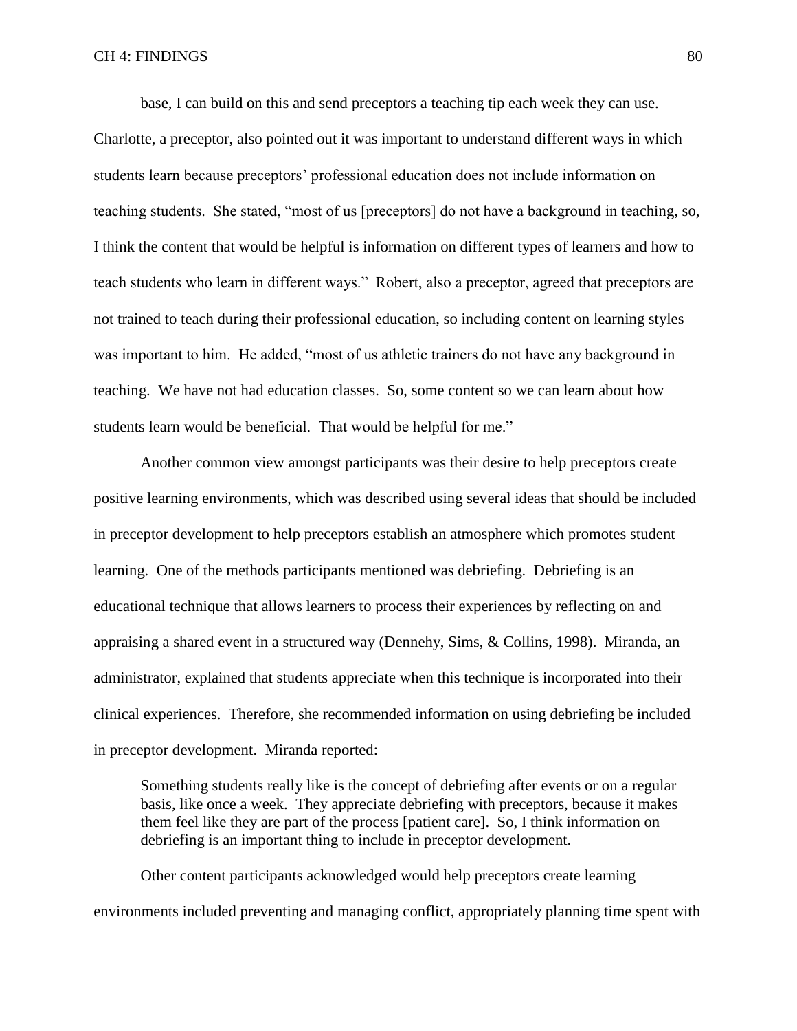base, I can build on this and send preceptors a teaching tip each week they can use.

Charlotte, a preceptor, also pointed out it was important to understand different ways in which students learn because preceptors' professional education does not include information on teaching students. She stated, "most of us [preceptors] do not have a background in teaching, so, I think the content that would be helpful is information on different types of learners and how to teach students who learn in different ways." Robert, also a preceptor, agreed that preceptors are not trained to teach during their professional education, so including content on learning styles was important to him. He added, "most of us athletic trainers do not have any background in teaching. We have not had education classes. So, some content so we can learn about how students learn would be beneficial. That would be helpful for me."

Another common view amongst participants was their desire to help preceptors create positive learning environments, which was described using several ideas that should be included in preceptor development to help preceptors establish an atmosphere which promotes student learning. One of the methods participants mentioned was debriefing. Debriefing is an educational technique that allows learners to process their experiences by reflecting on and appraising a shared event in a structured way (Dennehy, Sims, & Collins, 1998). Miranda, an administrator, explained that students appreciate when this technique is incorporated into their clinical experiences. Therefore, she recommended information on using debriefing be included in preceptor development. Miranda reported:

Something students really like is the concept of debriefing after events or on a regular basis, like once a week. They appreciate debriefing with preceptors, because it makes them feel like they are part of the process [patient care]. So, I think information on debriefing is an important thing to include in preceptor development.

Other content participants acknowledged would help preceptors create learning environments included preventing and managing conflict, appropriately planning time spent with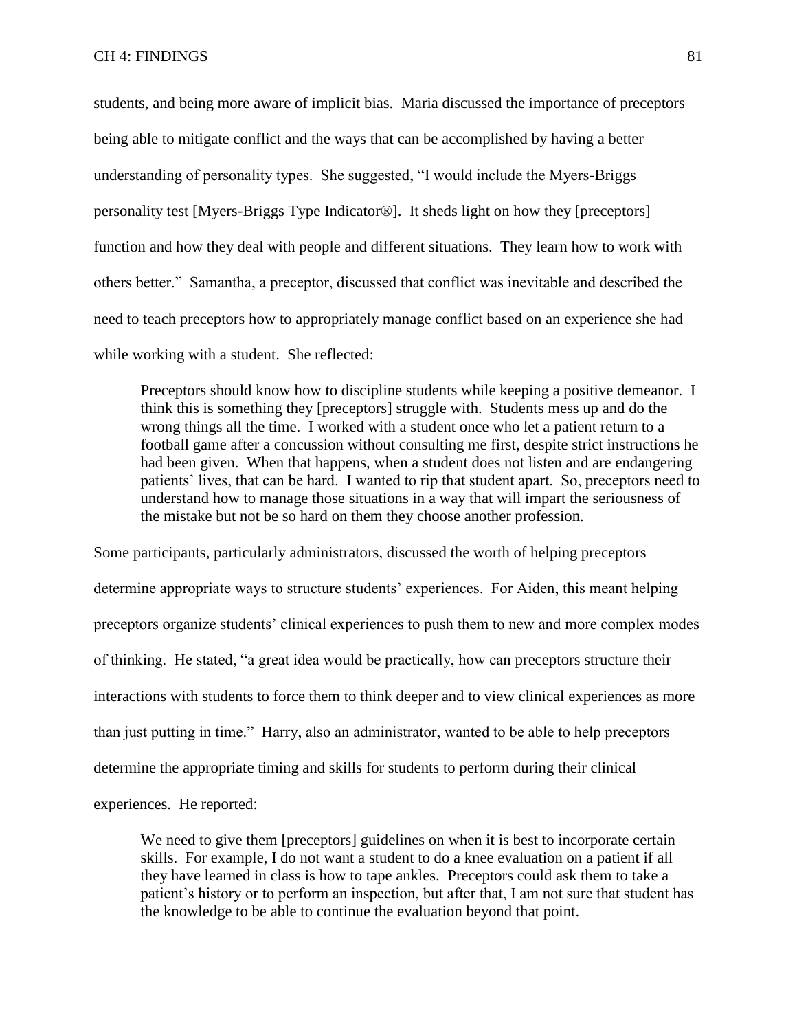students, and being more aware of implicit bias. Maria discussed the importance of preceptors being able to mitigate conflict and the ways that can be accomplished by having a better understanding of personality types. She suggested, "I would include the Myers-Briggs personality test [Myers-Briggs Type Indicator®]. It sheds light on how they [preceptors] function and how they deal with people and different situations. They learn how to work with others better." Samantha, a preceptor, discussed that conflict was inevitable and described the need to teach preceptors how to appropriately manage conflict based on an experience she had while working with a student. She reflected:

Preceptors should know how to discipline students while keeping a positive demeanor. I think this is something they [preceptors] struggle with. Students mess up and do the wrong things all the time. I worked with a student once who let a patient return to a football game after a concussion without consulting me first, despite strict instructions he had been given. When that happens, when a student does not listen and are endangering patients' lives, that can be hard. I wanted to rip that student apart. So, preceptors need to understand how to manage those situations in a way that will impart the seriousness of the mistake but not be so hard on them they choose another profession.

Some participants, particularly administrators, discussed the worth of helping preceptors determine appropriate ways to structure students' experiences. For Aiden, this meant helping preceptors organize students' clinical experiences to push them to new and more complex modes of thinking. He stated, "a great idea would be practically, how can preceptors structure their interactions with students to force them to think deeper and to view clinical experiences as more than just putting in time." Harry, also an administrator, wanted to be able to help preceptors determine the appropriate timing and skills for students to perform during their clinical experiences. He reported:

We need to give them [preceptors] guidelines on when it is best to incorporate certain skills. For example, I do not want a student to do a knee evaluation on a patient if all they have learned in class is how to tape ankles. Preceptors could ask them to take a patient's history or to perform an inspection, but after that, I am not sure that student has the knowledge to be able to continue the evaluation beyond that point.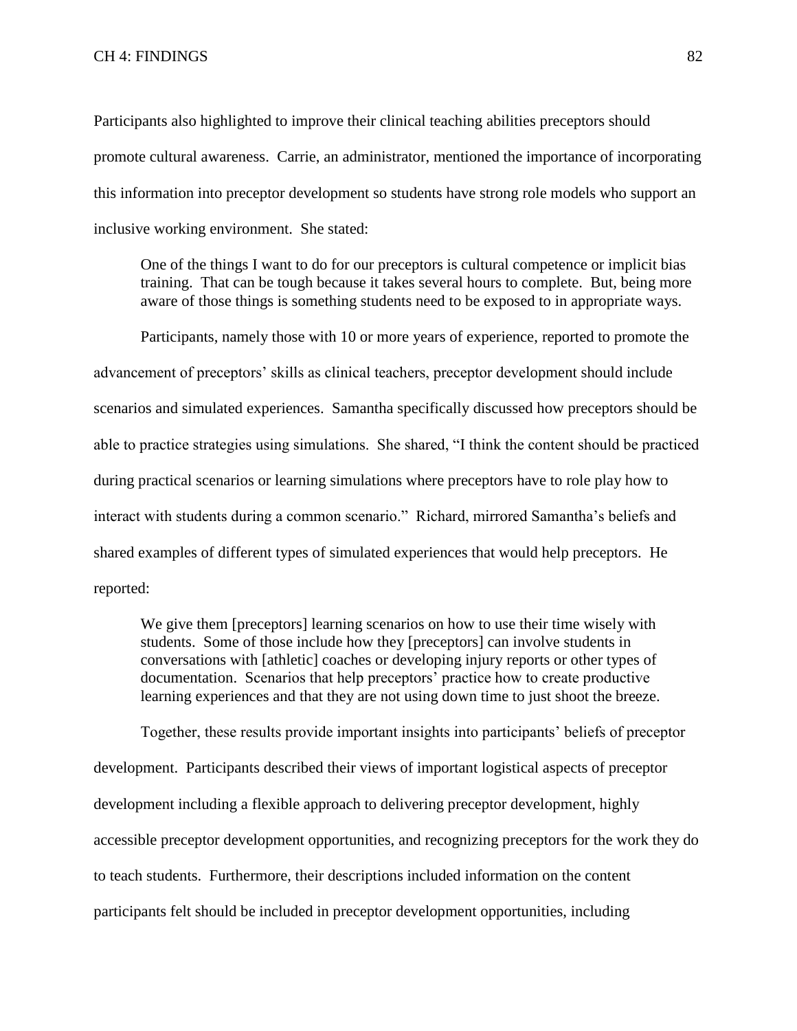Participants also highlighted to improve their clinical teaching abilities preceptors should promote cultural awareness. Carrie, an administrator, mentioned the importance of incorporating this information into preceptor development so students have strong role models who support an inclusive working environment. She stated:

One of the things I want to do for our preceptors is cultural competence or implicit bias training. That can be tough because it takes several hours to complete. But, being more aware of those things is something students need to be exposed to in appropriate ways.

Participants, namely those with 10 or more years of experience, reported to promote the advancement of preceptors' skills as clinical teachers, preceptor development should include scenarios and simulated experiences. Samantha specifically discussed how preceptors should be able to practice strategies using simulations. She shared, "I think the content should be practiced during practical scenarios or learning simulations where preceptors have to role play how to interact with students during a common scenario." Richard, mirrored Samantha's beliefs and shared examples of different types of simulated experiences that would help preceptors. He reported:

We give them [preceptors] learning scenarios on how to use their time wisely with students. Some of those include how they [preceptors] can involve students in conversations with [athletic] coaches or developing injury reports or other types of documentation. Scenarios that help preceptors' practice how to create productive learning experiences and that they are not using down time to just shoot the breeze.

Together, these results provide important insights into participants' beliefs of preceptor development. Participants described their views of important logistical aspects of preceptor development including a flexible approach to delivering preceptor development, highly accessible preceptor development opportunities, and recognizing preceptors for the work they do to teach students. Furthermore, their descriptions included information on the content participants felt should be included in preceptor development opportunities, including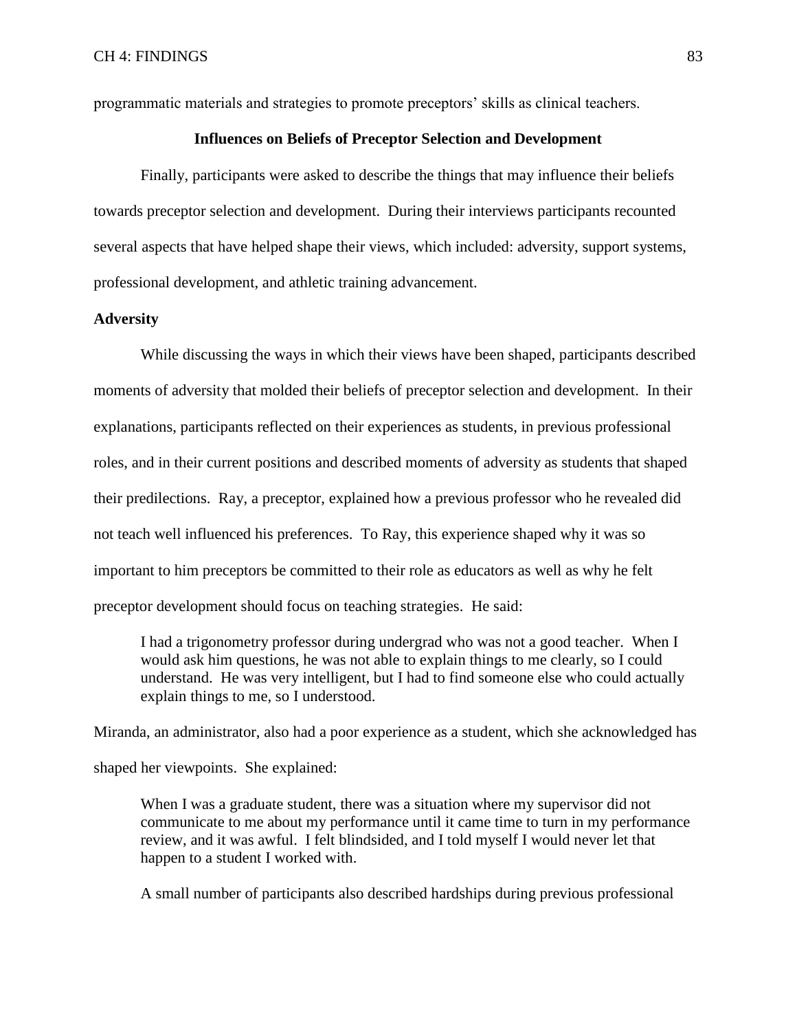programmatic materials and strategies to promote preceptors' skills as clinical teachers.

### **Influences on Beliefs of Preceptor Selection and Development**

Finally, participants were asked to describe the things that may influence their beliefs towards preceptor selection and development. During their interviews participants recounted several aspects that have helped shape their views, which included: adversity, support systems, professional development, and athletic training advancement.

## **Adversity**

While discussing the ways in which their views have been shaped, participants described moments of adversity that molded their beliefs of preceptor selection and development. In their explanations, participants reflected on their experiences as students, in previous professional roles, and in their current positions and described moments of adversity as students that shaped their predilections. Ray, a preceptor, explained how a previous professor who he revealed did not teach well influenced his preferences. To Ray, this experience shaped why it was so important to him preceptors be committed to their role as educators as well as why he felt preceptor development should focus on teaching strategies. He said:

I had a trigonometry professor during undergrad who was not a good teacher. When I would ask him questions, he was not able to explain things to me clearly, so I could understand. He was very intelligent, but I had to find someone else who could actually explain things to me, so I understood.

Miranda, an administrator, also had a poor experience as a student, which she acknowledged has shaped her viewpoints. She explained:

When I was a graduate student, there was a situation where my supervisor did not communicate to me about my performance until it came time to turn in my performance review, and it was awful. I felt blindsided, and I told myself I would never let that happen to a student I worked with.

A small number of participants also described hardships during previous professional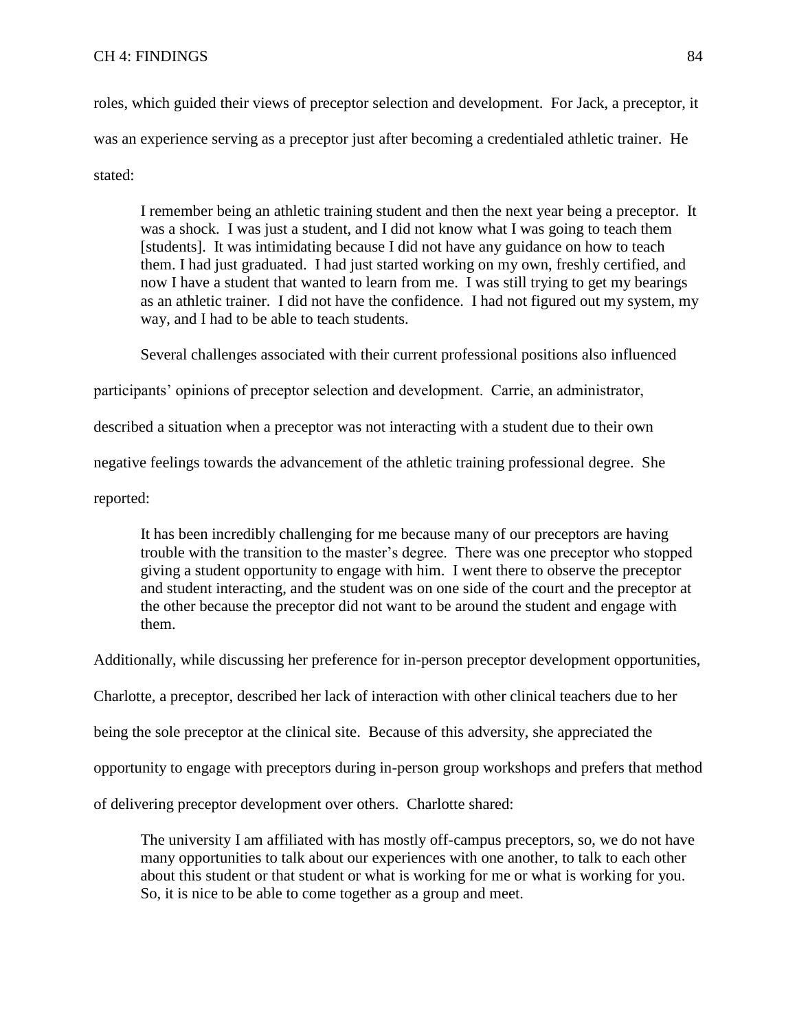# CH 4: FINDINGS 84

roles, which guided their views of preceptor selection and development. For Jack, a preceptor, it was an experience serving as a preceptor just after becoming a credentialed athletic trainer. He stated:

I remember being an athletic training student and then the next year being a preceptor. It was a shock. I was just a student, and I did not know what I was going to teach them [students]. It was intimidating because I did not have any guidance on how to teach them. I had just graduated. I had just started working on my own, freshly certified, and now I have a student that wanted to learn from me. I was still trying to get my bearings as an athletic trainer. I did not have the confidence. I had not figured out my system, my way, and I had to be able to teach students.

Several challenges associated with their current professional positions also influenced

participants' opinions of preceptor selection and development. Carrie, an administrator,

described a situation when a preceptor was not interacting with a student due to their own

negative feelings towards the advancement of the athletic training professional degree. She

reported:

It has been incredibly challenging for me because many of our preceptors are having trouble with the transition to the master's degree. There was one preceptor who stopped giving a student opportunity to engage with him. I went there to observe the preceptor and student interacting, and the student was on one side of the court and the preceptor at the other because the preceptor did not want to be around the student and engage with them.

Additionally, while discussing her preference for in-person preceptor development opportunities,

Charlotte, a preceptor, described her lack of interaction with other clinical teachers due to her

being the sole preceptor at the clinical site. Because of this adversity, she appreciated the

opportunity to engage with preceptors during in-person group workshops and prefers that method

of delivering preceptor development over others. Charlotte shared:

The university I am affiliated with has mostly off-campus preceptors, so, we do not have many opportunities to talk about our experiences with one another, to talk to each other about this student or that student or what is working for me or what is working for you. So, it is nice to be able to come together as a group and meet.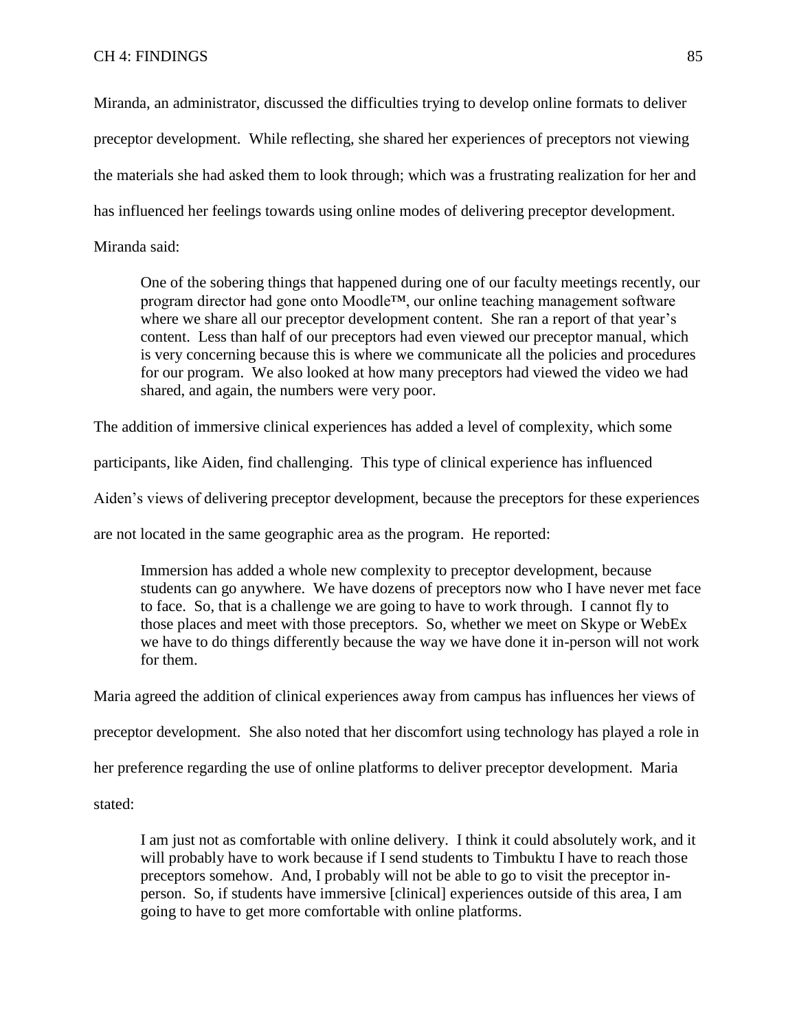Miranda, an administrator, discussed the difficulties trying to develop online formats to deliver preceptor development. While reflecting, she shared her experiences of preceptors not viewing the materials she had asked them to look through; which was a frustrating realization for her and has influenced her feelings towards using online modes of delivering preceptor development.

Miranda said:

One of the sobering things that happened during one of our faculty meetings recently, our program director had gone onto Moodle™, our online teaching management software where we share all our preceptor development content. She ran a report of that year's content. Less than half of our preceptors had even viewed our preceptor manual, which is very concerning because this is where we communicate all the policies and procedures for our program. We also looked at how many preceptors had viewed the video we had shared, and again, the numbers were very poor.

The addition of immersive clinical experiences has added a level of complexity, which some

participants, like Aiden, find challenging. This type of clinical experience has influenced

Aiden's views of delivering preceptor development, because the preceptors for these experiences

are not located in the same geographic area as the program. He reported:

Immersion has added a whole new complexity to preceptor development, because students can go anywhere. We have dozens of preceptors now who I have never met face to face. So, that is a challenge we are going to have to work through. I cannot fly to those places and meet with those preceptors. So, whether we meet on Skype or WebEx we have to do things differently because the way we have done it in-person will not work for them.

Maria agreed the addition of clinical experiences away from campus has influences her views of

preceptor development. She also noted that her discomfort using technology has played a role in

her preference regarding the use of online platforms to deliver preceptor development. Maria

stated:

I am just not as comfortable with online delivery. I think it could absolutely work, and it will probably have to work because if I send students to Timbuktu I have to reach those preceptors somehow. And, I probably will not be able to go to visit the preceptor inperson. So, if students have immersive [clinical] experiences outside of this area, I am going to have to get more comfortable with online platforms.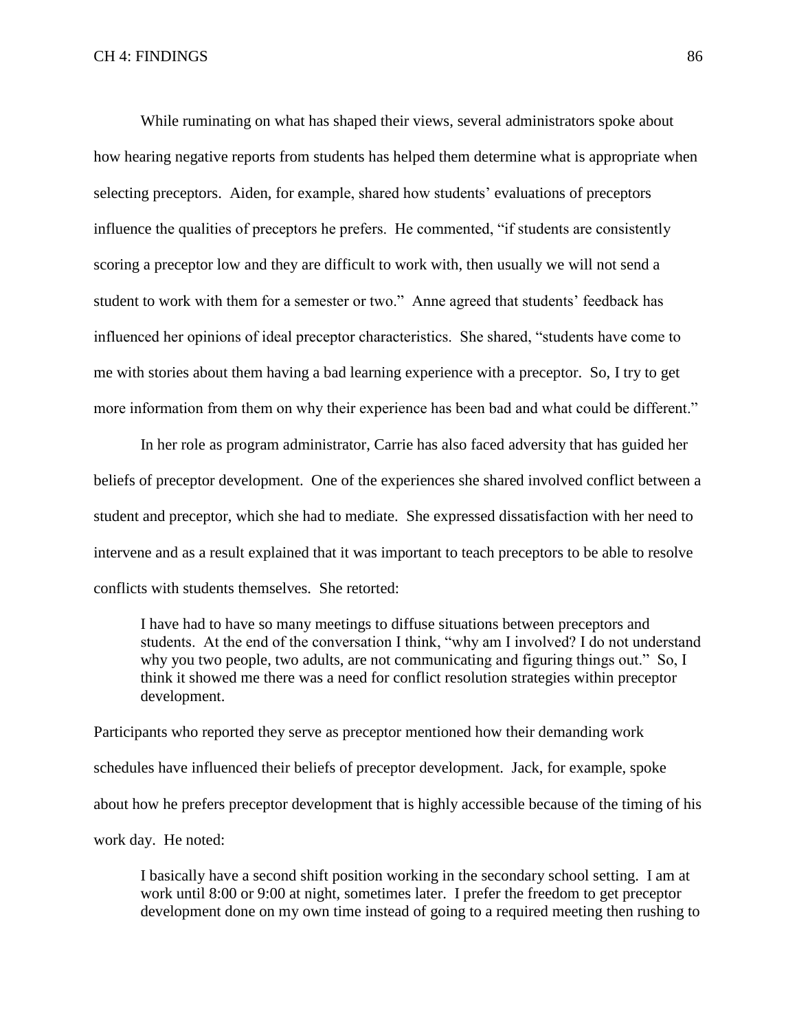While ruminating on what has shaped their views, several administrators spoke about how hearing negative reports from students has helped them determine what is appropriate when selecting preceptors. Aiden, for example, shared how students' evaluations of preceptors influence the qualities of preceptors he prefers. He commented, "if students are consistently scoring a preceptor low and they are difficult to work with, then usually we will not send a student to work with them for a semester or two." Anne agreed that students' feedback has influenced her opinions of ideal preceptor characteristics. She shared, "students have come to me with stories about them having a bad learning experience with a preceptor. So, I try to get more information from them on why their experience has been bad and what could be different."

In her role as program administrator, Carrie has also faced adversity that has guided her beliefs of preceptor development. One of the experiences she shared involved conflict between a student and preceptor, which she had to mediate. She expressed dissatisfaction with her need to intervene and as a result explained that it was important to teach preceptors to be able to resolve conflicts with students themselves. She retorted:

I have had to have so many meetings to diffuse situations between preceptors and students. At the end of the conversation I think, "why am I involved? I do not understand why you two people, two adults, are not communicating and figuring things out." So, I think it showed me there was a need for conflict resolution strategies within preceptor development.

Participants who reported they serve as preceptor mentioned how their demanding work schedules have influenced their beliefs of preceptor development. Jack, for example, spoke about how he prefers preceptor development that is highly accessible because of the timing of his work day. He noted:

I basically have a second shift position working in the secondary school setting. I am at work until 8:00 or 9:00 at night, sometimes later. I prefer the freedom to get preceptor development done on my own time instead of going to a required meeting then rushing to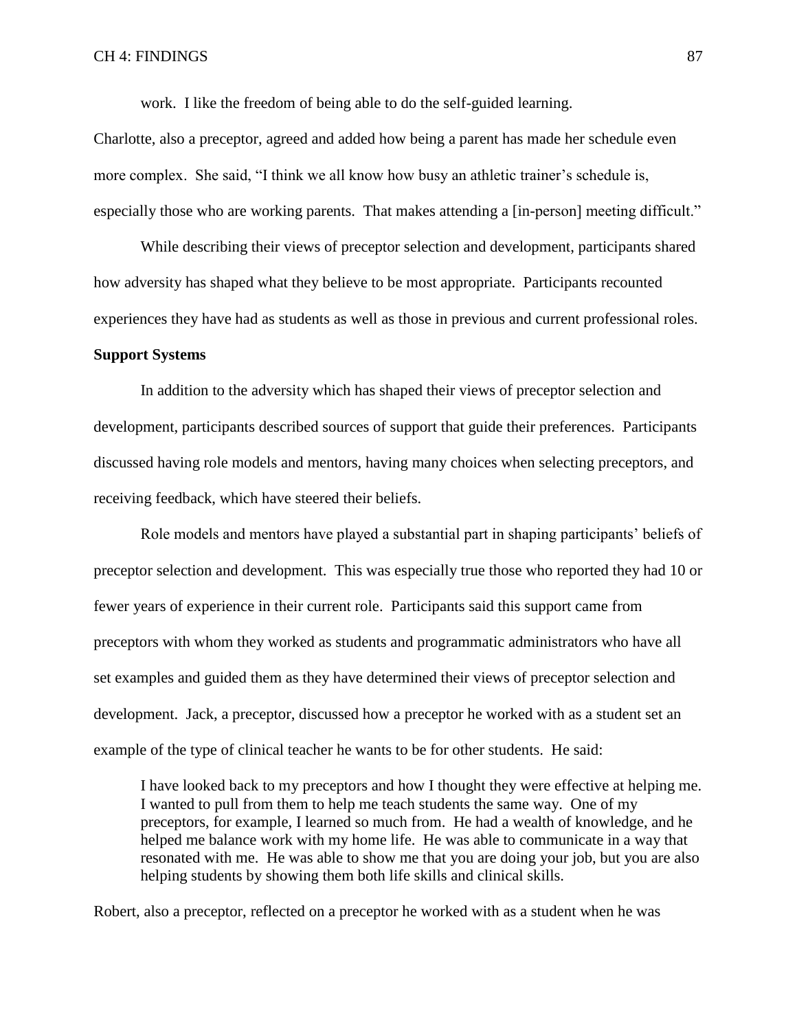work. I like the freedom of being able to do the self-guided learning.

Charlotte, also a preceptor, agreed and added how being a parent has made her schedule even more complex. She said, "I think we all know how busy an athletic trainer's schedule is, especially those who are working parents. That makes attending a [in-person] meeting difficult."

While describing their views of preceptor selection and development, participants shared how adversity has shaped what they believe to be most appropriate. Participants recounted experiences they have had as students as well as those in previous and current professional roles.

#### **Support Systems**

In addition to the adversity which has shaped their views of preceptor selection and development, participants described sources of support that guide their preferences. Participants discussed having role models and mentors, having many choices when selecting preceptors, and receiving feedback, which have steered their beliefs.

Role models and mentors have played a substantial part in shaping participants' beliefs of preceptor selection and development. This was especially true those who reported they had 10 or fewer years of experience in their current role. Participants said this support came from preceptors with whom they worked as students and programmatic administrators who have all set examples and guided them as they have determined their views of preceptor selection and development. Jack, a preceptor, discussed how a preceptor he worked with as a student set an example of the type of clinical teacher he wants to be for other students. He said:

I have looked back to my preceptors and how I thought they were effective at helping me. I wanted to pull from them to help me teach students the same way. One of my preceptors, for example, I learned so much from. He had a wealth of knowledge, and he helped me balance work with my home life. He was able to communicate in a way that resonated with me. He was able to show me that you are doing your job, but you are also helping students by showing them both life skills and clinical skills.

Robert, also a preceptor, reflected on a preceptor he worked with as a student when he was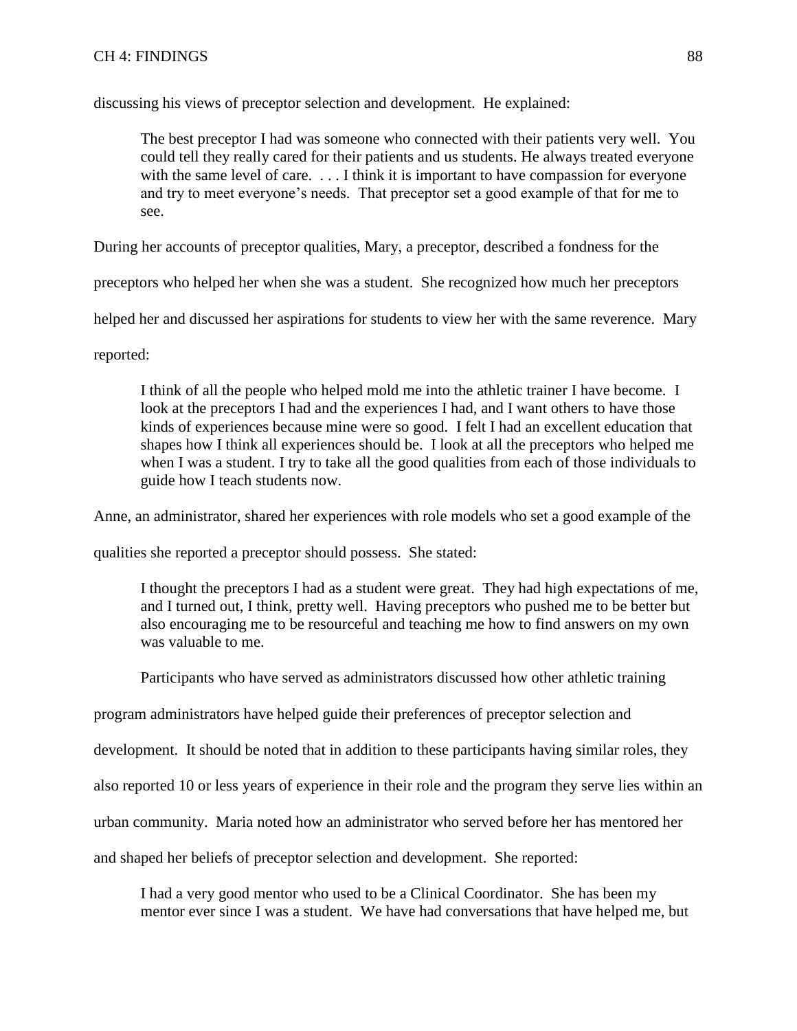## CH 4: FINDINGS 88

discussing his views of preceptor selection and development. He explained:

The best preceptor I had was someone who connected with their patients very well. You could tell they really cared for their patients and us students. He always treated everyone with the same level of care. ... I think it is important to have compassion for everyone and try to meet everyone's needs. That preceptor set a good example of that for me to see.

During her accounts of preceptor qualities, Mary, a preceptor, described a fondness for the

preceptors who helped her when she was a student. She recognized how much her preceptors

helped her and discussed her aspirations for students to view her with the same reverence. Mary

reported:

I think of all the people who helped mold me into the athletic trainer I have become. I look at the preceptors I had and the experiences I had, and I want others to have those kinds of experiences because mine were so good. I felt I had an excellent education that shapes how I think all experiences should be. I look at all the preceptors who helped me when I was a student. I try to take all the good qualities from each of those individuals to guide how I teach students now.

Anne, an administrator, shared her experiences with role models who set a good example of the

qualities she reported a preceptor should possess. She stated:

I thought the preceptors I had as a student were great. They had high expectations of me, and I turned out, I think, pretty well. Having preceptors who pushed me to be better but also encouraging me to be resourceful and teaching me how to find answers on my own was valuable to me.

Participants who have served as administrators discussed how other athletic training

program administrators have helped guide their preferences of preceptor selection and

development. It should be noted that in addition to these participants having similar roles, they

also reported 10 or less years of experience in their role and the program they serve lies within an

urban community. Maria noted how an administrator who served before her has mentored her

and shaped her beliefs of preceptor selection and development. She reported:

I had a very good mentor who used to be a Clinical Coordinator. She has been my mentor ever since I was a student. We have had conversations that have helped me, but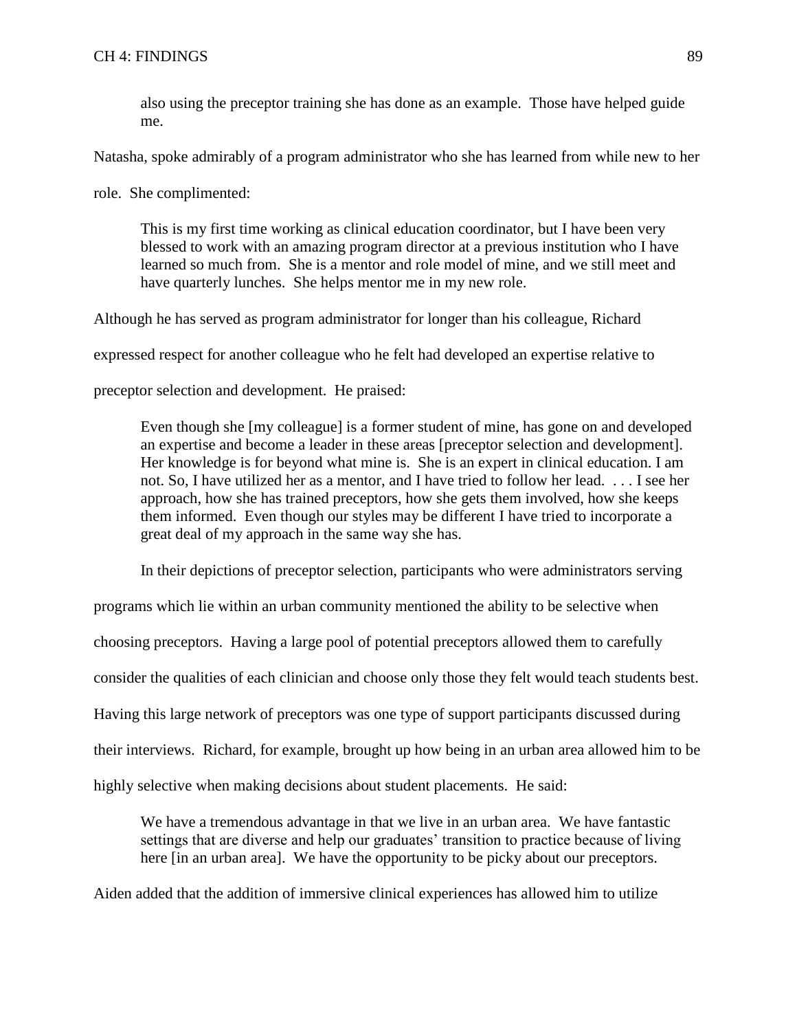also using the preceptor training she has done as an example. Those have helped guide me.

Natasha, spoke admirably of a program administrator who she has learned from while new to her

role. She complimented:

This is my first time working as clinical education coordinator, but I have been very blessed to work with an amazing program director at a previous institution who I have learned so much from. She is a mentor and role model of mine, and we still meet and have quarterly lunches. She helps mentor me in my new role.

Although he has served as program administrator for longer than his colleague, Richard

expressed respect for another colleague who he felt had developed an expertise relative to

preceptor selection and development. He praised:

Even though she [my colleague] is a former student of mine, has gone on and developed an expertise and become a leader in these areas [preceptor selection and development]. Her knowledge is for beyond what mine is. She is an expert in clinical education. I am not. So, I have utilized her as a mentor, and I have tried to follow her lead. . . . I see her approach, how she has trained preceptors, how she gets them involved, how she keeps them informed. Even though our styles may be different I have tried to incorporate a great deal of my approach in the same way she has.

In their depictions of preceptor selection, participants who were administrators serving

programs which lie within an urban community mentioned the ability to be selective when choosing preceptors. Having a large pool of potential preceptors allowed them to carefully consider the qualities of each clinician and choose only those they felt would teach students best. Having this large network of preceptors was one type of support participants discussed during their interviews. Richard, for example, brought up how being in an urban area allowed him to be highly selective when making decisions about student placements. He said:

We have a tremendous advantage in that we live in an urban area. We have fantastic settings that are diverse and help our graduates' transition to practice because of living here [in an urban area]. We have the opportunity to be picky about our preceptors.

Aiden added that the addition of immersive clinical experiences has allowed him to utilize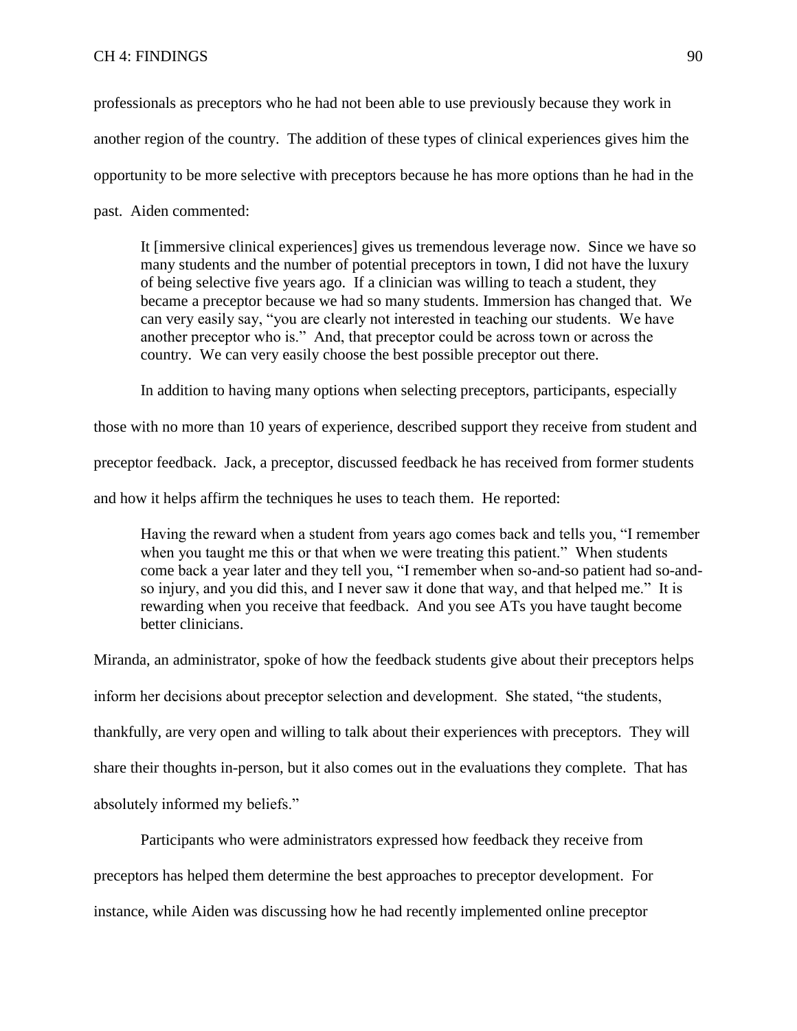professionals as preceptors who he had not been able to use previously because they work in another region of the country. The addition of these types of clinical experiences gives him the opportunity to be more selective with preceptors because he has more options than he had in the past. Aiden commented:

It [immersive clinical experiences] gives us tremendous leverage now. Since we have so many students and the number of potential preceptors in town, I did not have the luxury of being selective five years ago. If a clinician was willing to teach a student, they became a preceptor because we had so many students. Immersion has changed that. We can very easily say, "you are clearly not interested in teaching our students. We have another preceptor who is." And, that preceptor could be across town or across the country. We can very easily choose the best possible preceptor out there.

In addition to having many options when selecting preceptors, participants, especially

those with no more than 10 years of experience, described support they receive from student and preceptor feedback. Jack, a preceptor, discussed feedback he has received from former students and how it helps affirm the techniques he uses to teach them. He reported:

Having the reward when a student from years ago comes back and tells you, "I remember when you taught me this or that when we were treating this patient." When students come back a year later and they tell you, "I remember when so-and-so patient had so-andso injury, and you did this, and I never saw it done that way, and that helped me." It is rewarding when you receive that feedback. And you see ATs you have taught become better clinicians.

Miranda, an administrator, spoke of how the feedback students give about their preceptors helps inform her decisions about preceptor selection and development. She stated, "the students, thankfully, are very open and willing to talk about their experiences with preceptors. They will share their thoughts in-person, but it also comes out in the evaluations they complete. That has absolutely informed my beliefs."

Participants who were administrators expressed how feedback they receive from preceptors has helped them determine the best approaches to preceptor development. For instance, while Aiden was discussing how he had recently implemented online preceptor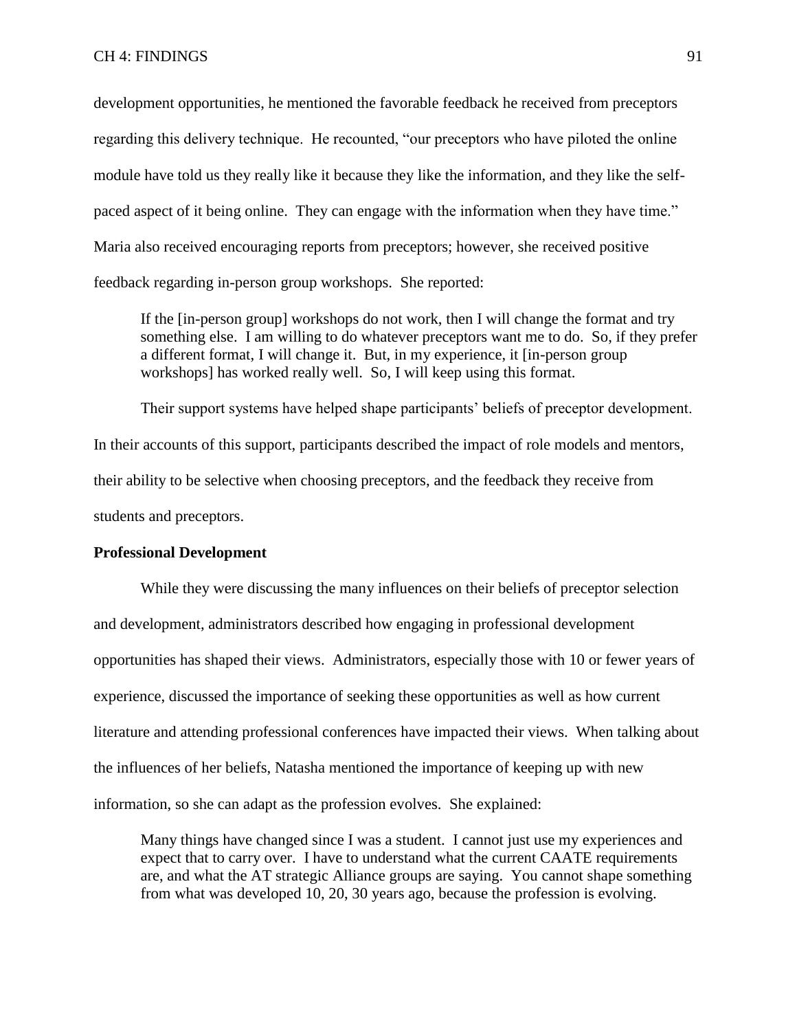development opportunities, he mentioned the favorable feedback he received from preceptors regarding this delivery technique. He recounted, "our preceptors who have piloted the online module have told us they really like it because they like the information, and they like the selfpaced aspect of it being online. They can engage with the information when they have time." Maria also received encouraging reports from preceptors; however, she received positive feedback regarding in-person group workshops. She reported:

If the [in-person group] workshops do not work, then I will change the format and try something else. I am willing to do whatever preceptors want me to do. So, if they prefer a different format, I will change it. But, in my experience, it [in-person group workshops] has worked really well. So, I will keep using this format.

Their support systems have helped shape participants' beliefs of preceptor development. In their accounts of this support, participants described the impact of role models and mentors, their ability to be selective when choosing preceptors, and the feedback they receive from students and preceptors.

# **Professional Development**

While they were discussing the many influences on their beliefs of preceptor selection and development, administrators described how engaging in professional development opportunities has shaped their views. Administrators, especially those with 10 or fewer years of experience, discussed the importance of seeking these opportunities as well as how current literature and attending professional conferences have impacted their views. When talking about the influences of her beliefs, Natasha mentioned the importance of keeping up with new information, so she can adapt as the profession evolves. She explained:

Many things have changed since I was a student. I cannot just use my experiences and expect that to carry over. I have to understand what the current CAATE requirements are, and what the AT strategic Alliance groups are saying. You cannot shape something from what was developed 10, 20, 30 years ago, because the profession is evolving.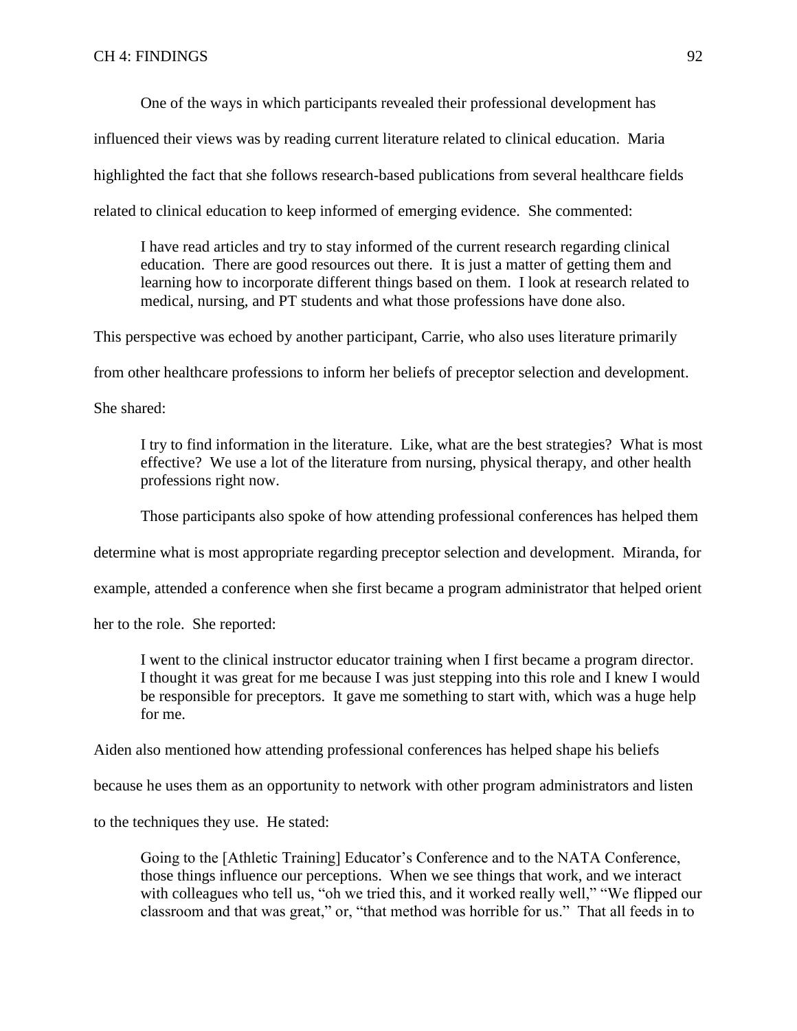One of the ways in which participants revealed their professional development has

influenced their views was by reading current literature related to clinical education. Maria

highlighted the fact that she follows research-based publications from several healthcare fields

related to clinical education to keep informed of emerging evidence. She commented:

I have read articles and try to stay informed of the current research regarding clinical education. There are good resources out there. It is just a matter of getting them and learning how to incorporate different things based on them. I look at research related to medical, nursing, and PT students and what those professions have done also.

This perspective was echoed by another participant, Carrie, who also uses literature primarily

from other healthcare professions to inform her beliefs of preceptor selection and development.

She shared:

I try to find information in the literature. Like, what are the best strategies? What is most effective? We use a lot of the literature from nursing, physical therapy, and other health professions right now.

Those participants also spoke of how attending professional conferences has helped them

determine what is most appropriate regarding preceptor selection and development. Miranda, for

example, attended a conference when she first became a program administrator that helped orient

her to the role. She reported:

I went to the clinical instructor educator training when I first became a program director. I thought it was great for me because I was just stepping into this role and I knew I would be responsible for preceptors. It gave me something to start with, which was a huge help for me.

Aiden also mentioned how attending professional conferences has helped shape his beliefs

because he uses them as an opportunity to network with other program administrators and listen

to the techniques they use. He stated:

Going to the [Athletic Training] Educator's Conference and to the NATA Conference, those things influence our perceptions. When we see things that work, and we interact with colleagues who tell us, "oh we tried this, and it worked really well," "We flipped our classroom and that was great," or, "that method was horrible for us." That all feeds in to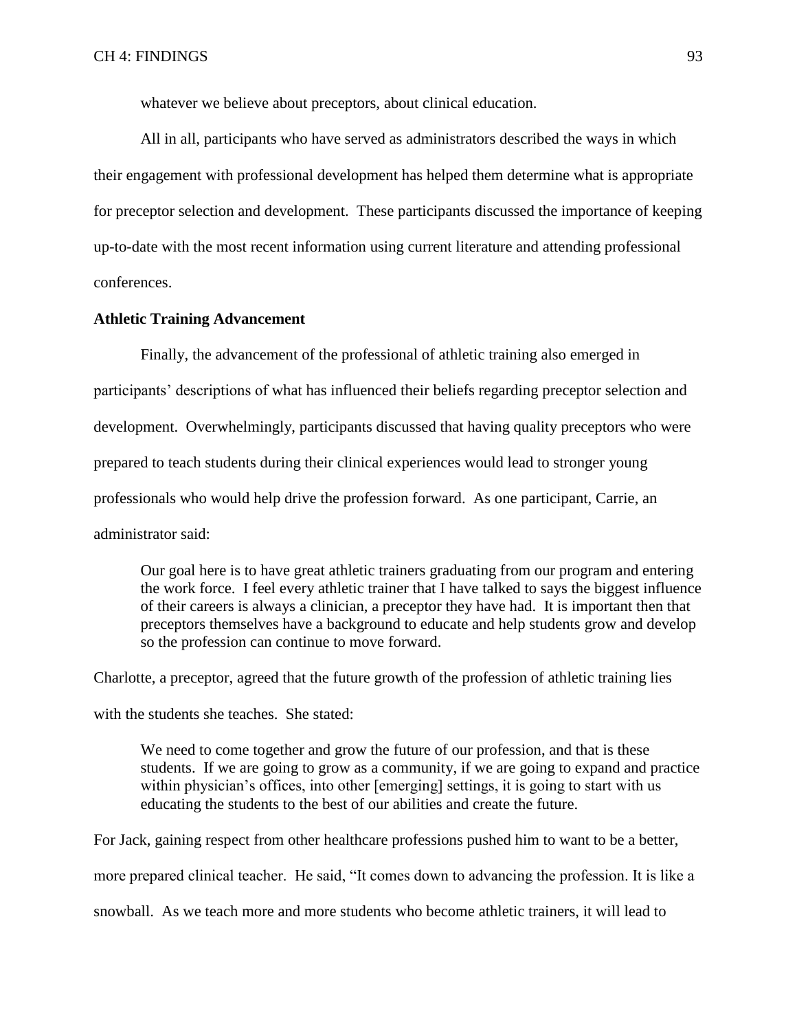whatever we believe about preceptors, about clinical education.

All in all, participants who have served as administrators described the ways in which their engagement with professional development has helped them determine what is appropriate for preceptor selection and development. These participants discussed the importance of keeping up-to-date with the most recent information using current literature and attending professional conferences.

## **Athletic Training Advancement**

Finally, the advancement of the professional of athletic training also emerged in participants' descriptions of what has influenced their beliefs regarding preceptor selection and development. Overwhelmingly, participants discussed that having quality preceptors who were prepared to teach students during their clinical experiences would lead to stronger young professionals who would help drive the profession forward. As one participant, Carrie, an administrator said:

Our goal here is to have great athletic trainers graduating from our program and entering the work force. I feel every athletic trainer that I have talked to says the biggest influence of their careers is always a clinician, a preceptor they have had. It is important then that preceptors themselves have a background to educate and help students grow and develop so the profession can continue to move forward.

Charlotte, a preceptor, agreed that the future growth of the profession of athletic training lies

with the students she teaches. She stated:

We need to come together and grow the future of our profession, and that is these students. If we are going to grow as a community, if we are going to expand and practice within physician's offices, into other [emerging] settings, it is going to start with us educating the students to the best of our abilities and create the future.

For Jack, gaining respect from other healthcare professions pushed him to want to be a better, more prepared clinical teacher. He said, "It comes down to advancing the profession. It is like a snowball. As we teach more and more students who become athletic trainers, it will lead to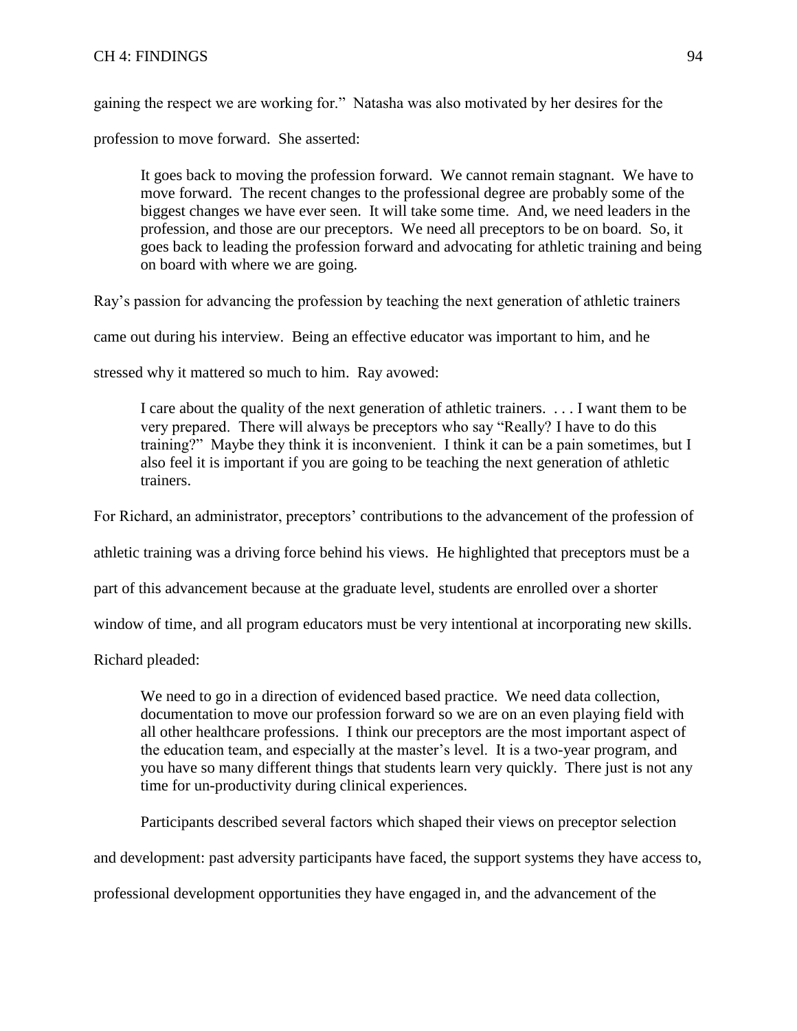# CH 4: FINDINGS 94

gaining the respect we are working for." Natasha was also motivated by her desires for the

profession to move forward. She asserted:

It goes back to moving the profession forward. We cannot remain stagnant. We have to move forward. The recent changes to the professional degree are probably some of the biggest changes we have ever seen. It will take some time. And, we need leaders in the profession, and those are our preceptors. We need all preceptors to be on board. So, it goes back to leading the profession forward and advocating for athletic training and being on board with where we are going.

Ray's passion for advancing the profession by teaching the next generation of athletic trainers

came out during his interview. Being an effective educator was important to him, and he

stressed why it mattered so much to him. Ray avowed:

I care about the quality of the next generation of athletic trainers. . . . I want them to be very prepared. There will always be preceptors who say "Really? I have to do this training?" Maybe they think it is inconvenient. I think it can be a pain sometimes, but I also feel it is important if you are going to be teaching the next generation of athletic trainers.

For Richard, an administrator, preceptors' contributions to the advancement of the profession of

athletic training was a driving force behind his views. He highlighted that preceptors must be a

part of this advancement because at the graduate level, students are enrolled over a shorter

window of time, and all program educators must be very intentional at incorporating new skills.

Richard pleaded:

We need to go in a direction of evidenced based practice. We need data collection, documentation to move our profession forward so we are on an even playing field with all other healthcare professions. I think our preceptors are the most important aspect of the education team, and especially at the master's level. It is a two-year program, and you have so many different things that students learn very quickly. There just is not any time for un-productivity during clinical experiences.

Participants described several factors which shaped their views on preceptor selection

and development: past adversity participants have faced, the support systems they have access to,

professional development opportunities they have engaged in, and the advancement of the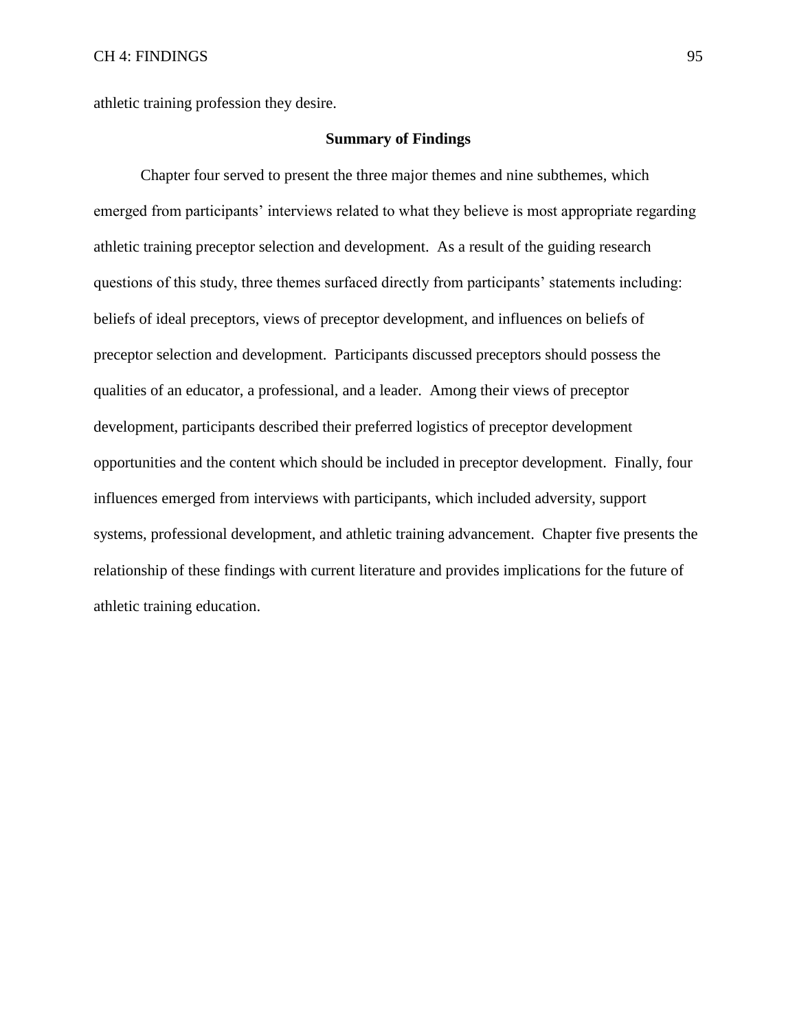athletic training profession they desire.

# **Summary of Findings**

Chapter four served to present the three major themes and nine subthemes, which emerged from participants' interviews related to what they believe is most appropriate regarding athletic training preceptor selection and development. As a result of the guiding research questions of this study, three themes surfaced directly from participants' statements including: beliefs of ideal preceptors, views of preceptor development, and influences on beliefs of preceptor selection and development. Participants discussed preceptors should possess the qualities of an educator, a professional, and a leader. Among their views of preceptor development, participants described their preferred logistics of preceptor development opportunities and the content which should be included in preceptor development. Finally, four influences emerged from interviews with participants, which included adversity, support systems, professional development, and athletic training advancement. Chapter five presents the relationship of these findings with current literature and provides implications for the future of athletic training education.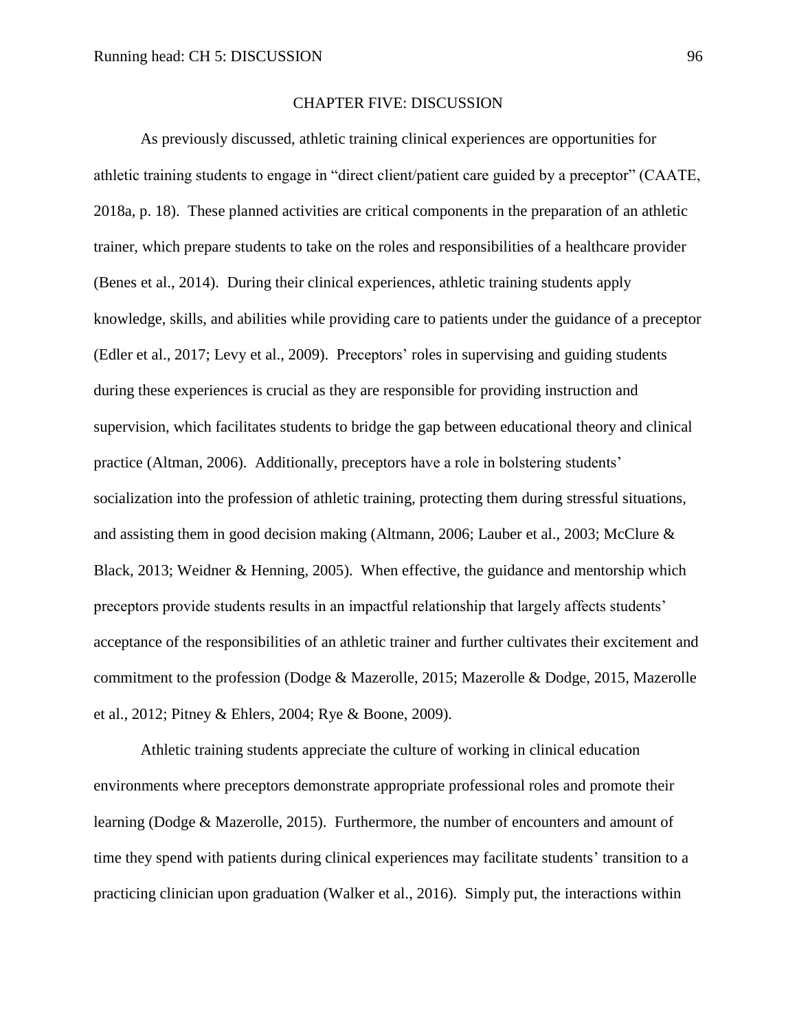### CHAPTER FIVE: DISCUSSION

As previously discussed, athletic training clinical experiences are opportunities for athletic training students to engage in "direct client/patient care guided by a preceptor" (CAATE, 2018a, p. 18). These planned activities are critical components in the preparation of an athletic trainer, which prepare students to take on the roles and responsibilities of a healthcare provider (Benes et al., 2014). During their clinical experiences, athletic training students apply knowledge, skills, and abilities while providing care to patients under the guidance of a preceptor (Edler et al., 2017; Levy et al., 2009). Preceptors' roles in supervising and guiding students during these experiences is crucial as they are responsible for providing instruction and supervision, which facilitates students to bridge the gap between educational theory and clinical practice (Altman, 2006). Additionally, preceptors have a role in bolstering students' socialization into the profession of athletic training, protecting them during stressful situations, and assisting them in good decision making (Altmann, 2006; Lauber et al., 2003; McClure & Black, 2013; Weidner & Henning, 2005). When effective, the guidance and mentorship which preceptors provide students results in an impactful relationship that largely affects students' acceptance of the responsibilities of an athletic trainer and further cultivates their excitement and commitment to the profession (Dodge & Mazerolle, 2015; Mazerolle & Dodge, 2015, Mazerolle et al., 2012; Pitney & Ehlers, 2004; Rye & Boone, 2009).

Athletic training students appreciate the culture of working in clinical education environments where preceptors demonstrate appropriate professional roles and promote their learning (Dodge & Mazerolle, 2015). Furthermore, the number of encounters and amount of time they spend with patients during clinical experiences may facilitate students' transition to a practicing clinician upon graduation (Walker et al., 2016). Simply put, the interactions within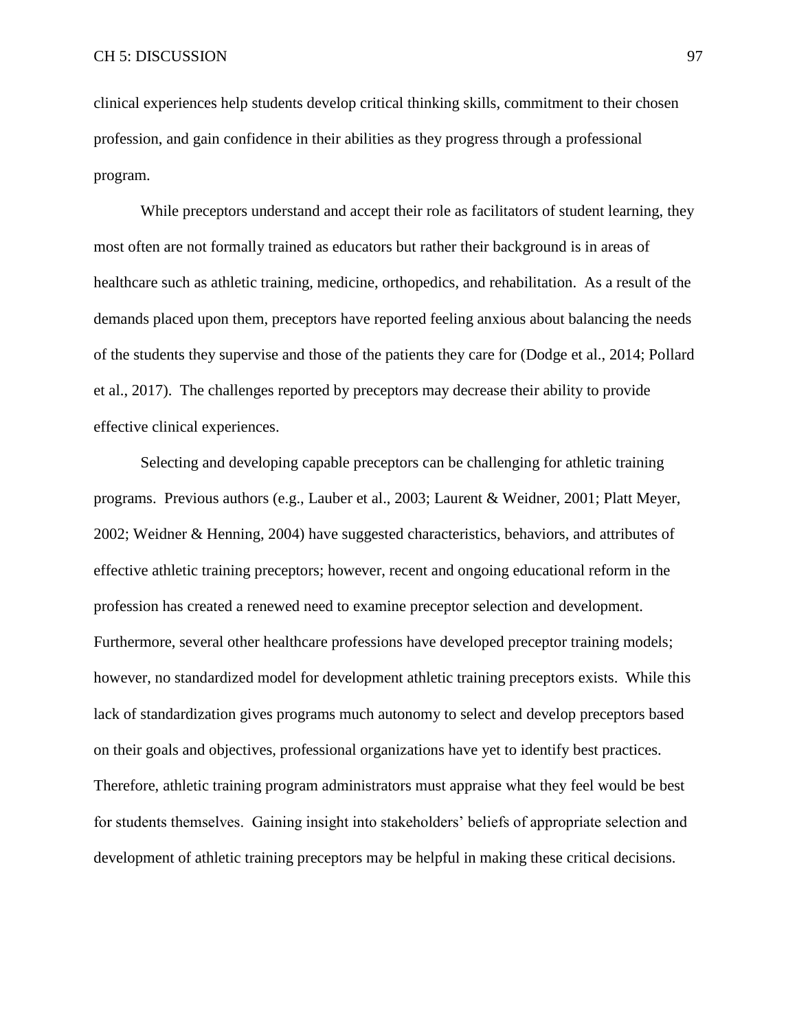clinical experiences help students develop critical thinking skills, commitment to their chosen profession, and gain confidence in their abilities as they progress through a professional program.

While preceptors understand and accept their role as facilitators of student learning, they most often are not formally trained as educators but rather their background is in areas of healthcare such as athletic training, medicine, orthopedics, and rehabilitation. As a result of the demands placed upon them, preceptors have reported feeling anxious about balancing the needs of the students they supervise and those of the patients they care for (Dodge et al., 2014; Pollard et al., 2017). The challenges reported by preceptors may decrease their ability to provide effective clinical experiences.

Selecting and developing capable preceptors can be challenging for athletic training programs. Previous authors (e.g., Lauber et al., 2003; Laurent & Weidner, 2001; Platt Meyer, 2002; Weidner & Henning, 2004) have suggested characteristics, behaviors, and attributes of effective athletic training preceptors; however, recent and ongoing educational reform in the profession has created a renewed need to examine preceptor selection and development. Furthermore, several other healthcare professions have developed preceptor training models; however, no standardized model for development athletic training preceptors exists. While this lack of standardization gives programs much autonomy to select and develop preceptors based on their goals and objectives, professional organizations have yet to identify best practices. Therefore, athletic training program administrators must appraise what they feel would be best for students themselves. Gaining insight into stakeholders' beliefs of appropriate selection and development of athletic training preceptors may be helpful in making these critical decisions.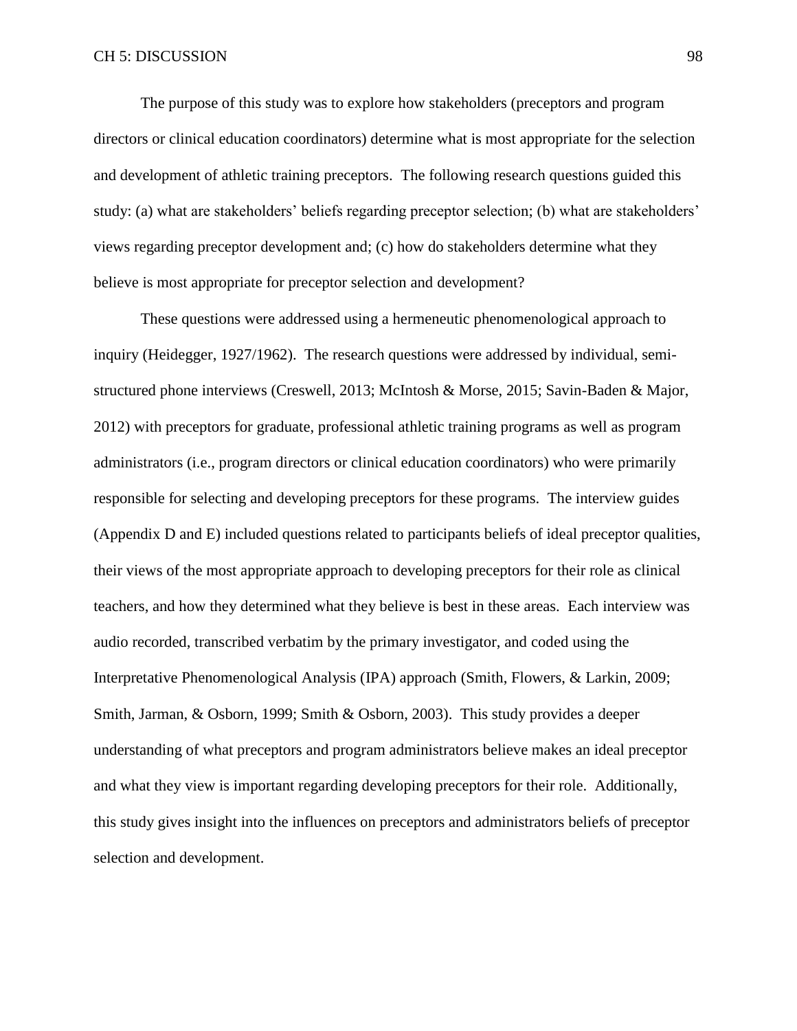The purpose of this study was to explore how stakeholders (preceptors and program directors or clinical education coordinators) determine what is most appropriate for the selection and development of athletic training preceptors. The following research questions guided this study: (a) what are stakeholders' beliefs regarding preceptor selection; (b) what are stakeholders' views regarding preceptor development and; (c) how do stakeholders determine what they believe is most appropriate for preceptor selection and development?

These questions were addressed using a hermeneutic phenomenological approach to inquiry (Heidegger, 1927/1962). The research questions were addressed by individual, semistructured phone interviews (Creswell, 2013; McIntosh & Morse, 2015; Savin-Baden & Major, 2012) with preceptors for graduate, professional athletic training programs as well as program administrators (i.e., program directors or clinical education coordinators) who were primarily responsible for selecting and developing preceptors for these programs. The interview guides (Appendix D and E) included questions related to participants beliefs of ideal preceptor qualities, their views of the most appropriate approach to developing preceptors for their role as clinical teachers, and how they determined what they believe is best in these areas. Each interview was audio recorded, transcribed verbatim by the primary investigator, and coded using the Interpretative Phenomenological Analysis (IPA) approach (Smith, Flowers, & Larkin, 2009; Smith, Jarman, & Osborn, 1999; Smith & Osborn, 2003). This study provides a deeper understanding of what preceptors and program administrators believe makes an ideal preceptor and what they view is important regarding developing preceptors for their role. Additionally, this study gives insight into the influences on preceptors and administrators beliefs of preceptor selection and development.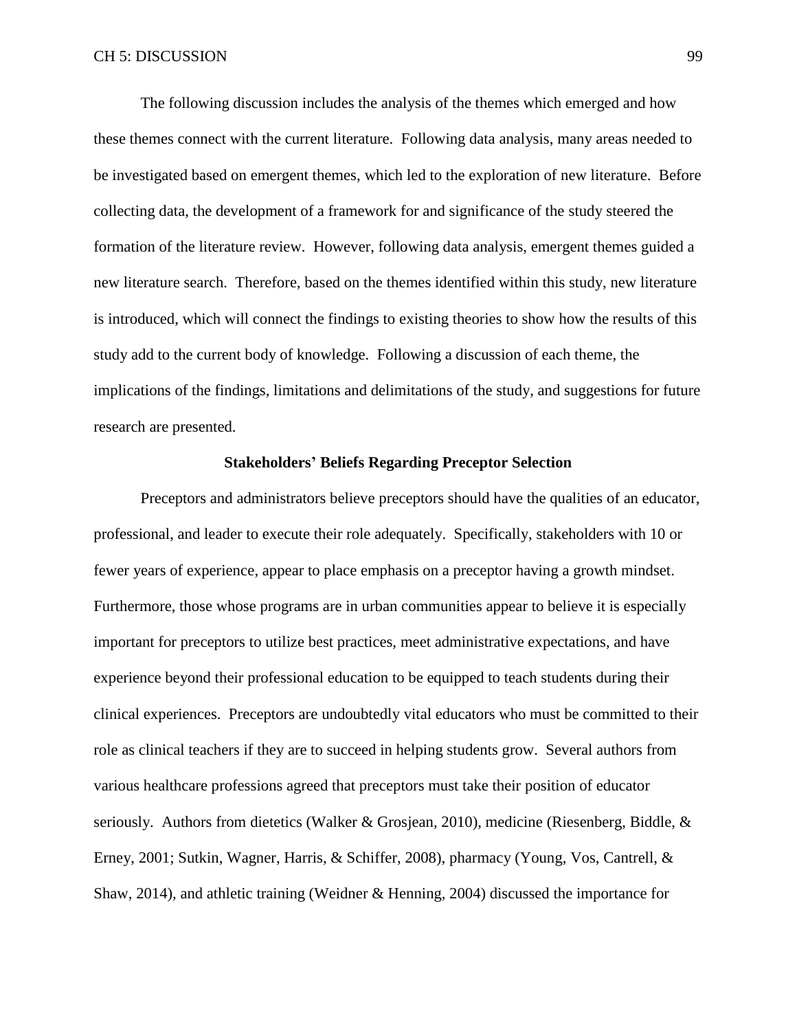The following discussion includes the analysis of the themes which emerged and how these themes connect with the current literature. Following data analysis, many areas needed to be investigated based on emergent themes, which led to the exploration of new literature. Before collecting data, the development of a framework for and significance of the study steered the formation of the literature review. However, following data analysis, emergent themes guided a new literature search. Therefore, based on the themes identified within this study, new literature is introduced, which will connect the findings to existing theories to show how the results of this study add to the current body of knowledge. Following a discussion of each theme, the implications of the findings, limitations and delimitations of the study, and suggestions for future research are presented.

### **Stakeholders' Beliefs Regarding Preceptor Selection**

Preceptors and administrators believe preceptors should have the qualities of an educator, professional, and leader to execute their role adequately. Specifically, stakeholders with 10 or fewer years of experience, appear to place emphasis on a preceptor having a growth mindset. Furthermore, those whose programs are in urban communities appear to believe it is especially important for preceptors to utilize best practices, meet administrative expectations, and have experience beyond their professional education to be equipped to teach students during their clinical experiences. Preceptors are undoubtedly vital educators who must be committed to their role as clinical teachers if they are to succeed in helping students grow. Several authors from various healthcare professions agreed that preceptors must take their position of educator seriously. Authors from dietetics (Walker & Grosjean, 2010), medicine (Riesenberg, Biddle, & Erney, 2001; Sutkin, Wagner, Harris, & Schiffer, 2008), pharmacy (Young, Vos, Cantrell, & Shaw, 2014), and athletic training (Weidner & Henning, 2004) discussed the importance for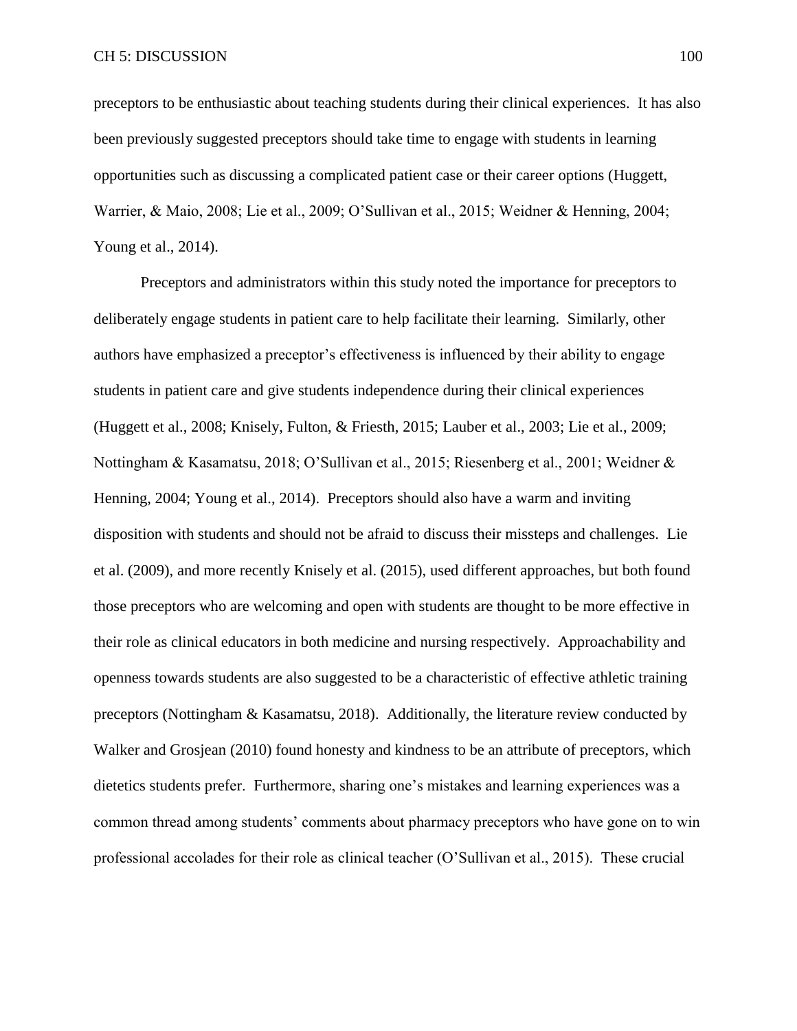preceptors to be enthusiastic about teaching students during their clinical experiences. It has also been previously suggested preceptors should take time to engage with students in learning opportunities such as discussing a complicated patient case or their career options (Huggett, Warrier, & Maio, 2008; Lie et al., 2009; O'Sullivan et al., 2015; Weidner & Henning, 2004; Young et al., 2014).

Preceptors and administrators within this study noted the importance for preceptors to deliberately engage students in patient care to help facilitate their learning. Similarly, other authors have emphasized a preceptor's effectiveness is influenced by their ability to engage students in patient care and give students independence during their clinical experiences (Huggett et al., 2008; Knisely, Fulton, & Friesth, 2015; Lauber et al., 2003; Lie et al., 2009; Nottingham & Kasamatsu, 2018; O'Sullivan et al., 2015; Riesenberg et al., 2001; Weidner & Henning, 2004; Young et al., 2014). Preceptors should also have a warm and inviting disposition with students and should not be afraid to discuss their missteps and challenges. Lie et al. (2009), and more recently Knisely et al. (2015), used different approaches, but both found those preceptors who are welcoming and open with students are thought to be more effective in their role as clinical educators in both medicine and nursing respectively. Approachability and openness towards students are also suggested to be a characteristic of effective athletic training preceptors (Nottingham & Kasamatsu, 2018). Additionally, the literature review conducted by Walker and Grosjean (2010) found honesty and kindness to be an attribute of preceptors, which dietetics students prefer. Furthermore, sharing one's mistakes and learning experiences was a common thread among students' comments about pharmacy preceptors who have gone on to win professional accolades for their role as clinical teacher (O'Sullivan et al., 2015). These crucial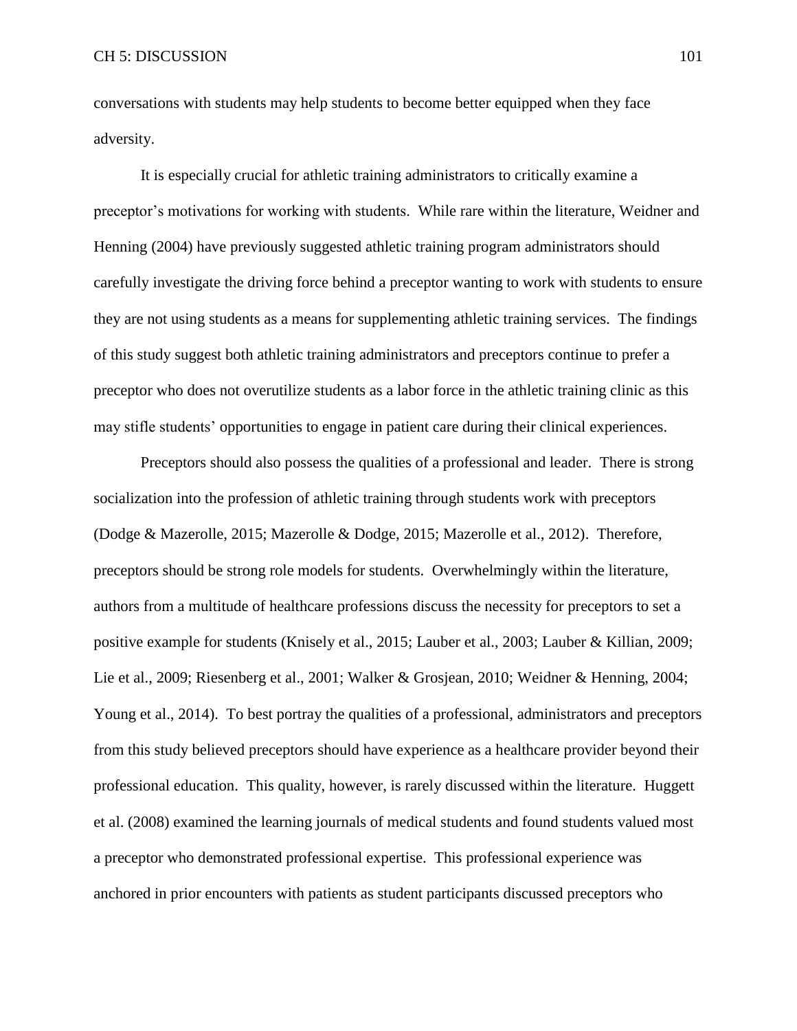conversations with students may help students to become better equipped when they face adversity.

It is especially crucial for athletic training administrators to critically examine a preceptor's motivations for working with students. While rare within the literature, Weidner and Henning (2004) have previously suggested athletic training program administrators should carefully investigate the driving force behind a preceptor wanting to work with students to ensure they are not using students as a means for supplementing athletic training services. The findings of this study suggest both athletic training administrators and preceptors continue to prefer a preceptor who does not overutilize students as a labor force in the athletic training clinic as this may stifle students' opportunities to engage in patient care during their clinical experiences.

Preceptors should also possess the qualities of a professional and leader. There is strong socialization into the profession of athletic training through students work with preceptors (Dodge & Mazerolle, 2015; Mazerolle & Dodge, 2015; Mazerolle et al., 2012). Therefore, preceptors should be strong role models for students. Overwhelmingly within the literature, authors from a multitude of healthcare professions discuss the necessity for preceptors to set a positive example for students (Knisely et al., 2015; Lauber et al., 2003; Lauber & Killian, 2009; Lie et al., 2009; Riesenberg et al., 2001; Walker & Grosjean, 2010; Weidner & Henning, 2004; Young et al., 2014). To best portray the qualities of a professional, administrators and preceptors from this study believed preceptors should have experience as a healthcare provider beyond their professional education. This quality, however, is rarely discussed within the literature. Huggett et al. (2008) examined the learning journals of medical students and found students valued most a preceptor who demonstrated professional expertise. This professional experience was anchored in prior encounters with patients as student participants discussed preceptors who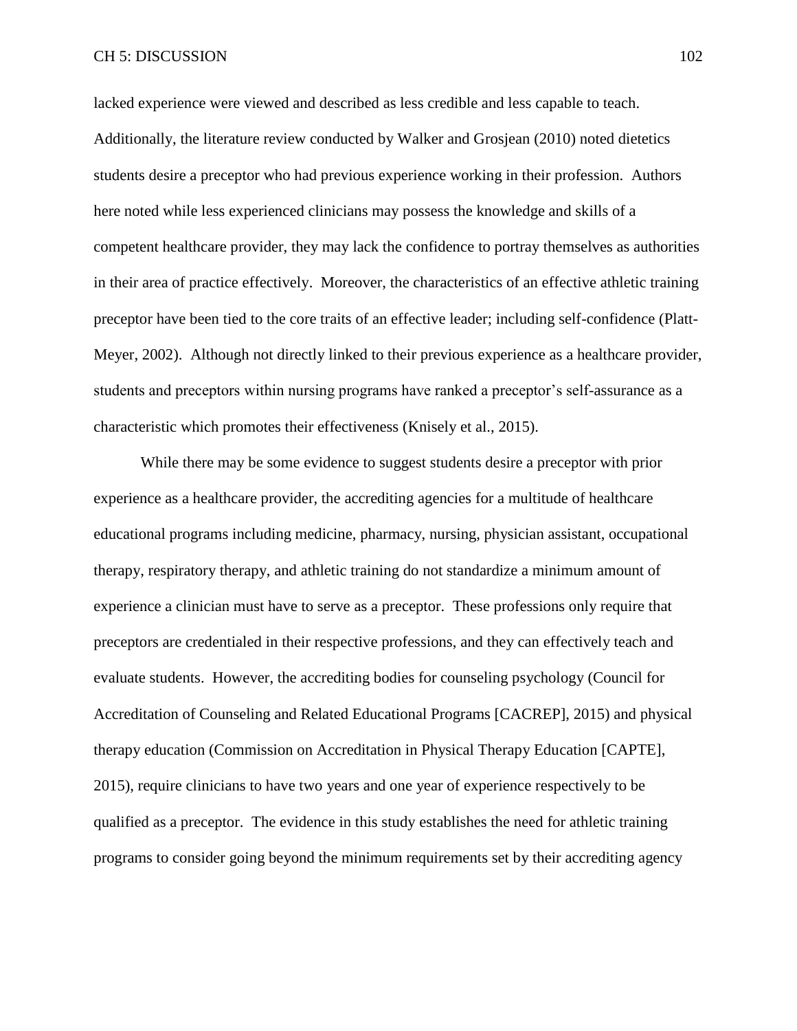lacked experience were viewed and described as less credible and less capable to teach. Additionally, the literature review conducted by Walker and Grosjean (2010) noted dietetics students desire a preceptor who had previous experience working in their profession. Authors here noted while less experienced clinicians may possess the knowledge and skills of a competent healthcare provider, they may lack the confidence to portray themselves as authorities in their area of practice effectively. Moreover, the characteristics of an effective athletic training preceptor have been tied to the core traits of an effective leader; including self-confidence (Platt-Meyer, 2002). Although not directly linked to their previous experience as a healthcare provider, students and preceptors within nursing programs have ranked a preceptor's self-assurance as a characteristic which promotes their effectiveness (Knisely et al., 2015).

While there may be some evidence to suggest students desire a preceptor with prior experience as a healthcare provider, the accrediting agencies for a multitude of healthcare educational programs including medicine, pharmacy, nursing, physician assistant, occupational therapy, respiratory therapy, and athletic training do not standardize a minimum amount of experience a clinician must have to serve as a preceptor. These professions only require that preceptors are credentialed in their respective professions, and they can effectively teach and evaluate students. However, the accrediting bodies for counseling psychology (Council for Accreditation of Counseling and Related Educational Programs [CACREP], 2015) and physical therapy education (Commission on Accreditation in Physical Therapy Education [CAPTE], 2015), require clinicians to have two years and one year of experience respectively to be qualified as a preceptor. The evidence in this study establishes the need for athletic training programs to consider going beyond the minimum requirements set by their accrediting agency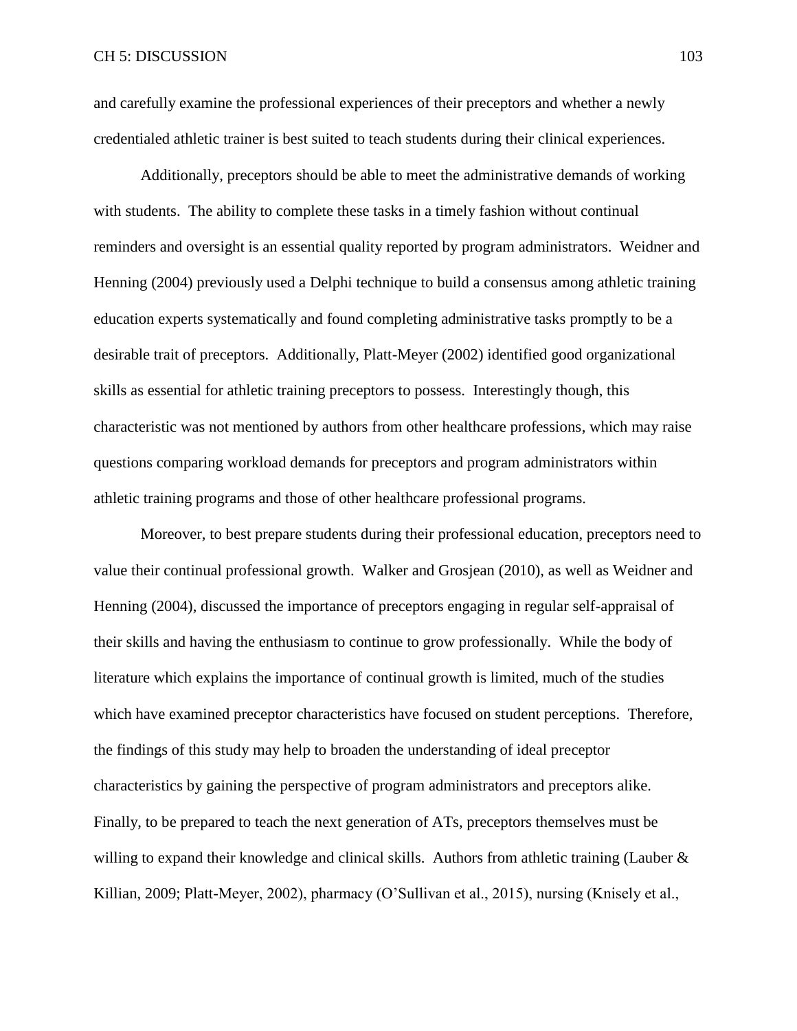and carefully examine the professional experiences of their preceptors and whether a newly credentialed athletic trainer is best suited to teach students during their clinical experiences.

Additionally, preceptors should be able to meet the administrative demands of working with students. The ability to complete these tasks in a timely fashion without continual reminders and oversight is an essential quality reported by program administrators. Weidner and Henning (2004) previously used a Delphi technique to build a consensus among athletic training education experts systematically and found completing administrative tasks promptly to be a desirable trait of preceptors. Additionally, Platt-Meyer (2002) identified good organizational skills as essential for athletic training preceptors to possess. Interestingly though, this characteristic was not mentioned by authors from other healthcare professions, which may raise questions comparing workload demands for preceptors and program administrators within athletic training programs and those of other healthcare professional programs.

Moreover, to best prepare students during their professional education, preceptors need to value their continual professional growth. Walker and Grosjean (2010), as well as Weidner and Henning (2004), discussed the importance of preceptors engaging in regular self-appraisal of their skills and having the enthusiasm to continue to grow professionally. While the body of literature which explains the importance of continual growth is limited, much of the studies which have examined preceptor characteristics have focused on student perceptions. Therefore, the findings of this study may help to broaden the understanding of ideal preceptor characteristics by gaining the perspective of program administrators and preceptors alike. Finally, to be prepared to teach the next generation of ATs, preceptors themselves must be willing to expand their knowledge and clinical skills. Authors from athletic training (Lauber & Killian, 2009; Platt-Meyer, 2002), pharmacy (O'Sullivan et al., 2015), nursing (Knisely et al.,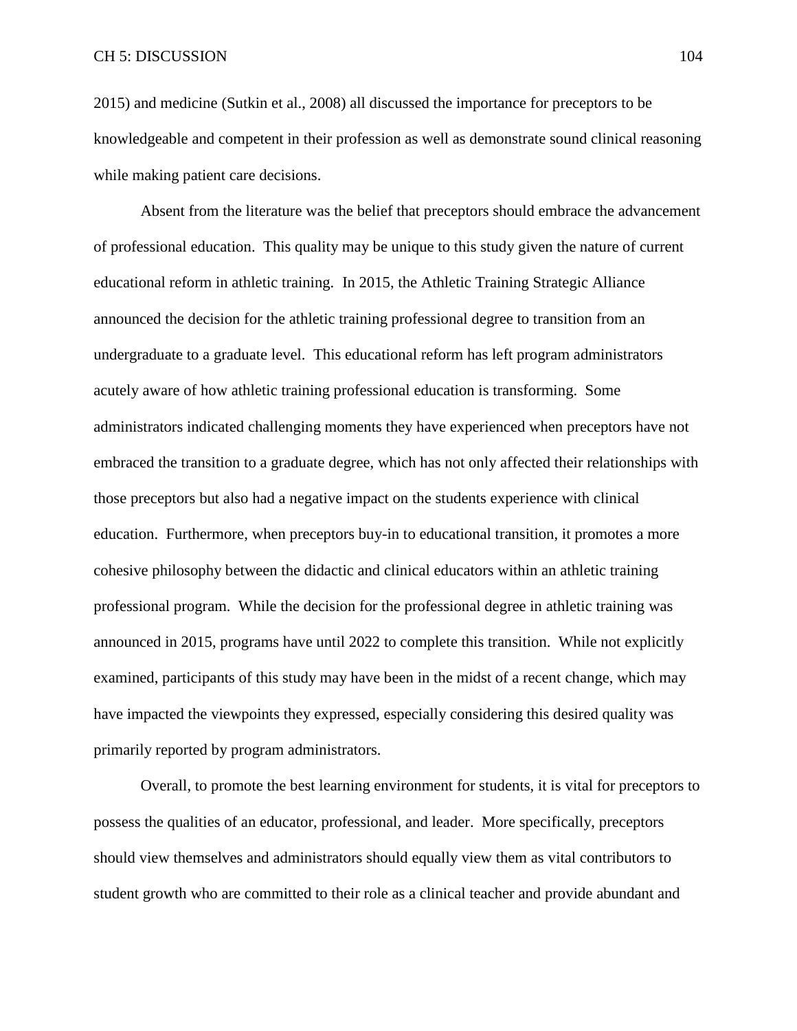2015) and medicine (Sutkin et al., 2008) all discussed the importance for preceptors to be knowledgeable and competent in their profession as well as demonstrate sound clinical reasoning while making patient care decisions.

Absent from the literature was the belief that preceptors should embrace the advancement of professional education. This quality may be unique to this study given the nature of current educational reform in athletic training. In 2015, the Athletic Training Strategic Alliance announced the decision for the athletic training professional degree to transition from an undergraduate to a graduate level. This educational reform has left program administrators acutely aware of how athletic training professional education is transforming. Some administrators indicated challenging moments they have experienced when preceptors have not embraced the transition to a graduate degree, which has not only affected their relationships with those preceptors but also had a negative impact on the students experience with clinical education. Furthermore, when preceptors buy-in to educational transition, it promotes a more cohesive philosophy between the didactic and clinical educators within an athletic training professional program. While the decision for the professional degree in athletic training was announced in 2015, programs have until 2022 to complete this transition. While not explicitly examined, participants of this study may have been in the midst of a recent change, which may have impacted the viewpoints they expressed, especially considering this desired quality was primarily reported by program administrators.

Overall, to promote the best learning environment for students, it is vital for preceptors to possess the qualities of an educator, professional, and leader. More specifically, preceptors should view themselves and administrators should equally view them as vital contributors to student growth who are committed to their role as a clinical teacher and provide abundant and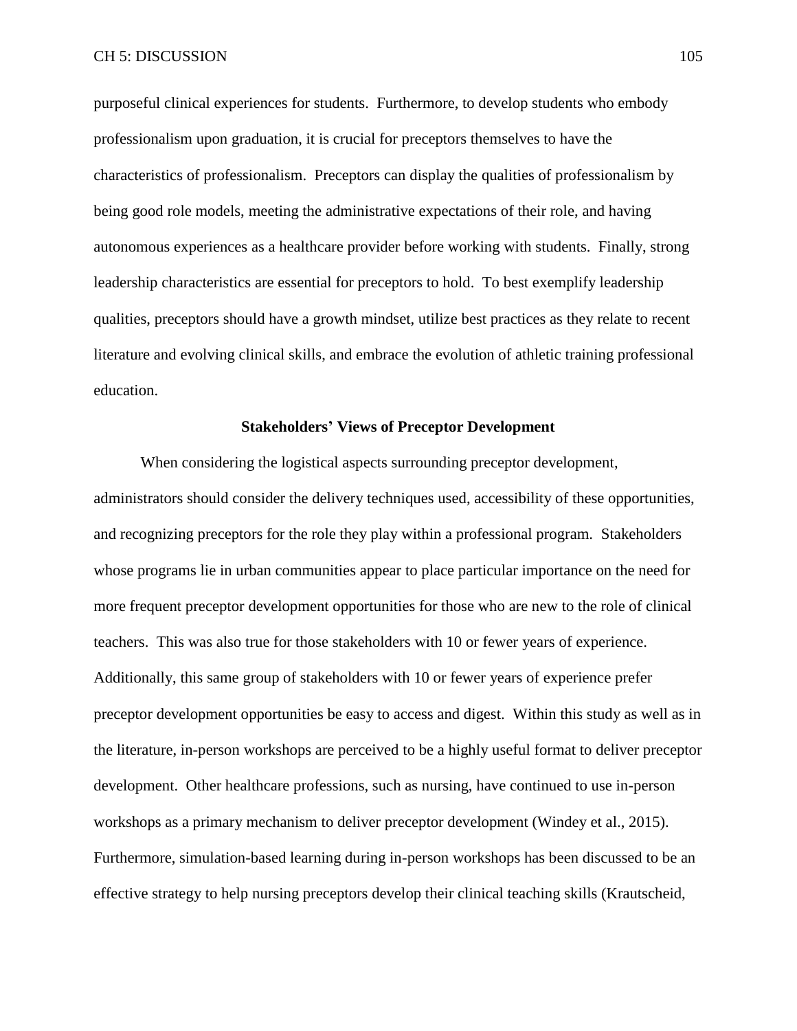purposeful clinical experiences for students. Furthermore, to develop students who embody professionalism upon graduation, it is crucial for preceptors themselves to have the characteristics of professionalism. Preceptors can display the qualities of professionalism by being good role models, meeting the administrative expectations of their role, and having autonomous experiences as a healthcare provider before working with students. Finally, strong leadership characteristics are essential for preceptors to hold. To best exemplify leadership qualities, preceptors should have a growth mindset, utilize best practices as they relate to recent literature and evolving clinical skills, and embrace the evolution of athletic training professional education.

# **Stakeholders' Views of Preceptor Development**

When considering the logistical aspects surrounding preceptor development, administrators should consider the delivery techniques used, accessibility of these opportunities, and recognizing preceptors for the role they play within a professional program. Stakeholders whose programs lie in urban communities appear to place particular importance on the need for more frequent preceptor development opportunities for those who are new to the role of clinical teachers. This was also true for those stakeholders with 10 or fewer years of experience. Additionally, this same group of stakeholders with 10 or fewer years of experience prefer preceptor development opportunities be easy to access and digest. Within this study as well as in the literature, in-person workshops are perceived to be a highly useful format to deliver preceptor development. Other healthcare professions, such as nursing, have continued to use in-person workshops as a primary mechanism to deliver preceptor development (Windey et al., 2015). Furthermore, simulation-based learning during in-person workshops has been discussed to be an effective strategy to help nursing preceptors develop their clinical teaching skills (Krautscheid,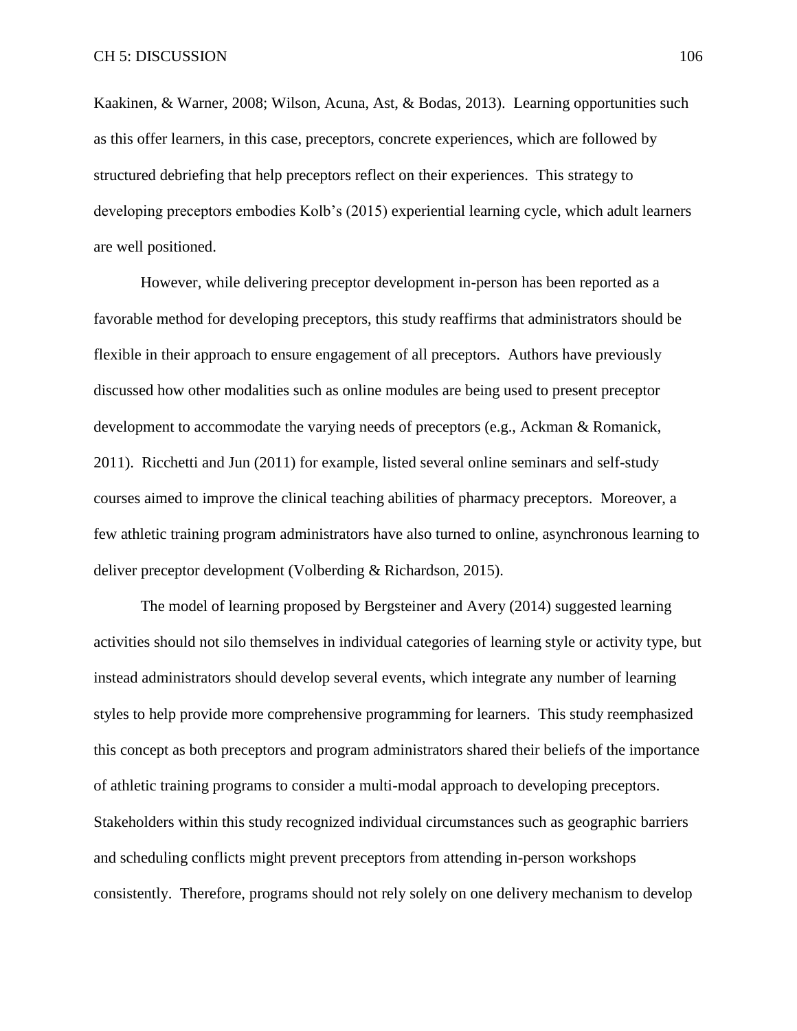Kaakinen, & Warner, 2008; Wilson, Acuna, Ast, & Bodas, 2013). Learning opportunities such as this offer learners, in this case, preceptors, concrete experiences, which are followed by structured debriefing that help preceptors reflect on their experiences. This strategy to developing preceptors embodies Kolb's (2015) experiential learning cycle, which adult learners are well positioned.

However, while delivering preceptor development in-person has been reported as a favorable method for developing preceptors, this study reaffirms that administrators should be flexible in their approach to ensure engagement of all preceptors. Authors have previously discussed how other modalities such as online modules are being used to present preceptor development to accommodate the varying needs of preceptors (e.g., Ackman & Romanick, 2011). Ricchetti and Jun (2011) for example, listed several online seminars and self-study courses aimed to improve the clinical teaching abilities of pharmacy preceptors. Moreover, a few athletic training program administrators have also turned to online, asynchronous learning to deliver preceptor development (Volberding & Richardson, 2015).

The model of learning proposed by Bergsteiner and Avery (2014) suggested learning activities should not silo themselves in individual categories of learning style or activity type, but instead administrators should develop several events, which integrate any number of learning styles to help provide more comprehensive programming for learners. This study reemphasized this concept as both preceptors and program administrators shared their beliefs of the importance of athletic training programs to consider a multi-modal approach to developing preceptors. Stakeholders within this study recognized individual circumstances such as geographic barriers and scheduling conflicts might prevent preceptors from attending in-person workshops consistently. Therefore, programs should not rely solely on one delivery mechanism to develop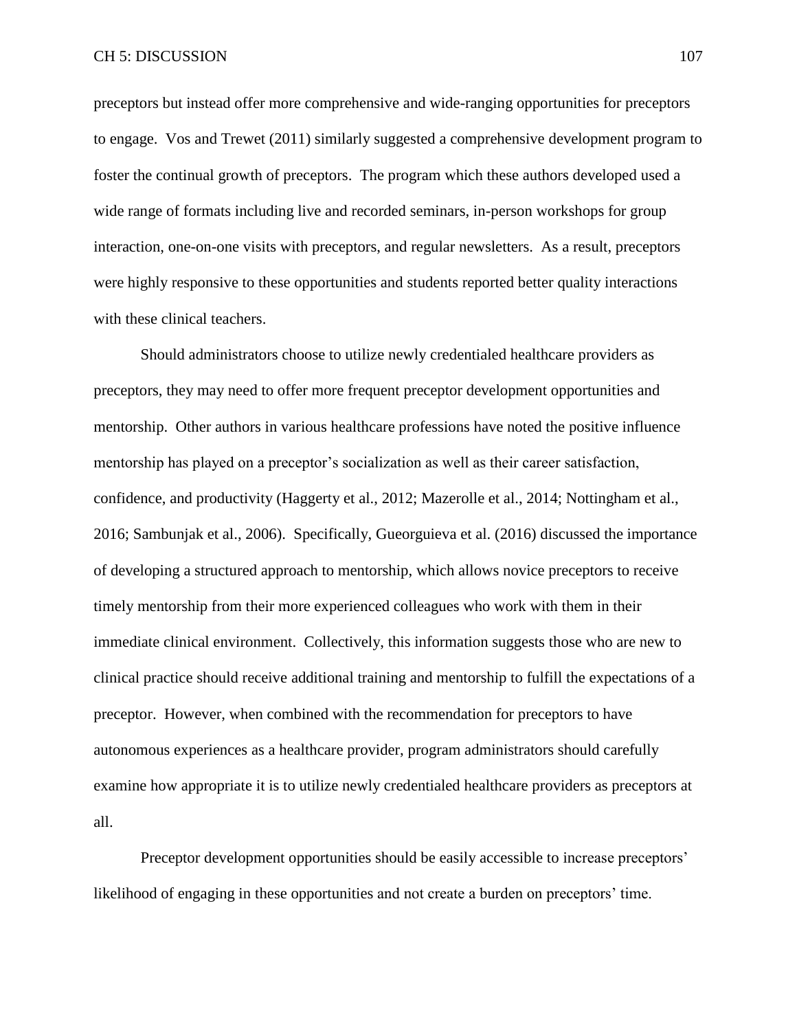preceptors but instead offer more comprehensive and wide-ranging opportunities for preceptors to engage. Vos and Trewet (2011) similarly suggested a comprehensive development program to foster the continual growth of preceptors. The program which these authors developed used a wide range of formats including live and recorded seminars, in-person workshops for group interaction, one-on-one visits with preceptors, and regular newsletters. As a result, preceptors were highly responsive to these opportunities and students reported better quality interactions with these clinical teachers.

Should administrators choose to utilize newly credentialed healthcare providers as preceptors, they may need to offer more frequent preceptor development opportunities and mentorship. Other authors in various healthcare professions have noted the positive influence mentorship has played on a preceptor's socialization as well as their career satisfaction, confidence, and productivity (Haggerty et al., 2012; Mazerolle et al., 2014; Nottingham et al., 2016; Sambunjak et al., 2006). Specifically, Gueorguieva et al. (2016) discussed the importance of developing a structured approach to mentorship, which allows novice preceptors to receive timely mentorship from their more experienced colleagues who work with them in their immediate clinical environment. Collectively, this information suggests those who are new to clinical practice should receive additional training and mentorship to fulfill the expectations of a preceptor. However, when combined with the recommendation for preceptors to have autonomous experiences as a healthcare provider, program administrators should carefully examine how appropriate it is to utilize newly credentialed healthcare providers as preceptors at all.

Preceptor development opportunities should be easily accessible to increase preceptors' likelihood of engaging in these opportunities and not create a burden on preceptors' time.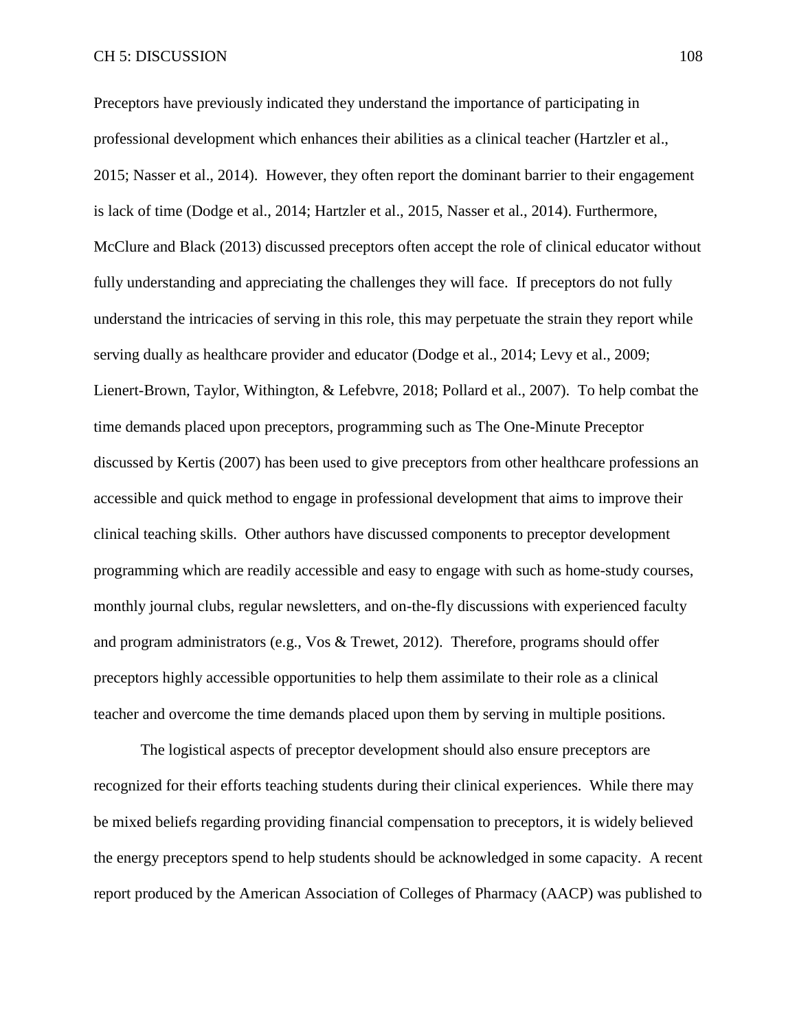Preceptors have previously indicated they understand the importance of participating in professional development which enhances their abilities as a clinical teacher (Hartzler et al., 2015; Nasser et al., 2014). However, they often report the dominant barrier to their engagement is lack of time (Dodge et al., 2014; Hartzler et al., 2015, Nasser et al., 2014). Furthermore, McClure and Black (2013) discussed preceptors often accept the role of clinical educator without fully understanding and appreciating the challenges they will face. If preceptors do not fully understand the intricacies of serving in this role, this may perpetuate the strain they report while serving dually as healthcare provider and educator (Dodge et al., 2014; Levy et al., 2009; Lienert-Brown, Taylor, Withington, & Lefebvre, 2018; Pollard et al., 2007). To help combat the time demands placed upon preceptors, programming such as The One-Minute Preceptor discussed by Kertis (2007) has been used to give preceptors from other healthcare professions an accessible and quick method to engage in professional development that aims to improve their clinical teaching skills. Other authors have discussed components to preceptor development programming which are readily accessible and easy to engage with such as home-study courses, monthly journal clubs, regular newsletters, and on-the-fly discussions with experienced faculty and program administrators (e.g., Vos & Trewet, 2012). Therefore, programs should offer preceptors highly accessible opportunities to help them assimilate to their role as a clinical teacher and overcome the time demands placed upon them by serving in multiple positions.

The logistical aspects of preceptor development should also ensure preceptors are recognized for their efforts teaching students during their clinical experiences. While there may be mixed beliefs regarding providing financial compensation to preceptors, it is widely believed the energy preceptors spend to help students should be acknowledged in some capacity. A recent report produced by the American Association of Colleges of Pharmacy (AACP) was published to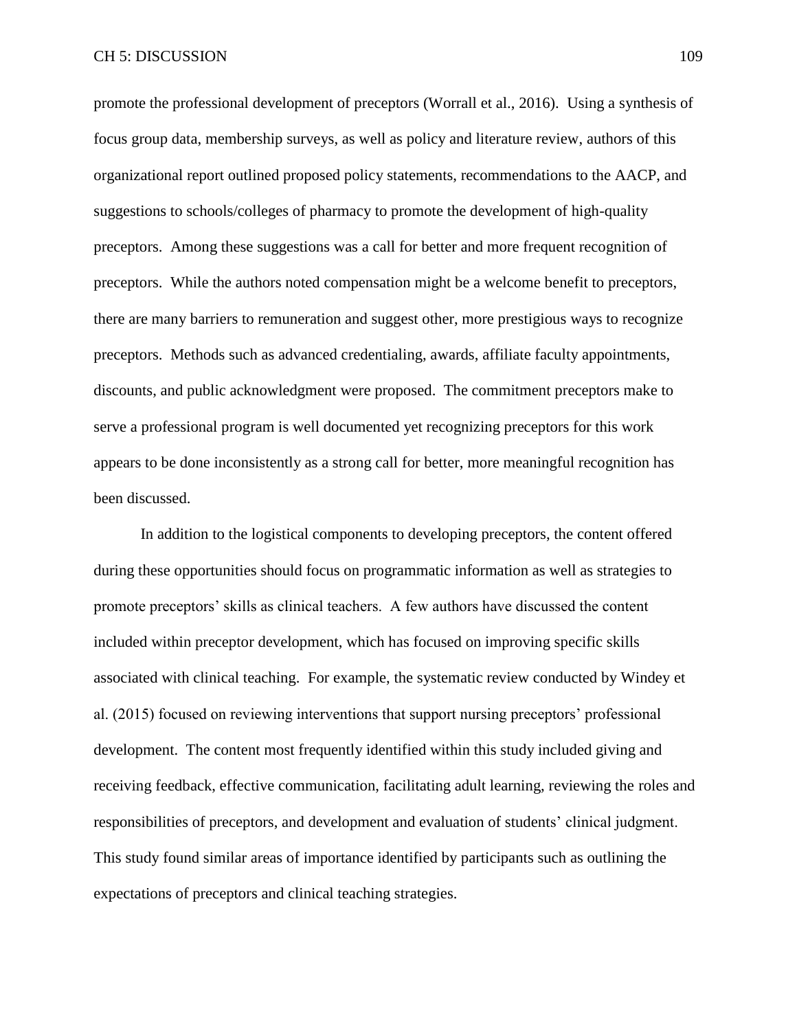promote the professional development of preceptors (Worrall et al., 2016). Using a synthesis of focus group data, membership surveys, as well as policy and literature review, authors of this organizational report outlined proposed policy statements, recommendations to the AACP, and suggestions to schools/colleges of pharmacy to promote the development of high-quality preceptors. Among these suggestions was a call for better and more frequent recognition of preceptors. While the authors noted compensation might be a welcome benefit to preceptors, there are many barriers to remuneration and suggest other, more prestigious ways to recognize preceptors. Methods such as advanced credentialing, awards, affiliate faculty appointments, discounts, and public acknowledgment were proposed. The commitment preceptors make to serve a professional program is well documented yet recognizing preceptors for this work appears to be done inconsistently as a strong call for better, more meaningful recognition has been discussed.

In addition to the logistical components to developing preceptors, the content offered during these opportunities should focus on programmatic information as well as strategies to promote preceptors' skills as clinical teachers. A few authors have discussed the content included within preceptor development, which has focused on improving specific skills associated with clinical teaching. For example, the systematic review conducted by Windey et al. (2015) focused on reviewing interventions that support nursing preceptors' professional development. The content most frequently identified within this study included giving and receiving feedback, effective communication, facilitating adult learning, reviewing the roles and responsibilities of preceptors, and development and evaluation of students' clinical judgment. This study found similar areas of importance identified by participants such as outlining the expectations of preceptors and clinical teaching strategies.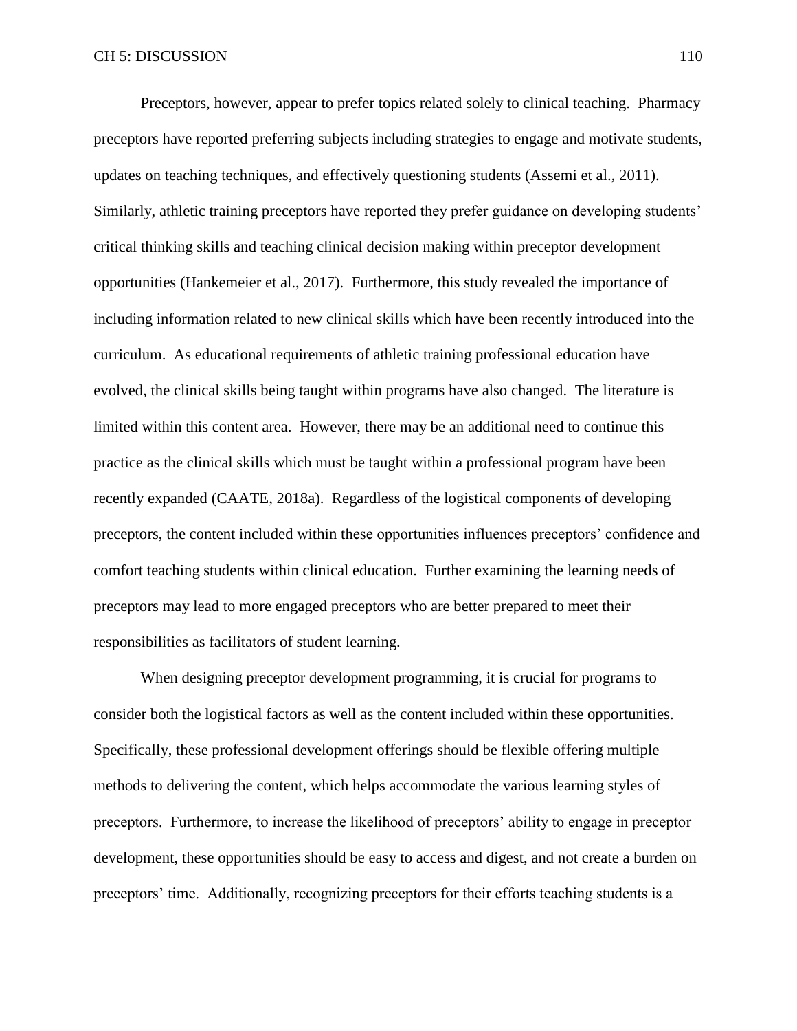Preceptors, however, appear to prefer topics related solely to clinical teaching. Pharmacy preceptors have reported preferring subjects including strategies to engage and motivate students, updates on teaching techniques, and effectively questioning students (Assemi et al., 2011). Similarly, athletic training preceptors have reported they prefer guidance on developing students' critical thinking skills and teaching clinical decision making within preceptor development opportunities (Hankemeier et al., 2017). Furthermore, this study revealed the importance of including information related to new clinical skills which have been recently introduced into the curriculum. As educational requirements of athletic training professional education have evolved, the clinical skills being taught within programs have also changed. The literature is limited within this content area. However, there may be an additional need to continue this practice as the clinical skills which must be taught within a professional program have been recently expanded (CAATE, 2018a). Regardless of the logistical components of developing preceptors, the content included within these opportunities influences preceptors' confidence and comfort teaching students within clinical education. Further examining the learning needs of preceptors may lead to more engaged preceptors who are better prepared to meet their responsibilities as facilitators of student learning.

When designing preceptor development programming, it is crucial for programs to consider both the logistical factors as well as the content included within these opportunities. Specifically, these professional development offerings should be flexible offering multiple methods to delivering the content, which helps accommodate the various learning styles of preceptors. Furthermore, to increase the likelihood of preceptors' ability to engage in preceptor development, these opportunities should be easy to access and digest, and not create a burden on preceptors' time. Additionally, recognizing preceptors for their efforts teaching students is a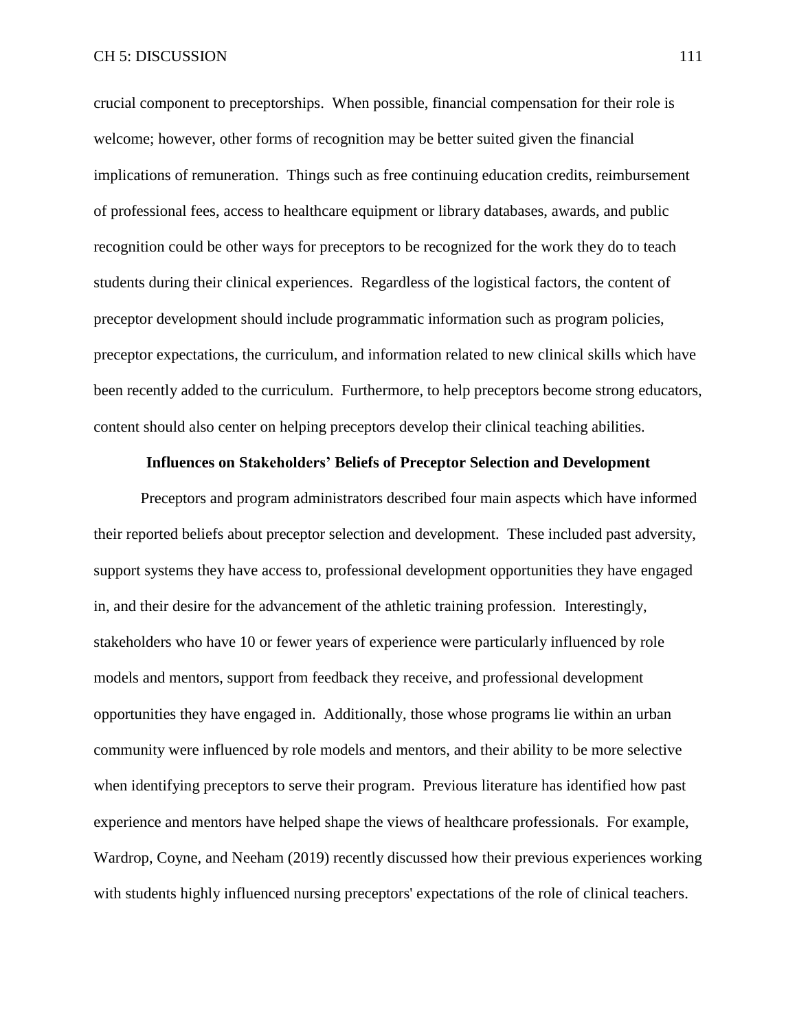crucial component to preceptorships. When possible, financial compensation for their role is welcome; however, other forms of recognition may be better suited given the financial implications of remuneration. Things such as free continuing education credits, reimbursement of professional fees, access to healthcare equipment or library databases, awards, and public recognition could be other ways for preceptors to be recognized for the work they do to teach students during their clinical experiences. Regardless of the logistical factors, the content of preceptor development should include programmatic information such as program policies, preceptor expectations, the curriculum, and information related to new clinical skills which have been recently added to the curriculum. Furthermore, to help preceptors become strong educators, content should also center on helping preceptors develop their clinical teaching abilities.

# **Influences on Stakeholders' Beliefs of Preceptor Selection and Development**

Preceptors and program administrators described four main aspects which have informed their reported beliefs about preceptor selection and development. These included past adversity, support systems they have access to, professional development opportunities they have engaged in, and their desire for the advancement of the athletic training profession. Interestingly, stakeholders who have 10 or fewer years of experience were particularly influenced by role models and mentors, support from feedback they receive, and professional development opportunities they have engaged in. Additionally, those whose programs lie within an urban community were influenced by role models and mentors, and their ability to be more selective when identifying preceptors to serve their program. Previous literature has identified how past experience and mentors have helped shape the views of healthcare professionals. For example, Wardrop, Coyne, and Neeham (2019) recently discussed how their previous experiences working with students highly influenced nursing preceptors' expectations of the role of clinical teachers.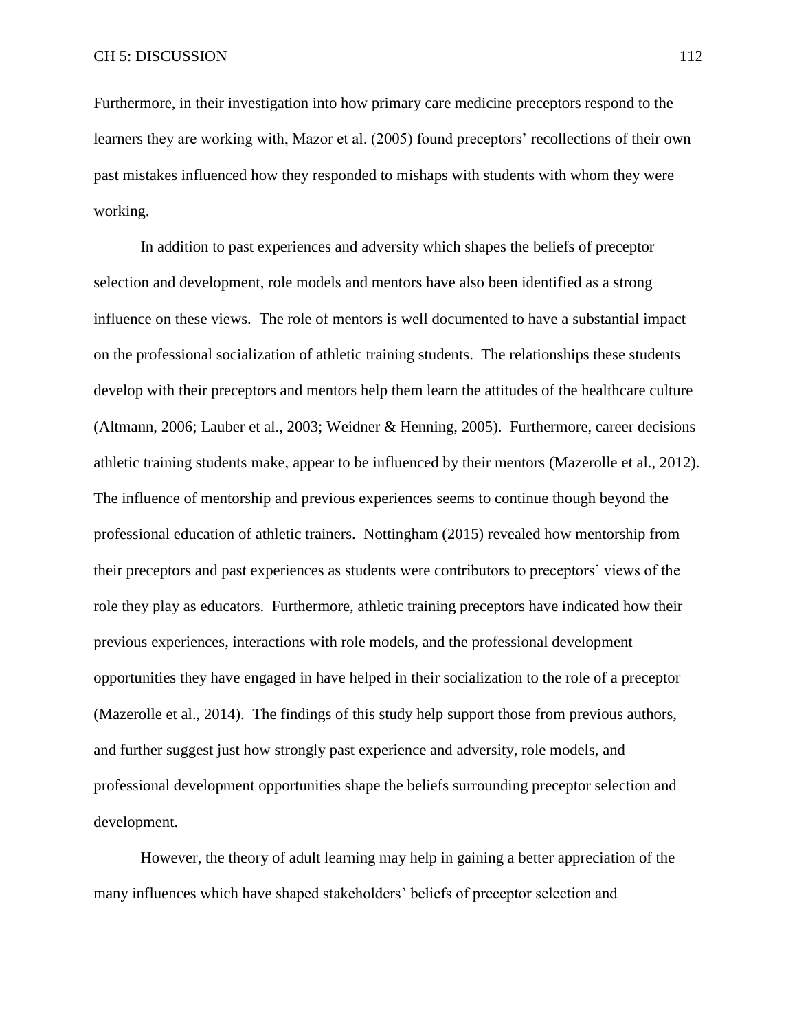Furthermore, in their investigation into how primary care medicine preceptors respond to the learners they are working with, Mazor et al. (2005) found preceptors' recollections of their own past mistakes influenced how they responded to mishaps with students with whom they were working.

In addition to past experiences and adversity which shapes the beliefs of preceptor selection and development, role models and mentors have also been identified as a strong influence on these views. The role of mentors is well documented to have a substantial impact on the professional socialization of athletic training students. The relationships these students develop with their preceptors and mentors help them learn the attitudes of the healthcare culture (Altmann, 2006; Lauber et al., 2003; Weidner & Henning, 2005). Furthermore, career decisions athletic training students make, appear to be influenced by their mentors (Mazerolle et al., 2012). The influence of mentorship and previous experiences seems to continue though beyond the professional education of athletic trainers. Nottingham (2015) revealed how mentorship from their preceptors and past experiences as students were contributors to preceptors' views of the role they play as educators. Furthermore, athletic training preceptors have indicated how their previous experiences, interactions with role models, and the professional development opportunities they have engaged in have helped in their socialization to the role of a preceptor (Mazerolle et al., 2014). The findings of this study help support those from previous authors, and further suggest just how strongly past experience and adversity, role models, and professional development opportunities shape the beliefs surrounding preceptor selection and development.

However, the theory of adult learning may help in gaining a better appreciation of the many influences which have shaped stakeholders' beliefs of preceptor selection and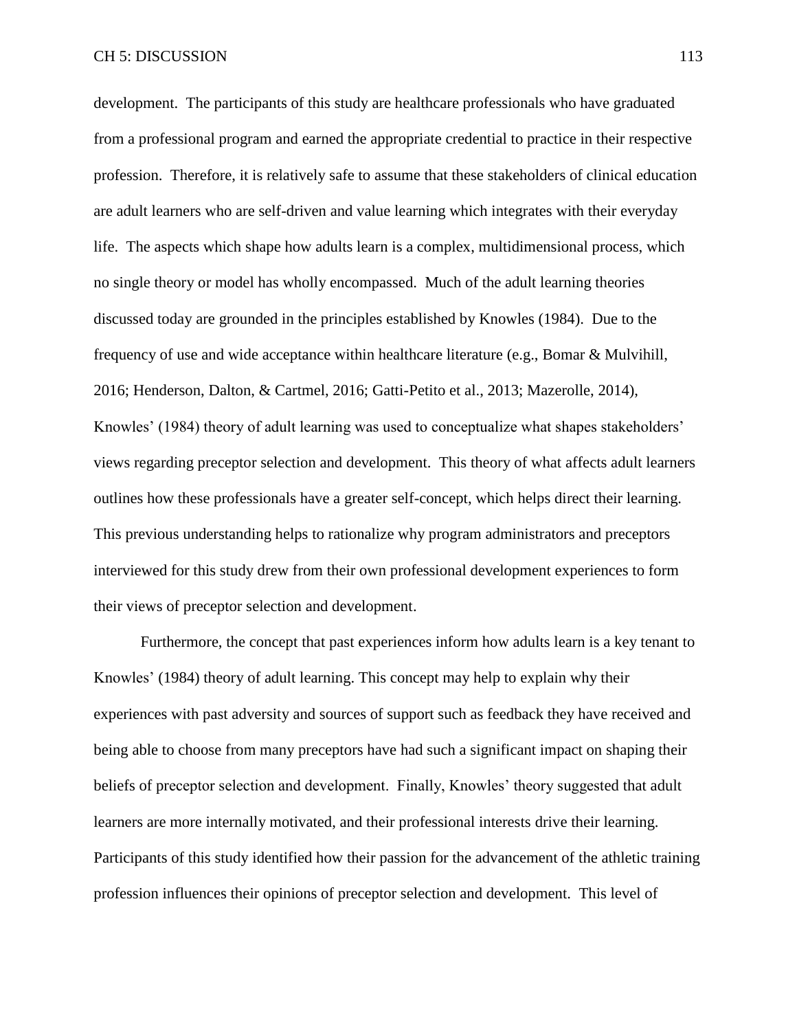development. The participants of this study are healthcare professionals who have graduated from a professional program and earned the appropriate credential to practice in their respective profession. Therefore, it is relatively safe to assume that these stakeholders of clinical education are adult learners who are self-driven and value learning which integrates with their everyday life. The aspects which shape how adults learn is a complex, multidimensional process, which no single theory or model has wholly encompassed. Much of the adult learning theories discussed today are grounded in the principles established by Knowles (1984). Due to the frequency of use and wide acceptance within healthcare literature (e.g., Bomar & Mulvihill, 2016; Henderson, Dalton, & Cartmel, 2016; Gatti-Petito et al., 2013; Mazerolle, 2014), Knowles' (1984) theory of adult learning was used to conceptualize what shapes stakeholders' views regarding preceptor selection and development. This theory of what affects adult learners outlines how these professionals have a greater self-concept, which helps direct their learning. This previous understanding helps to rationalize why program administrators and preceptors interviewed for this study drew from their own professional development experiences to form their views of preceptor selection and development.

Furthermore, the concept that past experiences inform how adults learn is a key tenant to Knowles' (1984) theory of adult learning. This concept may help to explain why their experiences with past adversity and sources of support such as feedback they have received and being able to choose from many preceptors have had such a significant impact on shaping their beliefs of preceptor selection and development. Finally, Knowles' theory suggested that adult learners are more internally motivated, and their professional interests drive their learning. Participants of this study identified how their passion for the advancement of the athletic training profession influences their opinions of preceptor selection and development. This level of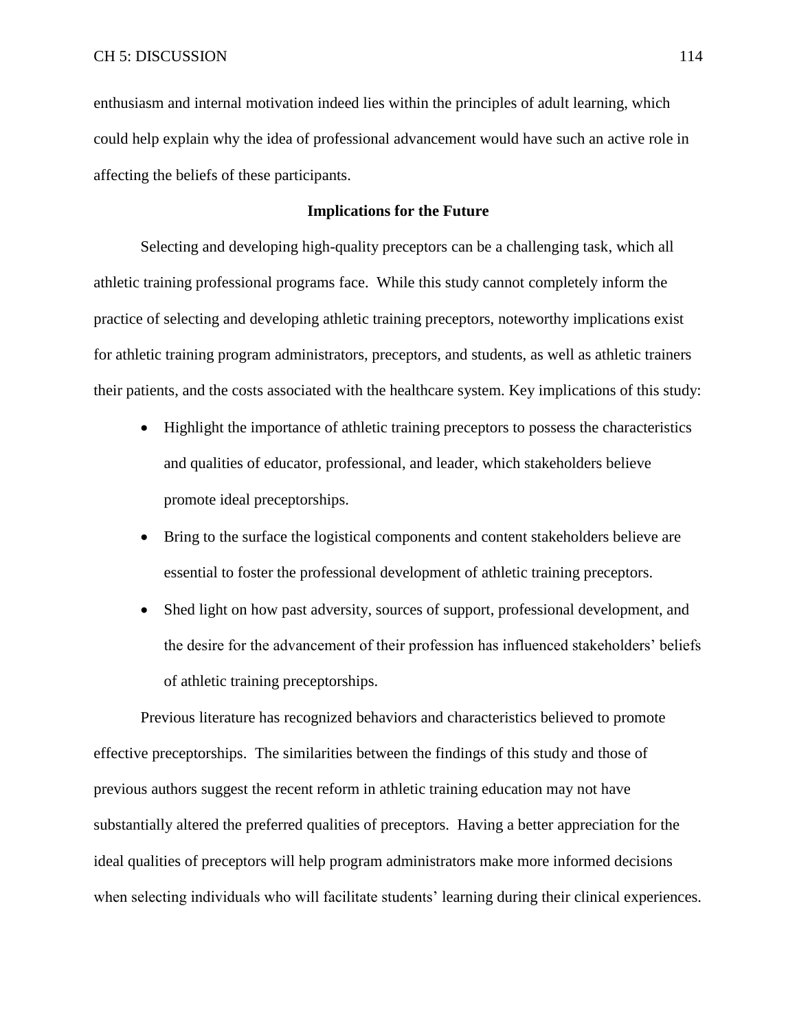enthusiasm and internal motivation indeed lies within the principles of adult learning, which could help explain why the idea of professional advancement would have such an active role in affecting the beliefs of these participants.

# **Implications for the Future**

Selecting and developing high-quality preceptors can be a challenging task, which all athletic training professional programs face. While this study cannot completely inform the practice of selecting and developing athletic training preceptors, noteworthy implications exist for athletic training program administrators, preceptors, and students, as well as athletic trainers their patients, and the costs associated with the healthcare system. Key implications of this study:

- Highlight the importance of athletic training preceptors to possess the characteristics and qualities of educator, professional, and leader, which stakeholders believe promote ideal preceptorships.
- Bring to the surface the logistical components and content stakeholders believe are essential to foster the professional development of athletic training preceptors.
- Shed light on how past adversity, sources of support, professional development, and the desire for the advancement of their profession has influenced stakeholders' beliefs of athletic training preceptorships.

Previous literature has recognized behaviors and characteristics believed to promote effective preceptorships. The similarities between the findings of this study and those of previous authors suggest the recent reform in athletic training education may not have substantially altered the preferred qualities of preceptors. Having a better appreciation for the ideal qualities of preceptors will help program administrators make more informed decisions when selecting individuals who will facilitate students' learning during their clinical experiences.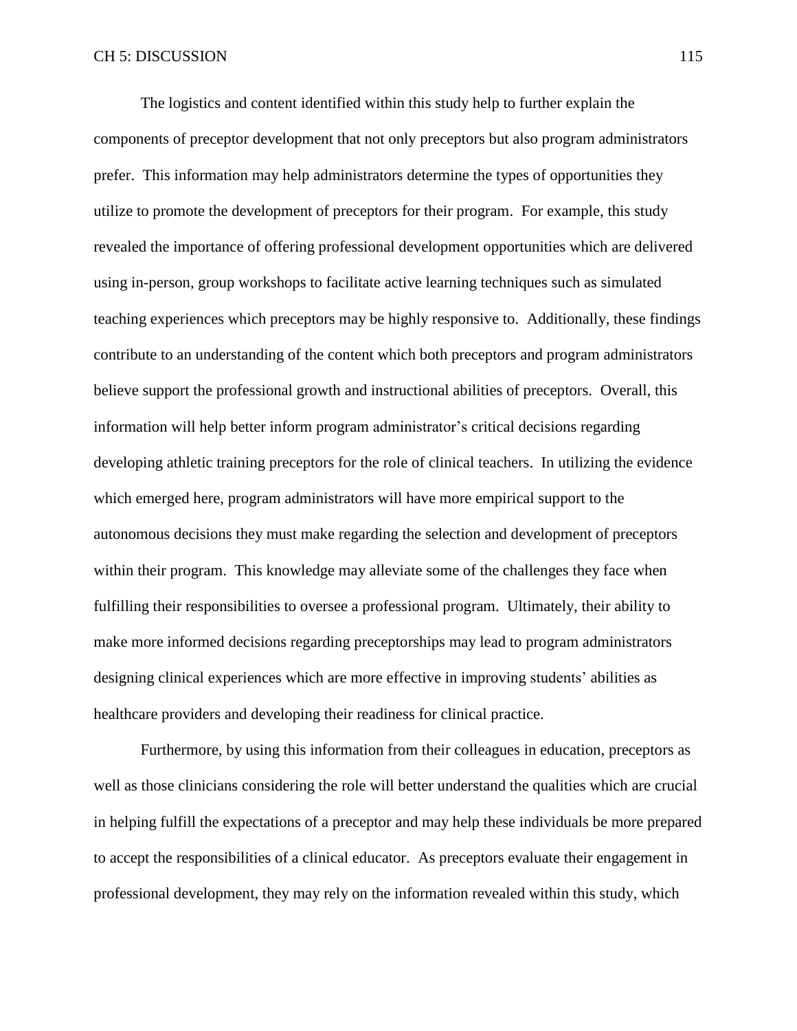The logistics and content identified within this study help to further explain the components of preceptor development that not only preceptors but also program administrators prefer. This information may help administrators determine the types of opportunities they utilize to promote the development of preceptors for their program. For example, this study revealed the importance of offering professional development opportunities which are delivered using in-person, group workshops to facilitate active learning techniques such as simulated teaching experiences which preceptors may be highly responsive to. Additionally, these findings contribute to an understanding of the content which both preceptors and program administrators believe support the professional growth and instructional abilities of preceptors. Overall, this information will help better inform program administrator's critical decisions regarding developing athletic training preceptors for the role of clinical teachers. In utilizing the evidence which emerged here, program administrators will have more empirical support to the autonomous decisions they must make regarding the selection and development of preceptors within their program. This knowledge may alleviate some of the challenges they face when fulfilling their responsibilities to oversee a professional program. Ultimately, their ability to make more informed decisions regarding preceptorships may lead to program administrators designing clinical experiences which are more effective in improving students' abilities as healthcare providers and developing their readiness for clinical practice.

Furthermore, by using this information from their colleagues in education, preceptors as well as those clinicians considering the role will better understand the qualities which are crucial in helping fulfill the expectations of a preceptor and may help these individuals be more prepared to accept the responsibilities of a clinical educator. As preceptors evaluate their engagement in professional development, they may rely on the information revealed within this study, which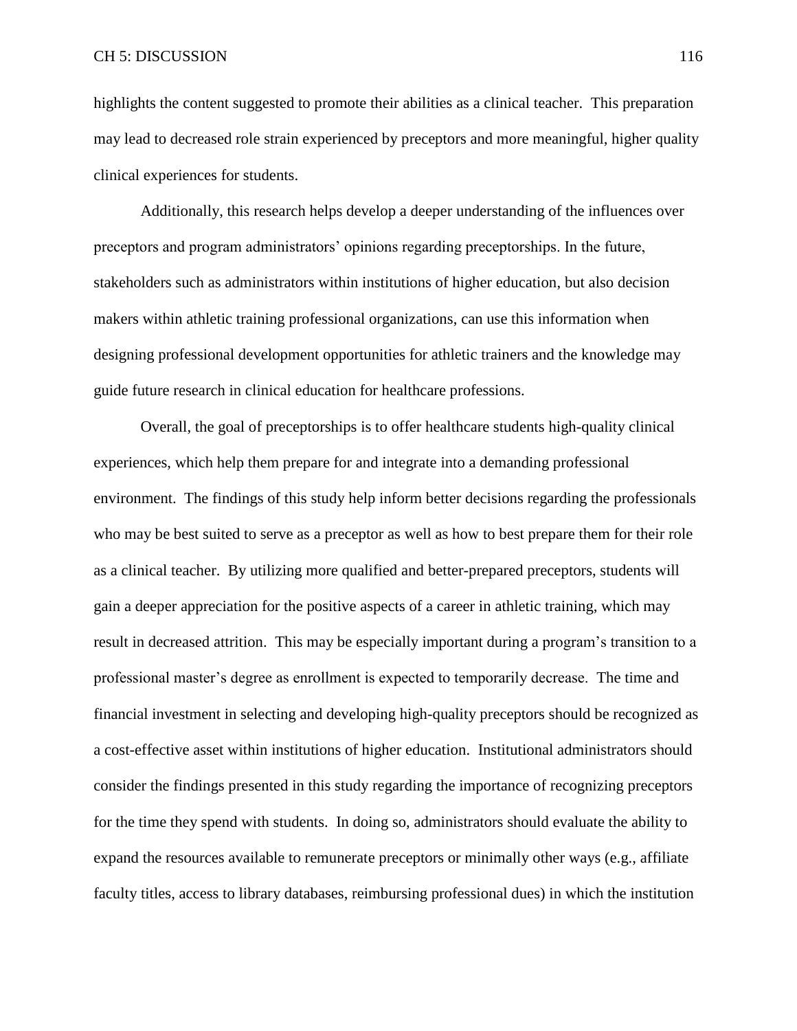highlights the content suggested to promote their abilities as a clinical teacher. This preparation may lead to decreased role strain experienced by preceptors and more meaningful, higher quality clinical experiences for students.

Additionally, this research helps develop a deeper understanding of the influences over preceptors and program administrators' opinions regarding preceptorships. In the future, stakeholders such as administrators within institutions of higher education, but also decision makers within athletic training professional organizations, can use this information when designing professional development opportunities for athletic trainers and the knowledge may guide future research in clinical education for healthcare professions.

Overall, the goal of preceptorships is to offer healthcare students high-quality clinical experiences, which help them prepare for and integrate into a demanding professional environment. The findings of this study help inform better decisions regarding the professionals who may be best suited to serve as a preceptor as well as how to best prepare them for their role as a clinical teacher. By utilizing more qualified and better-prepared preceptors, students will gain a deeper appreciation for the positive aspects of a career in athletic training, which may result in decreased attrition. This may be especially important during a program's transition to a professional master's degree as enrollment is expected to temporarily decrease. The time and financial investment in selecting and developing high-quality preceptors should be recognized as a cost-effective asset within institutions of higher education. Institutional administrators should consider the findings presented in this study regarding the importance of recognizing preceptors for the time they spend with students. In doing so, administrators should evaluate the ability to expand the resources available to remunerate preceptors or minimally other ways (e.g., affiliate faculty titles, access to library databases, reimbursing professional dues) in which the institution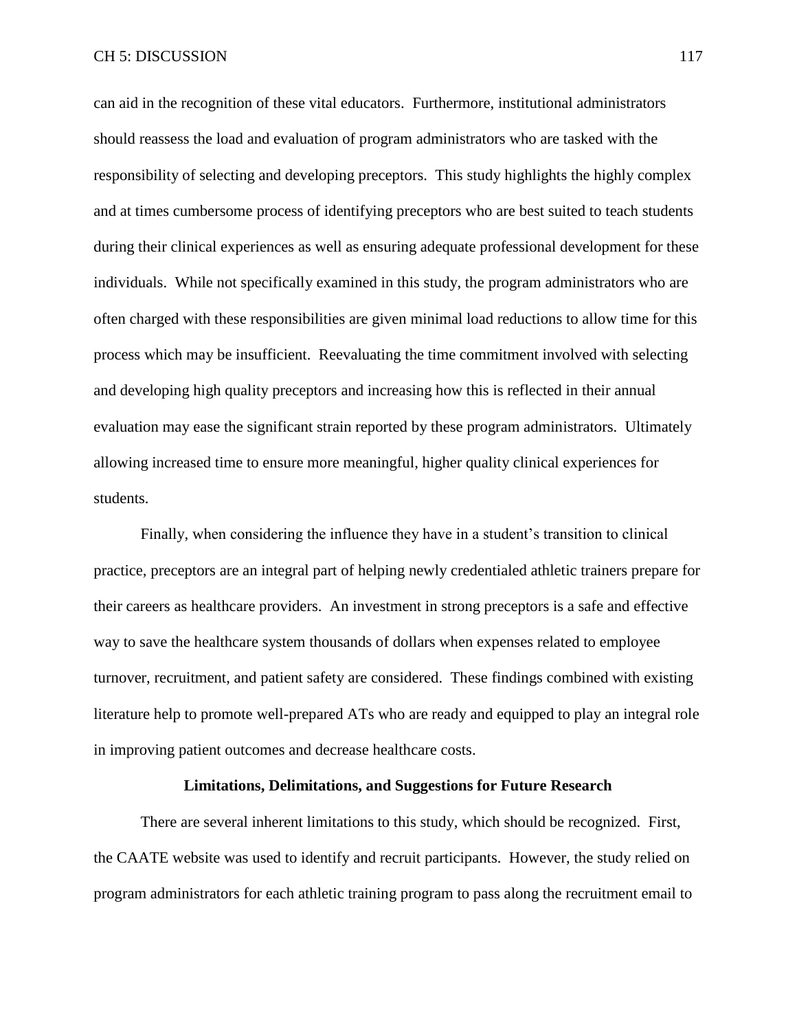can aid in the recognition of these vital educators. Furthermore, institutional administrators should reassess the load and evaluation of program administrators who are tasked with the responsibility of selecting and developing preceptors. This study highlights the highly complex and at times cumbersome process of identifying preceptors who are best suited to teach students during their clinical experiences as well as ensuring adequate professional development for these individuals. While not specifically examined in this study, the program administrators who are often charged with these responsibilities are given minimal load reductions to allow time for this process which may be insufficient. Reevaluating the time commitment involved with selecting and developing high quality preceptors and increasing how this is reflected in their annual evaluation may ease the significant strain reported by these program administrators. Ultimately allowing increased time to ensure more meaningful, higher quality clinical experiences for students.

Finally, when considering the influence they have in a student's transition to clinical practice, preceptors are an integral part of helping newly credentialed athletic trainers prepare for their careers as healthcare providers. An investment in strong preceptors is a safe and effective way to save the healthcare system thousands of dollars when expenses related to employee turnover, recruitment, and patient safety are considered. These findings combined with existing literature help to promote well-prepared ATs who are ready and equipped to play an integral role in improving patient outcomes and decrease healthcare costs.

## **Limitations, Delimitations, and Suggestions for Future Research**

There are several inherent limitations to this study, which should be recognized. First, the CAATE website was used to identify and recruit participants. However, the study relied on program administrators for each athletic training program to pass along the recruitment email to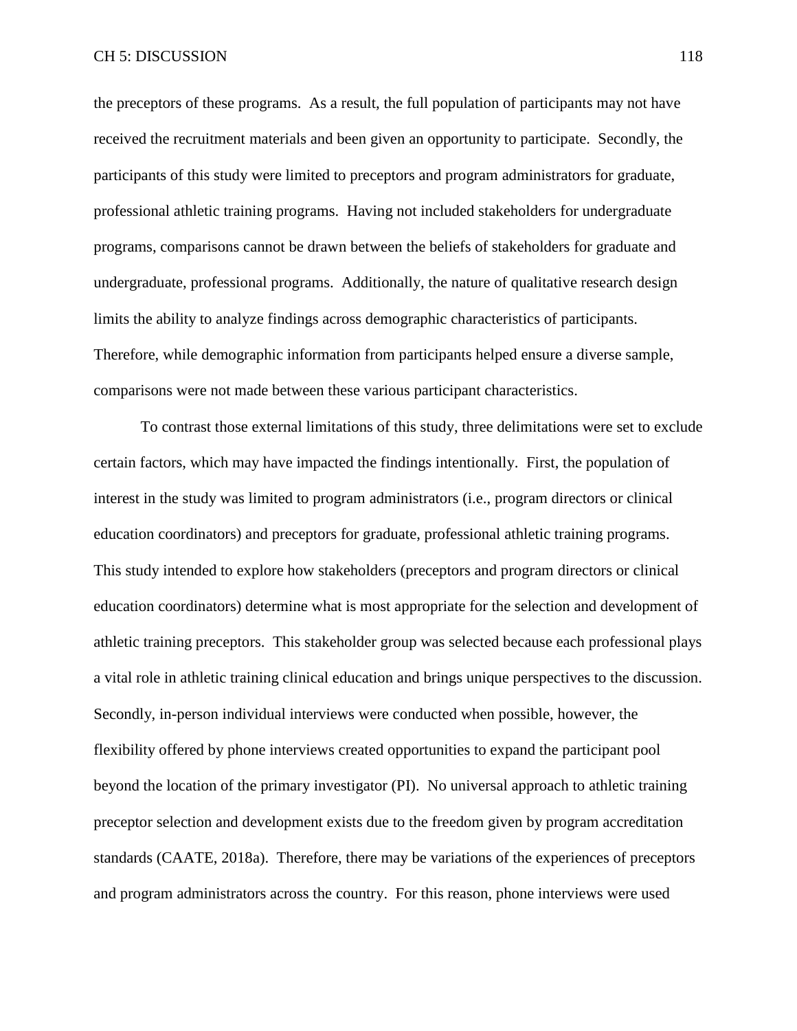the preceptors of these programs. As a result, the full population of participants may not have received the recruitment materials and been given an opportunity to participate. Secondly, the participants of this study were limited to preceptors and program administrators for graduate, professional athletic training programs. Having not included stakeholders for undergraduate programs, comparisons cannot be drawn between the beliefs of stakeholders for graduate and undergraduate, professional programs. Additionally, the nature of qualitative research design limits the ability to analyze findings across demographic characteristics of participants. Therefore, while demographic information from participants helped ensure a diverse sample, comparisons were not made between these various participant characteristics.

To contrast those external limitations of this study, three delimitations were set to exclude certain factors, which may have impacted the findings intentionally. First, the population of interest in the study was limited to program administrators (i.e., program directors or clinical education coordinators) and preceptors for graduate, professional athletic training programs. This study intended to explore how stakeholders (preceptors and program directors or clinical education coordinators) determine what is most appropriate for the selection and development of athletic training preceptors. This stakeholder group was selected because each professional plays a vital role in athletic training clinical education and brings unique perspectives to the discussion. Secondly, in-person individual interviews were conducted when possible, however, the flexibility offered by phone interviews created opportunities to expand the participant pool beyond the location of the primary investigator (PI). No universal approach to athletic training preceptor selection and development exists due to the freedom given by program accreditation standards (CAATE, 2018a). Therefore, there may be variations of the experiences of preceptors and program administrators across the country. For this reason, phone interviews were used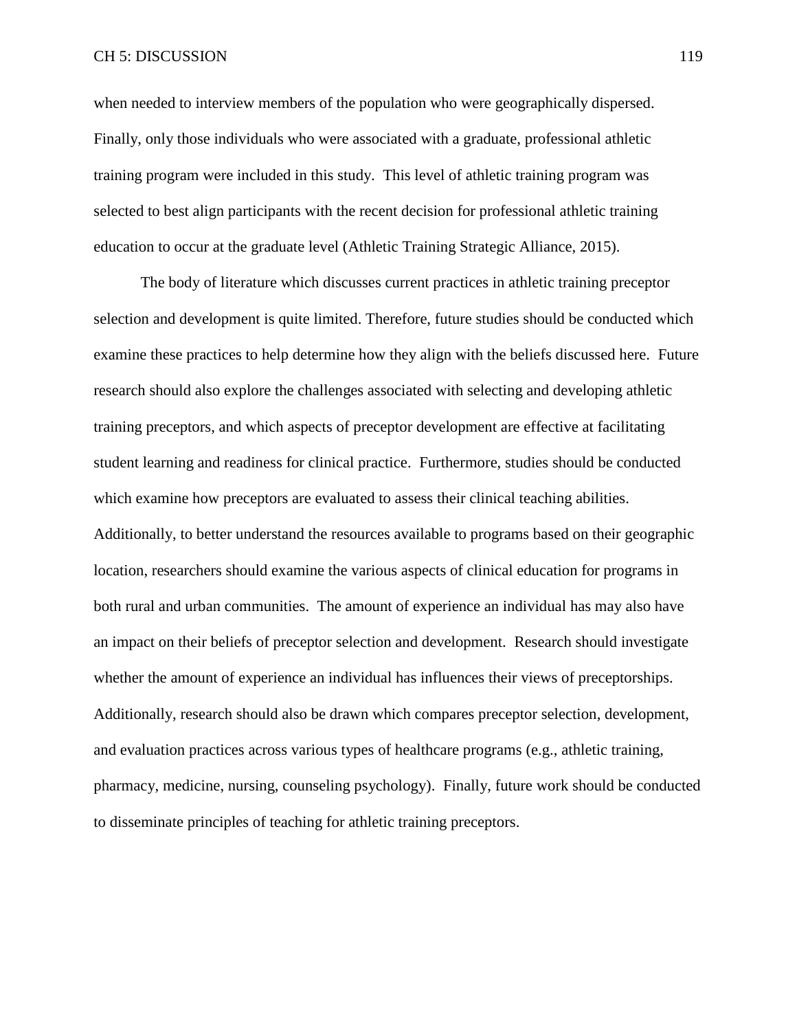## CH 5: DISCUSSION 119

when needed to interview members of the population who were geographically dispersed. Finally, only those individuals who were associated with a graduate, professional athletic training program were included in this study. This level of athletic training program was selected to best align participants with the recent decision for professional athletic training education to occur at the graduate level (Athletic Training Strategic Alliance, 2015).

The body of literature which discusses current practices in athletic training preceptor selection and development is quite limited. Therefore, future studies should be conducted which examine these practices to help determine how they align with the beliefs discussed here. Future research should also explore the challenges associated with selecting and developing athletic training preceptors, and which aspects of preceptor development are effective at facilitating student learning and readiness for clinical practice. Furthermore, studies should be conducted which examine how preceptors are evaluated to assess their clinical teaching abilities. Additionally, to better understand the resources available to programs based on their geographic location, researchers should examine the various aspects of clinical education for programs in both rural and urban communities. The amount of experience an individual has may also have an impact on their beliefs of preceptor selection and development. Research should investigate whether the amount of experience an individual has influences their views of preceptorships. Additionally, research should also be drawn which compares preceptor selection, development, and evaluation practices across various types of healthcare programs (e.g., athletic training, pharmacy, medicine, nursing, counseling psychology). Finally, future work should be conducted to disseminate principles of teaching for athletic training preceptors.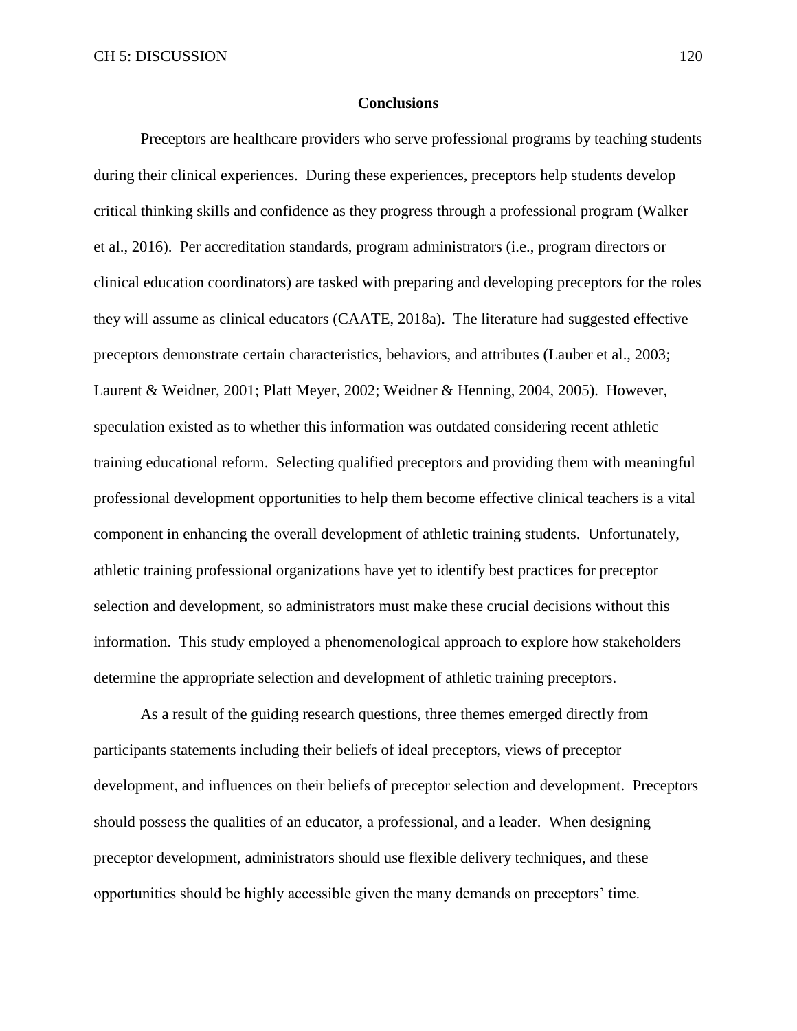### **Conclusions**

Preceptors are healthcare providers who serve professional programs by teaching students during their clinical experiences. During these experiences, preceptors help students develop critical thinking skills and confidence as they progress through a professional program (Walker et al., 2016). Per accreditation standards, program administrators (i.e., program directors or clinical education coordinators) are tasked with preparing and developing preceptors for the roles they will assume as clinical educators (CAATE, 2018a). The literature had suggested effective preceptors demonstrate certain characteristics, behaviors, and attributes (Lauber et al., 2003; Laurent & Weidner, 2001; Platt Meyer, 2002; Weidner & Henning, 2004, 2005). However, speculation existed as to whether this information was outdated considering recent athletic training educational reform. Selecting qualified preceptors and providing them with meaningful professional development opportunities to help them become effective clinical teachers is a vital component in enhancing the overall development of athletic training students. Unfortunately, athletic training professional organizations have yet to identify best practices for preceptor selection and development, so administrators must make these crucial decisions without this information. This study employed a phenomenological approach to explore how stakeholders determine the appropriate selection and development of athletic training preceptors.

As a result of the guiding research questions, three themes emerged directly from participants statements including their beliefs of ideal preceptors, views of preceptor development, and influences on their beliefs of preceptor selection and development. Preceptors should possess the qualities of an educator, a professional, and a leader. When designing preceptor development, administrators should use flexible delivery techniques, and these opportunities should be highly accessible given the many demands on preceptors' time.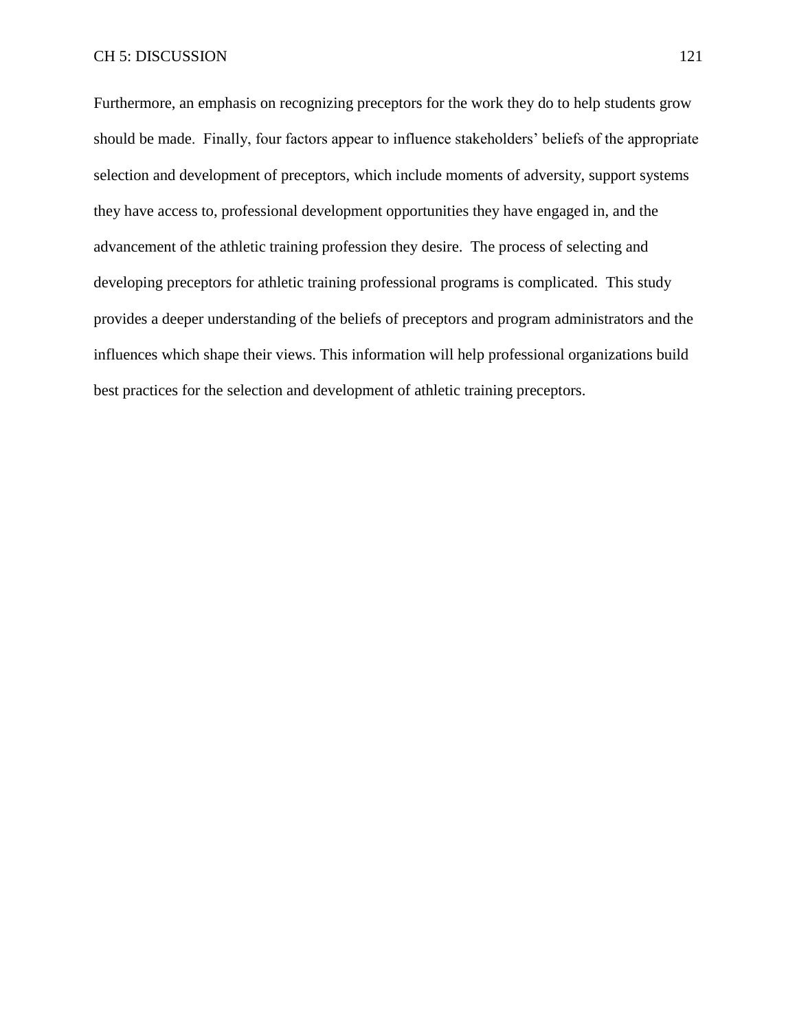Furthermore, an emphasis on recognizing preceptors for the work they do to help students grow should be made. Finally, four factors appear to influence stakeholders' beliefs of the appropriate selection and development of preceptors, which include moments of adversity, support systems they have access to, professional development opportunities they have engaged in, and the advancement of the athletic training profession they desire. The process of selecting and developing preceptors for athletic training professional programs is complicated. This study provides a deeper understanding of the beliefs of preceptors and program administrators and the influences which shape their views. This information will help professional organizations build best practices for the selection and development of athletic training preceptors.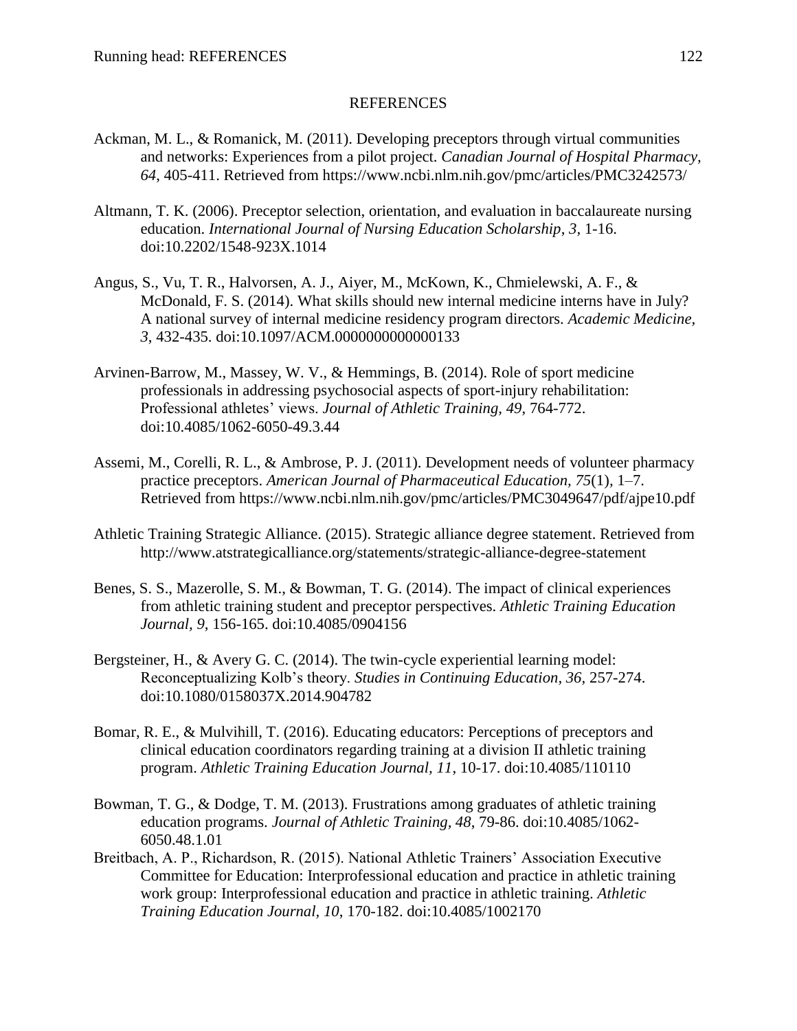## REFERENCES

- Ackman, M. L., & Romanick, M. (2011). Developing preceptors through virtual communities and networks: Experiences from a pilot project. *Canadian Journal of Hospital Pharmacy, 64*, 405-411. Retrieved from https://www.ncbi.nlm.nih.gov/pmc/articles/PMC3242573/
- Altmann, T. K. (2006). Preceptor selection, orientation, and evaluation in baccalaureate nursing education. *International Journal of Nursing Education Scholarship*, *3,* 1-16. doi:10.2202/1548-923X.1014
- Angus, S., Vu, T. R., Halvorsen, A. J., Aiyer, M., McKown, K., Chmielewski, A. F., & McDonald, F. S. (2014). What skills should new internal medicine interns have in July? A national survey of internal medicine residency program directors. *Academic Medicine, 3*, 432-435. doi:10.1097/ACM.0000000000000133
- Arvinen-Barrow, M., Massey, W. V., & Hemmings, B. (2014). Role of sport medicine professionals in addressing psychosocial aspects of sport-injury rehabilitation: Professional athletes' views. *Journal of Athletic Training, 49*, 764-772. doi:10.4085/1062-6050-49.3.44
- Assemi, M., Corelli, R. L., & Ambrose, P. J. (2011). Development needs of volunteer pharmacy practice preceptors. *American Journal of Pharmaceutical Education, 75*(1)*,* 1–7. Retrieved from https://www.ncbi.nlm.nih.gov/pmc/articles/PMC3049647/pdf/ajpe10.pdf
- Athletic Training Strategic Alliance. (2015). Strategic alliance degree statement. Retrieved from http://www.atstrategicalliance.org/statements/strategic-alliance-degree-statement
- Benes, S. S., Mazerolle, S. M., & Bowman, T. G. (2014). The impact of clinical experiences from athletic training student and preceptor perspectives. *Athletic Training Education Journal, 9*, 156-165. doi:10.4085/0904156
- Bergsteiner, H., & Avery G. C. (2014). The twin-cycle experiential learning model: Reconceptualizing Kolb's theory. *Studies in Continuing Education, 36,* 257-274. doi:10.1080/0158037X.2014.904782
- Bomar, R. E., & Mulvihill, T. (2016). Educating educators: Perceptions of preceptors and clinical education coordinators regarding training at a division II athletic training program. *Athletic Training Education Journal, 11*, 10-17. doi:10.4085/110110
- Bowman, T. G., & Dodge, T. M. (2013). Frustrations among graduates of athletic training education programs. *Journal of Athletic Training, 48*, 79-86. doi:10.4085/1062- 6050.48.1.01
- Breitbach, A. P., Richardson, R. (2015). National Athletic Trainers' Association Executive Committee for Education: Interprofessional education and practice in athletic training work group: Interprofessional education and practice in athletic training. *Athletic Training Education Journal, 10*, 170-182. doi:10.4085/1002170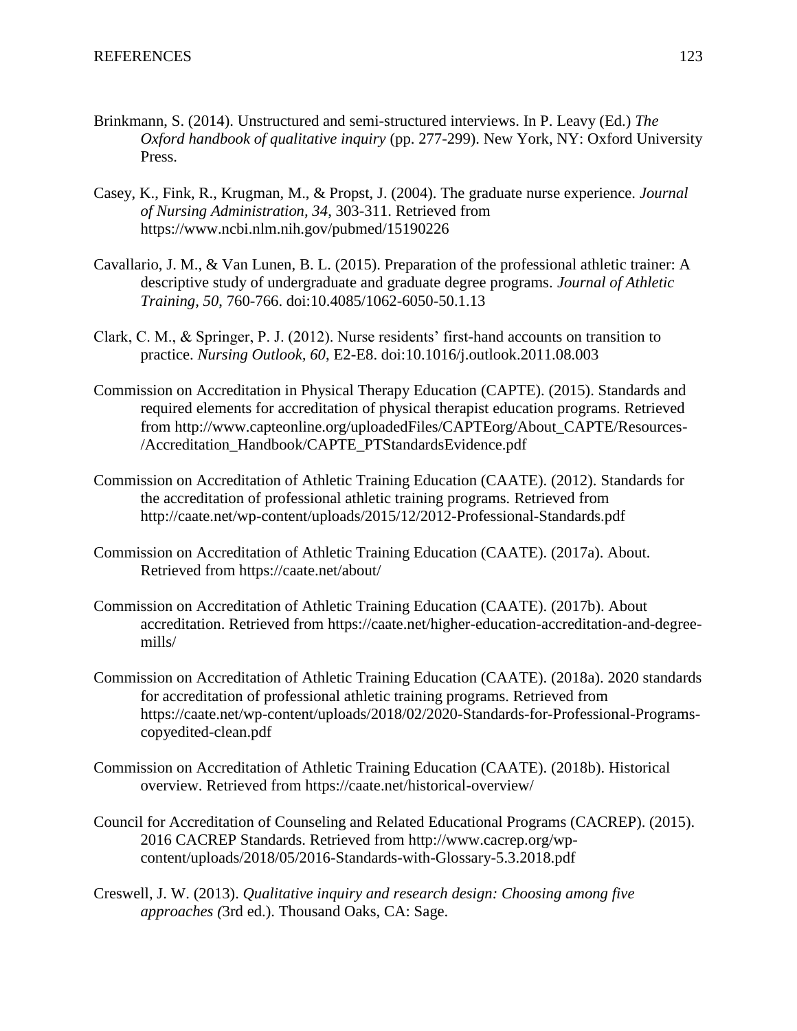- Brinkmann, S. (2014). Unstructured and semi-structured interviews. In P. Leavy (Ed.) *The Oxford handbook of qualitative inquiry* (pp. 277-299). New York, NY: Oxford University Press.
- Casey, K., Fink, R., Krugman, M., & Propst, J. (2004). The graduate nurse experience. *Journal of Nursing Administration, 34*, 303-311. Retrieved from https://www.ncbi.nlm.nih.gov/pubmed/15190226
- Cavallario, J. M., & Van Lunen, B. L. (2015). Preparation of the professional athletic trainer: A descriptive study of undergraduate and graduate degree programs. *Journal of Athletic Training, 50*, 760-766. doi:10.4085/1062-6050-50.1.13
- Clark, C. M., & Springer, P. J. (2012). Nurse residents' first-hand accounts on transition to practice. *Nursing Outlook, 60*, E2-E8. doi:10.1016/j.outlook.2011.08.003
- Commission on Accreditation in Physical Therapy Education (CAPTE). (2015). Standards and required elements for accreditation of physical therapist education programs. Retrieved from http://www.capteonline.org/uploadedFiles/CAPTEorg/About\_CAPTE/Resources- /Accreditation\_Handbook/CAPTE\_PTStandardsEvidence.pdf
- Commission on Accreditation of Athletic Training Education (CAATE). (2012). Standards for the accreditation of professional athletic training programs*.* Retrieved from http://caate.net/wp-content/uploads/2015/12/2012-Professional-Standards.pdf
- Commission on Accreditation of Athletic Training Education (CAATE). (2017a). About*.*  Retrieved from https://caate.net/about/
- Commission on Accreditation of Athletic Training Education (CAATE). (2017b). About accreditation. Retrieved from https://caate.net/higher-education-accreditation-and-degreemills/
- Commission on Accreditation of Athletic Training Education (CAATE). (2018a). 2020 standards for accreditation of professional athletic training programs. Retrieved from https://caate.net/wp-content/uploads/2018/02/2020-Standards-for-Professional-Programscopyedited-clean.pdf
- Commission on Accreditation of Athletic Training Education (CAATE). (2018b). Historical overview. Retrieved from https://caate.net/historical-overview/
- Council for Accreditation of Counseling and Related Educational Programs (CACREP). (2015). 2016 CACREP Standards. Retrieved from http://www.cacrep.org/wpcontent/uploads/2018/05/2016-Standards-with-Glossary-5.3.2018.pdf
- Creswell, J. W. (2013). *Qualitative inquiry and research design: Choosing among five approaches (*3rd ed.). Thousand Oaks, CA: Sage.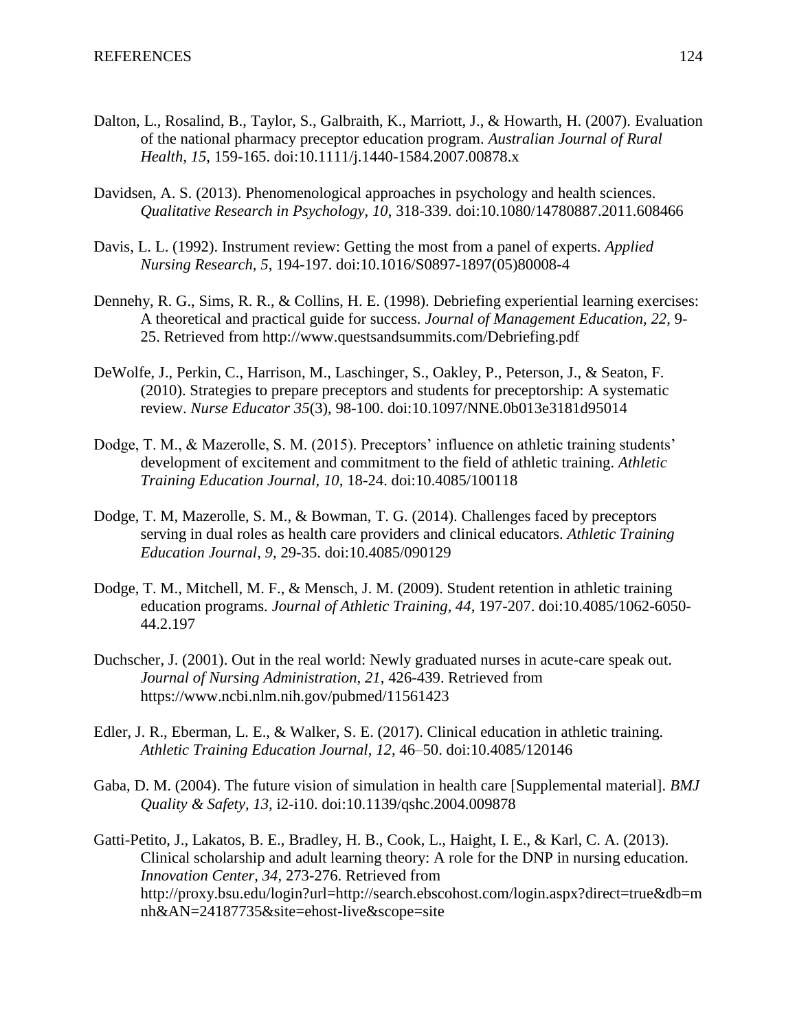- Dalton, L., Rosalind, B., Taylor, S., Galbraith, K., Marriott, J., & Howarth, H. (2007). Evaluation of the national pharmacy preceptor education program. *Australian Journal of Rural Health, 15*, 159-165. doi:10.1111/j.1440-1584.2007.00878.x
- Davidsen, A. S. (2013). Phenomenological approaches in psychology and health sciences. *Qualitative Research in Psychology, 10*, 318-339. doi:10.1080/14780887.2011.608466
- Davis, L. L. (1992). Instrument review: Getting the most from a panel of experts. *Applied Nursing Research, 5*, 194-197. doi:10.1016/S0897-1897(05)80008-4
- Dennehy, R. G., Sims, R. R., & Collins, H. E. (1998). Debriefing experiential learning exercises: A theoretical and practical guide for success. *Journal of Management Education, 22,* 9- 25. Retrieved from http://www.questsandsummits.com/Debriefing.pdf
- DeWolfe, J., Perkin, C., Harrison, M., Laschinger, S., Oakley, P., Peterson, J., & Seaton, F. (2010). Strategies to prepare preceptors and students for preceptorship: A systematic review. *Nurse Educator 35*(3), 98-100. doi:10.1097/NNE.0b013e3181d95014
- Dodge, T. M., & Mazerolle, S. M. (2015). Preceptors' influence on athletic training students' development of excitement and commitment to the field of athletic training. *Athletic Training Education Journal, 10*, 18-24. doi:10.4085/100118
- Dodge, T. M, Mazerolle, S. M., & Bowman, T. G. (2014). Challenges faced by preceptors serving in dual roles as health care providers and clinical educators. *Athletic Training Education Journal, 9*, 29-35. doi:10.4085/090129
- Dodge, T. M., Mitchell, M. F., & Mensch, J. M. (2009). Student retention in athletic training education programs. *Journal of Athletic Training, 44*, 197-207. doi:10.4085/1062-6050- 44.2.197
- Duchscher, J. (2001). Out in the real world: Newly graduated nurses in acute-care speak out. *Journal of Nursing Administration, 21*, 426-439. Retrieved from https://www.ncbi.nlm.nih.gov/pubmed/11561423
- Edler, J. R., Eberman, L. E., & Walker, S. E. (2017). Clinical education in athletic training. *Athletic Training Education Journal, 12*, 46–50. doi:10.4085/120146
- Gaba, D. M. (2004). The future vision of simulation in health care [Supplemental material]. *BMJ Quality & Safety, 13,* i2-i10. doi:10.1139/qshc.2004.009878
- Gatti-Petito, J., Lakatos, B. E., Bradley, H. B., Cook, L., Haight, I. E., & Karl, C. A. (2013). Clinical scholarship and adult learning theory: A role for the DNP in nursing education. *Innovation Center, 34,* 273-276. Retrieved from http://proxy.bsu.edu/login?url=http://search.ebscohost.com/login.aspx?direct=true&db=m nh&AN=24187735&site=ehost-live&scope=site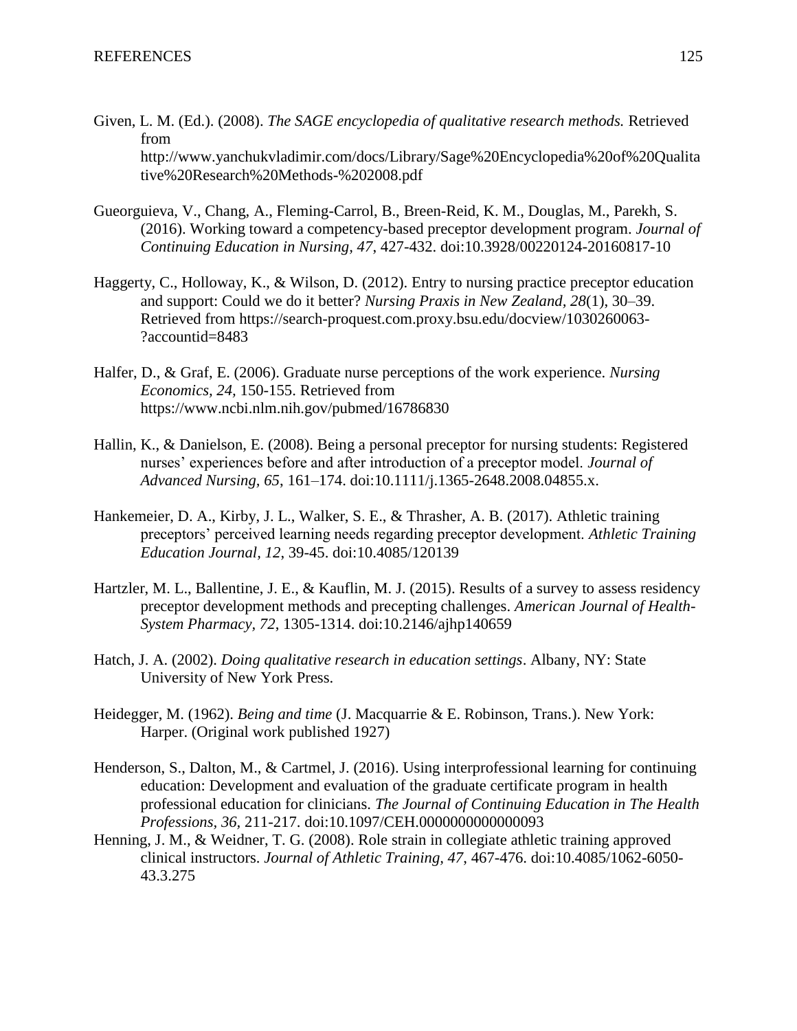- Given, L. M. (Ed.). (2008). *The SAGE encyclopedia of qualitative research methods.* Retrieved from http://www.yanchukvladimir.com/docs/Library/Sage%20Encyclopedia%20of%20Qualita tive%20Research%20Methods-%202008.pdf
- Gueorguieva, V., Chang, A., Fleming-Carrol, B., Breen-Reid, K. M., Douglas, M., Parekh, S. (2016). Working toward a competency-based preceptor development program. *Journal of Continuing Education in Nursing, 47*, 427-432. doi:10.3928/00220124-20160817-10
- Haggerty, C., Holloway, K., & Wilson, D. (2012). Entry to nursing practice preceptor education and support: Could we do it better? *Nursing Praxis in New Zealand, 28*(1), 30–39. Retrieved from https://search-proquest.com.proxy.bsu.edu/docview/1030260063- ?accountid=8483
- Halfer, D., & Graf, E. (2006). Graduate nurse perceptions of the work experience. *Nursing Economics, 24,* 150-155. Retrieved from https://www.ncbi.nlm.nih.gov/pubmed/16786830
- Hallin, K., & Danielson, E. (2008). Being a personal preceptor for nursing students: Registered nurses' experiences before and after introduction of a preceptor model. *Journal of Advanced Nursing, 65*, 161–174. doi:10.1111/j.1365-2648.2008.04855.x.
- Hankemeier, D. A., Kirby, J. L., Walker, S. E., & Thrasher, A. B. (2017). Athletic training preceptors' perceived learning needs regarding preceptor development. *Athletic Training Education Journal, 12*, 39-45. doi:10.4085/120139
- Hartzler, M. L., Ballentine, J. E., & Kauflin, M. J. (2015). Results of a survey to assess residency preceptor development methods and precepting challenges. *American Journal of Health-System Pharmacy, 72*, 1305-1314. doi:10.2146/ajhp140659
- Hatch, J. A. (2002). *Doing qualitative research in education settings*. Albany, NY: State University of New York Press.
- Heidegger, M. (1962). *Being and time* (J. Macquarrie & E. Robinson, Trans.). New York: Harper. (Original work published 1927)
- Henderson, S., Dalton, M., & Cartmel, J. (2016). Using interprofessional learning for continuing education: Development and evaluation of the graduate certificate program in health professional education for clinicians. *The Journal of Continuing Education in The Health Professions, 36,* 211-217. doi:10.1097/CEH.0000000000000093
- Henning, J. M., & Weidner, T. G. (2008). Role strain in collegiate athletic training approved clinical instructors. *Journal of Athletic Training, 47*, 467-476. doi:10.4085/1062-6050- 43.3.275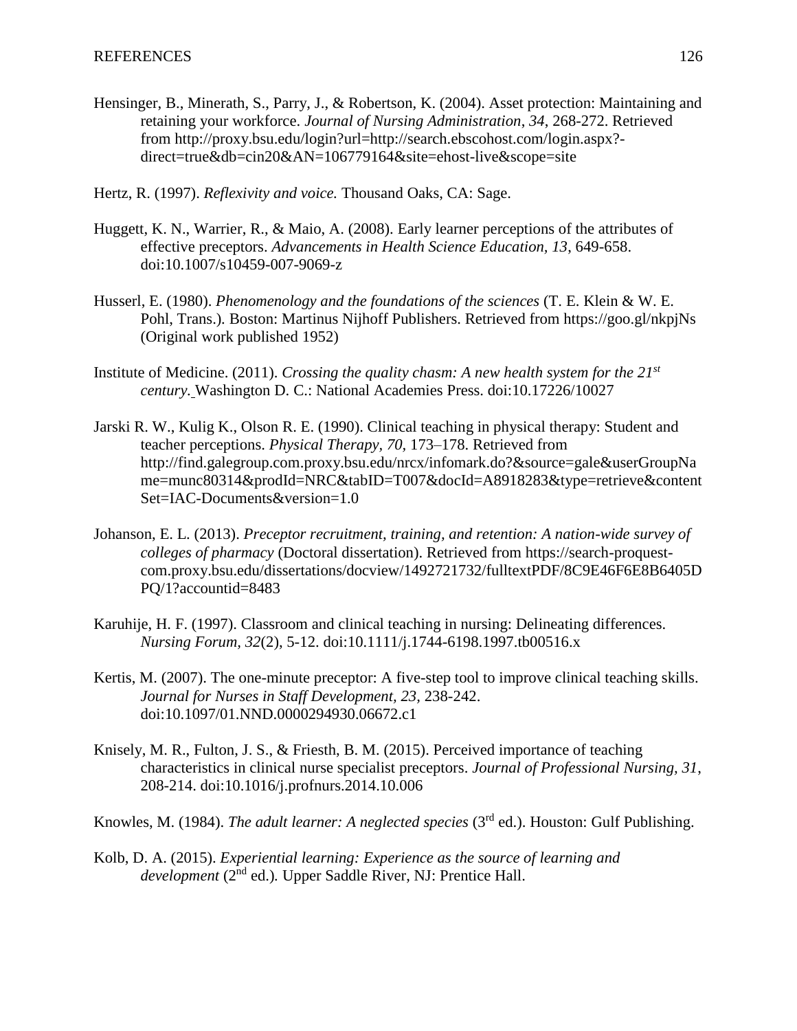- Hensinger, B., Minerath, S., Parry, J., & Robertson, K. (2004). Asset protection: Maintaining and retaining your workforce. *Journal of Nursing Administration*, *34*, 268-272. Retrieved from http://proxy.bsu.edu/login?url=http://search.ebscohost.com/login.aspx? direct=true&db=cin20&AN=106779164&site=ehost-live&scope=site
- Hertz, R. (1997). *Reflexivity and voice.* Thousand Oaks, CA: Sage.
- Huggett, K. N., Warrier, R., & Maio, A. (2008). Early learner perceptions of the attributes of effective preceptors. *Advancements in Health Science Education, 13*, 649-658. doi:10.1007/s10459-007-9069-z
- Husserl, E. (1980). *Phenomenology and the foundations of the sciences* (T. E. Klein & W. E. Pohl, Trans.)*.* Boston: Martinus Nijhoff Publishers. Retrieved from https://goo.gl/nkpjNs (Original work published 1952)
- Institute of Medicine. (2011). *Crossing the quality chasm: A new health system for the 21st century.* Washington D. C.: National Academies Press. doi:10.17226/10027
- Jarski R. W., Kulig K., Olson R. E. (1990). Clinical teaching in physical therapy: Student and teacher perceptions. *Physical Therapy, 70,* 173–178. Retrieved from http://find.galegroup.com.proxy.bsu.edu/nrcx/infomark.do?&source=gale&userGroupNa me=munc80314&prodId=NRC&tabID=T007&docId=A8918283&type=retrieve&content Set=IAC-Documents&version=1.0
- Johanson, E. L. (2013). *Preceptor recruitment, training, and retention: A nation-wide survey of colleges of pharmacy* (Doctoral dissertation). Retrieved from https://search-proquestcom.proxy.bsu.edu/dissertations/docview/1492721732/fulltextPDF/8C9E46F6E8B6405D PQ/1?accountid=8483
- Karuhije, H. F. (1997). Classroom and clinical teaching in nursing: Delineating differences. *Nursing Forum, 32*(2), 5-12. doi:10.1111/j.1744-6198.1997.tb00516.x
- Kertis, M. (2007). The one-minute preceptor: A five-step tool to improve clinical teaching skills. *Journal for Nurses in Staff Development, 23,* 238-242. doi:10.1097/01.NND.0000294930.06672.c1
- Knisely, M. R., Fulton, J. S., & Friesth, B. M. (2015). Perceived importance of teaching characteristics in clinical nurse specialist preceptors. *Journal of Professional Nursing, 31*, 208-214. doi:10.1016/j.profnurs.2014.10.006
- Knowles, M. (1984). *The adult learner: A neglected species* (3rd ed.). Houston: Gulf Publishing.
- Kolb, D. A. (2015). *Experiential learning: Experience as the source of learning and development* (2nd ed.)*.* Upper Saddle River, NJ: Prentice Hall.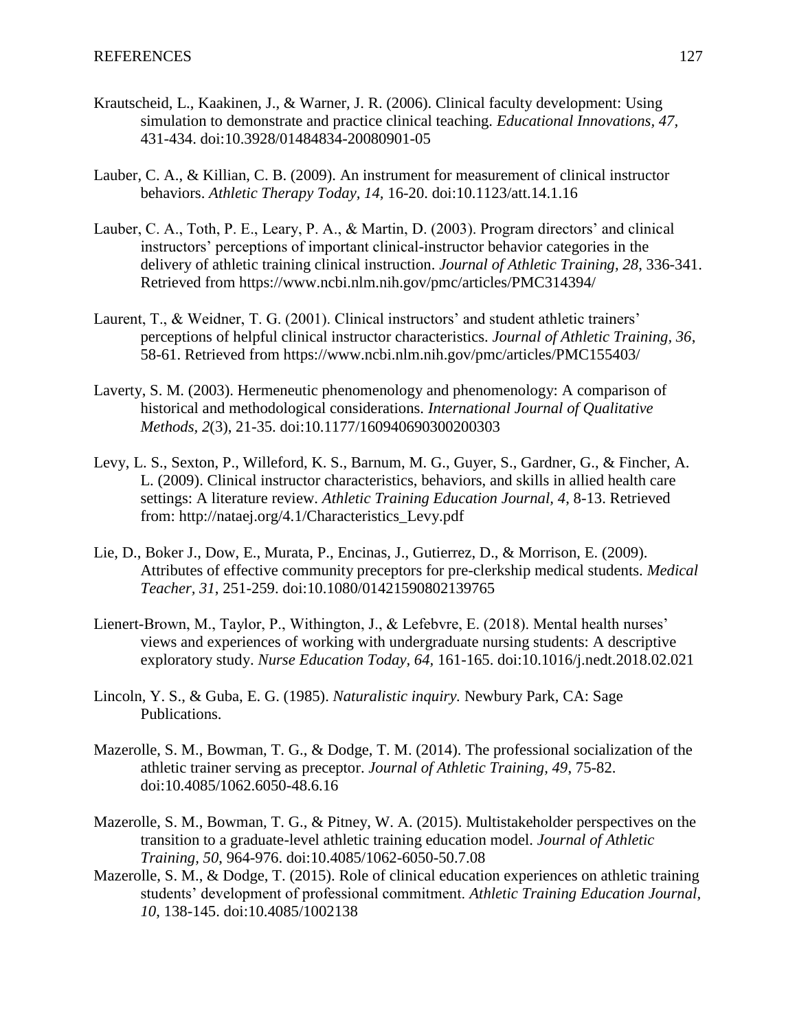- Krautscheid, L., Kaakinen, J., & Warner, J. R. (2006). Clinical faculty development: Using simulation to demonstrate and practice clinical teaching. *Educational Innovations, 47,* 431-434. doi:10.3928/01484834-20080901-05
- Lauber, C. A., & Killian, C. B. (2009). An instrument for measurement of clinical instructor behaviors. *Athletic Therapy Today, 14,* 16-20. doi:10.1123/att.14.1.16
- Lauber, C. A., Toth, P. E., Leary, P. A., & Martin, D. (2003). Program directors' and clinical instructors' perceptions of important clinical-instructor behavior categories in the delivery of athletic training clinical instruction. *Journal of Athletic Training, 28*, 336-341. Retrieved from https://www.ncbi.nlm.nih.gov/pmc/articles/PMC314394/
- Laurent, T., & Weidner, T. G. (2001). Clinical instructors' and student athletic trainers' perceptions of helpful clinical instructor characteristics. *Journal of Athletic Training, 36*, 58-61. Retrieved from https://www.ncbi.nlm.nih.gov/pmc/articles/PMC155403/
- Laverty, S. M. (2003). Hermeneutic phenomenology and phenomenology: A comparison of historical and methodological considerations. *International Journal of Qualitative Methods, 2*(3), 21-35. doi:10.1177/160940690300200303
- Levy, L. S., Sexton, P., Willeford, K. S., Barnum, M. G., Guyer, S., Gardner, G., & Fincher, A. L. (2009). Clinical instructor characteristics, behaviors, and skills in allied health care settings: A literature review. *Athletic Training Education Journal, 4*, 8-13. Retrieved from: http://nataej.org/4.1/Characteristics\_Levy.pdf
- Lie, D., Boker J., Dow, E., Murata, P., Encinas, J., Gutierrez, D., & Morrison, E. (2009). Attributes of effective community preceptors for pre-clerkship medical students. *Medical Teacher, 31*, 251-259. doi:10.1080/01421590802139765
- Lienert-Brown, M., Taylor, P., Withington, J., & Lefebvre, E. (2018). Mental health nurses' views and experiences of working with undergraduate nursing students: A descriptive exploratory study. *Nurse Education Today, 64,* 161-165. doi:10.1016/j.nedt.2018.02.021
- Lincoln, Y. S., & Guba, E. G. (1985). *Naturalistic inquiry.* Newbury Park, CA: Sage Publications.
- Mazerolle, S. M., Bowman, T. G., & Dodge, T. M. (2014). The professional socialization of the athletic trainer serving as preceptor. *Journal of Athletic Training, 49*, 75-82. doi:10.4085/1062.6050-48.6.16
- Mazerolle, S. M., Bowman, T. G., & Pitney, W. A. (2015). Multistakeholder perspectives on the transition to a graduate-level athletic training education model. *Journal of Athletic Training, 50*, 964-976. doi:10.4085/1062-6050-50.7.08
- Mazerolle, S. M., & Dodge, T. (2015). Role of clinical education experiences on athletic training students' development of professional commitment. *Athletic Training Education Journal, 10*, 138-145. doi:10.4085/1002138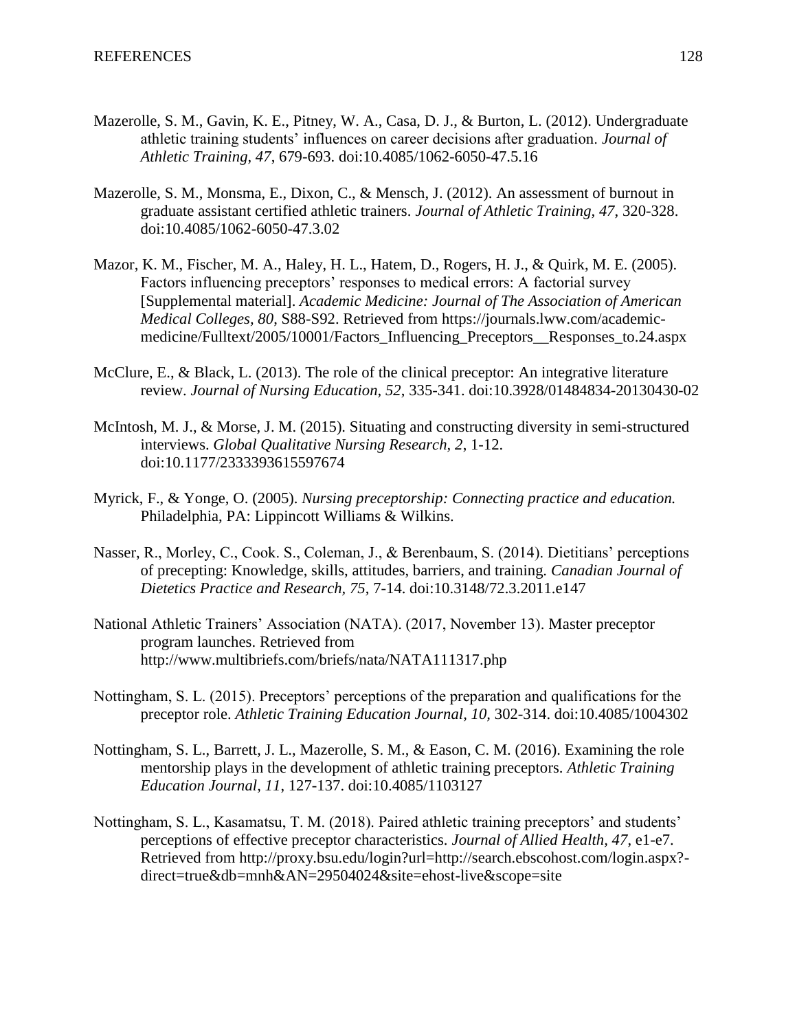- Mazerolle, S. M., Gavin, K. E., Pitney, W. A., Casa, D. J., & Burton, L. (2012). Undergraduate athletic training students' influences on career decisions after graduation. *Journal of Athletic Training, 47*, 679-693. doi:10.4085/1062-6050-47.5.16
- Mazerolle, S. M., Monsma, E., Dixon, C., & Mensch, J. (2012). An assessment of burnout in graduate assistant certified athletic trainers. *Journal of Athletic Training, 47*, 320-328. doi:10.4085/1062-6050-47.3.02
- Mazor, K. M., Fischer, M. A., Haley, H. L., Hatem, D., Rogers, H. J., & Quirk, M. E. (2005). Factors influencing preceptors' responses to medical errors: A factorial survey [Supplemental material]. *Academic Medicine: Journal of The Association of American Medical Colleges, 80*, S88-S92. Retrieved from https://journals.lww.com/academicmedicine/Fulltext/2005/10001/Factors\_Influencing\_Preceptors\_\_Responses\_to.24.aspx
- McClure, E., & Black, L. (2013). The role of the clinical preceptor: An integrative literature review. *Journal of Nursing Education, 52*, 335-341. doi:10.3928/01484834-20130430-02
- McIntosh, M. J., & Morse, J. M. (2015). Situating and constructing diversity in semi-structured interviews. *Global Qualitative Nursing Research, 2*, 1-12. doi:10.1177/2333393615597674
- Myrick, F., & Yonge, O. (2005). *Nursing preceptorship: Connecting practice and education.* Philadelphia, PA: Lippincott Williams & Wilkins.
- Nasser, R., Morley, C., Cook. S., Coleman, J., & Berenbaum, S. (2014). Dietitians' perceptions of precepting: Knowledge, skills, attitudes, barriers, and training. *Canadian Journal of Dietetics Practice and Research, 75*, 7-14. doi:10.3148/72.3.2011.e147
- National Athletic Trainers' Association (NATA). (2017, November 13). Master preceptor program launches. Retrieved from http://www.multibriefs.com/briefs/nata/NATA111317.php
- Nottingham, S. L. (2015). Preceptors' perceptions of the preparation and qualifications for the preceptor role. *Athletic Training Education Journal, 10,* 302-314. doi:10.4085/1004302
- Nottingham, S. L., Barrett, J. L., Mazerolle, S. M., & Eason, C. M. (2016). Examining the role mentorship plays in the development of athletic training preceptors. *Athletic Training Education Journal, 11*, 127-137. doi:10.4085/1103127
- Nottingham, S. L., Kasamatsu, T. M. (2018). Paired athletic training preceptors' and students' perceptions of effective preceptor characteristics. *Journal of Allied Health, 47*, e1-e7. Retrieved from http://proxy.bsu.edu/login?url=http://search.ebscohost.com/login.aspx? direct=true&db=mnh&AN=29504024&site=ehost-live&scope=site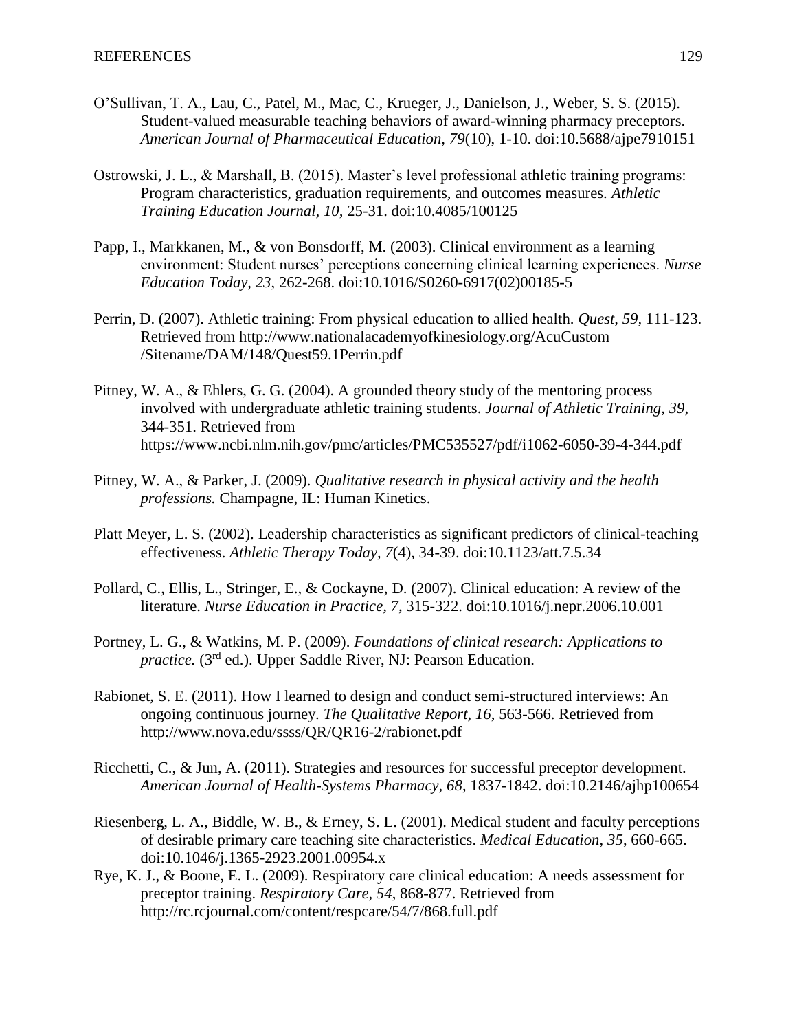- O'Sullivan, T. A., Lau, C., Patel, M., Mac, C., Krueger, J., Danielson, J., Weber, S. S. (2015). Student-valued measurable teaching behaviors of award-winning pharmacy preceptors. *American Journal of Pharmaceutical Education, 79*(10), 1-10. doi:10.5688/ajpe7910151
- Ostrowski, J. L., & Marshall, B. (2015). Master's level professional athletic training programs: Program characteristics, graduation requirements, and outcomes measures. *Athletic Training Education Journal, 10,* 25-31. doi:10.4085/100125
- Papp, I., Markkanen, M., & von Bonsdorff, M. (2003). Clinical environment as a learning environment: Student nurses' perceptions concerning clinical learning experiences. *Nurse Education Today, 23*, 262-268. doi:10.1016/S0260-6917(02)00185-5
- Perrin, D. (2007). Athletic training: From physical education to allied health. *Quest, 59,* 111-123. Retrieved from http://www.nationalacademyofkinesiology.org/AcuCustom /Sitename/DAM/148/Quest59.1Perrin.pdf
- Pitney, W. A., & Ehlers, G. G. (2004). A grounded theory study of the mentoring process involved with undergraduate athletic training students. *Journal of Athletic Training, 39*, 344-351. Retrieved from https://www.ncbi.nlm.nih.gov/pmc/articles/PMC535527/pdf/i1062-6050-39-4-344.pdf
- Pitney, W. A., & Parker, J. (2009). *Qualitative research in physical activity and the health professions.* Champagne, IL: Human Kinetics.
- Platt Meyer, L. S. (2002). Leadership characteristics as significant predictors of clinical-teaching effectiveness. *Athletic Therapy Today, 7*(4), 34-39. doi:10.1123/att.7.5.34
- Pollard, C., Ellis, L., Stringer, E., & Cockayne, D. (2007). Clinical education: A review of the literature. *Nurse Education in Practice, 7*, 315-322. doi:10.1016/j.nepr.2006.10.001
- Portney, L. G., & Watkins, M. P. (2009). *Foundations of clinical research: Applications to practice.* (3<sup>rd</sup> ed.). Upper Saddle River, NJ: Pearson Education.
- Rabionet, S. E. (2011). How I learned to design and conduct semi-structured interviews: An ongoing continuous journey. *The Qualitative Report, 16*, 563-566. Retrieved from http://www.nova.edu/ssss/QR/QR16-2/rabionet.pdf
- Ricchetti, C., & Jun, A. (2011). Strategies and resources for successful preceptor development. *American Journal of Health-Systems Pharmacy, 68*, 1837-1842. doi:10.2146/ajhp100654
- Riesenberg, L. A., Biddle, W. B., & Erney, S. L. (2001). Medical student and faculty perceptions of desirable primary care teaching site characteristics. *Medical Education, 35*, 660-665. doi:10.1046/j.1365-2923.2001.00954.x
- Rye, K. J., & Boone, E. L. (2009). Respiratory care clinical education: A needs assessment for preceptor training. *Respiratory Care, 54*, 868-877. Retrieved from http://rc.rcjournal.com/content/respcare/54/7/868.full.pdf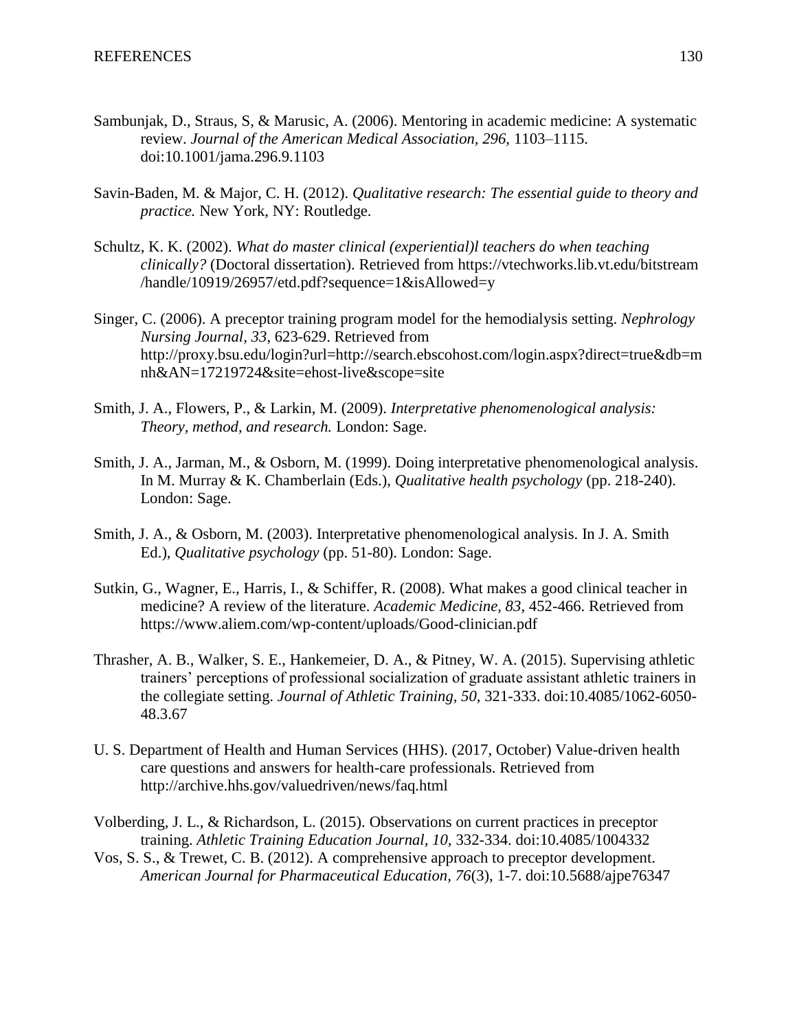- Sambunjak, D., Straus, S, & Marusic, A. (2006). Mentoring in academic medicine: A systematic review. *Journal of the American Medical Association, 296,* 1103–1115. doi:10.1001/jama.296.9.1103
- Savin-Baden, M. & Major, C. H. (2012). *Qualitative research: The essential guide to theory and practice.* New York, NY: Routledge.
- Schultz, K. K. (2002). *What do master clinical (experiential)l teachers do when teaching clinically?* (Doctoral dissertation). Retrieved from https://vtechworks.lib.vt.edu/bitstream /handle/10919/26957/etd.pdf?sequence=1&isAllowed=y
- Singer, C. (2006). A preceptor training program model for the hemodialysis setting. *Nephrology Nursing Journal, 33*, 623-629. Retrieved from http://proxy.bsu.edu/login?url=http://search.ebscohost.com/login.aspx?direct=true&db=m nh&AN=17219724&site=ehost-live&scope=site
- Smith, J. A., Flowers, P., & Larkin, M. (2009). *Interpretative phenomenological analysis: Theory, method, and research.* London: Sage.
- Smith, J. A., Jarman, M., & Osborn, M. (1999). Doing interpretative phenomenological analysis. In M. Murray & K. Chamberlain (Eds.), *Qualitative health psychology* (pp. 218-240). London: Sage.
- Smith, J. A., & Osborn, M. (2003). Interpretative phenomenological analysis. In J. A. Smith Ed.), *Qualitative psychology* (pp. 51-80). London: Sage.
- Sutkin, G., Wagner, E., Harris, I., & Schiffer, R. (2008). What makes a good clinical teacher in medicine? A review of the literature. *Academic Medicine, 83*, 452-466. Retrieved from https://www.aliem.com/wp-content/uploads/Good-clinician.pdf
- Thrasher, A. B., Walker, S. E., Hankemeier, D. A., & Pitney, W. A. (2015). Supervising athletic trainers' perceptions of professional socialization of graduate assistant athletic trainers in the collegiate setting. *Journal of Athletic Training, 50*, 321-333. doi:10.4085/1062-6050- 48.3.67
- U. S. Department of Health and Human Services (HHS). (2017, October) Value-driven health care questions and answers for health-care professionals. Retrieved from http://archive.hhs.gov/valuedriven/news/faq.html
- Volberding, J. L., & Richardson, L. (2015). Observations on current practices in preceptor training. *Athletic Training Education Journal, 10,* 332-334. doi:10.4085/1004332
- Vos, S. S., & Trewet, C. B. (2012). A comprehensive approach to preceptor development. *American Journal for Pharmaceutical Education, 76*(3), 1-7. doi:10.5688/ajpe76347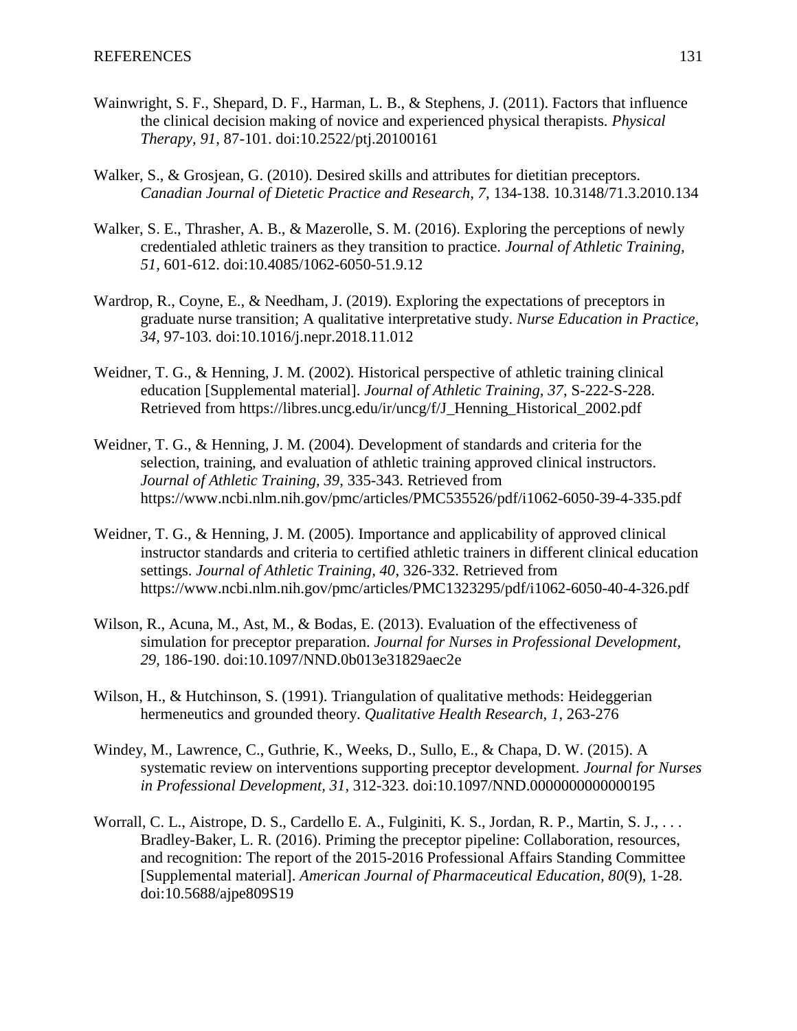- Wainwright, S. F., Shepard, D. F., Harman, L. B., & Stephens, J. (2011). Factors that influence the clinical decision making of novice and experienced physical therapists. *Physical Therapy, 91*, 87-101. doi:10.2522/ptj.20100161
- Walker, S., & Grosjean, G. (2010). Desired skills and attributes for dietitian preceptors. *Canadian Journal of Dietetic Practice and Research, 7*, 134-138. 10.3148/71.3.2010.134
- Walker, S. E., Thrasher, A. B., & Mazerolle, S. M. (2016). Exploring the perceptions of newly credentialed athletic trainers as they transition to practice. *Journal of Athletic Training, 51*, 601-612. doi:10.4085/1062-6050-51.9.12
- Wardrop, R., Coyne, E., & Needham, J. (2019). Exploring the expectations of preceptors in graduate nurse transition; A qualitative interpretative study. *Nurse Education in Practice, 34,* 97-103. doi:10.1016/j.nepr.2018.11.012
- Weidner, T. G., & Henning, J. M. (2002). Historical perspective of athletic training clinical education [Supplemental material]. *Journal of Athletic Training, 37*, S-222-S-228. Retrieved from https://libres.uncg.edu/ir/uncg/f/J\_Henning\_Historical\_2002.pdf
- Weidner, T. G., & Henning, J. M. (2004). Development of standards and criteria for the selection, training, and evaluation of athletic training approved clinical instructors. *Journal of Athletic Training, 39*, 335-343. Retrieved from https://www.ncbi.nlm.nih.gov/pmc/articles/PMC535526/pdf/i1062-6050-39-4-335.pdf
- Weidner, T. G., & Henning, J. M. (2005). Importance and applicability of approved clinical instructor standards and criteria to certified athletic trainers in different clinical education settings. *Journal of Athletic Training, 40*, 326-332. Retrieved from https://www.ncbi.nlm.nih.gov/pmc/articles/PMC1323295/pdf/i1062-6050-40-4-326.pdf
- Wilson, R., Acuna, M., Ast, M., & Bodas, E. (2013). Evaluation of the effectiveness of simulation for preceptor preparation. *Journal for Nurses in Professional Development, 29*, 186-190. doi:10.1097/NND.0b013e31829aec2e
- Wilson, H., & Hutchinson, S. (1991). Triangulation of qualitative methods: Heideggerian hermeneutics and grounded theory. *Qualitative Health Research, 1*, 263-276
- Windey, M., Lawrence, C., Guthrie, K., Weeks, D., Sullo, E., & Chapa, D. W. (2015). A systematic review on interventions supporting preceptor development. *Journal for Nurses in Professional Development, 31*, 312-323. doi:10.1097/NND.0000000000000195
- Worrall, C. L., Aistrope, D. S., Cardello E. A., Fulginiti, K. S., Jordan, R. P., Martin, S. J., . . . Bradley-Baker, L. R. (2016). Priming the preceptor pipeline: Collaboration, resources, and recognition: The report of the 2015-2016 Professional Affairs Standing Committee [Supplemental material]. *American Journal of Pharmaceutical Education, 80*(9), 1-28. doi:10.5688/ajpe809S19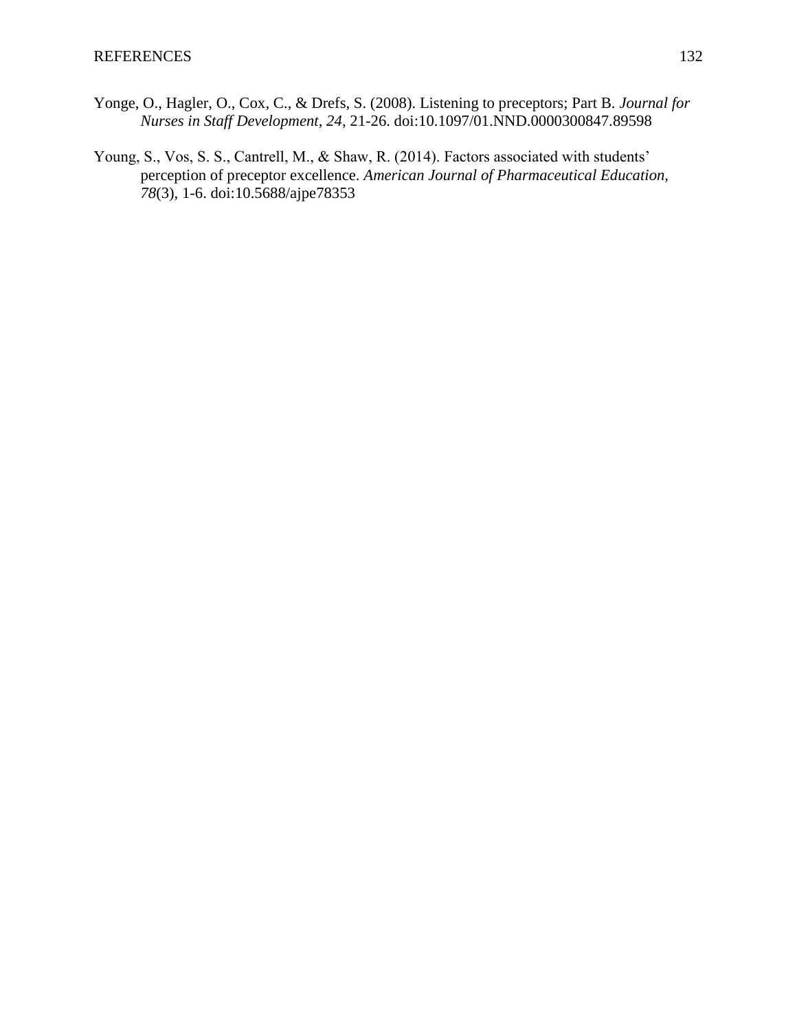- Yonge, O., Hagler, O., Cox, C., & Drefs, S. (2008). Listening to preceptors; Part B. *Journal for Nurses in Staff Development, 24*, 21-26. doi:10.1097/01.NND.0000300847.89598
- Young, S., Vos, S. S., Cantrell, M., & Shaw, R. (2014). Factors associated with students' perception of preceptor excellence. *American Journal of Pharmaceutical Education, 78*(3), 1-6. doi:10.5688/ajpe78353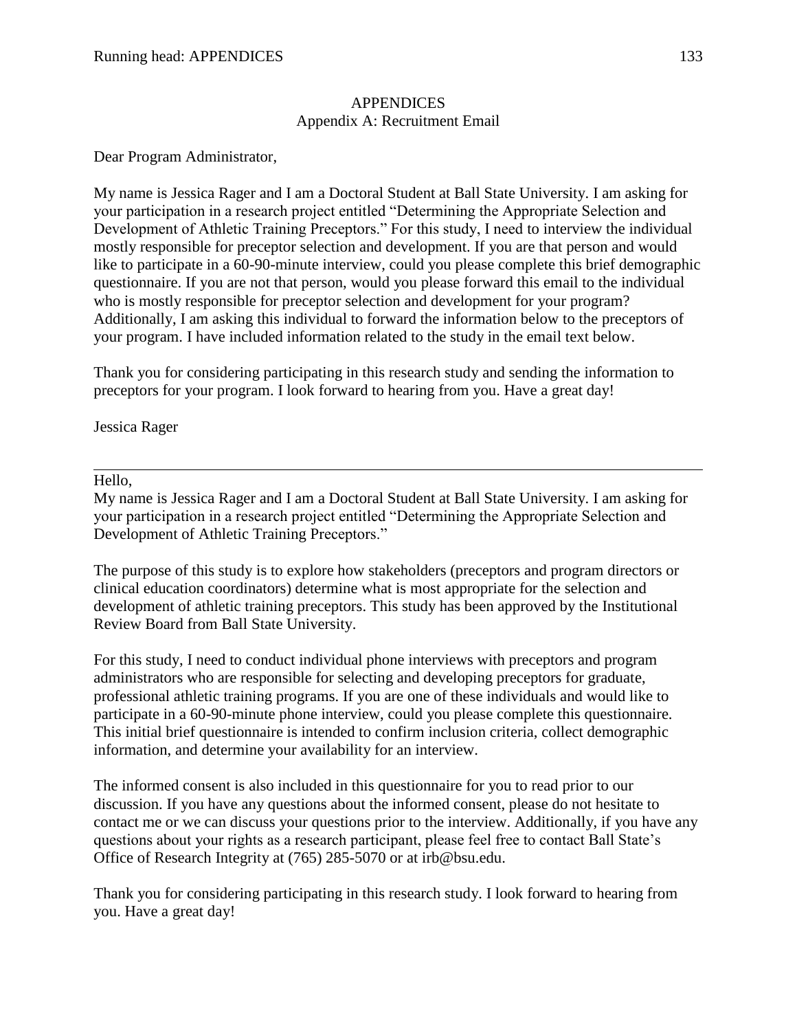#### **APPENDICES** Appendix A: Recruitment Email

Dear Program Administrator,

My name is Jessica Rager and I am a Doctoral Student at Ball State University. I am asking for your participation in a research project entitled "Determining the Appropriate Selection and Development of Athletic Training Preceptors." For this study, I need to interview the individual mostly responsible for preceptor selection and development. If you are that person and would like to participate in a 60-90-minute interview, could you please complete this brief demographic questionnaire. If you are not that person, would you please forward this email to the individual who is mostly responsible for preceptor selection and development for your program? Additionally, I am asking this individual to forward the information below to the preceptors of your program. I have included information related to the study in the email text below.

Thank you for considering participating in this research study and sending the information to preceptors for your program. I look forward to hearing from you. Have a great day!

Jessica Rager

#### Hello,

My name is Jessica Rager and I am a Doctoral Student at Ball State University. I am asking for your participation in a research project entitled "Determining the Appropriate Selection and Development of Athletic Training Preceptors."

The purpose of this study is to explore how stakeholders (preceptors and program directors or clinical education coordinators) determine what is most appropriate for the selection and development of athletic training preceptors. This study has been approved by the Institutional Review Board from Ball State University.

For this study, I need to conduct individual phone interviews with preceptors and program administrators who are responsible for selecting and developing preceptors for graduate, professional athletic training programs. If you are one of these individuals and would like to participate in a 60-90-minute phone interview, could you please complete this questionnaire. This initial brief questionnaire is intended to confirm inclusion criteria, collect demographic information, and determine your availability for an interview.

The informed consent is also included in this questionnaire for you to read prior to our discussion. If you have any questions about the informed consent, please do not hesitate to contact me or we can discuss your questions prior to the interview. Additionally, if you have any questions about your rights as a research participant, please feel free to contact Ball State's Office of Research Integrity at (765) 285-5070 or at irb@bsu.edu.

Thank you for considering participating in this research study. I look forward to hearing from you. Have a great day!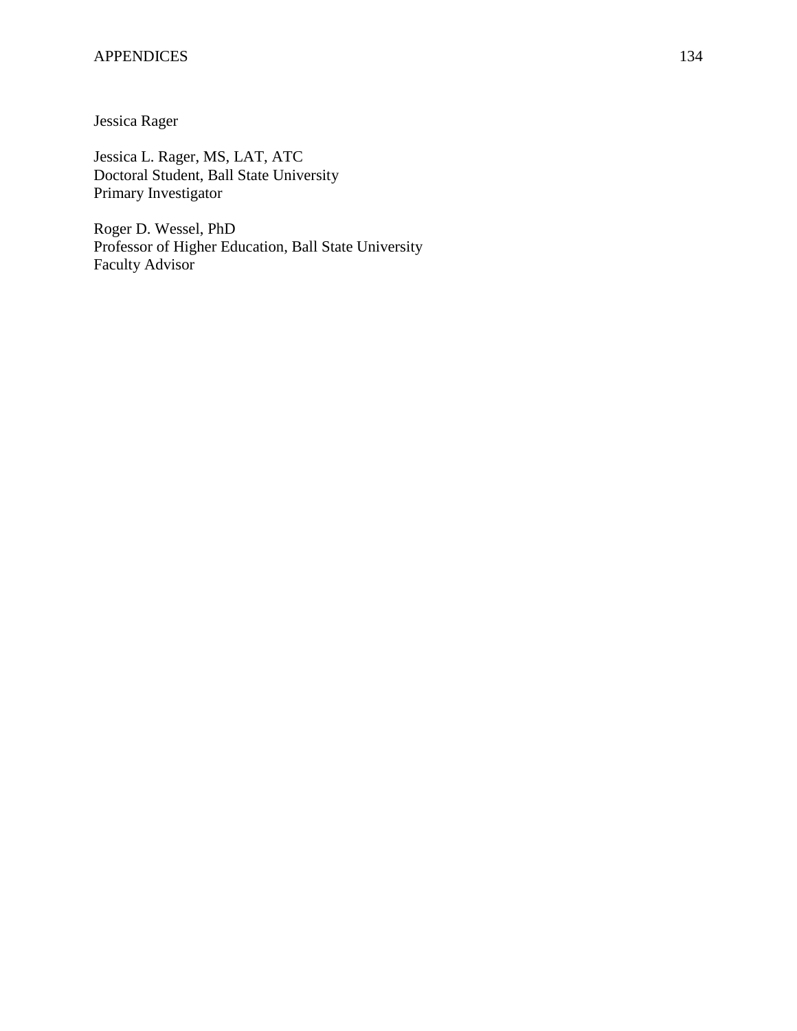#### APPENDICES 134

Jessica Rager

Jessica L. Rager, MS, LAT, ATC Doctoral Student, Ball State University Primary Investigator

Roger D. Wessel, PhD Professor of Higher Education, Ball State University Faculty Advisor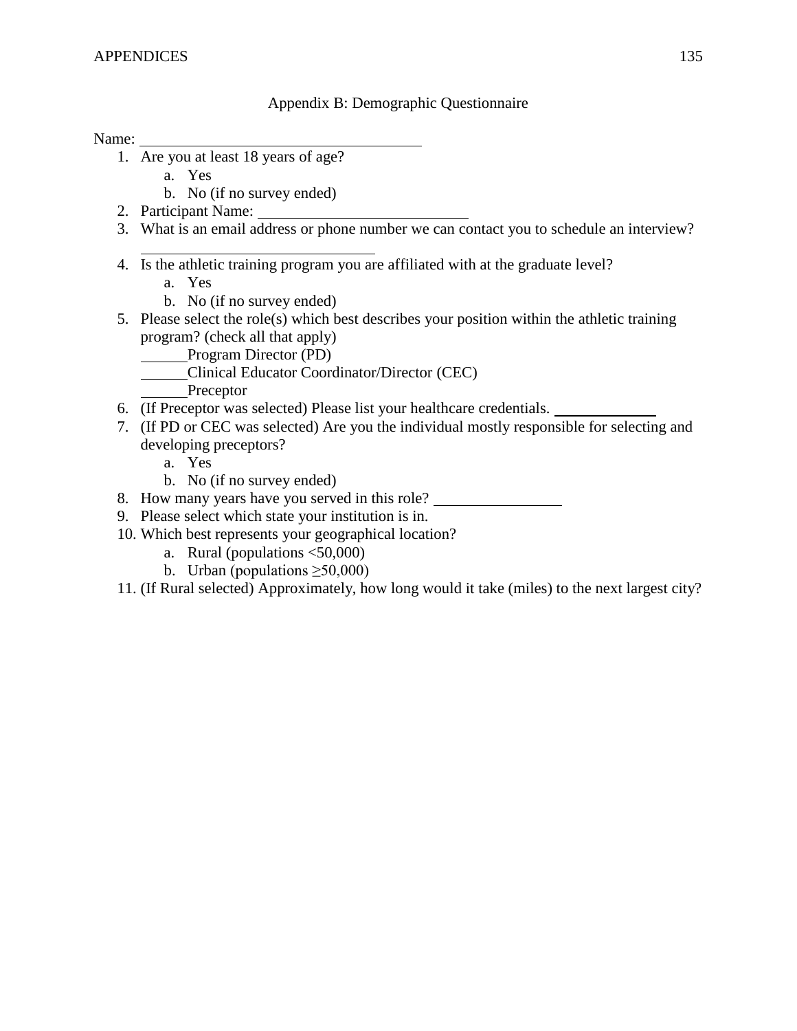## Appendix B: Demographic Questionnaire

Name:

- 1. Are you at least 18 years of age?
	- a. Yes
	- b. No (if no survey ended)
- 2. Participant Name:
- 3. What is an email address or phone number we can contact you to schedule an interview?
- 4. Is the athletic training program you are affiliated with at the graduate level?
	- a. Yes
	- b. No (if no survey ended)
- 5. Please select the role(s) which best describes your position within the athletic training program? (check all that apply)
	- Program Director (PD)
		- Clinical Educator Coordinator/Director (CEC)
			- Preceptor
- 6. (If Preceptor was selected) Please list your healthcare credentials.
- 7. (If PD or CEC was selected) Are you the individual mostly responsible for selecting and developing preceptors?
	- a. Yes
	- b. No (if no survey ended)
- 8. How many years have you served in this role?
- 9. Please select which state your institution is in.
- 10. Which best represents your geographical location?
	- a. Rural (populations <50,000)
	- b. Urban (populations  $\geq 50,000$ )
- 11. (If Rural selected) Approximately, how long would it take (miles) to the next largest city?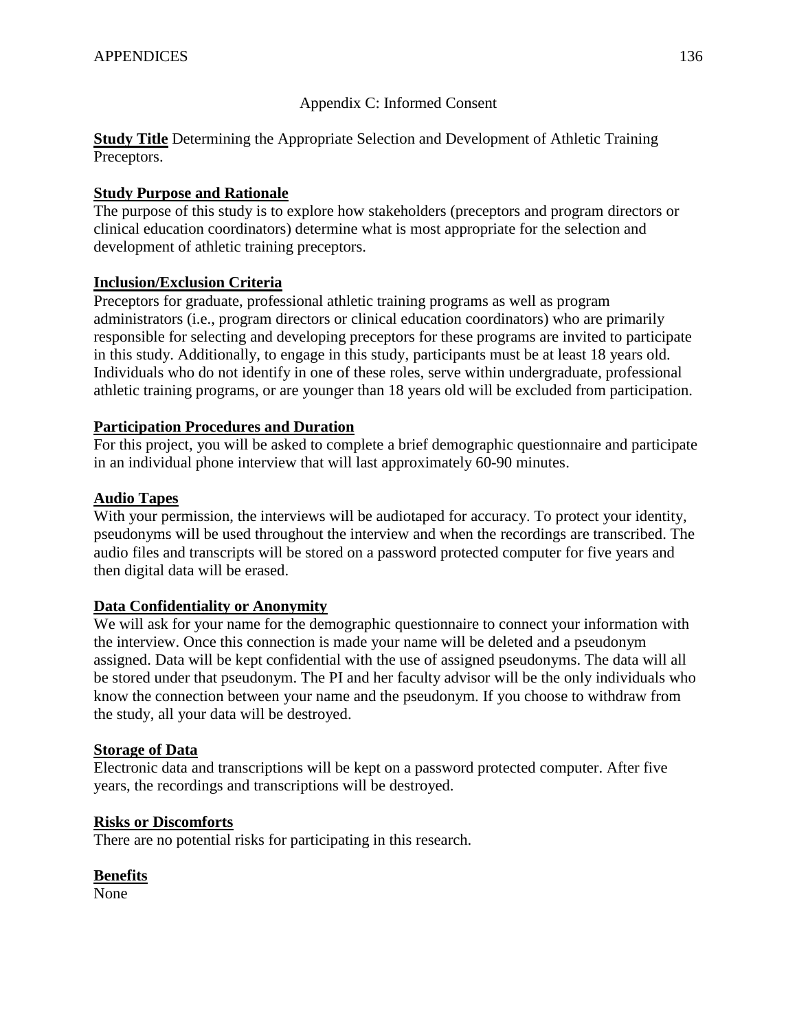# Appendix C: Informed Consent

**Study Title** Determining the Appropriate Selection and Development of Athletic Training Preceptors.

# **Study Purpose and Rationale**

The purpose of this study is to explore how stakeholders (preceptors and program directors or clinical education coordinators) determine what is most appropriate for the selection and development of athletic training preceptors.

# **Inclusion/Exclusion Criteria**

Preceptors for graduate, professional athletic training programs as well as program administrators (i.e., program directors or clinical education coordinators) who are primarily responsible for selecting and developing preceptors for these programs are invited to participate in this study. Additionally, to engage in this study, participants must be at least 18 years old. Individuals who do not identify in one of these roles, serve within undergraduate, professional athletic training programs, or are younger than 18 years old will be excluded from participation.

# **Participation Procedures and Duration**

For this project, you will be asked to complete a brief demographic questionnaire and participate in an individual phone interview that will last approximately 60-90 minutes.

# **Audio Tapes**

With your permission, the interviews will be audiotaped for accuracy. To protect your identity, pseudonyms will be used throughout the interview and when the recordings are transcribed. The audio files and transcripts will be stored on a password protected computer for five years and then digital data will be erased.

# **Data Confidentiality or Anonymity**

We will ask for your name for the demographic questionnaire to connect your information with the interview. Once this connection is made your name will be deleted and a pseudonym assigned. Data will be kept confidential with the use of assigned pseudonyms. The data will all be stored under that pseudonym. The PI and her faculty advisor will be the only individuals who know the connection between your name and the pseudonym. If you choose to withdraw from the study, all your data will be destroyed.

# **Storage of Data**

Electronic data and transcriptions will be kept on a password protected computer. After five years, the recordings and transcriptions will be destroyed.

# **Risks or Discomforts**

There are no potential risks for participating in this research.

# **Benefits**

None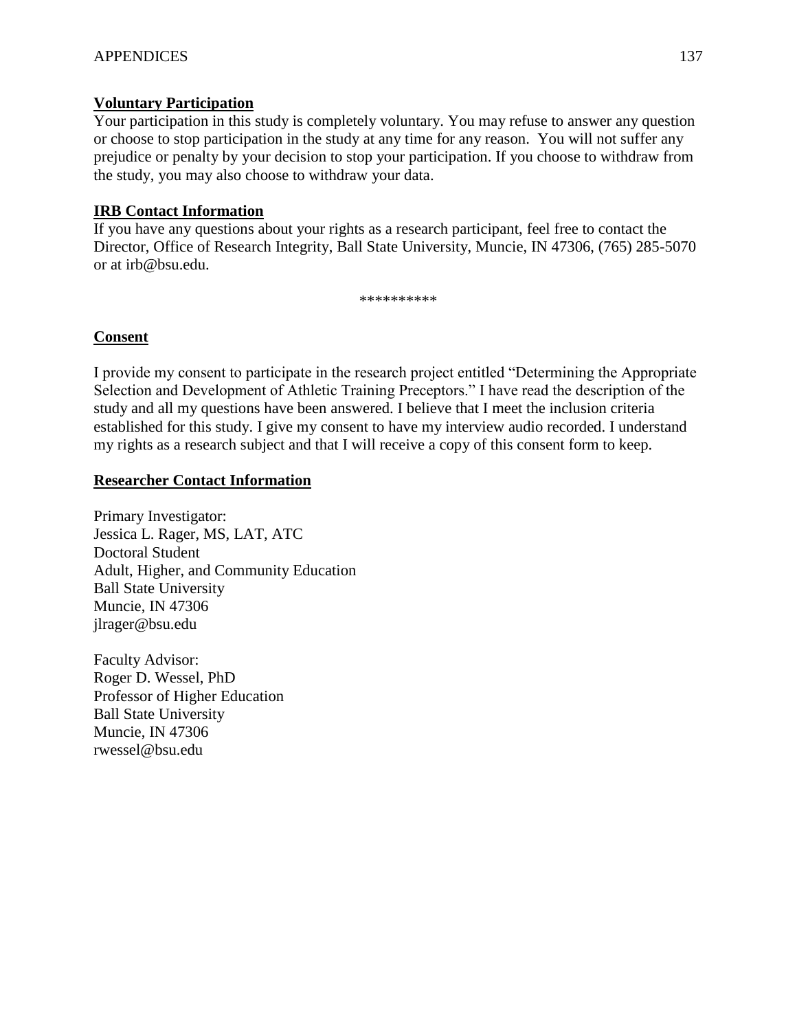# **Voluntary Participation**

Your participation in this study is completely voluntary. You may refuse to answer any question or choose to stop participation in the study at any time for any reason. You will not suffer any prejudice or penalty by your decision to stop your participation. If you choose to withdraw from the study, you may also choose to withdraw your data.

# **IRB Contact Information**

If you have any questions about your rights as a research participant, feel free to contact the Director, Office of Research Integrity, Ball State University, Muncie, IN 47306, (765) 285-5070 or at [irb@bsu.edu.](mailto:irb@bsu.edu)

\*\*\*\*\*\*\*\*\*

# **Consent**

I provide my consent to participate in the research project entitled "Determining the Appropriate Selection and Development of Athletic Training Preceptors." I have read the description of the study and all my questions have been answered. I believe that I meet the inclusion criteria established for this study. I give my consent to have my interview audio recorded. I understand my rights as a research subject and that I will receive a copy of this consent form to keep.

# **Researcher Contact Information**

Primary Investigator: Jessica L. Rager, MS, LAT, ATC Doctoral Student Adult, Higher, and Community Education Ball State University Muncie, IN 47306 jlrager@bsu.edu

Faculty Advisor: Roger D. Wessel, PhD Professor of Higher Education Ball State University Muncie, IN 47306 rwessel@bsu.edu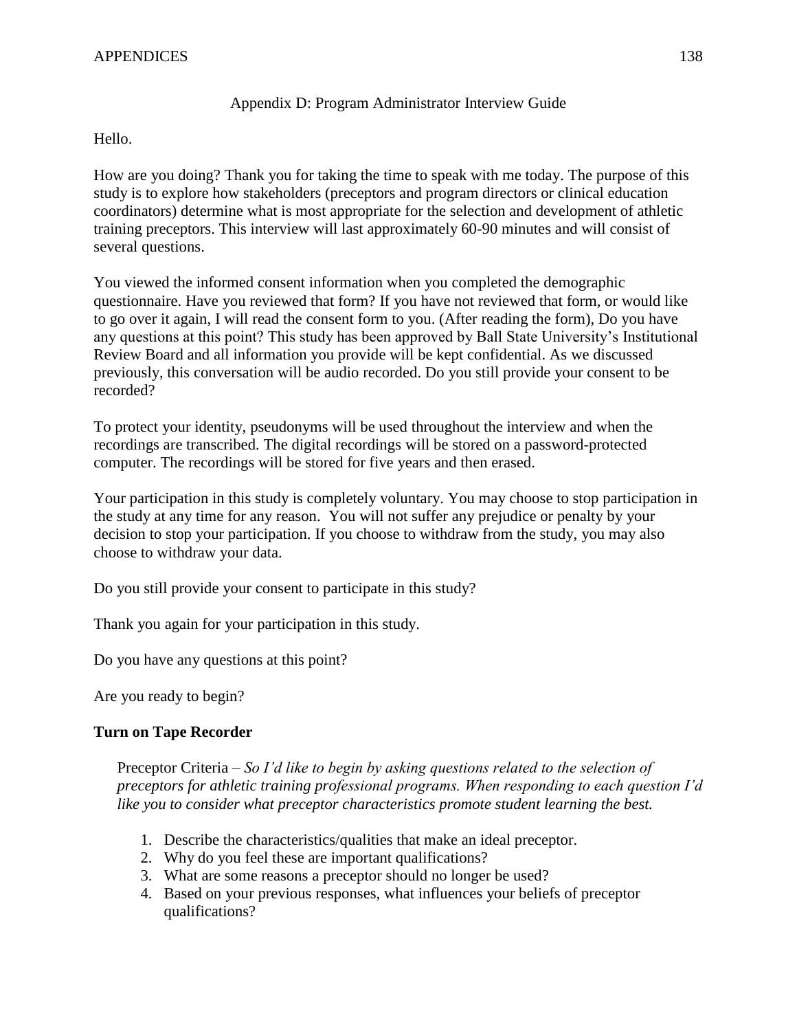## APPENDICES 138

## Appendix D: Program Administrator Interview Guide

#### Hello.

How are you doing? Thank you for taking the time to speak with me today. The purpose of this study is to explore how stakeholders (preceptors and program directors or clinical education coordinators) determine what is most appropriate for the selection and development of athletic training preceptors. This interview will last approximately 60-90 minutes and will consist of several questions.

You viewed the informed consent information when you completed the demographic questionnaire. Have you reviewed that form? If you have not reviewed that form, or would like to go over it again, I will read the consent form to you. (After reading the form), Do you have any questions at this point? This study has been approved by Ball State University's Institutional Review Board and all information you provide will be kept confidential. As we discussed previously, this conversation will be audio recorded. Do you still provide your consent to be recorded?

To protect your identity, pseudonyms will be used throughout the interview and when the recordings are transcribed. The digital recordings will be stored on a password-protected computer. The recordings will be stored for five years and then erased.

Your participation in this study is completely voluntary. You may choose to stop participation in the study at any time for any reason. You will not suffer any prejudice or penalty by your decision to stop your participation. If you choose to withdraw from the study, you may also choose to withdraw your data.

Do you still provide your consent to participate in this study?

Thank you again for your participation in this study.

Do you have any questions at this point?

Are you ready to begin?

# **Turn on Tape Recorder**

Preceptor Criteria – *So I'd like to begin by asking questions related to the selection of preceptors for athletic training professional programs. When responding to each question I'd like you to consider what preceptor characteristics promote student learning the best.* 

- 1. Describe the characteristics/qualities that make an ideal preceptor.
- 2. Why do you feel these are important qualifications?
- 3. What are some reasons a preceptor should no longer be used?
- 4. Based on your previous responses, what influences your beliefs of preceptor qualifications?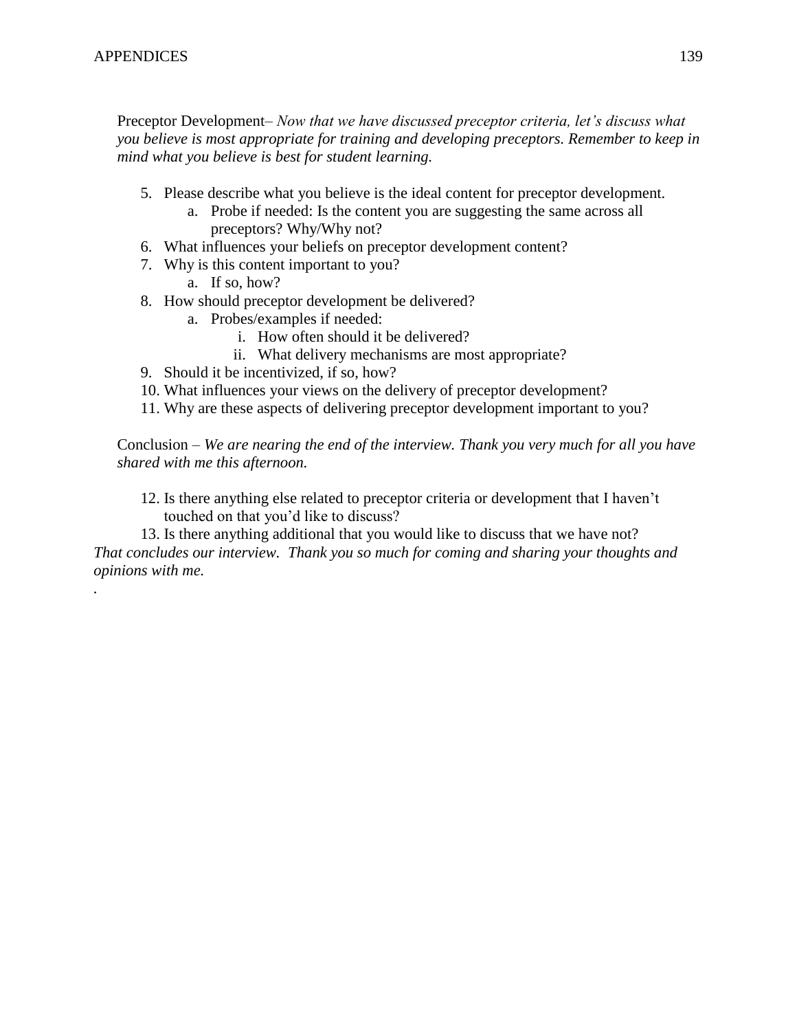*.* 

Preceptor Development– *Now that we have discussed preceptor criteria, let's discuss what you believe is most appropriate for training and developing preceptors. Remember to keep in mind what you believe is best for student learning.* 

- 5. Please describe what you believe is the ideal content for preceptor development.
	- a. Probe if needed: Is the content you are suggesting the same across all preceptors? Why/Why not?
- 6. What influences your beliefs on preceptor development content?
- 7. Why is this content important to you?
	- a. If so, how?
- 8. How should preceptor development be delivered?
	- a. Probes/examples if needed:
		- i. How often should it be delivered?
		- ii. What delivery mechanisms are most appropriate?
- 9. Should it be incentivized, if so, how?
- 10. What influences your views on the delivery of preceptor development?
- 11. Why are these aspects of delivering preceptor development important to you?

Conclusion – *We are nearing the end of the interview. Thank you very much for all you have shared with me this afternoon.* 

12. Is there anything else related to preceptor criteria or development that I haven't touched on that you'd like to discuss?

13. Is there anything additional that you would like to discuss that we have not? *That concludes our interview. Thank you so much for coming and sharing your thoughts and opinions with me.*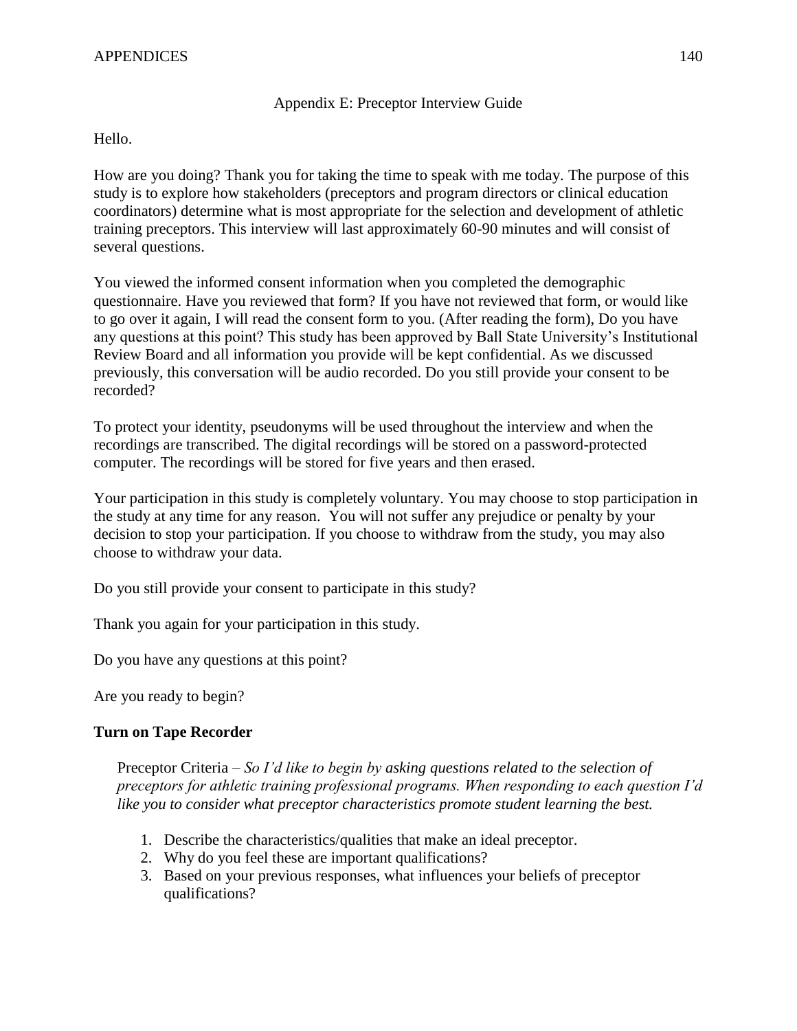## Appendix E: Preceptor Interview Guide

Hello.

How are you doing? Thank you for taking the time to speak with me today. The purpose of this study is to explore how stakeholders (preceptors and program directors or clinical education coordinators) determine what is most appropriate for the selection and development of athletic training preceptors. This interview will last approximately 60-90 minutes and will consist of several questions.

You viewed the informed consent information when you completed the demographic questionnaire. Have you reviewed that form? If you have not reviewed that form, or would like to go over it again, I will read the consent form to you. (After reading the form), Do you have any questions at this point? This study has been approved by Ball State University's Institutional Review Board and all information you provide will be kept confidential. As we discussed previously, this conversation will be audio recorded. Do you still provide your consent to be recorded?

To protect your identity, pseudonyms will be used throughout the interview and when the recordings are transcribed. The digital recordings will be stored on a password-protected computer. The recordings will be stored for five years and then erased.

Your participation in this study is completely voluntary. You may choose to stop participation in the study at any time for any reason. You will not suffer any prejudice or penalty by your decision to stop your participation. If you choose to withdraw from the study, you may also choose to withdraw your data.

Do you still provide your consent to participate in this study?

Thank you again for your participation in this study.

Do you have any questions at this point?

Are you ready to begin?

# **Turn on Tape Recorder**

Preceptor Criteria – *So I'd like to begin by asking questions related to the selection of preceptors for athletic training professional programs. When responding to each question I'd like you to consider what preceptor characteristics promote student learning the best.* 

- 1. Describe the characteristics/qualities that make an ideal preceptor.
- 2. Why do you feel these are important qualifications?
- 3. Based on your previous responses, what influences your beliefs of preceptor qualifications?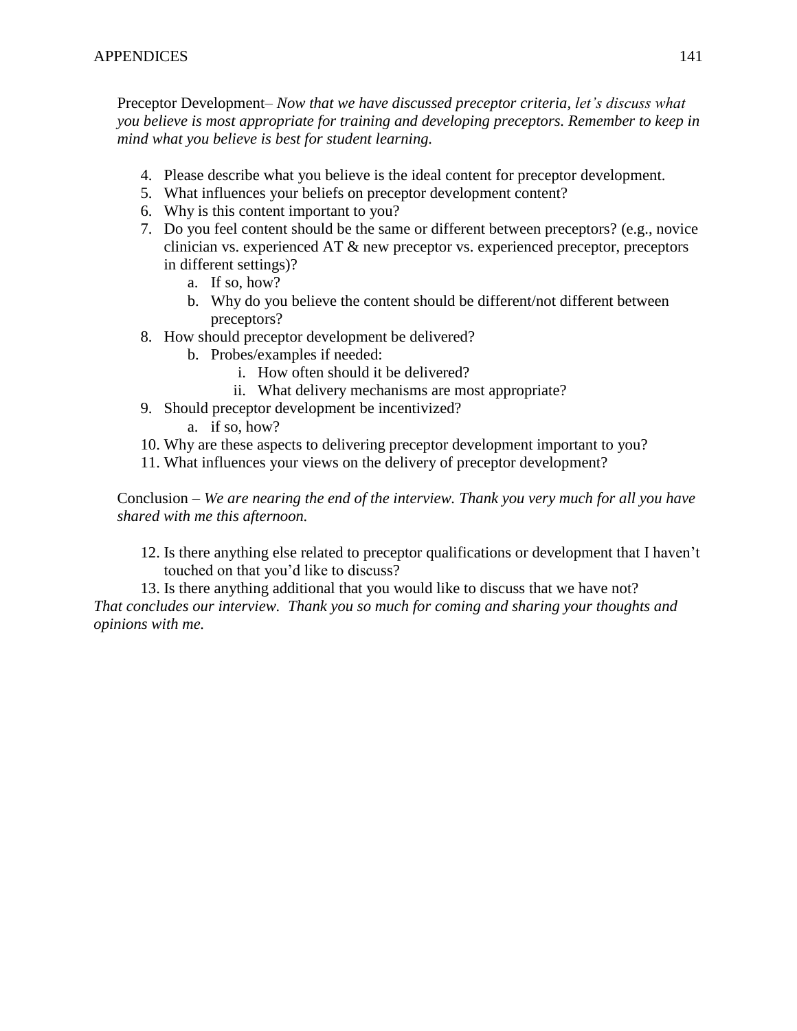Preceptor Development– *Now that we have discussed preceptor criteria, let's discuss what you believe is most appropriate for training and developing preceptors. Remember to keep in mind what you believe is best for student learning.* 

- 4. Please describe what you believe is the ideal content for preceptor development.
- 5. What influences your beliefs on preceptor development content?
- 6. Why is this content important to you?
- 7. Do you feel content should be the same or different between preceptors? (e.g., novice clinician vs. experienced AT & new preceptor vs. experienced preceptor, preceptors in different settings)?
	- a. If so, how?
	- b. Why do you believe the content should be different/not different between preceptors?
- 8. How should preceptor development be delivered?
	- b. Probes/examples if needed:
		- i. How often should it be delivered?
		- ii. What delivery mechanisms are most appropriate?
- 9. Should preceptor development be incentivized?
	- a. if so, how?
- 10. Why are these aspects to delivering preceptor development important to you?
- 11. What influences your views on the delivery of preceptor development?

Conclusion – *We are nearing the end of the interview. Thank you very much for all you have shared with me this afternoon.* 

12. Is there anything else related to preceptor qualifications or development that I haven't touched on that you'd like to discuss?

13. Is there anything additional that you would like to discuss that we have not? *That concludes our interview. Thank you so much for coming and sharing your thoughts and opinions with me.*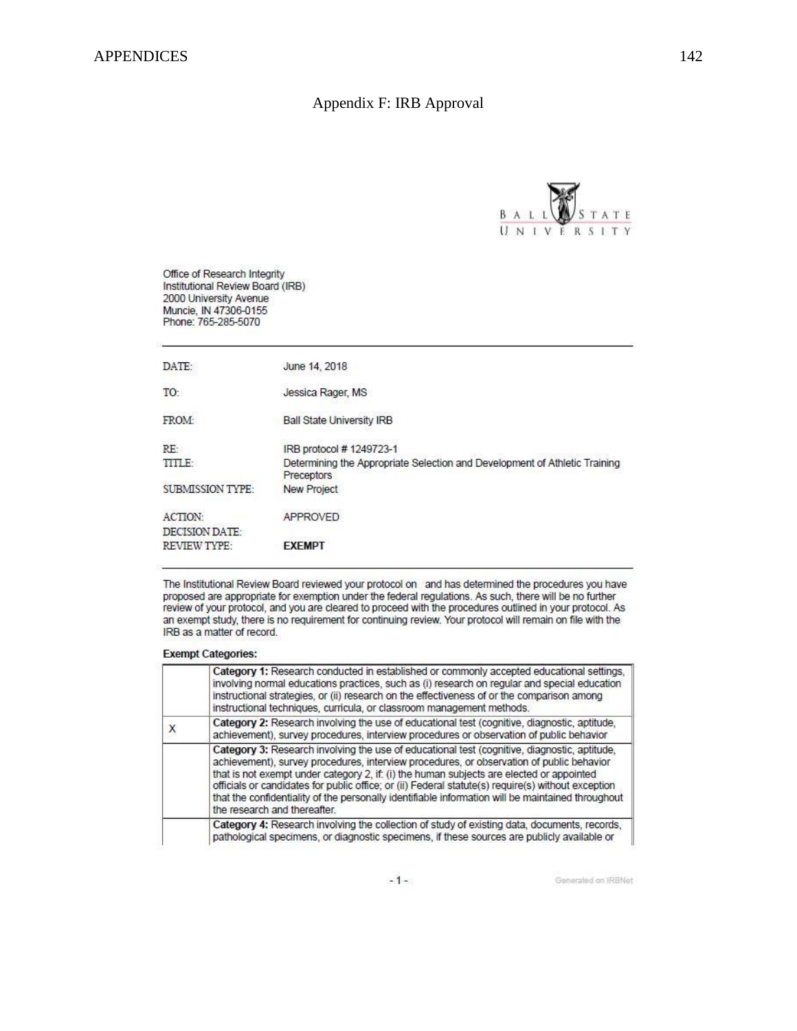# Appendix F: IRB Approval



Office of Research Integrity Institutional Review Board (IRB) 2000 University Avenue Muncie, IN 47306-0155<br>Phone: 765-285-5070

| DATE:                                   | June 14, 2018                                                                            |
|-----------------------------------------|------------------------------------------------------------------------------------------|
| TO:                                     | Jessica Rager, MS                                                                        |
| <b>FROM:</b>                            | <b>Ball State University IRB</b>                                                         |
| RE                                      | IRB protocol # 1249723-1                                                                 |
| TITLE:                                  | Determining the Appropriate Selection and Development of Athletic Training<br>Preceptors |
| <b>SUBMISSION TYPE:</b>                 | <b>New Project</b>                                                                       |
| <b>ACTION:</b><br><b>DECISION DATE:</b> | <b>APPROVED</b>                                                                          |
| <b>REVIEW TYPE:</b>                     | <b>EXEMPT</b>                                                                            |

The Institutional Review Board reviewed your protocol on and has determined the procedures you have proposed are appropriate for exemption under the federal regulations. As such, there will be no further review of your protocol, and you are cleared to proceed with the procedures outlined in your protocol. As an exempt study, there is no requirement for continuing review. Your protocol will remain on file with the IRB as a matter of record.

#### **Exempt Categories:**

|  | Category 1: Research conducted in established or commonly accepted educational settings.<br>involving normal educations practices, such as (i) research on regular and special education<br>instructional strategies, or (ii) research on the effectiveness of or the comparison among<br>instructional techniques, curricula, or classroom management methods.                                                                                                                                                                 |
|--|---------------------------------------------------------------------------------------------------------------------------------------------------------------------------------------------------------------------------------------------------------------------------------------------------------------------------------------------------------------------------------------------------------------------------------------------------------------------------------------------------------------------------------|
|  | Category 2: Research involving the use of educational test (cognitive, diagnostic, aptitude,<br>achievement), survey procedures, interview procedures or observation of public behavior                                                                                                                                                                                                                                                                                                                                         |
|  | Category 3: Research involving the use of educational test (cognitive, diagnostic, aptitude,<br>achievement), survey procedures, interview procedures, or observation of public behavior<br>that is not exempt under category 2, if: (i) the human subjects are elected or appointed<br>officials or candidates for public office; or (ii) Federal statute(s) require(s) without exception<br>that the confidentiality of the personally identifiable information will be maintained throughout<br>the research and thereafter. |
|  | Category 4: Research involving the collection of study of existing data, documents, records,<br>pathological specimens, or diagnostic specimens, if these sources are publicly available or                                                                                                                                                                                                                                                                                                                                     |

 $-1-$ 

Generated on IRBNet